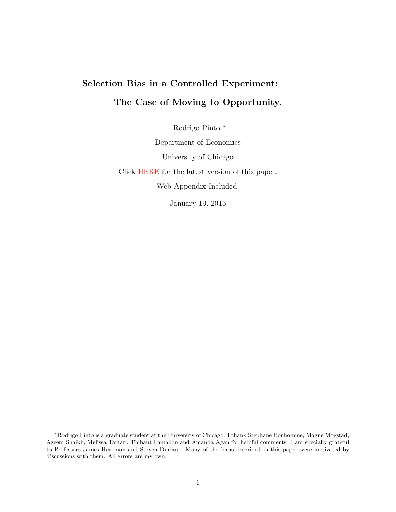# <span id="page-0-0"></span>Selection Bias in a Controlled Experiment: The Case of Moving to Opportunity.

Rodrigo Pinto <sup>∗</sup>

Department of Economics University of Chicago

Click [HERE](http://home.uchicago.edu/~rodrig/JMP.pdf) for the latest version of this paper.

Web Appendix Included.

January 19, 2015

<sup>∗</sup>Rodrigo Pinto is a graduate student at the University of Chicago. I thank Stephane Bonhomme, Magne Mogstad, Azeem Shaikh, Melissa Tartari, Thibaut Lamadon and Amanda Agan for helpful comments. I am specially grateful to Professors James Heckman and Steven Durlauf. Many of the ideas described in this paper were motivated by discussions with them. All errors are my own.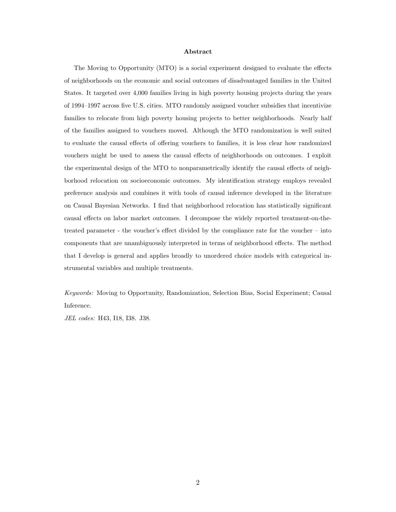#### Abstract

The Moving to Opportunity (MTO) is a social experiment designed to evaluate the effects of neighborhoods on the economic and social outcomes of disadvantaged families in the United States. It targeted over 4,000 families living in high poverty housing projects during the years of 1994–1997 across five U.S. cities. MTO randomly assigned voucher subsidies that incentivize families to relocate from high poverty housing projects to better neighborhoods. Nearly half of the families assigned to vouchers moved. Although the MTO randomization is well suited to evaluate the causal effects of offering vouchers to families, it is less clear how randomized vouchers might be used to assess the causal effects of neighborhoods on outcomes. I exploit the experimental design of the MTO to nonparametrically identify the causal effects of neighborhood relocation on socioeconomic outcomes. My identification strategy employs revealed preference analysis and combines it with tools of causal inference developed in the literature on Causal Bayesian Networks. I find that neighborhood relocation has statistically significant causal effects on labor market outcomes. I decompose the widely reported treatment-on-thetreated parameter - the voucher's effect divided by the compliance rate for the voucher – into components that are unambiguously interpreted in terms of neighborhood effects. The method that I develop is general and applies broadly to unordered choice models with categorical instrumental variables and multiple treatments.

Keywords: Moving to Opportunity, Randomization, Selection Bias, Social Experiment; Causal Inference.

JEL codes: H43, I18, I38. J38.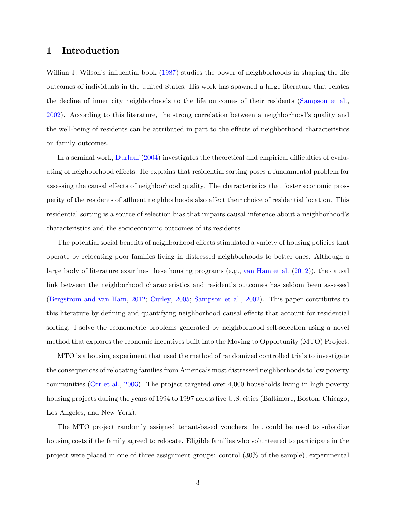# <span id="page-2-0"></span>1 Introduction

Willian J. Wilson's influential book [\(1987\)](#page-61-0) studies the power of neighborhoods in shaping the life outcomes of individuals in the United States. His work has spawned a large literature that relates the decline of inner city neighborhoods to the life outcomes of their residents [\(Sampson et al.,](#page-60-0) [2002\)](#page-60-0). According to this literature, the strong correlation between a neighborhood's quality and the well-being of residents can be attributed in part to the effects of neighborhood characteristics on family outcomes.

In a seminal work, [Durlauf](#page-57-0) [\(2004\)](#page-57-0) investigates the theoretical and empirical difficulties of evaluating of neighborhood effects. He explains that residential sorting poses a fundamental problem for assessing the causal effects of neighborhood quality. The characteristics that foster economic prosperity of the residents of affluent neighborhoods also affect their choice of residential location. This residential sorting is a source of selection bias that impairs causal inference about a neighborhood's characteristics and the socioeconomic outcomes of its residents.

The potential social benefits of neighborhood effects stimulated a variety of housing policies that operate by relocating poor families living in distressed neighborhoods to better ones. Although a large body of literature examines these housing programs (e.g., [van Ham et al.](#page-61-1) [\(2012\)](#page-61-1)), the causal link between the neighborhood characteristics and resident's outcomes has seldom been assessed [\(Bergstrom and van Ham,](#page-56-0) [2012;](#page-56-0) [Curley,](#page-57-1) [2005;](#page-57-1) [Sampson et al.,](#page-60-0) [2002\)](#page-60-0). This paper contributes to this literature by defining and quantifying neighborhood causal effects that account for residential sorting. I solve the econometric problems generated by neighborhood self-selection using a novel method that explores the economic incentives built into the Moving to Opportunity (MTO) Project.

MTO is a housing experiment that used the method of randomized controlled trials to investigate the consequences of relocating families from America's most distressed neighborhoods to low poverty communities [\(Orr et al.,](#page-60-1) [2003\)](#page-60-1). The project targeted over 4,000 households living in high poverty housing projects during the years of 1994 to 1997 across five U.S. cities (Baltimore, Boston, Chicago, Los Angeles, and New York).

The MTO project randomly assigned tenant-based vouchers that could be used to subsidize housing costs if the family agreed to relocate. Eligible families who volunteered to participate in the project were placed in one of three assignment groups: control (30% of the sample), experimental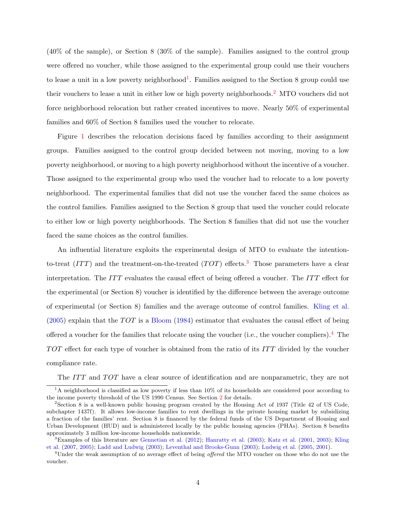(40% of the sample), or Section 8 (30% of the sample). Families assigned to the control group were offered no voucher, while those assigned to the experimental group could use their vouchers to lease a unit in a low poverty neighborhood<sup>[1](#page-3-0)</sup>. Families assigned to the Section 8 group could use their vouchers to lease a unit in either low or high poverty neighborhoods.[2](#page-3-1) MTO vouchers did not force neighborhood relocation but rather created incentives to move. Nearly 50% of experimental families and 60% of Section 8 families used the voucher to relocate.

Figure [1](#page-4-0) describes the relocation decisions faced by families according to their assignment groups. Families assigned to the control group decided between not moving, moving to a low poverty neighborhood, or moving to a high poverty neighborhood without the incentive of a voucher. Those assigned to the experimental group who used the voucher had to relocate to a low poverty neighborhood. The experimental families that did not use the voucher faced the same choices as the control families. Families assigned to the Section 8 group that used the voucher could relocate to either low or high poverty neighborhoods. The Section 8 families that did not use the voucher faced the same choices as the control families.

An influential literature exploits the experimental design of MTO to evaluate the intentionto-treat  $(ITT)$  and the treatment-on-the-treated  $(TOT)$  effects.<sup>[3](#page-3-2)</sup> Those parameters have a clear interpretation. The ITT evaluates the causal effect of being offered a voucher. The ITT effect for the experimental (or Section 8) voucher is identified by the difference between the average outcome of experimental (or Section 8) families and the average outcome of control families. [Kling et al.](#page-59-0)  $(2005)$  explain that the TOT is a [Bloom](#page-56-1) [\(1984\)](#page-56-1) estimator that evaluates the causal effect of being offered a voucher for the families that relocate using the voucher (i.e., the voucher compliers).<sup>[4](#page-3-3)</sup> The TOT effect for each type of voucher is obtained from the ratio of its ITT divided by the voucher compliance rate.

<span id="page-3-0"></span>The ITT and TOT have a clear source of identification and are nonparametric, they are not

<sup>&</sup>lt;sup>1</sup>A neighborhood is classified as low poverty if less than 10% of its households are considered poor according to the income poverty threshold of the US 1990 Census. See Section [2](#page-12-0) for details.

<span id="page-3-1"></span><sup>2</sup>Section 8 is a well-known public housing program created by the Housing Act of 1937 (Title 42 of US Code, subchapter 1437f). It allows low-income families to rent dwellings in the private housing market by subsidizing a fraction of the families' rent. Section 8 is financed by the federal funds of the US Department of Housing and Urban Development (HUD) and is administered locally by the public housing agencies (PHAs). Section 8 benefits approximately 3 million low-income households nationwide.

<span id="page-3-2"></span><sup>3</sup>Examples of this literature are [Gennetian et al.](#page-57-2) [\(2012\)](#page-57-2); [Hanratty et al.](#page-58-0) [\(2003\)](#page-58-0); [Katz et al.](#page-59-1) [\(2001,](#page-59-1) [2003\)](#page-59-2); [Kling](#page-59-3) [et al.](#page-59-3) [\(2007,](#page-59-3) [2005\)](#page-59-0); [Ladd and Ludwig](#page-59-4) [\(2003\)](#page-59-4); [Leventhal and Brooks-Gunn](#page-59-5) [\(2003\)](#page-59-5); [Ludwig et al.](#page-59-6) [\(2005,](#page-59-6) [2001\)](#page-60-2).

<span id="page-3-3"></span><sup>&</sup>lt;sup>4</sup>Under the weak assumption of no average effect of being *offered* the MTO voucher on those who do not use the voucher.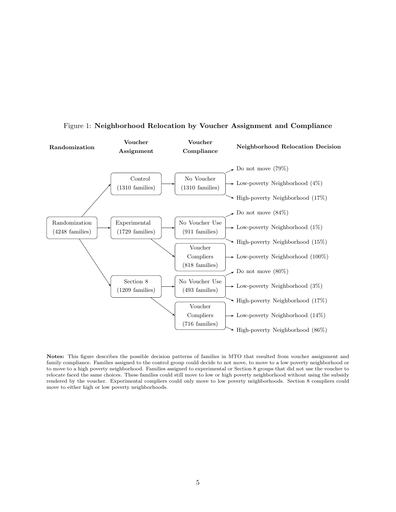

# <span id="page-4-0"></span>Figure 1: Neighborhood Relocation by Voucher Assignment and Compliance

Notes: This figure describes the possible decision patterns of families in MTO that resulted from voucher assignment and family compliance. Families assigned to the control group could decide to not move, to move to a low poverty neighborhood or to move to a high poverty neighborhood. Families assigned to experimental or Section 8 groups that did not use the voucher to relocate faced the same choices. These families could still move to low or high poverty neighborhood without using the subsidy rendered by the voucher. Experimental compliers could only move to low poverty neighborhoods. Section 8 compliers could move to either high or low poverty neighborhoods.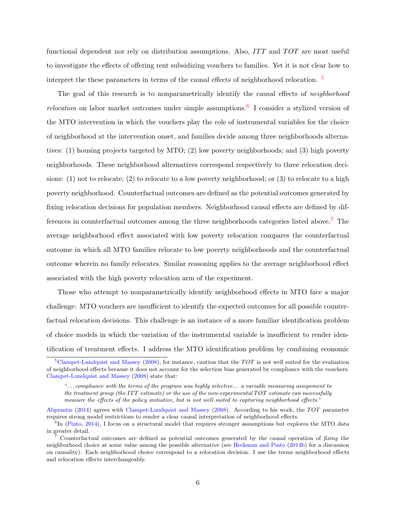functional dependent nor rely on distribution assumptions. Also,  $ITT$  and  $TOT$  are most useful to investigate the effects of offering rent subsidizing vouchers to families. Yet it is not clear how to interpret the these parameters in terms of the causal effects of neighborhood relocation.  $5$ 

The goal of this research is to nonparametrically identify the causal effects of *neighborhood relocation* on labor market outcomes under simple assumptions.<sup>[6](#page-5-1)</sup> I consider a stylized version of the MTO intervention in which the vouchers play the role of instrumental variables for the choice of neighborhood at the intervention onset, and families decide among three neighborhoods alternatives: (1) housing projects targeted by MTO; (2) low poverty neighborhoods; and (3) high poverty neighborhoods. These neighborhood alternatives correspond respectively to three relocation decisions: (1) not to relocate; (2) to relocate to a low poverty neighborhood; or (3) to relocate to a high poverty neighborhood. Counterfactual outcomes are defined as the potential outcomes generated by fixing relocation decisions for population members. Neighborhood causal effects are defined by dif-ferences in counterfactual outcomes among the three neighborhoods categories listed above.<sup>[7](#page-5-2)</sup> The average neighborhood effect associated with low poverty relocation compares the counterfactual outcome in which all MTO families relocate to low poverty neighborhoods and the counterfactual outcome wherein no family relocates. Similar reasoning applies to the average neighborhood effect associated with the high poverty relocation arm of the experiment.

Those who attempt to nonparametrically identify neighborhood effects in MTO face a major challenge: MTO vouchers are insufficient to identify the expected outcomes for all possible counterfactual relocation decisions. This challenge is an instance of a more familiar identification problem of choice models in which the variation of the instrumental variable is insufficient to render identification of treatment effects. I address the MTO identification problem by combining economic

<span id="page-5-0"></span> $5$ [Clampet-Lundquist and Massey](#page-57-3) [\(2008\)](#page-57-3), for instance, caution that the  $TOT$  is not well suited for the evaluation of neighborhood effects because it does not account for the selection bias generated by compliance with the vouchers. [Clampet-Lundquist and Massey](#page-57-3) [\(2008\)](#page-57-3) state that:

<sup>&</sup>quot;. . . compliance with the terms of the program was highly selective... a variable measuring assignment to the treatment group (the ITT estimate) or the use of the non-experimental TOT estimate can successfully measure the effects of the policy initiative, but is not well suited to capturing neighborhood effects."

[Aliprantis](#page-56-2) [\(2014\)](#page-56-2) agrees with [Clampet-Lundquist and Massey](#page-57-3) [\(2008\)](#page-57-3). According to his work, the  $TOT$  parameter requires strong model restrictions to render a clear causal interpretation of neighborhood effects.

<span id="page-5-1"></span> ${}^{6}$ In [\(Pinto,](#page-60-3) [2014\)](#page-60-3), I focus on a structural model that requires stronger assumptions but explores the MTO data in greater detail.

<span id="page-5-2"></span><sup>7</sup> Counterfactual outcomes are defined as potential outcomes generated by the causal operation of fixing the neighborhood choice at some value among the possible alternative (see [Heckman and Pinto](#page-58-1) [\(2014b\)](#page-58-1) for a discussion on causality). Each neighborhood choice correspond to a relocation decision. I use the terms neighborhood effects and relocation effects interchangeably.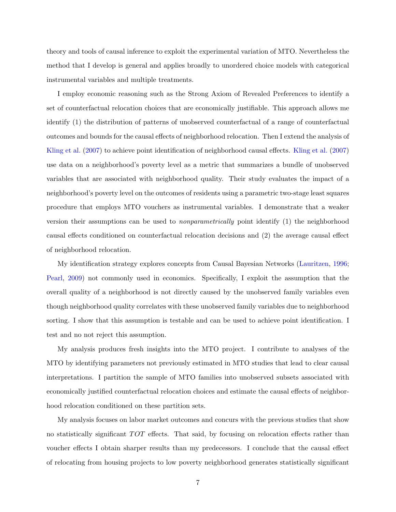theory and tools of causal inference to exploit the experimental variation of MTO. Nevertheless the method that I develop is general and applies broadly to unordered choice models with categorical instrumental variables and multiple treatments.

I employ economic reasoning such as the Strong Axiom of Revealed Preferences to identify a set of counterfactual relocation choices that are economically justifiable. This approach allows me identify (1) the distribution of patterns of unobserved counterfactual of a range of counterfactual outcomes and bounds for the causal effects of neighborhood relocation. Then I extend the analysis of [Kling et al.](#page-59-3) [\(2007\)](#page-59-3) to achieve point identification of neighborhood causal effects. [Kling et al.](#page-59-3) [\(2007\)](#page-59-3) use data on a neighborhood's poverty level as a metric that summarizes a bundle of unobserved variables that are associated with neighborhood quality. Their study evaluates the impact of a neighborhood's poverty level on the outcomes of residents using a parametric two-stage least squares procedure that employs MTO vouchers as instrumental variables. I demonstrate that a weaker version their assumptions can be used to nonparametrically point identify (1) the neighborhood causal effects conditioned on counterfactual relocation decisions and (2) the average causal effect of neighborhood relocation.

My identification strategy explores concepts from Causal Bayesian Networks [\(Lauritzen,](#page-59-7) [1996;](#page-59-7) [Pearl,](#page-60-4) [2009\)](#page-60-4) not commonly used in economics. Specifically, I exploit the assumption that the overall quality of a neighborhood is not directly caused by the unobserved family variables even though neighborhood quality correlates with these unobserved family variables due to neighborhood sorting. I show that this assumption is testable and can be used to achieve point identification. I test and no not reject this assumption.

My analysis produces fresh insights into the MTO project. I contribute to analyses of the MTO by identifying parameters not previously estimated in MTO studies that lead to clear causal interpretations. I partition the sample of MTO families into unobserved subsets associated with economically justified counterfactual relocation choices and estimate the causal effects of neighborhood relocation conditioned on these partition sets.

My analysis focuses on labor market outcomes and concurs with the previous studies that show no statistically significant TOT effects. That said, by focusing on relocation effects rather than voucher effects I obtain sharper results than my predecessors. I conclude that the causal effect of relocating from housing projects to low poverty neighborhood generates statistically significant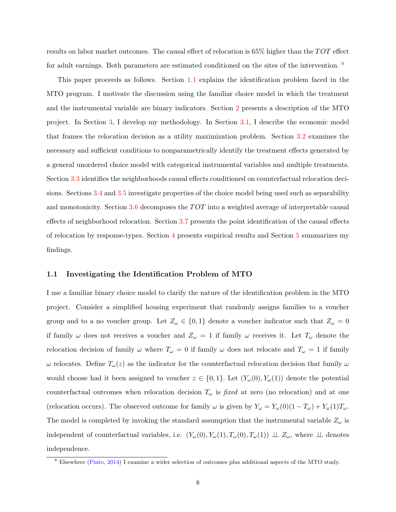results on labor market outcomes. The causal effect of relocation is  $65\%$  higher than the  $TOT$  effect for adult earnings. Both parameters are estimated conditioned on the sites of the intervention.  $8$ 

This paper proceeds as follows. Section [1.1](#page-7-1) explains the identification problem faced in the MTO program. I motivate the discussion using the familiar choice model in which the treatment and the instrumental variable are binary indicators. Section [2](#page-12-0) presents a description of the MTO project. In Section [3,](#page-18-0) I develop my methodology. In Section [3.1,](#page-18-1) I describe the economic model that frames the relocation decision as a utility maximization problem. Section [3.2](#page-21-0) examines the necessary and sufficient conditions to nonparametrically identify the treatment effects generated by a general unordered choice model with categorical instrumental variables and multiple treatments. Section [3.3](#page-30-0) identifies the neighborhoods causal effects conditioned on counterfactual relocation decisions. Sections [3.4](#page-32-0) and [3.5](#page-34-0) investigate properties of the choice model being used such as separability and monotonicity. Section  $3.6$  decomposes the  $TOT$  into a weighted average of interpretable causal effects of neighborhood relocation. Section [3.7](#page-38-0) presents the point identification of the causal effects of relocation by response-types. Section [4](#page-44-0) presents empirical results and Section [5](#page-54-0) summarizes my findings.

# <span id="page-7-1"></span>1.1 Investigating the Identification Problem of MTO

I use a familiar binary choice model to clarify the nature of the identification problem in the MTO project. Consider a simplified housing experiment that randomly assigns families to a voucher group and to a no voucher group. Let  $Z_{\omega} \in \{0,1\}$  denote a voucher indicator such that  $Z_{\omega} = 0$ if family  $\omega$  does not receives a voucher and  $Z_{\omega} = 1$  if family  $\omega$  receives it. Let  $T_{\omega}$  denote the relocation decision of family  $\omega$  where  $T_{\omega} = 0$  if family  $\omega$  does not relocate and  $T_{\omega} = 1$  if family ω relocates. Define  $T<sub>ω</sub>(z)$  as the indicator for the counterfactual relocation decision that family ω would choose had it been assigned to voucher  $z \in \{0,1\}$ . Let  $(Y_\omega(0), Y_\omega(1))$  denote the potential counterfactual outcomes when relocation decision  $T_{\omega}$  is fixed at zero (no relocation) and at one (relocation occurs). The observed outcome for family  $\omega$  is given by  $Y_{\omega} = Y_{\omega}(0)(1 - T_{\omega}) + Y_{\omega}(1)T_{\omega}$ . The model is completed by invoking the standard assumption that the instrumental variable  $Z_{\omega}$  is independent of counterfactual variables, i.e.  $(Y_{\omega}(0), Y_{\omega}(1), T_{\omega}(0), T_{\omega}(1)) \perp Z_{\omega}$ , where  $\perp \perp$  denotes independence.

<span id="page-7-0"></span><sup>8</sup> Elsewhere [\(Pinto,](#page-60-3) [2014\)](#page-60-3) I examine a wider selection of outcomes plus additional aspects of the MTO study.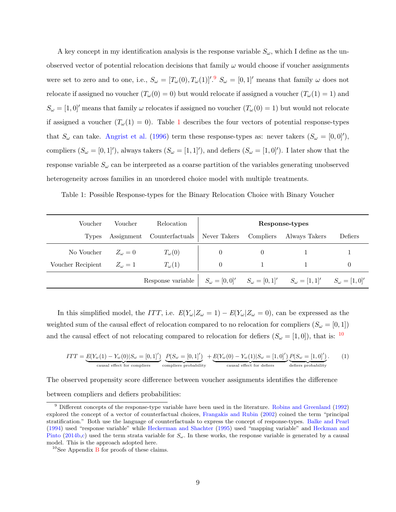A key concept in my identification analysis is the response variable  $S_{\omega}$ , which I define as the unobserved vector of potential relocation decisions that family  $\omega$  would choose if voucher assignments were set to zero and to one, i.e.,  $S_{\omega} = [T_{\omega}(0), T_{\omega}(1)]^{1.9}$  $S_{\omega} = [T_{\omega}(0), T_{\omega}(1)]^{1.9}$  $S_{\omega} = [T_{\omega}(0), T_{\omega}(1)]^{1.9}$   $S_{\omega} = [0, 1]^{1}$  means that family  $\omega$  does not relocate if assigned no voucher  $(T_\omega(0) = 0)$  but would relocate if assigned a voucher  $(T_\omega(1) = 1)$  and  $S_{\omega} = [1, 0]$ ' means that family  $\omega$  relocates if assigned no voucher  $(T_{\omega}(0) = 1)$  but would not relocate if assigned a voucher  $(T_\omega(1) = 0)$  $(T_\omega(1) = 0)$  $(T_\omega(1) = 0)$ . Table 1 describes the four vectors of potential response-types that  $S_{\omega}$  can take. [Angrist et al.](#page-56-3) [\(1996\)](#page-56-3) term these response-types as: never takers  $(S_{\omega} = [0, 0]^{\prime})$ , compliers  $(S_\omega = [0,1]^{\prime})$ , always takers  $(S_\omega = [1,1]^{\prime})$ , and defiers  $(S_\omega = [1,0]^{\prime})$ . I later show that the response variable  $S_{\omega}$  can be interpreted as a coarse partition of the variables generating unobserved heterogeneity across families in an unordered choice model with multiple treatments.

<span id="page-8-1"></span>Table 1: Possible Response-types for the Binary Relocation Choice with Binary Voucher

| Voucher           | Voucher          | Relocation                 |                |           | Response-types                                                                                                          |          |
|-------------------|------------------|----------------------------|----------------|-----------|-------------------------------------------------------------------------------------------------------------------------|----------|
| Types             |                  | Assignment Counterfactuals | Never Takers   | Compliers | Always Takers                                                                                                           | Defiers  |
| No Voucher        | $Z_{\omega} = 0$ | $T_{\omega}(0)$            | $\overline{0}$ |           |                                                                                                                         |          |
| Voucher Recipient | $Z_{\omega} = 1$ | $T_{\omega}(1)$            | $\overline{0}$ |           |                                                                                                                         | $\theta$ |
|                   |                  | Response variable          |                |           | $S_{\omega} = [0,0]^{\prime}$ $S_{\omega} = [0,1]^{\prime}$ $S_{\omega} = [1,1]^{\prime}$ $S_{\omega} = [1,0]^{\prime}$ |          |

In this simplified model, the ITT, i.e.  $E(Y_{\omega}|Z_{\omega}=1) - E(Y_{\omega}|Z_{\omega}=0)$ , can be expressed as the weighted sum of the causal effect of relocation compared to no relocation for compliers  $(S_\omega = [0,1])$ and the causal effect of not relocating compared to relocation for defiers  $(S_{\omega} = [1, 0])$ , that is: <sup>[10](#page-8-2)</sup>

<span id="page-8-3"></span>
$$
ITT = \underbrace{E(Y_{\omega}(1) - Y_{\omega}(0)|S_{\omega} = [0,1]')}_{\text{causal effect for compilers}} \underbrace{P(S_{\omega} = [0,1]')}_{\text{compliers probability}} + \underbrace{E(Y_{\omega}(0) - Y_{\omega}(1)|S_{\omega} = [1,0]')}_{\text{causal effect for defines probability}}
$$
(1)

The observed propensity score difference between voucher assignments identifies the difference between compliers and defiers probabilities:

<span id="page-8-0"></span> $9$  Different concepts of the response-type variable have been used in the literature. [Robins and Greenland](#page-60-5) [\(1992\)](#page-60-5) explored the concept of a vector of counterfactual choices, [Frangakis and Rubin](#page-57-4) [\(2002\)](#page-57-4) coined the term "principal stratification." Both use the language of counterfactuals to express the concept of response-types. [Balke and Pearl](#page-56-4) [\(1994\)](#page-56-4) used "response variable" while [Heckerman and Shachter](#page-58-2) [\(1995\)](#page-58-2) used "mapping variable" and [Heckman and](#page-58-1) [Pinto](#page-58-1) [\(2014b,](#page-58-1)[c\)](#page-58-3) used the term strata variable for  $S_{\omega}$ . In these works, the response variable is generated by a causal model. This is the approach adopted here.

<span id="page-8-2"></span> $10$ See Appendix [B](#page-77-0) for proofs of these claims.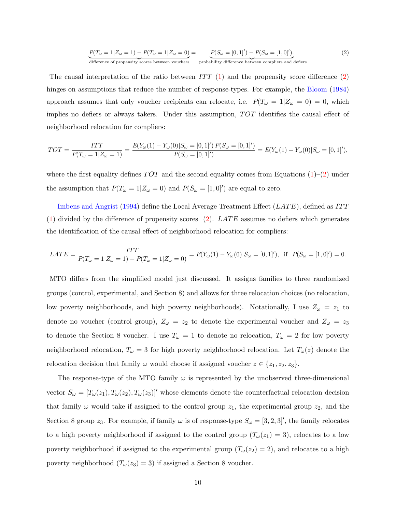<span id="page-9-0"></span>
$$
\underbrace{P(T_{\omega}=1|Z_{\omega}=1)-P(T_{\omega}=1|Z_{\omega}=0)}_{\text{difference of propensity scores between vouchers}}=\underbrace{P(S_{\omega}=[0,1]')-P(S_{\omega}=[1,0]')}_{\text{probability difference between compilers and defers}}.\tag{2}
$$

The causal interpretation of the ratio between  $ITT(1)$  $ITT(1)$  and the propensity score difference [\(2\)](#page-9-0) hinges on assumptions that reduce the number of response-types. For example, the [Bloom](#page-56-1) [\(1984\)](#page-56-1) approach assumes that only voucher recipients can relocate, i.e.  $P(T_{\omega} = 1 | Z_{\omega} = 0) = 0$ , which implies no defiers or always takers. Under this assumption,  $TOT$  identifies the causal effect of neighborhood relocation for compliers:

$$
TOT = \frac{ITT}{P(T_{\omega} = 1 | Z_{\omega} = 1)} = \frac{E(Y_{\omega}(1) - Y_{\omega}(0) | S_{\omega} = [0, 1]') P(S_{\omega} = [0, 1]')}{P(S_{\omega} = [0, 1]')} = E(Y_{\omega}(1) - Y_{\omega}(0) | S_{\omega} = [0, 1]'),
$$

where the first equality defines  $TOT$  and the second equality comes from Equations  $(1)-(2)$  $(1)-(2)$  $(1)-(2)$  under the assumption that  $P(T_\omega = 1 | Z_\omega = 0)$  and  $P(S_\omega = [1, 0]')$  are equal to zero.

[Imbens and Angrist](#page-59-8) [\(1994\)](#page-59-8) define the Local Average Treatment Effect ( $LATE$ ), defined as ITT  $(1)$  divided by the difference of propensity scores  $(2)$ . LATE assumes no defiers which generates the identification of the causal effect of neighborhood relocation for compliers:

$$
LATE = \frac{ITT}{P(T_{\omega} = 1 | Z_{\omega} = 1) - P(T_{\omega} = 1 | Z_{\omega} = 0)} = E(Y_{\omega}(1) - Y_{\omega}(0) | S_{\omega} = [0, 1]'), \text{ if } P(S_{\omega} = [1, 0]') = 0.
$$

MTO differs from the simplified model just discussed. It assigns families to three randomized groups (control, experimental, and Section 8) and allows for three relocation choices (no relocation, low poverty neighborhoods, and high poverty neighborhoods). Notationally, I use  $Z_{\omega} = z_1$  to denote no voucher (control group),  $Z_{\omega} = z_2$  to denote the experimental voucher and  $Z_{\omega} = z_3$ to denote the Section 8 voucher. I use  $T_{\omega} = 1$  to denote no relocation,  $T_{\omega} = 2$  for low poverty neighborhood relocation,  $T_{\omega} = 3$  for high poverty neighborhood relocation. Let  $T_{\omega}(z)$  denote the relocation decision that family  $\omega$  would choose if assigned voucher  $z \in \{z_1, z_2, z_3\}.$ 

The response-type of the MTO family  $\omega$  is represented by the unobserved three-dimensional vector  $S_{\omega} = [T_{\omega}(z_1), T_{\omega}(z_2), T_{\omega}(z_3)]'$  whose elements denote the counterfactual relocation decision that family  $\omega$  would take if assigned to the control group  $z_1$ , the experimental group  $z_2$ , and the Section 8 group  $z_3$ . For example, if family  $\omega$  is of response-type  $S_{\omega} = [3, 2, 3]'$ , the family relocates to a high poverty neighborhood if assigned to the control group  $(T_\omega(z_1) = 3)$ , relocates to a low poverty neighborhood if assigned to the experimental group  $(T_\omega(z_2) = 2)$ , and relocates to a high poverty neighborhood  $(T_\omega(z_3) = 3)$  if assigned a Section 8 voucher.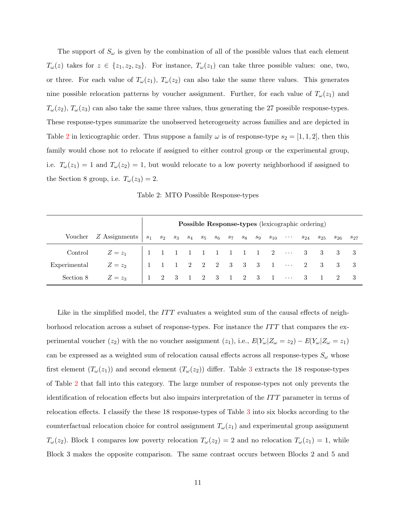The support of  $S_{\omega}$  is given by the combination of all of the possible values that each element  $T_{\omega}(z)$  takes for  $z \in \{z_1, z_2, z_3\}$ . For instance,  $T_{\omega}(z_1)$  can take three possible values: one, two, or three. For each value of  $T_{\omega}(z_1)$ ,  $T_{\omega}(z_2)$  can also take the same three values. This generates nine possible relocation patterns by voucher assignment. Further, for each value of  $T_{\omega}(z_1)$  and  $T_{\omega}(z_2)$ ,  $T_{\omega}(z_3)$  can also take the same three values, thus generating the 27 possible response-types. These response-types summarize the unobserved heterogeneity across families and are depicted in Table [2](#page-10-0) in lexicographic order. Thus suppose a family  $\omega$  is of response-type  $s_2 = [1, 1, 2]$ , then this family would chose not to relocate if assigned to either control group or the experimental group, i.e.  $T_{\omega}(z_1) = 1$  and  $T_{\omega}(z_2) = 1$ , but would relocate to a low poverty neighborhood if assigned to the Section 8 group, i.e.  $T_{\omega}(z_3) = 2$ .

Table 2: MTO Possible Response-types

<span id="page-10-0"></span>

|              |                                                                                                                                    |  |  |  |  |  | Possible Response-types (lexicographic ordering) |  |  |
|--------------|------------------------------------------------------------------------------------------------------------------------------------|--|--|--|--|--|--------------------------------------------------|--|--|
|              | Voucher Z Assignments $ s_1 \ s_2 \ s_3 \ s_4 \ s_5 \ s_6 \ s_7 \ s_8 \ s_9 \ s_{10} \ \cdots \ s_{24} \ s_{25} \ s_{26} \ s_{27}$ |  |  |  |  |  |                                                  |  |  |
|              | Control $Z = z_1$   1 1 1 1 1 1 1 1 1 2 ··· 3 3 3 3                                                                                |  |  |  |  |  |                                                  |  |  |
| Experimental | $Z = z_2$   1 1 1 2 2 2 3 3 3 1 $\cdots$ 2 3 3 3                                                                                   |  |  |  |  |  |                                                  |  |  |
| Section 8    | $Z=z_3$   1 2 3 1 2 3 1 2 3 1 $\cdots$ 3 1 2 3                                                                                     |  |  |  |  |  |                                                  |  |  |

Like in the simplified model, the  $ITT$  evaluates a weighted sum of the causal effects of neighborhood relocation across a subset of response-types. For instance the  $ITT$  that compares the experimental voucher (z<sub>2</sub>) with the no voucher assignment (z<sub>1</sub>), i.e.,  $E(Y_{\omega}|Z_{\omega}=z_2) - E(Y_{\omega}|Z_{\omega}=z_1)$ can be expressed as a weighted sum of relocation causal effects across all response-types  $S_{\omega}$  whose first element  $(T_\omega(z_1))$  and second element  $(T_\omega(z_2))$  differ. Table [3](#page-11-0) extracts the 18 response-types of Table [2](#page-10-0) that fall into this category. The large number of response-types not only prevents the identification of relocation effects but also impairs interpretation of the  $ITT$  parameter in terms of relocation effects. I classify the these 18 response-types of Table [3](#page-11-0) into six blocks according to the counterfactual relocation choice for control assignment  $T_{\omega}(z_1)$  and experimental group assignment  $T_{\omega}(z_2)$ . Block 1 compares low poverty relocation  $T_{\omega}(z_2) = 2$  and no relocation  $T_{\omega}(z_1) = 1$ , while Block 3 makes the opposite comparison. The same contrast occurs between Blocks 2 and 5 and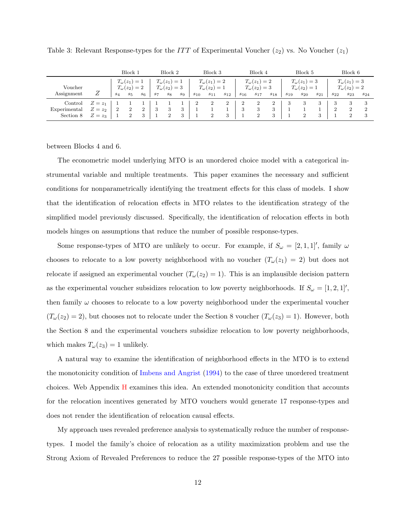|                                      |                               |                | Block <sup>-</sup>                                  |                     |       | Block 2                                             |       |          | Block 3                                                |          |          | Block 4                                                |             |          | Block 5                                                |          |          | Block 6                                                |          |
|--------------------------------------|-------------------------------|----------------|-----------------------------------------------------|---------------------|-------|-----------------------------------------------------|-------|----------|--------------------------------------------------------|----------|----------|--------------------------------------------------------|-------------|----------|--------------------------------------------------------|----------|----------|--------------------------------------------------------|----------|
| Voucher<br>Assignment                |                               | $s_4$          | $T_{\omega}(z_1)=1$<br>$T_{\omega}(z_2)=2$<br>$s_5$ | $s_6$               | $s_7$ | $T_{\omega}(z_1)=1$<br>$T_{\omega}(z_2)=3$<br>$s_8$ | $s_9$ | $s_{10}$ | $T_{\omega}(z_1)=2$<br>$T_{\omega}(z_2)=1$<br>$s_{11}$ | $s_{12}$ | $s_{16}$ | $T_{\omega}(z_1)=2$<br>$T_{\omega}(z_2)=3$<br>$s_{17}$ | $s_{18}$    | $s_{19}$ | $T_{\omega}(z_1)=3$<br>$T_{\omega}(z_2)=1$<br>$s_{20}$ | $s_{21}$ | $s_{22}$ | $T_{\omega}(z_1)=3$<br>$T_{\omega}(z_2)=2$<br>$s_{23}$ | $s_{24}$ |
| Control<br>Experimental<br>Section 8 | $Z=z_1$<br>$Z=z_2$<br>$Z=z_3$ | $\overline{2}$ |                                                     | $\overline{2}$<br>3 | -3    | 3                                                   |       |          |                                                        |          | ▵<br>3   | 3                                                      | 2<br>3<br>3 |          |                                                        |          |          | 3<br>$\overline{2}$                                    | 2<br>3   |

<span id="page-11-0"></span>Table 3: Relevant Response-types for the  $ITT$  of Experimental Voucher  $(z_2)$  vs. No Voucher  $(z_1)$ 

between Blocks 4 and 6.

The econometric model underlying MTO is an unordered choice model with a categorical instrumental variable and multiple treatments. This paper examines the necessary and sufficient conditions for nonparametrically identifying the treatment effects for this class of models. I show that the identification of relocation effects in MTO relates to the identification strategy of the simplified model previously discussed. Specifically, the identification of relocation effects in both models hinges on assumptions that reduce the number of possible response-types.

Some response-types of MTO are unlikely to occur. For example, if  $S_{\omega} = [2, 1, 1]$ , family  $\omega$ chooses to relocate to a low poverty neighborhood with no voucher  $(T_{\omega}(z_1) = 2)$  but does not relocate if assigned an experimental voucher  $(T_{\omega}(z_2) = 1)$ . This is an implausible decision pattern as the experimental voucher subsidizes relocation to low poverty neighborhoods. If  $S_{\omega} = [1, 2, 1]$ , then family  $\omega$  chooses to relocate to a low poverty neighborhood under the experimental voucher  $(T_{\omega}(z_2) = 2)$ , but chooses not to relocate under the Section 8 voucher  $(T_{\omega}(z_3) = 1)$ . However, both the Section 8 and the experimental vouchers subsidize relocation to low poverty neighborhoods, which makes  $T_{\omega}(z_3) = 1$  unlikely.

A natural way to examine the identification of neighborhood effects in the MTO is to extend the monotonicity condition of [Imbens and Angrist](#page-59-8) [\(1994\)](#page-59-8) to the case of three unordered treatment choices. Web Appendix [H](#page-92-0) examines this idea. An extended monotonicity condition that accounts for the relocation incentives generated by MTO vouchers would generate 17 response-types and does not render the identification of relocation causal effects.

My approach uses revealed preference analysis to systematically reduce the number of responsetypes. I model the family's choice of relocation as a utility maximization problem and use the Strong Axiom of Revealed Preferences to reduce the 27 possible response-types of the MTO into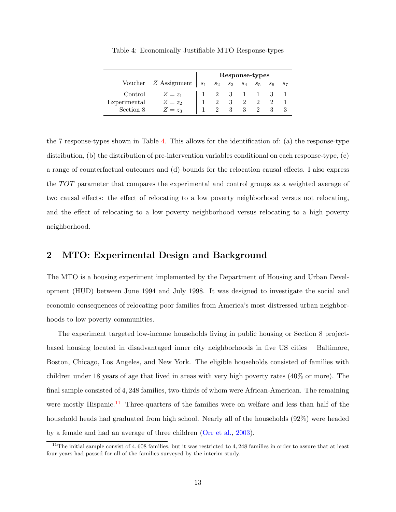<span id="page-12-1"></span>

|              |                        |       |                           |   |             | Response-types |       |    |
|--------------|------------------------|-------|---------------------------|---|-------------|----------------|-------|----|
|              | Voucher $Z$ Assignment | $s_1$ | $s_2$                     |   | $s_3$ $s_4$ | $s_5$          | $s_6$ | 57 |
| Control      | $Z=z_1$                |       | $\overline{\phantom{a}2}$ | 3 |             |                |       |    |
| Experimental | $Z=z_2$                |       |                           |   |             |                |       |    |
| Section 8    | $Z=z_3$                |       |                           |   |             |                |       |    |

Table 4: Economically Justifiable MTO Response-types

the 7 response-types shown in Table [4.](#page-12-1) This allows for the identification of: (a) the response-type distribution, (b) the distribution of pre-intervention variables conditional on each response-type, (c) a range of counterfactual outcomes and (d) bounds for the relocation causal effects. I also express the TOT parameter that compares the experimental and control groups as a weighted average of two causal effects: the effect of relocating to a low poverty neighborhood versus not relocating, and the effect of relocating to a low poverty neighborhood versus relocating to a high poverty neighborhood.

# <span id="page-12-0"></span>2 MTO: Experimental Design and Background

The MTO is a housing experiment implemented by the Department of Housing and Urban Development (HUD) between June 1994 and July 1998. It was designed to investigate the social and economic consequences of relocating poor families from America's most distressed urban neighborhoods to low poverty communities.

The experiment targeted low-income households living in public housing or Section 8 projectbased housing located in disadvantaged inner city neighborhoods in five US cities – Baltimore, Boston, Chicago, Los Angeles, and New York. The eligible households consisted of families with children under 18 years of age that lived in areas with very high poverty rates (40% or more). The final sample consisted of 4, 248 families, two-thirds of whom were African-American. The remaining were mostly Hispanic.<sup>[11](#page-12-2)</sup> Three-quarters of the families were on welfare and less than half of the household heads had graduated from high school. Nearly all of the households (92%) were headed by a female and had an average of three children [\(Orr et al.,](#page-60-1) [2003\)](#page-60-1).

<span id="page-12-2"></span><sup>&</sup>lt;sup>11</sup>The initial sample consist of 4,608 families, but it was restricted to 4,248 families in order to assure that at least four years had passed for all of the families surveyed by the interim study.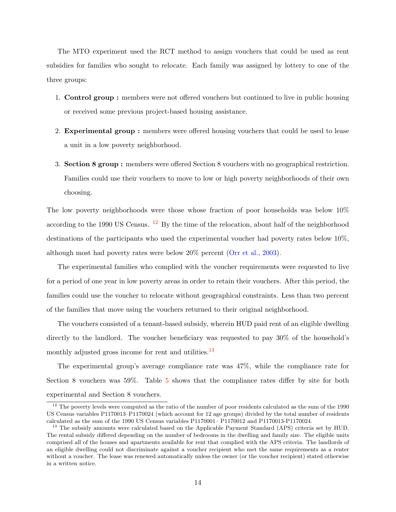The MTO experiment used the RCT method to assign vouchers that could be used as rent subsidies for families who sought to relocate. Each family was assigned by lottery to one of the three groups:

- 1. Control group : members were not offered vouchers but continued to live in public housing or received some previous project-based housing assistance.
- 2. Experimental group : members were offered housing vouchers that could be used to lease a unit in a low poverty neighborhood.
- 3. Section 8 group : members were offered Section 8 vouchers with no geographical restriction. Families could use their vouchers to move to low or high poverty neighborhoods of their own choosing.

The low poverty neighborhoods were those whose fraction of poor households was below 10% according to the 1990 US Census.  $12$  By the time of the relocation, about half of the neighborhood destinations of the participants who used the experimental voucher had poverty rates below 10%, although most had poverty rates were below 20% percent [\(Orr et al.,](#page-60-1) [2003\)](#page-60-1).

The experimental families who complied with the voucher requirements were requested to live for a period of one year in low poverty areas in order to retain their vouchers. After this period, the families could use the voucher to relocate without geographical constraints. Less than two percent of the families that move using the vouchers returned to their original neighborhood.

The vouchers consisted of a tenant-based subsidy, wherein HUD paid rent of an eligible dwelling directly to the landlord. The voucher beneficiary was requested to pay 30% of the household's monthly adjusted gross income for rent and utilities.<sup>[13](#page-13-1)</sup>

The experimental group's average compliance rate was 47%, while the compliance rate for Section 8 vouchers was 59%. Table [5](#page-14-0) shows that the compliance rates differ by site for both experimental and Section 8 vouchers.

<span id="page-13-0"></span> $12$  The poverty levels were computed as the ratio of the number of poor residents calculated as the sum of the 1990 US Census variables P1170013–P1170024 (which account for 12 age groups) divided by the total number of residents calculated as the sum of the 1990 US Census variables P1170001– P1170012 and P1170013-P1170024.

<span id="page-13-1"></span><sup>&</sup>lt;sup>13</sup> The subsidy amounts were calculated based on the Applicable Payment Standard (APS) criteria set by HUD. The rental subsidy differed depending on the number of bedrooms in the dwelling and family size. The eligible units comprised all of the houses and apartments available for rent that complied with the APS criteria. The landlords of an eligible dwelling could not discriminate against a voucher recipient who met the same requirements as a renter without a voucher. The lease was renewed automatically unless the owner (or the voucher recipient) stated otherwise in a written notice.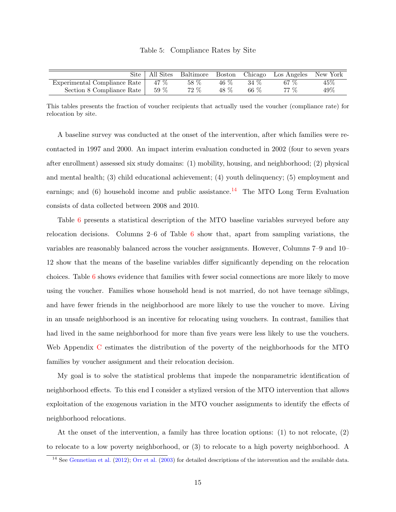# Table 5: Compliance Rates by Site

<span id="page-14-0"></span>

| Site                                      | All Sites | Baltimore |      | Boston Chicago | Los Angeles New York |        |
|-------------------------------------------|-----------|-----------|------|----------------|----------------------|--------|
| Experimental Compliance Rate $\vert$ 47 % |           | 58 %      | 46 % | 34 %           | 67%                  | 45%    |
| Section 8 Compliance Rate                 | $59\ \%$  | 72 %      | 48 % | 66 %           | 77 %                 | $49\%$ |

This tables presents the fraction of voucher recipients that actually used the voucher (compliance rate) for relocation by site.

A baseline survey was conducted at the onset of the intervention, after which families were recontacted in 1997 and 2000. An impact interim evaluation conducted in 2002 (four to seven years after enrollment) assessed six study domains: (1) mobility, housing, and neighborhood; (2) physical and mental health; (3) child educational achievement; (4) youth delinquency; (5) employment and earnings; and  $(6)$  household income and public assistance.<sup>[14](#page-14-1)</sup> The MTO Long Term Evaluation consists of data collected between 2008 and 2010.

Table [6](#page-15-0) presents a statistical description of the MTO baseline variables surveyed before any relocation decisions. Columns 2–6 of Table [6](#page-15-0) show that, apart from sampling variations, the variables are reasonably balanced across the voucher assignments. However, Columns 7–9 and 10– 12 show that the means of the baseline variables differ significantly depending on the relocation choices. Table [6](#page-15-0) shows evidence that families with fewer social connections are more likely to move using the voucher. Families whose household head is not married, do not have teenage siblings, and have fewer friends in the neighborhood are more likely to use the voucher to move. Living in an unsafe neighborhood is an incentive for relocating using vouchers. In contrast, families that had lived in the same neighborhood for more than five years were less likely to use the vouchers. Web Appendix [C](#page-79-0) estimates the distribution of the poverty of the neighborhoods for the MTO families by voucher assignment and their relocation decision.

My goal is to solve the statistical problems that impede the nonparametric identification of neighborhood effects. To this end I consider a stylized version of the MTO intervention that allows exploitation of the exogenous variation in the MTO voucher assignments to identify the effects of neighborhood relocations.

At the onset of the intervention, a family has three location options: (1) to not relocate, (2) to relocate to a low poverty neighborhood, or (3) to relocate to a high poverty neighborhood. A

<span id="page-14-1"></span><sup>&</sup>lt;sup>14</sup> See [Gennetian et al.](#page-57-2) [\(2012\)](#page-57-2); [Orr et al.](#page-60-1) [\(2003\)](#page-60-1) for detailed descriptions of the intervention and the available data.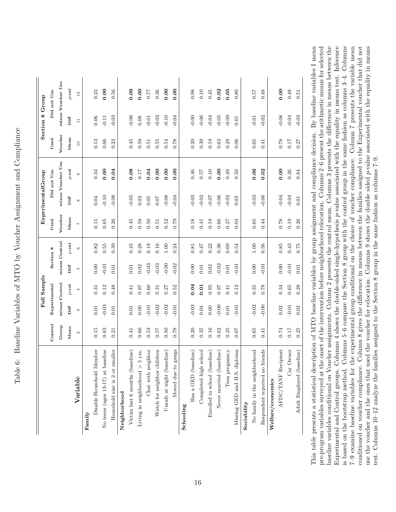| ֖֖֖֖֖֖֖֧ׅׅׅׅ֪֪֪ׅ֪֪ׅ֪֪֪ׅ֚֚֚֚֚֚֚֚֚֚֚֚֚֚֚֚֚֚֚֚֚֚֚֬֝֝֬֝֬֓֞֓֝֓֓֞֬<br>1<br>ׇ֘֝֬֕<br>J<br>Ì<br>í            |
|------------------------------------------------------------------------------------------------------|
| 5<br>-<br>-<br>-                                                                                     |
| ו<br>ו<br>İ<br>١                                                                                     |
| ו<br>ו<br>$\frac{1}{2}$<br>.<br>.<br>.<br>;                                                          |
| $\sim$ $\sim$ $\sim$<br>$\overline{a}$                                                               |
| .<br>( <br>$\mathbf{I}$<br>I<br>- 1<br>- 1<br>- 1<br>.<br>.<br>.<br>ï<br>j                           |
|                                                                                                      |
| <br> <br> <br>֧֧֧֧֧֧֧֧֧֧֛֪ׅ֦֧֧֧֧֧֛֪ׅ֪֛֪֛֪֛֛֪֛֛֪֛֛֪֛֛֚֚֚֚֝֝֬֝֬֝֬֝֬֝֬֝֬֝֓֝֬֝֬֝֬֝֬֝֬֝֬֝֬֝֬֝֬֝֬֝֬֝֬<br>ł |
| $\overline{ }$<br>$\frac{1}{2}$<br>r<br>E                                                            |

<span id="page-15-0"></span>

|                                         |                   |          | Full Sample   |         |               |              | <b>Experimental</b> Group |                   |           | <b>Section 8 Group</b> |                         |
|-----------------------------------------|-------------------|----------|---------------|---------|---------------|--------------|---------------------------|-------------------|-----------|------------------------|-------------------------|
|                                         | Control           |          | Experimental  |         | Section 8     | Used         |                           | Did not Use       | Used      |                        | Did not Use             |
|                                         | Group             |          | minus Control |         | minus Control | Voucher      |                           | minus Voucher Use | Voucher   |                        | minus Voucher Use       |
|                                         | Mean              | Diff     | $p$ -val      | Diff    | $p$ -val      | Mean         | Diff                      | $p$ -val          | Mean      | Diff                   | $p\text{-}\mathbf{val}$ |
| Variable                                | $\mathbf{\Omega}$ | S        | 4             | ĩ0      | $\circ$       | $\mathbb{N}$ | $\infty$                  | $\circ$           | $\square$ | Ξ                      | 12                      |
| Family                                  |                   |          |               |         |               |              |                           |                   |           |                        |                         |
| Disable Household Member                | 0.15              | $0.01\,$ | 0.31          | 0.00    | 0.82          | 0.15         | 0.04                      | 0.34              | 0.13      | 0.06                   | 0.23                    |
| No teens (ages 13-17) at baseline       | 0.63              | $-0.03$  | 0.12          | $-0.01$ | 0.55          | 0.65         | $-0.10$                   | 0.00              | $0.66\,$  | $-0.11$                | 0.00                    |
| Household size is 2 or smaller          | 0.21              | 0.01     | 0.48          | 0.01    | 0.39          | 0.26         | $-0.08$                   | 0.04              | 0.23      | $-0.03$                | 0.56                    |
| Neighborhood                            |                   |          |               |         |               |              |                           |                   |           |                        |                         |
| Victim last $6$ months $(\rm baseline)$ | 0.41              | 0.01     | 0.41          | 0.01    | 0.45          | 0.45         | $-0.05$                   | 0.08              | 0.45      | $-0.06$                | 0.09                    |
| Living in neighborhood $> 5$ yrs.       | 0.60              | 0.00     | 0.97          | 0.02    | 0.28          | 0.59         | 0.03                      | 0.17              | 0.59      | $0.08\,$               | 0.00                    |
| Chat with neighbor                      | 0.53              | $-0.01$  | 0.60          | $-0.03$ | 0.19          | 0.50         | $0.05\,$                  | 0.04              | 0.51      | $-0.01$                | 77                      |
| Watch for neighbor children             | 0.57              | $-0.02$  | 0.31          | $-0.03$ | 0.16          | 0.51         | 0.07                      | 0.00              | 0.55      | $-0.03$                | $0.36\,$                |
| Unsafe at night (baseline)              | 0.50              | $-0.02$  | 0.27          | $-0.00$ | 1.00          | 0.52         | $-0.08$                   | 0.00              | 0.54      | $-0.10$                | 0.00                    |
| Moved due to gangs                      | 0.78              | $-0.01$  | 0.52          | $-0.02$ | 0.24          | 0.79         | $-0.04$                   | 0.00              | 0.78      | $-0.04$                | 0.00                    |
| Schooling                               |                   |          |               |         |               |              |                           |                   |           |                        |                         |
| Has a GED (baseline)                    | 0.20              | $-0.03$  | 0.04          | 0.00    | 0.81          | 0.18         | $-0.03$                   | 0.46              | 0.20      | $-0.00$                | 0.98                    |
| Completed high school                   | 0.35              | $0.04\,$ | 0.01          | 0.01    | 747           | 0.41         | $-0.02$                   | 0.57              | 0.39      | $-0.06$                | $0.10\,$                |
| Enrolled in school (baseline)           | 0.16              | 0.00     | 0.95          | 0.02    | 0.22          | 0.19         | $-0.07$                   | $0.10\,$          | 0.19      | $-0.04$                | 0.45                    |
| Never married (baseline)                | 0.62              | $-0.00$  | 0.97          | $-0.02$ | 0.36          | 0.66         | $-0.06$                   | 0.00              | $\,0.63$  | $-0.05$                | 0.02                    |
| Teen pregnancy                          | 0.25              | 0.01     | 0.41          | 0.01    | 0.69          | 0.27         | $-0.02$                   | 0.49              | 0.29      | $-0.09$                | 0.05                    |
| Missing GED and H.S. diploma            | 0.07              | $-0.01$  | 0.12          | $-0.01$ | 0.54          | 0.04         | 0.03                      | 0.50              | 0.06      | 0.01                   | 0.80                    |
| Sociability                             |                   |          |               |         |               |              |                           |                   |           |                        |                         |
| No family in the neighborhood           | 0.65              | $-0.02$  | 0.35          | 0.00    | $1.00\,$      | 0.65         | $-0.03$                   | 0.06              | 0.65      | $-0.01$                | 75.0                    |
| Respondent reported no friends          | 0.41              | $-0.00$  | 0.78          | $-0.01$ | 0.56          | 0.44         | $-0.06$                   | 0.02              | 0.41      | $-0.02$                | 0.48                    |
| Welfare/economics                       |                   |          |               |         |               |              |                           |                   |           |                        |                         |
| AFDC/TANF Recipient                     | 0.74              | 0.02     | 0.34          | 0.00    | 0.85          | 0.78         | $-0.04$                   | 0.00              | 0.78      | $-0.08$                | 0.00                    |
| Car Owner                               | $0.17\,$          | $-0.01$  | $0.65\,$      | $-0.01$ | 0.43          | 0.19         | $-0.04$                   | 0.26              | 0.17      | $-0.04$                | 0.48                    |
| Adult Employed (baseline)               | 0.25              | 0.02     | 0.28          | 0.01    | 0.75          | 0.26         | 0.01                      | 0.84              | 0.27      | $-0.03$                | 0.51                    |

baseline variables conditional on Voucher assignments. Column 2 presents the control mean. Columns 3 presents the difference in means between the Experimental and Control groups. Columns 4 shows the double-sided single-hypothesis p-value associated with the equality in means test. Inference is based on the bootstrap method. Columns 5-6 compare the Section 8 group with the control group in the same fashion as columns 3-4. Columns 7-9 examine baseline variables for the experimental group conditional on the choice of voucher compliance. Column 7 presents the variable mean conditioned on voucher compliance. Column 8 gives the difference in means between the families assigned to the Experimental voucher that did not use the voucher and the ones that used the voucher for relocation. Columns 9 shows the double sided p-value associated with the equality in means This table presents a statistical description of MTO baseline variables by group assignment and compliance decision. By baseline variables I mean pre-program variables surveyed at the onset of the intervention before neighborhood relocation. Columns 2-6 present the arithmetic means for selected This table presents a statistical description of MTO baseline variables by group assignment and compliance decision. By baseline variables I mean pre-program variables surveyed at the onset of the intervention before neighborhood relocation. Columns 2–6 present the arithmetic means for selected baseline variables conditional on Voucher assignments. Column 2 presents the control mean. Columns 3 presents the difference in means between the Experimental and Control groups. Columns 4 shows the double-sided single-hypothesis p-value associated with the equality in means test. Inference is based on the bootstrap method. Columns 5–6 compare the Section 8 group with the control group in the same fashion as columns 3–4. Columns 7–9 examine baseline variables for the experimental group conditional on the choice of voucher compliance. Column 7 presents the variable mean use the voucher and the ones that used the voucher for relocation. Columns 9 shows the double sided p-value associated with the equality in means conditioned on voucher compliance. Column 8 gives the difference in means between the families assigned to the Experimental voucher that did not test. Columns 10-12 analyze the families assigned to the Section 8 group in the same fashion as columns  $7-9$ . test. Columns 10–12 analyze the families assigned to the Section 8 group in the same fashion as columns 7–9.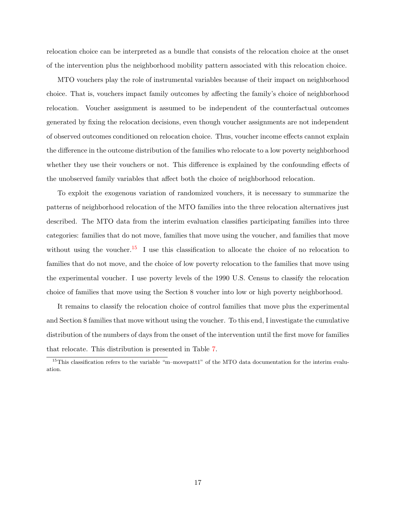relocation choice can be interpreted as a bundle that consists of the relocation choice at the onset of the intervention plus the neighborhood mobility pattern associated with this relocation choice.

MTO vouchers play the role of instrumental variables because of their impact on neighborhood choice. That is, vouchers impact family outcomes by affecting the family's choice of neighborhood relocation. Voucher assignment is assumed to be independent of the counterfactual outcomes generated by fixing the relocation decisions, even though voucher assignments are not independent of observed outcomes conditioned on relocation choice. Thus, voucher income effects cannot explain the difference in the outcome distribution of the families who relocate to a low poverty neighborhood whether they use their vouchers or not. This difference is explained by the confounding effects of the unobserved family variables that affect both the choice of neighborhood relocation.

To exploit the exogenous variation of randomized vouchers, it is necessary to summarize the patterns of neighborhood relocation of the MTO families into the three relocation alternatives just described. The MTO data from the interim evaluation classifies participating families into three categories: families that do not move, families that move using the voucher, and families that move without using the voucher.<sup>[15](#page-16-0)</sup> I use this classification to allocate the choice of no relocation to families that do not move, and the choice of low poverty relocation to the families that move using the experimental voucher. I use poverty levels of the 1990 U.S. Census to classify the relocation choice of families that move using the Section 8 voucher into low or high poverty neighborhood.

It remains to classify the relocation choice of control families that move plus the experimental and Section 8 families that move without using the voucher. To this end, I investigate the cumulative distribution of the numbers of days from the onset of the intervention until the first move for families that relocate. This distribution is presented in Table [7.](#page-17-0)

<span id="page-16-0"></span><sup>&</sup>lt;sup>15</sup>This classification refers to the variable "m–movepatt1" of the MTO data documentation for the interim evaluation.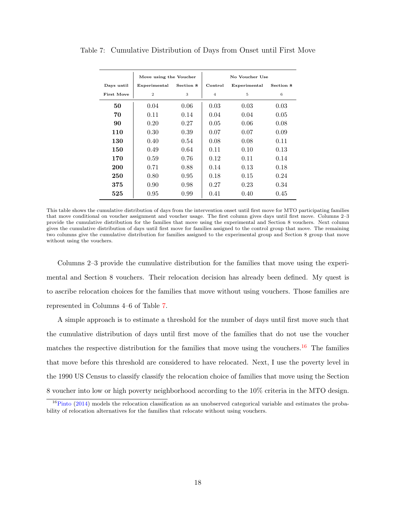|            | Move using the Voucher |           |                | No Voucher Use |           |
|------------|------------------------|-----------|----------------|----------------|-----------|
| Days until | Experimental           | Section 8 | Control        | Experimental   | Section 8 |
| First Move | $\overline{2}$         | 3         | $\overline{4}$ | 5              | 6         |
| 50         | 0.04                   | 0.06      | 0.03           | 0.03           | 0.03      |
| 70         | 0.11                   | 0.14      | 0.04           | 0.04           | 0.05      |
| 90         | 0.20                   | 0.27      | 0.05           | 0.06           | 0.08      |
| 110        | 0.30                   | 0.39      | 0.07           | 0.07           | 0.09      |
| 130        | 0.40                   | 0.54      | 0.08           | 0.08           | 0.11      |
| 150        | 0.49                   | 0.64      | 0.11           | 0.10           | 0.13      |
| 170        | 0.59                   | 0.76      | 0.12           | 0.11           | 0.14      |
| 200        | 0.71                   | 0.88      | 0.14           | 0.13           | 0.18      |
| 250        | 0.80                   | 0.95      | 0.18           | 0.15           | 0.24      |
| 375        | 0.90                   | 0.98      | 0.27           | 0.23           | 0.34      |
| 525        | 0.95                   | 0.99      | 0.41           | 0.40           | 0.45      |

<span id="page-17-0"></span>Table 7: Cumulative Distribution of Days from Onset until First Move

This table shows the cumulative distribution of days from the intervention onset until first move for MTO participating families that move conditional on voucher assignment and voucher usage. The first column gives days until first move. Columns 2–3 provide the cumulative distribution for the families that move using the experimental and Section 8 vouchers. Next column gives the cumulative distribution of days until first move for families assigned to the control group that move. The remaining two columns give the cumulative distribution for families assigned to the experimental group and Section 8 group that move without using the vouchers.

Columns 2–3 provide the cumulative distribution for the families that move using the experimental and Section 8 vouchers. Their relocation decision has already been defined. My quest is to ascribe relocation choices for the families that move without using vouchers. Those families are represented in Columns 4–6 of Table [7.](#page-17-0)

A simple approach is to estimate a threshold for the number of days until first move such that the cumulative distribution of days until first move of the families that do not use the voucher matches the respective distribution for the families that move using the vouchers.<sup>[16](#page-17-1)</sup> The families that move before this threshold are considered to have relocated. Next, I use the poverty level in the 1990 US Census to classify classify the relocation choice of families that move using the Section 8 voucher into low or high poverty neighborhood according to the 10% criteria in the MTO design.

<span id="page-17-1"></span> $16P$ into [\(2014\)](#page-60-3) models the relocation classification as an unobserved categorical variable and estimates the probability of relocation alternatives for the families that relocate without using vouchers.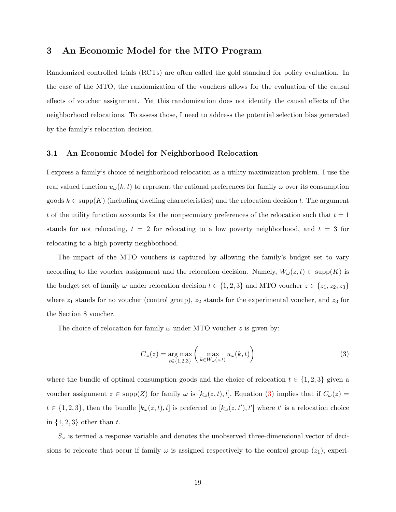# <span id="page-18-0"></span>3 An Economic Model for the MTO Program

Randomized controlled trials (RCTs) are often called the gold standard for policy evaluation. In the case of the MTO, the randomization of the vouchers allows for the evaluation of the causal effects of voucher assignment. Yet this randomization does not identify the causal effects of the neighborhood relocations. To assess those, I need to address the potential selection bias generated by the family's relocation decision.

# <span id="page-18-1"></span>3.1 An Economic Model for Neighborhood Relocation

I express a family's choice of neighborhood relocation as a utility maximization problem. I use the real valued function  $u_{\omega}(k, t)$  to represent the rational preferences for family  $\omega$  over its consumption goods  $k \in \text{supp}(K)$  (including dwelling characteristics) and the relocation decision t. The argument t of the utility function accounts for the nonpecuniary preferences of the relocation such that  $t = 1$ stands for not relocating,  $t = 2$  for relocating to a low poverty neighborhood, and  $t = 3$  for relocating to a high poverty neighborhood.

The impact of the MTO vouchers is captured by allowing the family's budget set to vary according to the voucher assignment and the relocation decision. Namely,  $W_{\omega}(z, t) \subset \text{supp}(K)$  is the budget set of family  $\omega$  under relocation decision  $t \in \{1, 2, 3\}$  and MTO voucher  $z \in \{z_1, z_2, z_3\}$ where  $z_1$  stands for no voucher (control group),  $z_2$  stands for the experimental voucher, and  $z_3$  for the Section 8 voucher.

The choice of relocation for family  $\omega$  under MTO voucher z is given by:

<span id="page-18-2"></span>
$$
C_{\omega}(z) = \underset{t \in \{1,2,3\}}{\arg \max} \left( \max_{k \in W_{\omega}(z,t)} u_{\omega}(k,t) \right)
$$
(3)

where the bundle of optimal consumption goods and the choice of relocation  $t \in \{1, 2, 3\}$  given a voucher assignment  $z \in \text{supp}(Z)$  for family  $\omega$  is  $[k_{\omega}(z, t), t]$ . Equation [\(3\)](#page-18-2) implies that if  $C_{\omega}(z)$  =  $t \in \{1, 2, 3\}$ , then the bundle  $[k_{\omega}(z, t), t]$  is preferred to  $[k_{\omega}(z, t'), t']$  where t' is a relocation choice in  $\{1, 2, 3\}$  other than t.

 $S_{\omega}$  is termed a response variable and denotes the unobserved three-dimensional vector of decisions to relocate that occur if family  $\omega$  is assigned respectively to the control group  $(z_1)$ , experi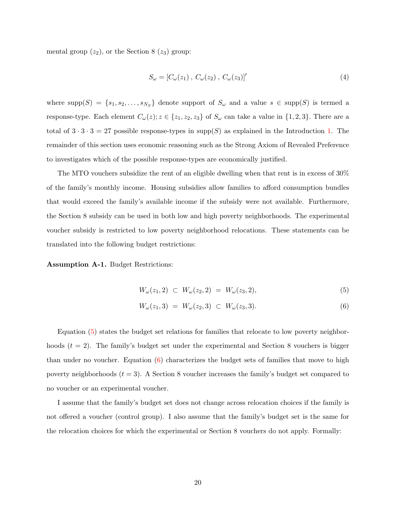mental group  $(z_2)$ , or the Section 8  $(z_3)$  group:

$$
S_{\omega} = [C_{\omega}(z_1), C_{\omega}(z_2), C_{\omega}(z_3)]'
$$
 (4)

where  $\text{supp}(S) = \{s_1, s_2, \ldots, s_{N_S}\}\$  denote support of  $S_\omega$  and a value  $s \in \text{supp}(S)$  is termed a response-type. Each element  $C_{\omega}(z)$ ;  $z \in \{z_1, z_2, z_3\}$  of  $S_{\omega}$  can take a value in  $\{1, 2, 3\}$ . There are a total of  $3 \cdot 3 \cdot 3 = 27$  possible response-types in supp(S) as explained in the Introduction [1.](#page-2-0) The remainder of this section uses economic reasoning such as the Strong Axiom of Revealed Preference to investigates which of the possible response-types are economically justified.

The MTO vouchers subsidize the rent of an eligible dwelling when that rent is in excess of 30% of the family's monthly income. Housing subsidies allow families to afford consumption bundles that would exceed the family's available income if the subsidy were not available. Furthermore, the Section 8 subsidy can be used in both low and high poverty neighborhoods. The experimental voucher subsidy is restricted to low poverty neighborhood relocations. These statements can be translated into the following budget restrictions:

<span id="page-19-2"></span>Assumption A-1. Budget Restrictions:

<span id="page-19-1"></span><span id="page-19-0"></span>
$$
W_{\omega}(z_1, 2) \subset W_{\omega}(z_2, 2) = W_{\omega}(z_3, 2), \tag{5}
$$

$$
W_{\omega}(z_1,3) = W_{\omega}(z_2,3) \subset W_{\omega}(z_3,3). \tag{6}
$$

Equation [\(5\)](#page-19-0) states the budget set relations for families that relocate to low poverty neighborhoods  $(t = 2)$ . The family's budget set under the experimental and Section 8 vouchers is bigger than under no voucher. Equation  $(6)$  characterizes the budget sets of families that move to high poverty neighborhoods  $(t = 3)$ . A Section 8 voucher increases the family's budget set compared to no voucher or an experimental voucher.

I assume that the family's budget set does not change across relocation choices if the family is not offered a voucher (control group). I also assume that the family's budget set is the same for the relocation choices for which the experimental or Section 8 vouchers do not apply. Formally: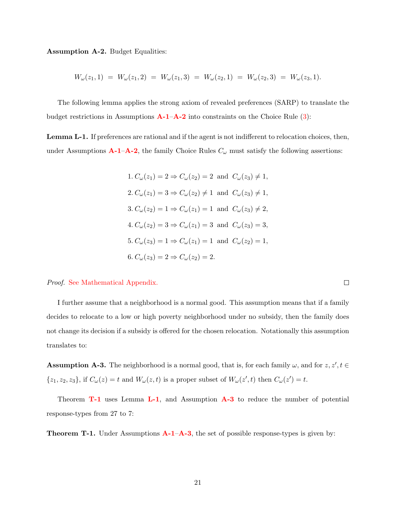<span id="page-20-0"></span>Assumption A-2. Budget Equalities:

$$
W_{\omega}(z_1,1) = W_{\omega}(z_1,2) = W_{\omega}(z_1,3) = W_{\omega}(z_2,1) = W_{\omega}(z_2,3) = W_{\omega}(z_3,1).
$$

The following lemma applies the strong axiom of revealed preferences (SARP) to translate the budget restrictions in Assumptions  $\mathbf{A}\text{-}1-\mathbf{A}\text{-}2$  into constraints on the Choice Rule [\(3\)](#page-18-2):

<span id="page-20-2"></span>Lemma L-1. If preferences are rational and if the agent is not indifferent to relocation choices, then, under Assumptions  $A-1-A-2$  $A-1-A-2$  $A-1-A-2$ , the family Choice Rules  $C_{\omega}$  must satisfy the following assertions:

> 1.  $C_{\omega}(z_1) = 2 \Rightarrow C_{\omega}(z_2) = 2$  and  $C_{\omega}(z_3) \neq 1$ ,  $2. C_{\omega}(z_1) = 3 \Rightarrow C_{\omega}(z_2) \neq 1$  and  $C_{\omega}(z_3) \neq 1$ , 3.  $C_{\omega}(z_2) = 1 \Rightarrow C_{\omega}(z_1) = 1$  and  $C_{\omega}(z_3) \neq 2$ ,  $4. C_{\omega}(z_2) = 3 \Rightarrow C_{\omega}(z_1) = 3$  and  $C_{\omega}(z_3) = 3$ , 5.  $C_{\omega}(z_3) = 1 \Rightarrow C_{\omega}(z_1) = 1$  and  $C_{\omega}(z_2) = 1$ , 6.  $C_{\omega}(z_3) = 2 \Rightarrow C_{\omega}(z_2) = 2.$

Proof. [See Mathematical Appendix.](#page-62-0)

I further assume that a neighborhood is a normal good. This assumption means that if a family decides to relocate to a low or high poverty neighborhood under no subsidy, then the family does not change its decision if a subsidy is offered for the chosen relocation. Notationally this assumption translates to:

<span id="page-20-3"></span>**Assumption A-3.** The neighborhood is a normal good, that is, for each family  $\omega$ , and for  $z, z', t \in$  $\{z_1, z_2, z_3\}$ , if  $C_{\omega}(z) = t$  and  $W_{\omega}(z, t)$  is a proper subset of  $W_{\omega}(z', t)$  then  $C_{\omega}(z') = t$ .

Theorem **[T-1](#page-20-1)** uses Lemma **[L-1](#page-20-2)**, and Assumption **[A-3](#page-20-3)** to reduce the number of potential response-types from 27 to 7:

<span id="page-20-1"></span>**Theorem T-1.** Under Assumptions  $A-I-A-3$  $A-I-A-3$ , the set of possible response-types is given by:

 $\Box$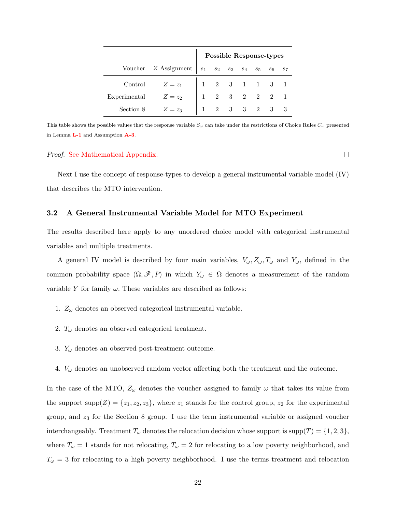|              |                                                                | <b>Possible Response-types</b>                                     |  |  |  |
|--------------|----------------------------------------------------------------|--------------------------------------------------------------------|--|--|--|
|              | Voucher Z Assignment $s_1$ $s_2$ $s_3$ $s_4$ $s_5$ $s_6$ $s_7$ |                                                                    |  |  |  |
|              | Control $Z=z_1$                                                |                                                                    |  |  |  |
| Experimental | $Z=z_2$                                                        | $\begin{array}{ccccccccc}\n1 & 2 & 3 & 2 & 2 & 2 & 1\n\end{array}$ |  |  |  |
| Section 8    | $Z=z_3$                                                        | $1 \quad 2 \quad 3 \quad 3 \quad 2 \quad 3 \quad 3$                |  |  |  |

This table shows the possible values that the response variable  $S_{\omega}$  can take under the restrictions of Choice Rules  $C_{\omega}$  presented in Lemma [L-1](#page-20-2) and Assumption [A-3](#page-20-3).

# Proof. [See Mathematical Appendix.](#page-63-0)

Next I use the concept of response-types to develop a general instrumental variable model (IV) that describes the MTO intervention.

# <span id="page-21-0"></span>3.2 A General Instrumental Variable Model for MTO Experiment

The results described here apply to any unordered choice model with categorical instrumental variables and multiple treatments.

A general IV model is described by four main variables,  $V_\omega, Z_\omega, T_\omega$  and  $Y_\omega$ , defined in the common probability space  $(\Omega, \mathscr{F}, P)$  in which  $Y_\omega \in \Omega$  denotes a measurement of the random variable Y for family  $\omega$ . These variables are described as follows:

- 1.  $Z_{\omega}$  denotes an observed categorical instrumental variable.
- 2.  $T_{\omega}$  denotes an observed categorical treatment.
- 3.  $Y_\omega$  denotes an observed post-treatment outcome.
- 4.  $V_{\omega}$  denotes an unobserved random vector affecting both the treatment and the outcome.

In the case of the MTO,  $Z_{\omega}$  denotes the voucher assigned to family  $\omega$  that takes its value from the support  $\text{supp}(Z) = \{z_1, z_2, z_3\}$ , where  $z_1$  stands for the control group,  $z_2$  for the experimental group, and  $z<sub>3</sub>$  for the Section 8 group. I use the term instrumental variable or assigned voucher interchangeably. Treatment  $T_{\omega}$  denotes the relocation decision whose support is supp $(T) = \{1, 2, 3\}$ , where  $T_{\omega} = 1$  stands for not relocating,  $T_{\omega} = 2$  for relocating to a low poverty neighborhood, and  $T_{\omega} = 3$  for relocating to a high poverty neighborhood. I use the terms treatment and relocation

 $\Box$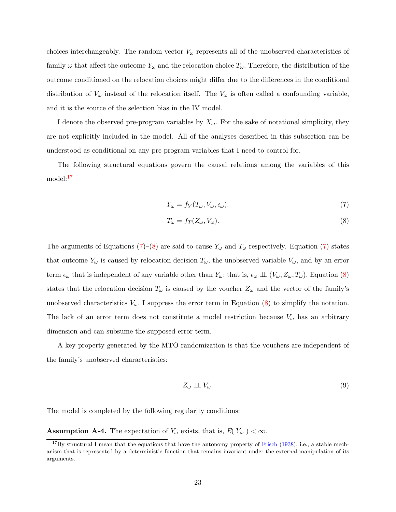choices interchangeably. The random vector  $V_{\omega}$  represents all of the unobserved characteristics of family  $\omega$  that affect the outcome  $Y_{\omega}$  and the relocation choice  $T_{\omega}$ . Therefore, the distribution of the outcome conditioned on the relocation choices might differ due to the differences in the conditional distribution of  $V_\omega$  instead of the relocation itself. The  $V_\omega$  is often called a confounding variable, and it is the source of the selection bias in the IV model.

I denote the observed pre-program variables by  $X_{\omega}$ . For the sake of notational simplicity, they are not explicitly included in the model. All of the analyses described in this subsection can be understood as conditional on any pre-program variables that I need to control for.

The following structural equations govern the causal relations among the variables of this model:[17](#page-22-0)

<span id="page-22-1"></span>
$$
Y_{\omega} = f_Y(T_{\omega}, V_{\omega}, \epsilon_{\omega}).
$$
\n(7)

<span id="page-22-2"></span>
$$
T_{\omega} = f_T(Z_{\omega}, V_{\omega}).\tag{8}
$$

The arguments of Equations [\(7\)](#page-22-1)–[\(8\)](#page-22-2) are said to cause  $Y_\omega$  and  $T_\omega$  respectively. Equation (7) states that outcome  $Y_\omega$  is caused by relocation decision  $T_\omega$ , the unobserved variable  $V_\omega$ , and by an error term  $\epsilon_{\omega}$  that is independent of any variable other than  $Y_{\omega}$ ; that is,  $\epsilon_{\omega} \perp (V_{\omega}, Z_{\omega}, T_{\omega})$ . Equation [\(8\)](#page-22-2) states that the relocation decision  $T_{\omega}$  is caused by the voucher  $Z_{\omega}$  and the vector of the family's unobserved characteristics  $V_{\omega}$ . I suppress the error term in Equation [\(8\)](#page-22-2) to simplify the notation. The lack of an error term does not constitute a model restriction because  $V_{\omega}$  has an arbitrary dimension and can subsume the supposed error term.

A key property generated by the MTO randomization is that the vouchers are independent of the family's unobserved characteristics:

<span id="page-22-4"></span>
$$
Z_{\omega} \perp \!\!\!\perp V_{\omega}.\tag{9}
$$

The model is completed by the following regularity conditions:

<span id="page-22-3"></span>**Assumption A-4.** The expectation of  $Y_\omega$  exists, that is,  $E(|Y_\omega|) < \infty$ .

<span id="page-22-0"></span> $17$ By structural I mean that the equations that have the autonomy property of [Frisch](#page-57-5) [\(1938\)](#page-57-5), i.e., a stable mechanism that is represented by a deterministic function that remains invariant under the external manipulation of its arguments.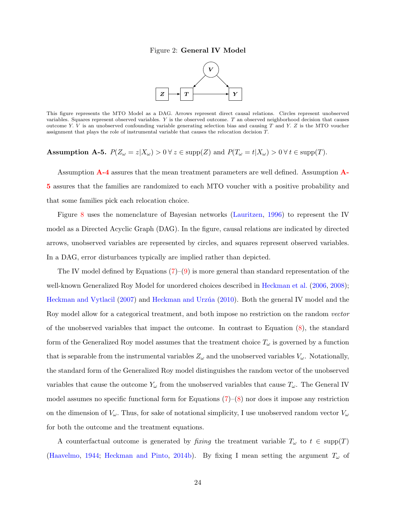# Figure 2: General IV Model



This figure represents the MTO Model as a DAG. Arrows represent direct causal relations. Circles represent unobserved variables. Squares represent observed variables.  $Y$  is the observed outcome.  $T$  an observed neighborhood decision that causes outcome Y. V is an unobserved confounding variable generating selection bias and causing  $T$  and  $Y$ .  $Z$  is the MTO voucher assignment that plays the role of instrumental variable that causes the relocation decision T.

# <span id="page-23-0"></span>Assumption A-5.  $P(Z_{\omega} = z | X_{\omega}) > 0 \ \forall \ z \in \text{supp}(Z) \text{ and } P(T_{\omega} = t | X_{\omega}) > 0 \ \forall \ t \in \text{supp}(T)$ .

Assumption [A-4](#page-22-3) assures that the mean treatment parameters are well defined. Assumption [A-](#page-23-0)[5](#page-23-0) assures that the families are randomized to each MTO voucher with a positive probability and that some families pick each relocation choice.

Figure [8](#page-97-0) uses the nomenclature of Bayesian networks [\(Lauritzen,](#page-59-7) [1996\)](#page-59-7) to represent the IV model as a Directed Acyclic Graph (DAG). In the figure, causal relations are indicated by directed arrows, unobserved variables are represented by circles, and squares represent observed variables. In a DAG, error disturbances typically are implied rather than depicted.

The IV model defined by Equations  $(7)-(9)$  $(7)-(9)$  $(7)-(9)$  is more general than standard representation of the well-known Generalized Roy Model for unordered choices described in [Heckman et al.](#page-58-4) [\(2006,](#page-58-4) [2008\)](#page-58-5); [Heckman and Vytlacil](#page-58-6) [\(2007\)](#page-58-6) and Heckman and Urzúa [\(2010\)](#page-58-7). Both the general IV model and the Roy model allow for a categorical treatment, and both impose no restriction on the random vector of the unobserved variables that impact the outcome. In contrast to Equation  $(8)$ , the standard form of the Generalized Roy model assumes that the treatment choice  $T_{\omega}$  is governed by a function that is separable from the instrumental variables  $Z_{\omega}$  and the unobserved variables  $V_{\omega}$ . Notationally, the standard form of the Generalized Roy model distinguishes the random vector of the unobserved variables that cause the outcome  $Y_\omega$  from the unobserved variables that cause  $T_\omega$ . The General IV model assumes no specific functional form for Equations  $(7)-(8)$  $(7)-(8)$  $(7)-(8)$  nor does it impose any restriction on the dimension of  $V_\omega$ . Thus, for sake of notational simplicity, I use unobserved random vector  $V_\omega$ for both the outcome and the treatment equations.

A counterfactual outcome is generated by fixing the treatment variable  $T_{\omega}$  to  $t \in \text{supp}(T)$ [\(Haavelmo,](#page-57-6) [1944;](#page-57-6) [Heckman and Pinto,](#page-58-1) [2014b\)](#page-58-1). By fixing I mean setting the argument  $T_{\omega}$  of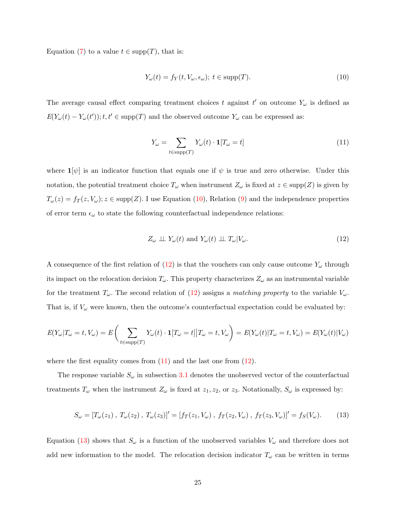Equation [\(7\)](#page-22-1) to a value  $t \in \text{supp}(T)$ , that is:

<span id="page-24-0"></span>
$$
Y_{\omega}(t) = f_Y(t, V_{\omega}, \epsilon_{\omega}); \ t \in \text{supp}(T). \tag{10}
$$

The average causal effect comparing treatment choices t against  $t'$  on outcome  $Y_\omega$  is defined as  $E(Y_{\omega}(t) - Y_{\omega}(t'))$ ;  $t, t' \in \text{supp}(T)$  and the observed outcome  $Y_{\omega}$  can be expressed as:

<span id="page-24-2"></span>
$$
Y_{\omega} = \sum_{t \in \text{supp}(T)} Y_{\omega}(t) \cdot \mathbf{1}[T_{\omega} = t] \tag{11}
$$

where  $\mathbf{1}[\psi]$  is an indicator function that equals one if  $\psi$  is true and zero otherwise. Under this notation, the potential treatment choice  $T_{\omega}$  when instrument  $Z_{\omega}$  is fixed at  $z \in \text{supp}(Z)$  is given by  $T_{\omega}(z) = f_T(z, V_{\omega}); z \in \text{supp}(Z)$ . I use Equation [\(10\)](#page-24-0), Relation [\(9\)](#page-22-4) and the independence properties of error term  $\epsilon_{\omega}$  to state the following counterfactual independence relations:

<span id="page-24-3"></span><span id="page-24-1"></span>
$$
Z_{\omega} \perp \!\!\!\perp Y_{\omega}(t) \text{ and } Y_{\omega}(t) \perp \!\!\!\perp T_{\omega}|V_{\omega}. \tag{12}
$$

A consequence of the first relation of  $(12)$  is that the vouchers can only cause outcome  $Y_\omega$  through its impact on the relocation decision  $T_{\omega}$ . This property characterizes  $Z_{\omega}$  as an instrumental variable for the treatment  $T_{\omega}$ . The second relation of [\(12\)](#page-24-1) assigns a matching property to the variable  $V_{\omega}$ . That is, if  $V_{\omega}$  were known, then the outcome's counterfactual expectation could be evaluated by:

$$
E(Y_{\omega}|T_{\omega}=t,V_{\omega})=E\bigg(\sum_{t\in \text{supp}(T)}Y_{\omega}(t)\cdot \mathbf{1}[T_{\omega}=t]|T_{\omega}=t,V_{\omega}\bigg)=E(Y_{\omega}(t)|T_{\omega}=t,V_{\omega})=E(Y_{\omega}(t)|V_{\omega})
$$

where the first equality comes from  $(11)$  and the last one from  $(12)$ .

The response variable  $S_{\omega}$  in subsection [3.1](#page-18-1) denotes the unobserved vector of the counterfactual treatments  $T_{\omega}$  when the instrument  $Z_{\omega}$  is fixed at  $z_1, z_2$ , or  $z_3$ . Notationally,  $S_{\omega}$  is expressed by:

$$
S_{\omega} = [T_{\omega}(z_1), T_{\omega}(z_2), T_{\omega}(z_3)]' = [f_T(z_1, V_{\omega}), f_T(z_2, V_{\omega}), f_T(z_3, V_{\omega})]' = f_S(V_{\omega}).
$$
 (13)

Equation [\(13\)](#page-24-3) shows that  $S_{\omega}$  is a function of the unobserved variables  $V_{\omega}$  and therefore does not add new information to the model. The relocation decision indicator  $T_{\omega}$  can be written in terms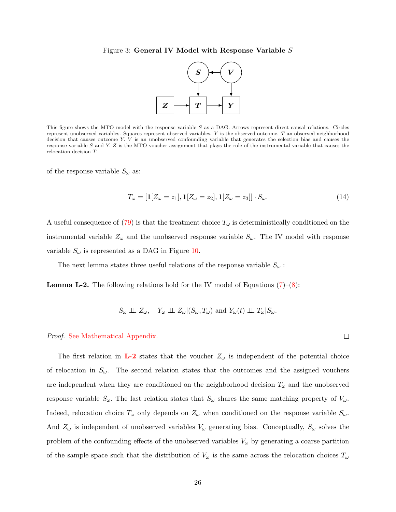#### Figure 3: General IV Model with Response Variable S



This figure shows the MTO model with the response variable S as a DAG. Arrows represent direct causal relations. Circles represent unobserved variables. Squares represent observed variables. Y is the observed outcome. T an observed neighborhood decision that causes outcome Y. V is an unobserved confounding variable that generates the selection bias and causes the response variable S and Y. Z is the MTO voucher assignment that plays the role of the instrumental variable that causes the relocation decision T.

of the response variable  $S_{\omega}$  as:

$$
T_{\omega} = [\mathbf{1}[Z_{\omega} = z_1], \mathbf{1}[Z_{\omega} = z_2], \mathbf{1}[Z_{\omega} = z_3]] \cdot S_{\omega}.
$$
\n
$$
(14)
$$

 $\Box$ 

A useful consequence of [\(79\)](#page-98-0) is that the treatment choice  $T_{\omega}$  is deterministically conditioned on the instrumental variable  $Z_{\omega}$  and the unobserved response variable  $S_{\omega}$ . The IV model with response variable  $S_{\omega}$  is represented as a DAG in Figure [10.](#page-101-0)

The next lemma states three useful relations of the response variable  $S_{\omega}$ :

<span id="page-25-0"></span>**Lemma L-2.** The following relations hold for the IV model of Equations  $(7)-(8)$  $(7)-(8)$  $(7)-(8)$ :

$$
S_{\omega} \perp \!\!\!\perp Z_{\omega}, Y_{\omega} \perp \!\!\!\perp Z_{\omega}|(S_{\omega}, T_{\omega}) \text{ and } Y_{\omega}(t) \perp \!\!\!\perp T_{\omega}|S_{\omega}.
$$

#### Proof. [See Mathematical Appendix.](#page-63-1)

The first relation in **[L-2](#page-25-0)** states that the voucher  $Z_{\omega}$  is independent of the potential choice of relocation in  $S_{\omega}$ . The second relation states that the outcomes and the assigned vouchers are independent when they are conditioned on the neighborhood decision  $T_{\omega}$  and the unobserved response variable  $S_{\omega}$ . The last relation states that  $S_{\omega}$  shares the same matching property of  $V_{\omega}$ . Indeed, relocation choice  $T_{\omega}$  only depends on  $Z_{\omega}$  when conditioned on the response variable  $S_{\omega}$ . And  $Z_{\omega}$  is independent of unobserved variables  $V_{\omega}$  generating bias. Conceptually,  $S_{\omega}$  solves the problem of the confounding effects of the unobserved variables  $V_\omega$  by generating a coarse partition of the sample space such that the distribution of  $V_\omega$  is the same across the relocation choices  $T_\omega$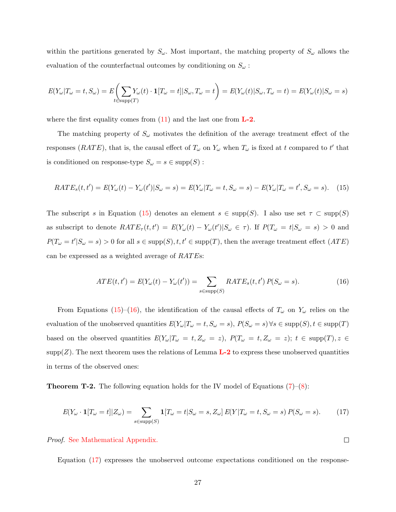within the partitions generated by  $S_{\omega}$ . Most important, the matching property of  $S_{\omega}$  allows the evaluation of the counterfactual outcomes by conditioning on  $S_{\omega}$ :

$$
E(Y_{\omega}|T_{\omega}=t,S_{\omega})=E\left(\sum_{t\in \text{supp}(T)}Y_{\omega}(t)\cdot \mathbf{1}[T_{\omega}=t]|S_{\omega},T_{\omega}=t\right)=E(Y_{\omega}(t)|S_{\omega},T_{\omega}=t)=E(Y_{\omega}(t)|S_{\omega}=s)
$$

where the first equality comes from  $(11)$  and the last one from  $L-2$ .

The matching property of  $S_{\omega}$  motivates the definition of the average treatment effect of the responses (RATE), that is, the causal effect of  $T_{\omega}$  on  $Y_{\omega}$  when  $T_{\omega}$  is fixed at t compared to t' that is conditioned on response-type  $S_{\omega} = s \in \text{supp}(S)$ :

$$
RATE_s(t, t') = E(Y_\omega(t) - Y_\omega(t')|S_\omega = s) = E(Y_\omega|T_\omega = t, S_\omega = s) - E(Y_\omega|T_\omega = t', S_\omega = s). \tag{15}
$$

The subscript s in Equation [\(15\)](#page-26-0) denotes an element  $s \in \text{supp}(S)$ . I also use set  $\tau \subset \text{supp}(S)$ as subscript to denote  $RATE_\tau(t, t') = E(Y_\omega(t) - Y_\omega(t') | S_\omega \in \tau)$ . If  $P(T_\omega = t | S_\omega = s) > 0$  and  $P(T_{\omega} = t' | S_{\omega} = s) > 0$  for all  $s \in \text{supp}(S), t, t' \in \text{supp}(T)$ , then the average treatment effect  $(ATE)$ can be expressed as a weighted average of  $RATEs$ :

<span id="page-26-1"></span><span id="page-26-0"></span>
$$
ATE(t, t') = E(Y_{\omega}(t) - Y_{\omega}(t')) = \sum_{s \in \text{supp}(S)} RATE_s(t, t') P(S_{\omega} = s).
$$
\n(16)

From Equations [\(15\)](#page-26-0)–[\(16\)](#page-26-1), the identification of the causal effects of  $T_{\omega}$  on  $Y_{\omega}$  relies on the evaluation of the unobserved quantities  $E(Y_{\omega}|T_{\omega}=t, S_{\omega}=s)$ ,  $P(S_{\omega}=s) \forall s \in \text{supp}(S), t \in \text{supp}(T)$ based on the observed quantities  $E(Y_{\omega}|T_{\omega} = t, Z_{\omega} = z), P(T_{\omega} = t, Z_{\omega} = z); t \in \text{supp}(T), z \in$  $\text{supp}(Z)$ . The next theorem uses the relations of Lemma  $L-2$  to express these unobserved quantities in terms of the observed ones:

**Theorem T-2.** The following equation holds for the IV model of Equations  $(7)-(8)$  $(7)-(8)$  $(7)-(8)$ :

$$
E(Y_{\omega} \cdot \mathbf{1}[T_{\omega} = t]|Z_{\omega}) = \sum_{s \in \text{supp}(S)} \mathbf{1}[T_{\omega} = t|S_{\omega} = s, Z_{\omega}] E(Y|T_{\omega} = t, S_{\omega} = s) P(S_{\omega} = s).
$$
 (17)

Proof. [See Mathematical Appendix.](#page-65-0)

Equation [\(17\)](#page-26-2) expresses the unobserved outcome expectations conditioned on the response-

<span id="page-26-2"></span> $\Box$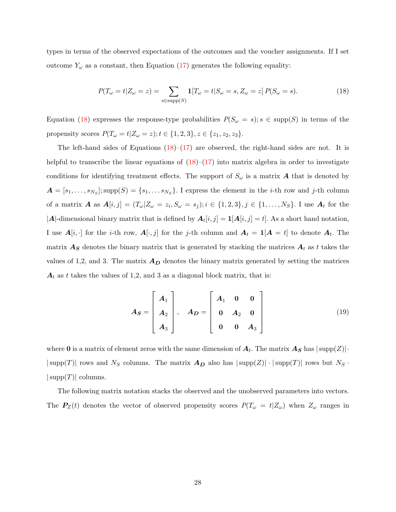types in terms of the observed expectations of the outcomes and the voucher assignments. If I set outcome  $Y_\omega$  as a constant, then Equation [\(17\)](#page-26-2) generates the following equality:

<span id="page-27-0"></span>
$$
P(T_{\omega} = t | Z_{\omega} = z) = \sum_{s \in \text{supp}(S)} \mathbf{1}[T_{\omega} = t | S_{\omega} = s, Z_{\omega} = z] P(S_{\omega} = s).
$$
 (18)

Equation [\(18\)](#page-27-0) expresses the response-type probabilities  $P(S_\omega = s); s \in \text{supp}(S)$  in terms of the propensity scores  $P(T_{\omega} = t | Z_{\omega} = z); t \in \{1, 2, 3\}, z \in \{z_1, z_2, z_3\}.$ 

The left-hand sides of Equations  $(18)$ – $(17)$  are observed, the right-hand sides are not. It is helpful to transcribe the linear equations of  $(18)$ – $(17)$  into matrix algebra in order to investigate conditions for identifying treatment effects. The support of  $S_{\omega}$  is a matrix **A** that is denoted by  $\boldsymbol{A} = [s_1, \ldots, s_{N_S}]$ ; supp $(S) = \{s_1, \ldots s_{N_S}\}$ . I express the element in the *i*-th row and *j*-th column of a matrix **A** as  $A[i, j] = (T_{\omega} | Z_{\omega} = z_i, S_{\omega} = s_j); i \in \{1, 2, 3\}, j \in \{1, ..., N_S\}$ . I use  $A_t$  for the |A|-dimensional binary matrix that is defined by  $A_t[i, j] = \mathbf{1}[A[i, j] = t]$ . As a short hand notation, I use  $A[i, \cdot]$  for the *i*-th row,  $A[\cdot, j]$  for the *j*-th column and  $A_t = 1[A = t]$  to denote  $A_t$ . The matrix  $A<sub>S</sub>$  denotes the binary matrix that is generated by stacking the matrices  $A<sub>t</sub>$  as t takes the values of 1,2, and 3. The matrix  $A_D$  denotes the binary matrix generated by setting the matrices  $A_t$  as t takes the values of 1,2, and 3 as a diagonal block matrix, that is:

$$
A_S = \begin{bmatrix} A_1 \\ A_2 \\ A_3 \end{bmatrix}, \quad A_D = \begin{bmatrix} A_1 & 0 & 0 \\ 0 & A_2 & 0 \\ 0 & 0 & A_3 \end{bmatrix}
$$
 (19)

where **0** is a matrix of element zeros with the same dimension of  $A_t$ . The matrix  $A_S$  has  $|\text{supp}(Z)| \cdot$  $|\text{supp}(T)|$  rows and  $N_S$  columns. The matrix  $A_D$  also has  $|\text{supp}(Z)| \cdot |\text{supp}(T)|$  rows but  $N_S$ .  $|\text{supp}(T)|$  columns.

The following matrix notation stacks the observed and the unobserved parameters into vectors. The  $P_Z(t)$  denotes the vector of observed propensity scores  $P(T_\omega = t | Z_\omega)$  when  $Z_\omega$  ranges in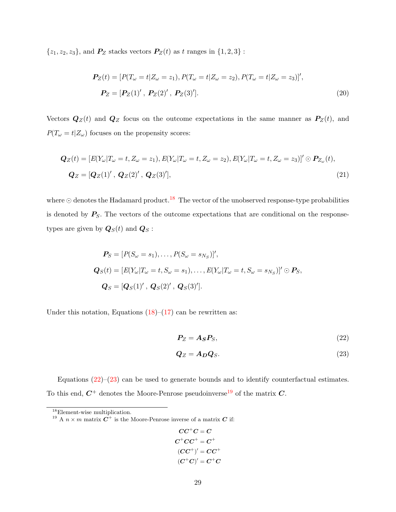$\{z_1,z_2,z_3\},$  and  $\textbf{\textit{P}}_{\textbf{\textit{Z}}}$  stacks vectors  $\textbf{\textit{P}}_{\textbf{\textit{Z}}}(t)$  as  $t$  ranges in  $\{1,2,3\}$  :

$$
\begin{aligned} \mathbf{P}_Z(t) &= [P(T_\omega = t | Z_\omega = z_1), P(T_\omega = t | Z_\omega = z_2), P(T_\omega = t | Z_\omega = z_3)]', \\ \mathbf{P}_Z &= [\mathbf{P}_Z(1)^\prime \,, \, \mathbf{P}_Z(2)^\prime \,, \, \mathbf{P}_Z(3)^\prime]. \end{aligned} \tag{20}
$$

Vectors  $\mathbf{Q}_Z(t)$  and  $\mathbf{Q}_Z$  focus on the outcome expectations in the same manner as  $\mathbf{P}_Z(t)$ , and  $P(T_\omega=t|Z_\omega)$  focuses on the propensity scores:

$$
\begin{aligned} \mathbf{Q}_Z(t) &= \left[ E(Y_\omega | T_\omega = t, Z_\omega = z_1), E(Y_\omega | T_\omega = t, Z_\omega = z_2), E(Y_\omega | T_\omega = t, Z_\omega = z_3) \right]' \odot \mathbf{P}_{Z_\omega}(t), \\ \mathbf{Q}_Z &= \left[ \mathbf{Q}_Z(1)' \,, \, \mathbf{Q}_Z(2)' \,, \, \mathbf{Q}_Z(3)' \right], \end{aligned} \tag{21}
$$

where  $\odot$  denotes the Hadamard product.<sup>[18](#page-28-0)</sup> The vector of the unobserved response-type probabilities is denoted by  $P_S$ . The vectors of the outcome expectations that are conditional on the responsetypes are given by  $\boldsymbol{Q}_{S}(t)$  and  $\boldsymbol{Q}_{S}$ :

$$
\mathbf{P}_S = [P(S_{\omega} = s_1), \dots, P(S_{\omega} = s_{N_S})]',
$$
  
\n
$$
\mathbf{Q}_S(t) = [E(Y_{\omega} | T_{\omega} = t, S_{\omega} = s_1), \dots, E(Y_{\omega} | T_{\omega} = t, S_{\omega} = s_{N_S})]' \odot \mathbf{P}_S,
$$
  
\n
$$
\mathbf{Q}_S = [\mathbf{Q}_S(1)', \mathbf{Q}_S(2)', \mathbf{Q}_S(3)'].
$$

Under this notation, Equations  $(18)$ – $(17)$  can be rewritten as:

<span id="page-28-2"></span><span id="page-28-1"></span>
$$
P_Z = A_S P_S, \t\t(22)
$$

$$
Q_Z = A_D Q_S. \tag{23}
$$

Equations  $(22)-(23)$  $(22)-(23)$  $(22)-(23)$  can be used to generate bounds and to identify counterfactual estimates. To this end,  $C^+$  denotes the Moore-Penrose pseudoinverse<sup>[19](#page-28-3)</sup> of the matrix  $C$ .

$$
CC^{+}C = C
$$
  
\n
$$
C^{+}CC^{+} = C^{+}
$$
  
\n
$$
(CC^{+})' = CC^{+}
$$
  
\n
$$
(C^{+}C)' = C^{+}C
$$

<span id="page-28-0"></span><sup>18</sup>Element-wise multiplication.

<span id="page-28-3"></span><sup>&</sup>lt;sup>19</sup> A  $n \times m$  matrix  $C^+$  is the Moore-Penrose inverse of a matrix C if: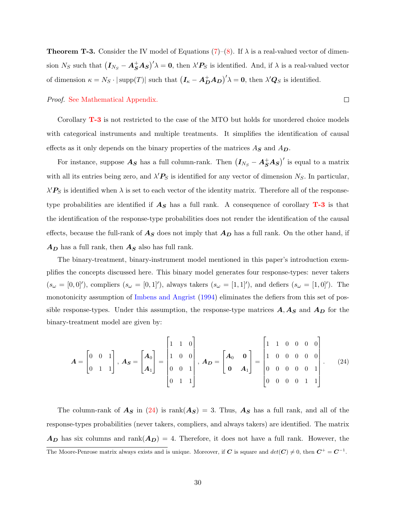<span id="page-29-0"></span>**Theorem T-3.** Consider the IV model of Equations  $(7)-(8)$  $(7)-(8)$  $(7)-(8)$ . If  $\lambda$  is a real-valued vector of dimension  $N_S$  such that  $(I_{N_S} - A_S^+ A_S)' \lambda = 0$ , then  $\lambda' P_S$  is identified. And, if  $\lambda$  is a real-valued vector of dimension  $\kappa = N_S \cdot |\text{supp}(T)|$  such that  $(I_{\kappa} - A_D^+ A_D)^{\prime} \lambda = 0$ , then  $\lambda' Q_S$  is identified.

Proof. [See Mathematical Appendix.](#page-0-0)

Corollary [T-3](#page-29-0) is not restricted to the case of the MTO but holds for unordered choice models with categorical instruments and multiple treatments. It simplifies the identification of causal effects as it only depends on the binary properties of the matrices  $A_{\mathbf{S}}$  and  $A_{\mathbf{D}}$ .

For instance, suppose  $A_S$  has a full column-rank. Then  $(I_{N_S} - A_S^+ A_S)'$  is equal to a matrix with all its entries being zero, and  $\lambda' P_S$  is identified for any vector of dimension  $N_S$ . In particular,  $\lambda' P_S$  is identified when  $\lambda$  is set to each vector of the identity matrix. Therefore all of the responsetype probabilities are identified if  $A<sub>S</sub>$  has a full rank. A consequence of corollary **[T-3](#page-29-0)** is that the identification of the response-type probabilities does not render the identification of the causal effects, because the full-rank of  $A<sub>S</sub>$  does not imply that  $A<sub>D</sub>$  has a full rank. On the other hand, if  $A_D$  has a full rank, then  $A_S$  also has full rank.

The binary-treatment, binary-instrument model mentioned in this paper's introduction exemplifies the concepts discussed here. This binary model generates four response-types: never takers  $(s_\omega = [0,0]^{\prime})$ , compliers  $(s_\omega = [0,1]^{\prime})$ , always takers  $(s_\omega = [1,1]^{\prime})$ , and defiers  $(s_\omega = [1,0]^{\prime})$ . The monotonicity assumption of [Imbens and Angrist](#page-59-8) [\(1994\)](#page-59-8) eliminates the defiers from this set of possible response-types. Under this assumption, the response-type matrices  $A, A_S$  and  $A_D$  for the binary-treatment model are given by:

$$
\boldsymbol{A} = \begin{bmatrix} 0 & 0 & 1 \\ 0 & 1 & 1 \end{bmatrix}, \ \boldsymbol{A}_{\boldsymbol{S}} = \begin{bmatrix} \boldsymbol{A}_0 \\ \boldsymbol{A}_1 \end{bmatrix} = \begin{bmatrix} 1 & 1 & 0 \\ 1 & 0 & 0 \\ 0 & 0 & 1 \\ 0 & 1 & 1 \end{bmatrix}, \ \boldsymbol{A}_{\boldsymbol{D}} = \begin{bmatrix} \boldsymbol{A}_0 & \boldsymbol{0} \\ \boldsymbol{0} & \boldsymbol{A}_1 \end{bmatrix} = \begin{bmatrix} 1 & 1 & 0 & 0 & 0 & 0 \\ 1 & 0 & 0 & 0 & 0 & 0 \\ 0 & 0 & 0 & 0 & 1 & 1 \\ 0 & 0 & 0 & 0 & 1 & 1 \end{bmatrix}. \tag{24}
$$

The column-rank of  $A_S$  in [\(24\)](#page-29-1) is rank $(A_S) = 3$ . Thus,  $A_S$  has a full rank, and all of the response-types probabilities (never takers, compliers, and always takers) are identified. The matrix  $A_D$  has six columns and rank $(A_D) = 4$ . Therefore, it does not have a full rank. However, the The Moore-Penrose matrix always exists and is unique. Moreover, if C is square and  $det(C) \neq 0$ , then  $C^+ = C^{-1}$ .

<span id="page-29-1"></span> $\Box$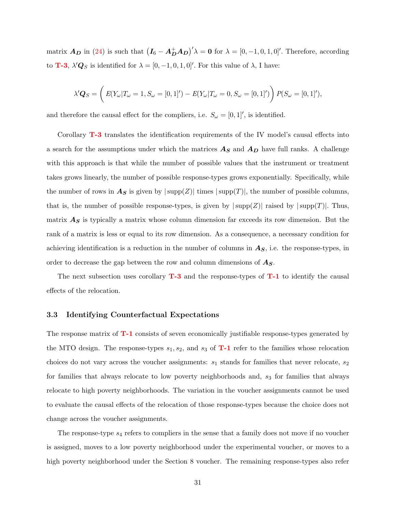matrix  $A_D$  in [\(24\)](#page-29-1) is such that  $(I_6 - A_D^+ A_D)^{\prime} \lambda = 0$  for  $\lambda = [0, -1, 0, 1, 0]^{\prime}$ . Therefore, according to **[T-3](#page-29-0)**,  $\lambda' Q_S$  is identified for  $\lambda = [0, -1, 0, 1, 0]$ . For this value of  $\lambda$ , I have:

$$
\lambda' \mathbf{Q}_S = \left( E(Y_\omega | T_\omega = 1, S_\omega = [0, 1]') - E(Y_\omega | T_\omega = 0, S_\omega = [0, 1]') \right) P(S_\omega = [0, 1]'),
$$

and therefore the causal effect for the compliers, i.e.  $S_{\omega} = [0, 1]$ , is identified.

Corollary **[T-3](#page-29-0)** translates the identification requirements of the IV model's causal effects into a search for the assumptions under which the matrices  $A<sub>S</sub>$  and  $A<sub>D</sub>$  have full ranks. A challenge with this approach is that while the number of possible values that the instrument or treatment takes grows linearly, the number of possible response-types grows exponentially. Specifically, while the number of rows in  $A_S$  is given by  $|\text{supp}(Z)|$  times  $|\text{supp}(T)|$ , the number of possible columns, that is, the number of possible response-types, is given by  $|\text{supp}(Z)|$  raised by  $|\text{supp}(T)|$ . Thus, matrix  $A<sub>S</sub>$  is typically a matrix whose column dimension far exceeds its row dimension. But the rank of a matrix is less or equal to its row dimension. As a consequence, a necessary condition for achieving identification is a reduction in the number of columns in  $A<sub>S</sub>$ , i.e. the response-types, in order to decrease the gap between the row and column dimensions of  $A_{S}$ .

The next subsection uses corollary  $T-3$  and the response-types of  $T-1$  to identify the causal effects of the relocation.

# <span id="page-30-0"></span>3.3 Identifying Counterfactual Expectations

The response matrix of  $T-1$  consists of seven economically justifiable response-types generated by the MTO design. The response-types  $s_1, s_2$ , and  $s_3$  of **[T-1](#page-20-1)** refer to the families whose relocation choices do not vary across the voucher assignments:  $s_1$  stands for families that never relocate,  $s_2$ for families that always relocate to low poverty neighborhoods and,  $s<sub>3</sub>$  for families that always relocate to high poverty neighborhoods. The variation in the voucher assignments cannot be used to evaluate the causal effects of the relocation of those response-types because the choice does not change across the voucher assignments.

The response-type  $s_4$  refers to compliers in the sense that a family does not move if no voucher is assigned, moves to a low poverty neighborhood under the experimental voucher, or moves to a high poverty neighborhood under the Section 8 voucher. The remaining response-types also refer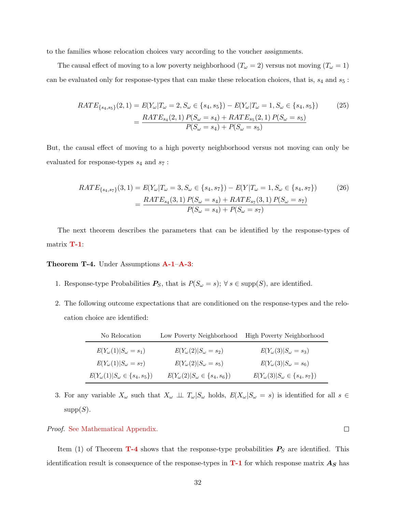to the families whose relocation choices vary according to the voucher assignments.

The causal effect of moving to a low poverty neighborhood  $(T_\omega = 2)$  versus not moving  $(T_\omega = 1)$ can be evaluated only for response-types that can make these relocation choices, that is,  $s_4$  and  $s_5$ :

$$
RATE_{\{s_4, s_5\}}(2, 1) = E(Y_{\omega} | T_{\omega} = 2, S_{\omega} \in \{s_4, s_5\}) - E(Y_{\omega} | T_{\omega} = 1, S_{\omega} \in \{s_4, s_5\})
$$
(25)  

$$
= \frac{RATE_{s_4}(2, 1) P(S_{\omega} = s_4) + RATE_{s_5}(2, 1) P(S_{\omega} = s_5)}{P(S_{\omega} = s_4) + P(S_{\omega} = s_5)}
$$

But, the causal effect of moving to a high poverty neighborhood versus not moving can only be evaluated for response-types  $s_4$  and  $s_7$ :

$$
RATE_{\{s_4, s_7\}}(3, 1) = E(Y_{\omega} | T_{\omega} = 3, S_{\omega} \in \{s_4, s_7\}) - E(Y | T_{\omega} = 1, S_{\omega} \in \{s_4, s_7\})
$$
(26)  

$$
= \frac{RATE_{s_4}(3, 1) P(S_{\omega} = s_4) + RATE_{s_7}(3, 1) P(S_{\omega} = s_7)}{P(S_{\omega} = s_4) + P(S_{\omega} = s_7)}
$$

The next theorem describes the parameters that can be identified by the response-types of matrix [T-1](#page-20-1):

<span id="page-31-0"></span>Theorem T-4. Under Assumptions [A-1](#page-19-2)–[A-3](#page-20-3):

- 1. Response-type Probabilities  $P_S$ , that is  $P(S_\omega = s)$ ;  $\forall s \in \text{supp}(S)$ , are identified.
- 2. The following outcome expectations that are conditioned on the response-types and the relocation choice are identified:

| No Relocation                                | Low Poverty Neighborhood                     | High Poverty Neighborhood                   |
|----------------------------------------------|----------------------------------------------|---------------------------------------------|
| $E(Y_{\omega}(1) S_{\omega}=s_1)$            | $E(Y_{\omega}(2) S_{\omega}=s_2)$            | $E(Y_{\omega}(3) S_{\omega}=s_3)$           |
| $E(Y_{\omega}(1) S_{\omega}=s_7)$            | $E(Y_{\omega}(2) S_{\omega}=s_5)$            | $E(Y_{\omega}(3) S_{\omega}=s_6)$           |
| $E(Y_{\omega}(1) S_{\omega}\in \{s_4,s_5\})$ | $E(Y_{\omega}(2) S_{\omega}\in \{s_4,s_6\})$ | $E(Y_{\omega}(3) S_{\omega}\in\{s_4,s_7\})$ |

3. For any variable  $X_{\omega}$  such that  $X_{\omega} \perp \perp T_{\omega} | S_{\omega}$  holds,  $E(X_{\omega}|S_{\omega} = s)$  is identified for all  $s \in$  $supp(S)$ .

# Proof. [See Mathematical Appendix.](#page-65-1)

Item (1) of Theorem  $T-4$  shows that the response-type probabilities  $P<sub>S</sub>$  are identified. This identification result is consequence of the response-types in  $T-1$  for which response matrix  $A_S$  has

 $\Box$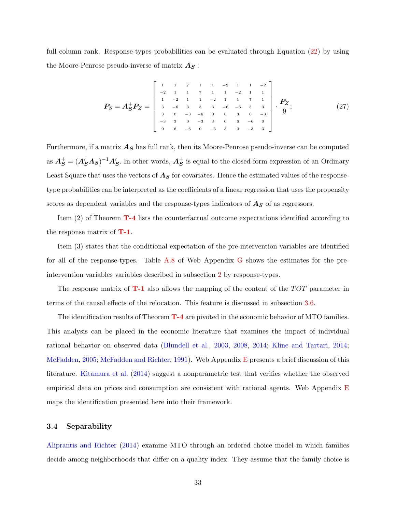full column rank. Response-types probabilities can be evaluated through Equation [\(22\)](#page-28-1) by using the Moore-Penrose pseudo-inverse of matrix  $A_{\mathcal{S}}$ :

$$
P_S = A_S^+ P_Z = \begin{bmatrix} 1 & 1 & 7 & 1 & 1 & -2 & 1 & 1 & -2 \\ -2 & 1 & 1 & 7 & 1 & 1 & -2 & 1 & 1 \\ 1 & -2 & 1 & 1 & -2 & 1 & 1 & 7 & 1 \\ 3 & -6 & 3 & 3 & 3 & -6 & -6 & 3 & 3 \\ 3 & 0 & -3 & -6 & 0 & 6 & 3 & 0 & -3 \\ -3 & 3 & 0 & -3 & 3 & 0 & 6 & -6 & 0 \\ 0 & 6 & -6 & 0 & -3 & 3 & 0 & -3 & 3 \end{bmatrix} \cdot \frac{P_Z}{9};
$$
(27)

Furthermore, if a matrix  $A<sub>S</sub>$  has full rank, then its Moore-Penrose pseudo-inverse can be computed as  $A_S^+ = (A_S'A_S)^{-1}A_S'$ . In other words,  $A_S^+$  is equal to the closed-form expression of an Ordinary Least Square that uses the vectors of  $A<sub>S</sub>$  for covariates. Hence the estimated values of the responsetype probabilities can be interpreted as the coefficients of a linear regression that uses the propensity scores as dependent variables and the response-types indicators of  $\mathbf{A}_{\mathbf{S}}$  of as regressors.

Item (2) of Theorem [T-4](#page-31-0) lists the counterfactual outcome expectations identified according to the response matrix of  $T-1$ .

Item (3) states that the conditional expectation of the pre-intervention variables are identified for all of the response-types. Table [A.8](#page-93-0) of Web Appendix [G](#page-92-1) shows the estimates for the preintervention variables variables described in subsection [2](#page-12-0) by response-types.

The response matrix of  $T-1$  also allows the mapping of the content of the  $TOT$  parameter in terms of the causal effects of the relocation. This feature is discussed in subsection [3.6.](#page-36-0)

The identification results of Theorem [T-4](#page-31-0) are pivoted in the economic behavior of MTO families. This analysis can be placed in the economic literature that examines the impact of individual rational behavior on observed data [\(Blundell et al.,](#page-56-5) [2003,](#page-56-5) [2008,](#page-56-6) [2014;](#page-57-7) [Kline and Tartari,](#page-59-9) [2014;](#page-59-9) [McFadden,](#page-60-6) [2005;](#page-60-6) [McFadden and Richter,](#page-60-7) [1991\)](#page-60-7). Web Appendix [E](#page-84-0) presents a brief discussion of this literature. [Kitamura et al.](#page-59-10) [\(2014\)](#page-59-10) suggest a nonparametric test that verifies whether the observed empirical data on prices and consumption are consistent with rational agents. Web Appendix [E](#page-84-0) maps the identification presented here into their framework.

# <span id="page-32-0"></span>3.4 Separability

[Aliprantis and Richter](#page-56-7) [\(2014\)](#page-56-7) examine MTO through an ordered choice model in which families decide among neighborhoods that differ on a quality index. They assume that the family choice is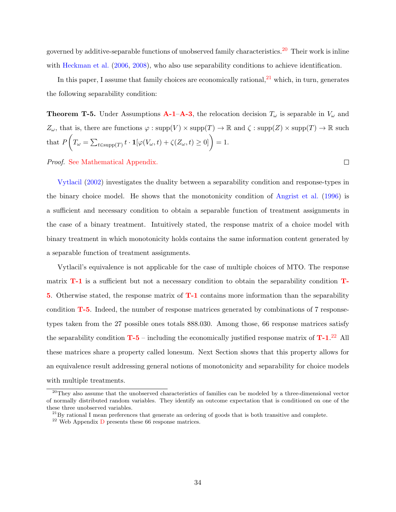governed by additive-separable functions of unobserved family characteristics.<sup>[20](#page-33-0)</sup> Their work is inline with [Heckman et al.](#page-58-4) [\(2006,](#page-58-4) [2008\)](#page-58-5), who also use separability conditions to achieve identification.

In this paper, I assume that family choices are economically rational,  $2<sup>1</sup>$  which, in turn, generates the following separability condition:

<span id="page-33-2"></span>**Theorem T-5.** Under Assumptions **[A-1](#page-19-2)–[A-3](#page-20-3)**, the relocation decision  $T_{\omega}$  is separable in  $V_{\omega}$  and  $Z_{\omega}$ , that is, there are functions  $\varphi : \text{supp}(V) \times \text{supp}(T) \to \mathbb{R}$  and  $\zeta : \text{supp}(Z) \times \text{supp}(T) \to \mathbb{R}$  such that  $P\left(T_{\omega} = \sum_{t \in \text{supp}(T)} t \cdot \mathbf{1}[\varphi(V_{\omega}, t) + \zeta(Z_{\omega}, t) \geq 0]\right) = 1.$ 

Proof. [See Mathematical Appendix.](#page-66-0)

[Vytlacil](#page-61-2) [\(2002\)](#page-61-2) investigates the duality between a separability condition and response-types in the binary choice model. He shows that the monotonicity condition of [Angrist et al.](#page-56-3) [\(1996\)](#page-56-3) is a sufficient and necessary condition to obtain a separable function of treatment assignments in the case of a binary treatment. Intuitively stated, the response matrix of a choice model with binary treatment in which monotonicity holds contains the same information content generated by a separable function of treatment assignments.

Vytlacil's equivalence is not applicable for the case of multiple choices of MTO. The response matrix **[T-1](#page-20-1)** is a sufficient but not a necessary condition to obtain the separability condition **[T-](#page-33-2)**[5](#page-33-2). Otherwise stated, the response matrix of [T-1](#page-20-1) contains more information than the separability condition [T-5](#page-33-2). Indeed, the number of response matrices generated by combinations of 7 responsetypes taken from the 27 possible ones totals 888.030. Among those, 66 response matrices satisfy the separability condition  $T - 5$  – including the economically justified response matrix of  $T - 1$ .<sup>[22](#page-33-3)</sup> All these matrices share a property called lonesum. Next Section shows that this property allows for an equivalence result addressing general notions of monotonicity and separability for choice models with multiple treatments.

 $\Box$ 

<span id="page-33-0"></span><sup>&</sup>lt;sup>20</sup>They also assume that the unobserved characteristics of families can be modeled by a three-dimensional vector of normally distributed random variables. They identify an outcome expectation that is conditioned on one of the these three unobserved variables.

<span id="page-33-1"></span> $^{21}$ By rational I mean preferences that generate an ordering of goods that is both transitive and complete.

<span id="page-33-3"></span> $^{22}$  Web Appendix [D](#page-80-0) presents these 66 response matrices.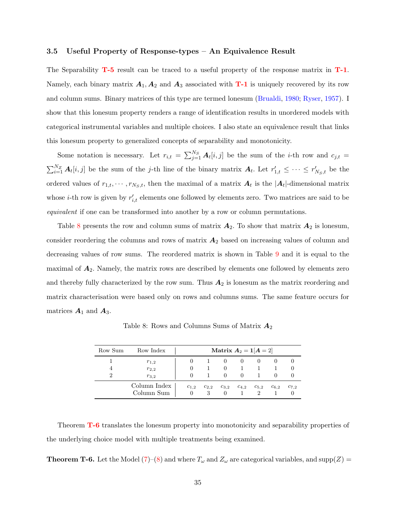# <span id="page-34-0"></span>3.5 Useful Property of Response-types – An Equivalence Result

The Separability  $T-5$  result can be traced to a useful property of the response matrix in  $T-1$ . Namely, each binary matrix  $A_1, A_2$  and  $A_3$  associated with **[T-1](#page-20-1)** is uniquely recovered by its row and column sums. Binary matrices of this type are termed lonesum [\(Brualdi,](#page-57-8) [1980;](#page-57-8) [Ryser,](#page-60-8) [1957\)](#page-60-8). I show that this lonesum property renders a range of identification results in unordered models with categorical instrumental variables and multiple choices. I also state an equivalence result that links this lonesum property to generalized concepts of separability and monotonicity.

Some notation is necessary. Let  $r_{i,t} = \sum_{j=1}^{N_S} A_t[i,j]$  be the sum of the *i*-th row and  $c_{j,t}$  $\sum_{i=1}^{N_Z} A_t[i,j]$  be the sum of the j-th line of the binary matrix  $A_t$ . Let  $r'_{1,t} \leq \cdots \leq r'_{N_S,t}$  be the ordered values of  $r_{1,t}, \dots, r_{N_S,t}$ , then the maximal of a matrix  $A_t$  is the  $|A_t|$ -dimensional matrix whose *i*-th row is given by  $r'_{i,t}$  elements one followed by elements zero. Two matrices are said to be equivalent if one can be transformed into another by a row or column permutations.

Table [8](#page-34-1) presents the row and column sums of matrix  $A_2$ . To show that matrix  $A_2$  is lonesum, consider reordering the columns and rows of matrix  $A_2$  based on increasing values of column and decreasing values of row sums. The reordered matrix is shown in Table [9](#page-35-0) and it is equal to the maximal of  $A_2$ . Namely, the matrix rows are described by elements one followed by elements zero and thereby fully characterized by the row sum. Thus  $A_2$  is lonesum as the matrix reordering and matrix characterisation were based only on rows and columns sums. The same feature occurs for matrices  $\mathbf{A}_1$  and  $\mathbf{A}_3$ .

<span id="page-34-1"></span>

| Row Sum | Row Index                           |                     |                | <b>Matrix</b> $A_2 = 1[A = 2]$ |                      |           |           |           |
|---------|-------------------------------------|---------------------|----------------|--------------------------------|----------------------|-----------|-----------|-----------|
| 4<br>2  | $r_{1,2}$<br>$r_{2,2}$<br>$r_{3,2}$ |                     |                |                                | $\theta$<br>$\theta$ |           |           |           |
|         | Column Index<br>Column Sum          | $c_{1,2}$<br>$\cup$ | $c_{2,2}$<br>3 | $c_{3,2}$                      | $c_{4,2}$            | $c_{5,2}$ | $c_{6,2}$ | $c_{7,2}$ |

Table 8: Rows and Columns Sums of Matrix  $A_2$ 

Theorem **[T-6](#page-34-2)** translates the lonesum property into monotonicity and separability properties of the underlying choice model with multiple treatments being examined.

<span id="page-34-2"></span>**Theorem T-6.** Let the Model  $(7)-(8)$  $(7)-(8)$  $(7)-(8)$  and where  $T_{\omega}$  and  $Z_{\omega}$  are categorical variables, and supp $(Z)$  =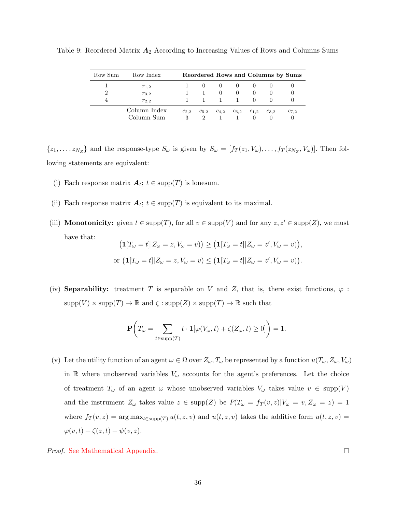| Row Sum | Row Index                  |                            |                          |           |           |                       |           | Reordered Rows and Columns by Sums |
|---------|----------------------------|----------------------------|--------------------------|-----------|-----------|-----------------------|-----------|------------------------------------|
|         | $r_{1,2}$                  |                            |                          | $\cup$    | 0         |                       |           |                                    |
|         | $r_{3,2}$                  |                            |                          | $\theta$  | $\theta$  | $\theta$              |           |                                    |
|         | $r_{2,2}$                  |                            |                          |           |           | $\theta$              |           |                                    |
|         | Column Index<br>Column Sum | $c_{2,2}$<br>$\mathcal{R}$ | $c_{5,2}$<br>$2^{\circ}$ | $c_{4,2}$ | $c_{6.2}$ | $c_{1,2}$<br>$\theta$ | $c_{3,2}$ | $c_{7,2}$                          |

<span id="page-35-0"></span>Table 9: Reordered Matrix  $A_2$  According to Increasing Values of Rows and Columns Sums

 $\{z_1,\ldots,z_{N_Z}\}\$  and the response-type  $S_\omega$  is given by  $S_\omega = [f_T(z_1,V_\omega),\ldots,f_T(z_{N_Z},V_\omega)]$ . Then following statements are equivalent:

- (i) Each response matrix  $A_t$ ;  $t \in \text{supp}(T)$  is lonesum.
- (ii) Each response matrix  $A_t$ ;  $t \in \text{supp}(T)$  is equivalent to its maximal.
- (iii) **Monotonicity:** given  $t \in \text{supp}(T)$ , for all  $v \in \text{supp}(V)$  and for any  $z, z' \in \text{supp}(Z)$ , we must have that:

$$
\begin{aligned} \left(\mathbf{1}[T_{\omega}=t]|Z_{\omega}=z,V_{\omega}=v)\right) &\geq \left(\mathbf{1}[T_{\omega}=t]|Z_{\omega}=z',V_{\omega}=v)\right),\\ \text{or } \left(\mathbf{1}[T_{\omega}=t]|Z_{\omega}=z,V_{\omega}=v)\leq \left(\mathbf{1}[T_{\omega}=t]|Z_{\omega}=z',V_{\omega}=v)\right). \end{aligned}
$$

(iv) Separability: treatment T is separable on V and Z, that is, there exist functions,  $\varphi$ :  $supp(V) \times supp(T) \to \mathbb{R}$  and  $\zeta : supp(Z) \times supp(T) \to \mathbb{R}$  such that

$$
\mathbf{P}\bigg(T_{\omega} = \sum_{t \in \text{supp}(T)} t \cdot \mathbf{1}[\varphi(V_{\omega}, t) + \zeta(Z_{\omega}, t) \ge 0]\bigg) = 1.
$$

(v) Let the utility function of an agent  $\omega \in \Omega$  over  $Z_{\omega}, T_{\omega}$  be represented by a function  $u(T_{\omega}, Z_{\omega}, V_{\omega})$ in R where unobserved variables  $V_{\omega}$  accounts for the agent's preferences. Let the choice of treatment  $T_{\omega}$  of an agent  $\omega$  whose unobserved variables  $V_{\omega}$  takes value  $v \in \text{supp}(V)$ and the instrument  $Z_{\omega}$  takes value  $z \in \text{supp}(Z)$  be  $P(T_{\omega} = f_T(v, z)|V_{\omega} = v, Z_{\omega} = z) = 1$ where  $f_T(v, z) = \arg \max_{t \in \text{supp}(T)} u(t, z, v)$  and  $u(t, z, v)$  takes the additive form  $u(t, z, v) =$  $\varphi(v,t) + \zeta(z,t) + \psi(v,z).$ 

Proof. [See Mathematical Appendix.](#page-67-0)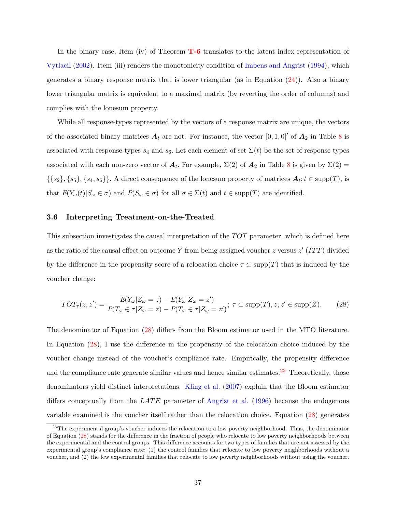In the binary case, Item (iv) of Theorem **[T-6](#page-34-0)** translates to the latent index representation of [Vytlacil](#page-61-0) [\(2002\)](#page-61-0). Item (iii) renders the monotonicity condition of [Imbens and Angrist](#page-59-0) [\(1994\)](#page-59-0), which generates a binary response matrix that is lower triangular (as in Equation  $(24)$ ). Also a binary lower triangular matrix is equivalent to a maximal matrix (by reverting the order of columns) and complies with the lonesum property.

While all response-types represented by the vectors of a response matrix are unique, the vectors of the associated binary matrices  $A_t$  are not. For instance, the vector  $[0, 1, 0]$  of  $A_2$  in Table [8](#page-34-1) is associated with response-types  $s_4$  and  $s_6$ . Let each element of set  $\Sigma(t)$  be the set of response-types associated with each non-zero vector of  $A_t$ . For example,  $\Sigma(2)$  of  $A_2$  in Table [8](#page-34-1) is given by  $\Sigma(2)$  =  $\{\{s_2\}, \{s_5\}, \{s_4, s_6\}\}\.$  A direct consequence of the lonesum property of matrices  $A_t$ ;  $t \in \text{supp}(T)$ , is that  $E(Y_\omega(t)|S_\omega \in \sigma)$  and  $P(S_\omega \in \sigma)$  for all  $\sigma \in \Sigma(t)$  and  $t \in \text{supp}(T)$  are identified.

## <span id="page-36-2"></span>3.6 Interpreting Treatment-on-the-Treated

This subsection investigates the causal interpretation of the  $TOT$  parameter, which is defined here as the ratio of the causal effect on outcome Y from being assigned voucher z versus  $z'$  (ITT) divided by the difference in the propensity score of a relocation choice  $\tau \subset \text{supp}(T)$  that is induced by the voucher change:

<span id="page-36-0"></span>
$$
TOT_{\tau}(z, z') = \frac{E(Y_{\omega}|Z_{\omega} = z) - E(Y_{\omega}|Z_{\omega} = z')}{P(T_{\omega} \in \tau | Z_{\omega} = z) - P(T_{\omega} \in \tau | Z_{\omega} = z')}; \tau \subset \text{supp}(T), z, z' \in \text{supp}(Z). \tag{28}
$$

The denominator of Equation [\(28\)](#page-36-0) differs from the Bloom estimator used in the MTO literature. In Equation [\(28\)](#page-36-0), I use the difference in the propensity of the relocation choice induced by the voucher change instead of the voucher's compliance rate. Empirically, the propensity difference and the compliance rate generate similar values and hence similar estimates.<sup>[23](#page-36-1)</sup> Theoretically, those denominators yield distinct interpretations. [Kling et al.](#page-59-1) [\(2007\)](#page-59-1) explain that the Bloom estimator differs conceptually from the  $LATE$  parameter of [Angrist et al.](#page-56-0) [\(1996\)](#page-56-0) because the endogenous variable examined is the voucher itself rather than the relocation choice. Equation [\(28\)](#page-36-0) generates

<span id="page-36-1"></span><sup>&</sup>lt;sup>23</sup>The experimental group's voucher induces the relocation to a low poverty neighborhood. Thus, the denominator of Equation [\(28\)](#page-36-0) stands for the difference in the fraction of people who relocate to low poverty neighborhoods between the experimental and the control groups. This difference accounts for two types of families that are not assessed by the experimental group's compliance rate: (1) the control families that relocate to low poverty neighborhoods without a voucher, and (2) the few experimental families that relocate to low poverty neighborhoods without using the voucher.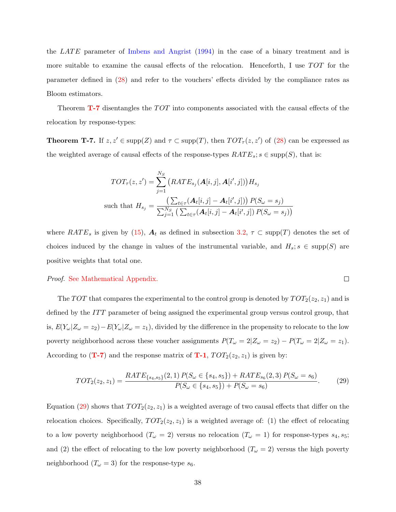the LATE parameter of [Imbens and Angrist](#page-59-0) [\(1994\)](#page-59-0) in the case of a binary treatment and is more suitable to examine the causal effects of the relocation. Henceforth, I use  $TOT$  for the parameter defined in [\(28\)](#page-36-0) and refer to the vouchers' effects divided by the compliance rates as Bloom estimators.

Theorem  $T$ -7 disentangles the  $TOT$  into components associated with the causal effects of the relocation by response-types:

<span id="page-37-0"></span>**Theorem T-7.** If  $z, z' \in \text{supp}(Z)$  and  $\tau \subset \text{supp}(T)$ , then  $TOT_{\tau}(z, z')$  of [\(28\)](#page-36-0) can be expressed as the weighted average of causal effects of the response-types  $RATE_s$ ;  $s \in \text{supp}(S)$ , that is:

$$
TOT_{\tau}(z, z') = \sum_{j=1}^{N_S} (RATE_{s_j}(\mathbf{A}[i, j], \mathbf{A}[i', j]))H_{s_j}
$$
  
such that  $H_{s_j} = \frac{\left(\sum_{t \in \tau} (\mathbf{A}_t[i, j] - \mathbf{A}_t[i', j])\right) P(S_{\omega} = s_j)}{\sum_{j=1}^{N_S} \left(\sum_{t \in \tau} (\mathbf{A}_t[i, j] - \mathbf{A}_t[i', j]) P(S_{\omega} = s_j)\right)}$ 

where  $RATE_s$  is given by [\(15\)](#page-26-0),  $A_t$  as defined in subsection [3.2,](#page-21-0)  $\tau \subset \text{supp}(T)$  denotes the set of choices induced by the change in values of the instrumental variable, and  $H_s$ ;  $s \in \text{supp}(S)$  are positive weights that total one.

### Proof. [See Mathematical Appendix.](#page-72-0)

The TOT that compares the experimental to the control group is denoted by  $TOT_2(z_2, z_1)$  and is defined by the ITT parameter of being assigned the experimental group versus control group, that is,  $E(Y_{\omega}|Z_{\omega}=z_2)-E(Y_{\omega}|Z_{\omega}=z_1)$ , divided by the difference in the propensity to relocate to the low poverty neighborhood across these voucher assignments  $P(T_{\omega} = 2|Z_{\omega} = z_2) - P(T_{\omega} = 2|Z_{\omega} = z_1)$ . According to ([T-7](#page-37-0)) and the response matrix of [T-1](#page-20-0),  $TOT_2(z_2, z_1)$  is given by:

$$
TOT_2(z_2, z_1) = \frac{RATE_{\{s_4, s_5\}}(2, 1) P(S_{\omega} \in \{s_4, s_5\}) + RATE_{s_6}(2, 3) P(S_{\omega} = s_6)}{P(S_{\omega} \in \{s_4, s_5\}) + P(S_{\omega} = s_6)}.
$$
(29)

<span id="page-37-1"></span> $\Box$ 

Equation [\(29\)](#page-37-1) shows that  $TOT_2(z_2, z_1)$  is a weighted average of two causal effects that differ on the relocation choices. Specifically,  $TOT_2(z_2, z_1)$  is a weighted average of: (1) the effect of relocating to a low poverty neighborhood  $(T_\omega = 2)$  versus no relocation  $(T_\omega = 1)$  for response-types  $s_4, s_5$ ; and (2) the effect of relocating to the low poverty neighborhood ( $T_{\omega} = 2$ ) versus the high poverty neighborhood  $(T_{\omega} = 3)$  for the response-type  $s_6$ .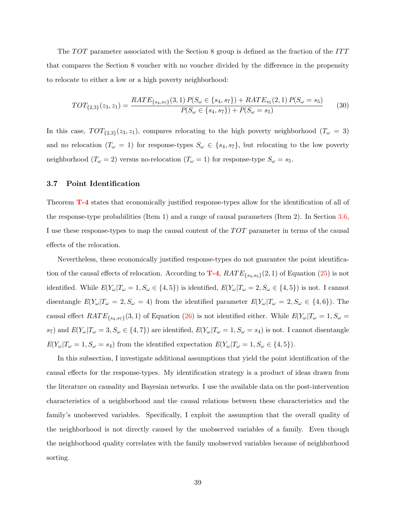The  $TOT$  parameter associated with the Section 8 group is defined as the fraction of the  $ITT$ that compares the Section 8 voucher with no voucher divided by the difference in the propensity to relocate to either a low or a high poverty neighborhood:

$$
TOT_{\{2,3\}}(z_3, z_1) = \frac{RATE_{\{s_4, s_7\}}(3, 1) P(S_{\omega} \in \{s_4, s_7\}) + RATE_{s_5}(2, 1) P(S_{\omega} = s_5)}{P(S_{\omega} \in \{s_4, s_7\}) + P(S_{\omega} = s_5)}
$$
(30)

In this case,  $TOT_{\{2,3\}}(z_3, z_1)$ , compares relocating to the high poverty neighborhood  $(T_\omega = 3)$ and no relocation  $(T_\omega = 1)$  for response-types  $S_\omega \in \{s_4, s_7\}$ , but relocating to the low poverty neighborhood ( $T_{\omega} = 2$ ) versus no-relocation ( $T_{\omega} = 1$ ) for response-type  $S_{\omega} = s_5$ .

### <span id="page-38-0"></span>3.7 Point Identification

Theorem [T-4](#page-31-0) states that economically justified response-types allow for the identification of all of the response-type probabilities (Item 1) and a range of causal parameters (Item 2). In Section [3.6,](#page-36-2) I use these response-types to map the causal content of the  $TOT$  parameter in terms of the causal effects of the relocation.

Nevertheless, these economically justified response-types do not guarantee the point identification of the causal effects of relocation. According to  $\mathbf{T-4}$  $\mathbf{T-4}$  $\mathbf{T-4}$ ,  $RATE_{\{s_4,s_5\}}(2,1)$  of Equation [\(25\)](#page-31-1) is not identified. While  $E(Y_{\omega}|T_{\omega}=1, S_{\omega}\in\{4,5\})$  is identified,  $E(Y_{\omega}|T_{\omega}=2, S_{\omega}\in\{4,5\})$  is not. I cannot disentangle  $E(Y_{\omega}|T_{\omega} = 2, S_{\omega} = 4)$  from the identified parameter  $E(Y_{\omega}|T_{\omega} = 2, S_{\omega} \in \{4, 6\})$ . The causal effect  $RATE_{\{s_4,s_7\}}(3,1)$  of Equation [\(26\)](#page-31-2) is not identified either. While  $E(Y_\omega|T_\omega=1, S_\omega=1)$ s<sub>7</sub>) and  $E(Y_{\omega}|T_{\omega}=3, S_{\omega}\in\{4, 7\})$  are identified,  $E(Y_{\omega}|T_{\omega}=1, S_{\omega}=s_4)$  is not. I cannot disentangle  $E(Y_{\omega}|T_{\omega} = 1, S_{\omega} = s_4)$  from the identified expectation  $E(Y_{\omega}|T_{\omega} = 1, S_{\omega} \in \{4, 5\}).$ 

In this subsection, I investigate additional assumptions that yield the point identification of the causal effects for the response-types. My identification strategy is a product of ideas drawn from the literature on causality and Bayesian networks. I use the available data on the post-intervention characteristics of a neighborhood and the causal relations between these characteristics and the family's unobserved variables. Specifically, I exploit the assumption that the overall quality of the neighborhood is not directly caused by the unobserved variables of a family. Even though the neighborhood quality correlates with the family unobserved variables because of neighborhood sorting.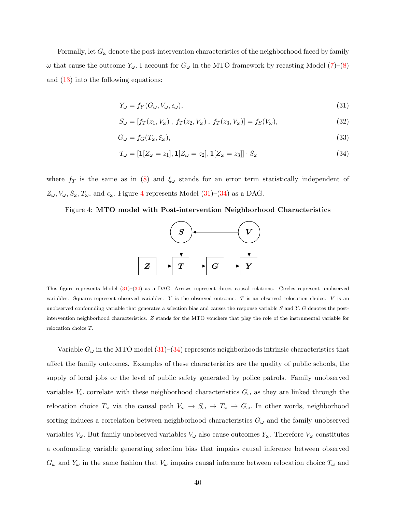Formally, let  $G_{\omega}$  denote the post-intervention characteristics of the neighborhood faced by family  $\omega$  that cause the outcome  $Y_{\omega}$ . I account for  $G_{\omega}$  in the MTO framework by recasting Model [\(7\)](#page-22-0)–[\(8\)](#page-22-1) and [\(13\)](#page-24-0) into the following equations:

<span id="page-39-1"></span>
$$
Y_{\omega} = f_Y(G_{\omega}, V_{\omega}, \epsilon_{\omega}), \qquad (31)
$$

$$
S_{\omega} = [f_T(z_1, V_{\omega}), f_T(z_2, V_{\omega}), f_T(z_3, V_{\omega})] = f_S(V_{\omega}),
$$
\n(32)

$$
G_{\omega} = f_G(T_{\omega}, \xi_{\omega}),\tag{33}
$$

<span id="page-39-2"></span>
$$
T_{\omega} = [\mathbf{1}[Z_{\omega} = z_1], \mathbf{1}[Z_{\omega} = z_2], \mathbf{1}[Z_{\omega} = z_3]] \cdot S_{\omega}
$$
\n(34)

where  $f_T$  is the same as in [\(8\)](#page-22-1) and  $\xi_\omega$  stands for an error term statistically independent of  $Z_{\omega}, V_{\omega}, S_{\omega}, T_{\omega}$ , and  $\epsilon_{\omega}$ . Figure [4](#page-39-0) represents Model [\(31\)](#page-39-1)–[\(34\)](#page-39-2) as a DAG.

### <span id="page-39-0"></span>Figure 4: MTO model with Post-intervention Neighborhood Characteristics



This figure represents Model [\(31\)](#page-39-1)–[\(34\)](#page-39-2) as a DAG. Arrows represent direct causal relations. Circles represent unobserved variables. Squares represent observed variables.  $Y$  is the observed outcome.  $T$  is an observed relocation choice.  $V$  is an unobserved confounding variable that generates a selection bias and causes the response variable S and Y. G denotes the postintervention neighborhood characteristics. Z stands for the MTO vouchers that play the role of the instrumental variable for relocation choice T.

Variable  $G_{\omega}$  in the MTO model [\(31\)](#page-39-1)–[\(34\)](#page-39-2) represents neighborhoods intrinsic characteristics that affect the family outcomes. Examples of these characteristics are the quality of public schools, the supply of local jobs or the level of public safety generated by police patrols. Family unobserved variables  $V_{\omega}$  correlate with these neighborhood characteristics  $G_{\omega}$  as they are linked through the relocation choice  $T_{\omega}$  via the causal path  $V_{\omega} \to S_{\omega} \to T_{\omega} \to G_{\omega}$ . In other words, neighborhood sorting induces a correlation between neighborhood characteristics  $G_{\omega}$  and the family unobserved variables  $V_\omega$ . But family unobserved variables  $V_\omega$  also cause outcomes  $Y_\omega$ . Therefore  $V_\omega$  constitutes a confounding variable generating selection bias that impairs causal inference between observed  $G_{\omega}$  and  $Y_{\omega}$  in the same fashion that  $V_{\omega}$  impairs causal inference between relocation choice  $T_{\omega}$  and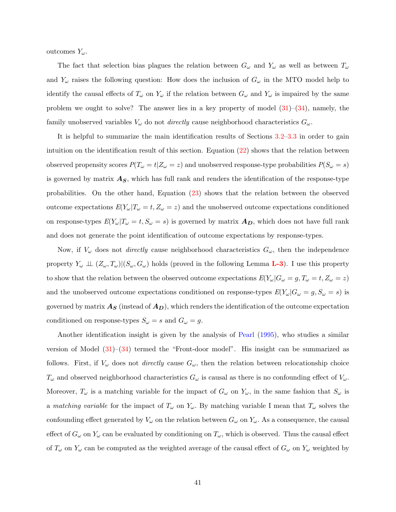outcomes  $Y_\omega$ .

The fact that selection bias plagues the relation between  $G_{\omega}$  and  $Y_{\omega}$  as well as between  $T_{\omega}$ and  $Y_{\omega}$  raises the following question: How does the inclusion of  $G_{\omega}$  in the MTO model help to identify the causal effects of  $T_{\omega}$  on  $Y_{\omega}$  if the relation between  $G_{\omega}$  and  $Y_{\omega}$  is impaired by the same problem we ought to solve? The answer lies in a key property of model  $(31)$ – $(34)$ , namely, the family unobserved variables  $V_{\omega}$  do not *directly* cause neighborhood characteristics  $G_{\omega}$ .

It is helpful to summarize the main identification results of Sections [3.2–](#page-21-0)[3.3](#page-30-0) in order to gain intuition on the identification result of this section. Equation [\(22\)](#page-28-0) shows that the relation between observed propensity scores  $P(T_{\omega} = t | Z_{\omega} = z)$  and unobserved response-type probabilities  $P(S_{\omega} = s)$ is governed by matrix  $A<sub>S</sub>$ , which has full rank and renders the identification of the response-type probabilities. On the other hand, Equation [\(23\)](#page-28-1) shows that the relation between the observed outcome expectations  $E(Y_{\omega}|T_{\omega} = t, Z_{\omega} = z)$  and the unobserved outcome expectations conditioned on response-types  $E(Y_{\omega}|T_{\omega}=t, S_{\omega}=s)$  is governed by matrix  $A_D$ , which does not have full rank and does not generate the point identification of outcome expectations by response-types.

Now, if  $V_{\omega}$  does not *directly* cause neighborhood characteristics  $G_{\omega}$ , then the independence property  $Y_\omega \perp (Z_\omega, T_\omega) | (S_\omega, G_\omega)$  holds (proved in the following Lemma **[L-3](#page-42-0)**). I use this property to show that the relation between the observed outcome expectations  $E(Y_{\omega}|G_{\omega} = g, T_{\omega} = t, Z_{\omega} = z)$ and the unobserved outcome expectations conditioned on response-types  $E(Y_{\omega}|G_{\omega} = g, S_{\omega} = s)$  is governed by matrix  $A_S$  (instead of  $A_D$ ), which renders the identification of the outcome expectation conditioned on response-types  $S_{\omega} = s$  and  $G_{\omega} = g$ .

Another identification insight is given by the analysis of [Pearl](#page-60-0) [\(1995\)](#page-60-0), who studies a similar version of Model [\(31\)](#page-39-1)–[\(34\)](#page-39-2) termed the "Front-door model". His insight can be summarized as follows. First, if  $V_{\omega}$  does not *directly* cause  $G_{\omega}$ , then the relation between relocationship choice  $T_{\omega}$  and observed neighborhood characteristics  $G_{\omega}$  is causal as there is no confounding effect of  $V_{\omega}$ . Moreover,  $T_{\omega}$  is a matching variable for the impact of  $G_{\omega}$  on  $Y_{\omega}$ , in the same fashion that  $S_{\omega}$  is a matching variable for the impact of  $T_{\omega}$  on  $Y_{\omega}$ . By matching variable I mean that  $T_{\omega}$  solves the confounding effect generated by  $V_\omega$  on the relation between  $G_\omega$  on  $Y_\omega$ . As a consequence, the causal effect of  $G_{\omega}$  on  $Y_{\omega}$  can be evaluated by conditioning on  $T_{\omega}$ , which is observed. Thus the causal effect of  $T_{\omega}$  on  $Y_{\omega}$  can be computed as the weighted average of the causal effect of  $G_{\omega}$  on  $Y_{\omega}$  weighted by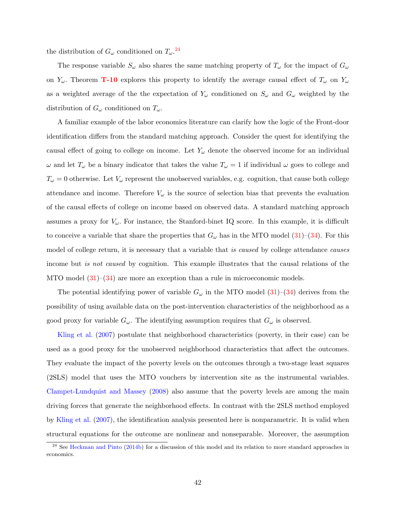the distribution of  $G_{\omega}$  conditioned on  $T_{\omega}$ .<sup>[24](#page-41-0)</sup>

The response variable  $S_{\omega}$  also shares the same matching property of  $T_{\omega}$  for the impact of  $G_{\omega}$ on  $Y_\omega$ . Theorem **[T-10](#page-43-0)** explores this property to identify the average causal effect of  $T_\omega$  on  $Y_\omega$ as a weighted average of the the expectation of  $Y_\omega$  conditioned on  $S_\omega$  and  $G_\omega$  weighted by the distribution of  $G_{\omega}$  conditioned on  $T_{\omega}$ .

A familiar example of the labor economics literature can clarify how the logic of the Front-door identification differs from the standard matching approach. Consider the quest for identifying the causal effect of going to college on income. Let  $Y_\omega$  denote the observed income for an individual  $\omega$  and let  $T_{\omega}$  be a binary indicator that takes the value  $T_{\omega} = 1$  if individual  $\omega$  goes to college and  $T_{\omega} = 0$  otherwise. Let  $V_{\omega}$  represent the unobserved variables, e.g. cognition, that cause both college attendance and income. Therefore  $V_{\omega}$  is the source of selection bias that prevents the evaluation of the causal effects of college on income based on observed data. A standard matching approach assumes a proxy for  $V_\omega$ . For instance, the Stanford-binet IQ score. In this example, it is difficult to conceive a variable that share the properties that  $G_{\omega}$  has in the MTO model [\(31\)](#page-39-1)–[\(34\)](#page-39-2). For this model of college return, it is necessary that a variable that is caused by college attendance causes income but *is not caused* by cognition. This example illustrates that the causal relations of the MTO model  $(31)$ – $(34)$  are more an exception than a rule in microeconomic models.

The potential identifying power of variable  $G_{\omega}$  in the MTO model [\(31\)](#page-39-1)–[\(34\)](#page-39-2) derives from the possibility of using available data on the post-intervention characteristics of the neighborhood as a good proxy for variable  $G_{\omega}$ . The identifying assumption requires that  $G_{\omega}$  is observed.

[Kling et al.](#page-59-1) [\(2007\)](#page-59-1) postulate that neighborhood characteristics (poverty, in their case) can be used as a good proxy for the unobserved neighborhood characteristics that affect the outcomes. They evaluate the impact of the poverty levels on the outcomes through a two-stage least squares (2SLS) model that uses the MTO vouchers by intervention site as the instrumental variables. [Clampet-Lundquist and Massey](#page-57-0) [\(2008\)](#page-57-0) also assume that the poverty levels are among the main driving forces that generate the neighborhood effects. In contrast with the 2SLS method employed by [Kling et al.](#page-59-1) [\(2007\)](#page-59-1), the identification analysis presented here is nonparametric. It is valid when structural equations for the outcome are nonlinear and nonseparable. Moreover, the assumption

<span id="page-41-0"></span><sup>&</sup>lt;sup>24</sup> See [Heckman and Pinto](#page-58-0) [\(2014b\)](#page-58-0) for a discussion of this model and its relation to more standard approaches in economics.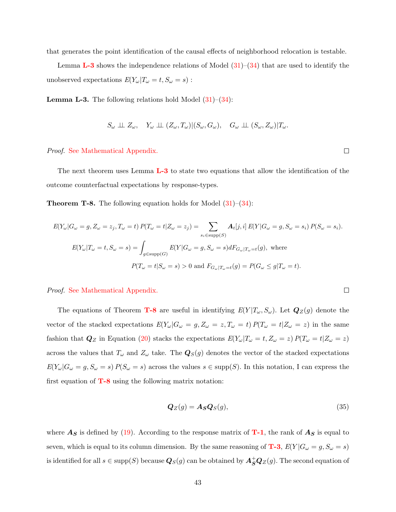that generates the point identification of the causal effects of neighborhood relocation is testable.

Lemma **[L-3](#page-42-0)** shows the independence relations of Model  $(31)-(34)$  $(31)-(34)$  $(31)-(34)$  that are used to identify the unobserved expectations  $E(Y_{\omega}|T_{\omega} = t, S_{\omega} = s)$ :

<span id="page-42-0"></span>**Lemma L-3.** The following relations hold Model  $(31)–(34)$  $(31)–(34)$  $(31)–(34)$ :

$$
S_{\omega} \perp \!\!\!\perp Z_{\omega}, \quad Y_{\omega} \perp \!\!\!\perp (Z_{\omega}, T_{\omega}) | (S_{\omega}, G_{\omega}), \quad G_{\omega} \perp \!\!\!\perp (S_{\omega}, Z_{\omega}) | T_{\omega}.
$$

Proof. [See Mathematical Appendix.](#page-73-0)

The next theorem uses Lemma [L-3](#page-42-0) to state two equations that allow the identification of the outcome counterfactual expectations by response-types.

<span id="page-42-1"></span>**Theorem T-8.** The following equation holds for Model  $(31)$ – $(34)$ :

$$
E(Y_{\omega}|G_{\omega} = g, Z_{\omega} = z_j, T_{\omega} = t) P(T_{\omega} = t | Z_{\omega} = z_j) = \sum_{s_i \in \text{supp}(S)} \mathbf{A}_t[j, i] E(Y | G_{\omega} = g, S_{\omega} = s_i) P(S_{\omega} = s_i).
$$
  

$$
E(Y_{\omega}|T_{\omega} = t, S_{\omega} = s) = \int_{g \in \text{supp}(G)} E(Y | G_{\omega} = g, S_{\omega} = s) dF_{G_{\omega}|T_{\omega} = t}(g), \text{ where}
$$
  

$$
P(T_{\omega} = t | S_{\omega} = s) > 0 \text{ and } F_{G_{\omega}|T_{\omega} = t}(g) = P(G_{\omega} \le g | T_{\omega} = t).
$$

Proof. [See Mathematical Appendix.](#page-74-0)

The equations of Theorem **[T-8](#page-42-1)** are useful in identifying  $E(Y|T_\omega, S_\omega)$ . Let  $Q_Z(g)$  denote the vector of the stacked expectations  $E(Y_{\omega}|G_{\omega} = g, Z_{\omega} = z, T_{\omega} = t) P(T_{\omega} = t | Z_{\omega} = z)$  in the same fashion that  $Q_Z$  in Equation [\(20\)](#page-28-2) stacks the expectations  $E(Y_\omega | T_\omega = t, Z_\omega = z) P(T_\omega = t | Z_\omega = z)$ across the values that  $T_{\omega}$  and  $Z_{\omega}$  take. The  $\mathbf{Q}_{S}(g)$  denotes the vector of the stacked expectations  $E(Y_{\omega}|G_{\omega} = g, S_{\omega} = s)P(S_{\omega} = s)$  across the values  $s \in \text{supp}(S)$ . In this notation, I can express the first equation of  $T-8$  using the following matrix notation:

$$
\mathbf{Q}_Z(g) = \mathbf{A}_S \mathbf{Q}_S(g),\tag{35}
$$

where  $A_S$  is defined by [\(19\)](#page-27-0). According to the response matrix of **[T-1](#page-20-0)**, the rank of  $A_S$  is equal to seven, which is equal to its column dimension. By the same reasoning of **[T-3](#page-29-1)**,  $E(Y|G_\omega = g, S_\omega = s)$ is identified for all  $s \in \text{supp}(S)$  because  $\bm{Q}_S(g)$  can be obtained by  $\bm{A}_{\bm{S}}^+\bm{Q}_Z(g)$ . The second equation of

 $\Box$ 

<span id="page-42-2"></span> $\Box$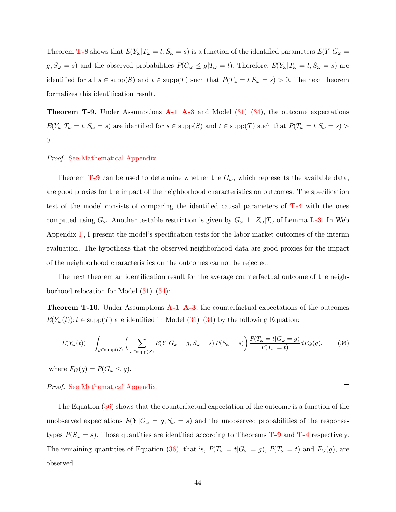Theorem **[T-8](#page-42-1)** shows that  $E(Y_{\omega}|T_{\omega} = t, S_{\omega} = s)$  is a function of the identified parameters  $E(Y|G_{\omega} = t)$  $g, S_{\omega} = s$ ) and the observed probabilities  $P(G_{\omega} \leq g | T_{\omega} = t)$ . Therefore,  $E(Y_{\omega} | T_{\omega} = t, S_{\omega} = s)$  are identified for all  $s \in \text{supp}(S)$  and  $t \in \text{supp}(T)$  such that  $P(T_\omega = t | S_\omega = s) > 0$ . The next theorem formalizes this identification result.

<span id="page-43-1"></span>**Theorem T-9.** Under Assumptions  $\mathbf{A}\text{-}1-\mathbf{A}\text{-}3$  and Model [\(31\)](#page-39-1)–[\(34\)](#page-39-2), the outcome expectations  $E(Y_{\omega}|T_{\omega} = t, S_{\omega} = s)$  are identified for  $s \in \text{supp}(S)$  and  $t \in \text{supp}(T)$  such that  $P(T_{\omega} = t | S_{\omega} = s)$ 0.

### Proof. [See Mathematical Appendix.](#page-74-1)

Theorem **[T-9](#page-43-1)** can be used to determine whether the  $G_{\omega}$ , which represents the available data, are good proxies for the impact of the neighborhood characteristics on outcomes. The specification test of the model consists of comparing the identified causal parameters of [T-4](#page-31-0) with the ones computed using  $G_{\omega}$ . Another testable restriction is given by  $G_{\omega} \perp \!\!\!\perp Z_{\omega} | T_{\omega}$  of Lemma **[L-3](#page-42-0)**. In Web Appendix  $\bf{F}$ , I present the model's specification tests for the labor market outcomes of the interim evaluation. The hypothesis that the observed neighborhood data are good proxies for the impact of the neighborhood characteristics on the outcomes cannot be rejected.

The next theorem an identification result for the average counterfactual outcome of the neighborhood relocation for Model  $(31)–(34)$  $(31)–(34)$  $(31)–(34)$ :

<span id="page-43-0"></span>**Theorem T-10.** Under Assumptions  $\mathbf{A}\text{-}1-\mathbf{A}\text{-}3$ , the counterfactual expectations of the outcomes  $E(Y_\omega(t))$ ;  $t \in \text{supp}(T)$  are identified in Model  $(31)$ – $(34)$  by the following Equation:

$$
E(Y_{\omega}(t)) = \int_{g \in \text{supp}(G)} \left( \sum_{s \in \text{supp}(S)} E(Y|G_{\omega} = g, S_{\omega} = s) P(S_{\omega} = s) \right) \frac{P(T_{\omega} = t|G_{\omega} = g)}{P(T_{\omega} = t)} dF_G(g), \tag{36}
$$

where  $F_G(g) = P(G_\omega \leq g)$ .

### Proof. [See Mathematical Appendix.](#page-74-0)

The Equation [\(36\)](#page-43-2) shows that the counterfactual expectation of the outcome is a function of the unobserved expectations  $E(Y|G_{\omega} = g, S_{\omega} = s)$  and the unobserved probabilities of the responsetypes  $P(S_\omega = s)$ . Those quantities are identified according to Theorems **[T-9](#page-43-1)** and **[T-4](#page-31-0)** respectively. The remaining quantities of Equation [\(36\)](#page-43-2), that is,  $P(T_{\omega} = t | G_{\omega} = g)$ ,  $P(T_{\omega} = t)$  and  $F_G(g)$ , are observed.

<span id="page-43-2"></span> $\Box$ 

 $\Box$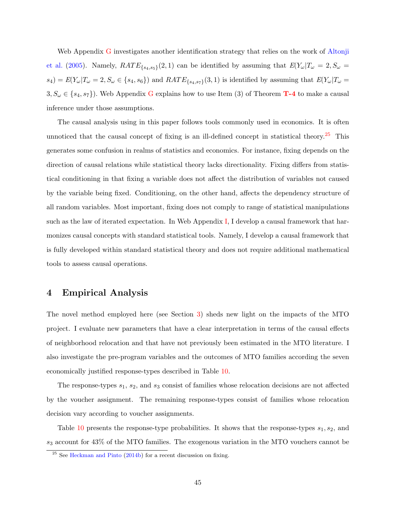Web Appendix [G](#page-92-0) investigates another identification strategy that relies on the work of [Altonji](#page-56-1) [et al.](#page-56-1) [\(2005\)](#page-56-1). Namely,  $RATE_{\{s_4,s_5\}}(2,1)$  can be identified by assuming that  $E(Y_\omega | T_\omega = 2, S_\omega =$  $s_4) = E(Y_\omega | T_\omega = 2, S_\omega \in \{s_4, s_6\})$  and  $RATE_{\{s_4, s_7\}}(3, 1)$  is identified by assuming that  $E(Y_\omega | T_\omega = 1)$  $3, S_{\omega} \in \{s_4, s_7\}$ . Web Appendix [G](#page-92-0) explains how to use Item (3) of Theorem **[T-4](#page-31-0)** to make a causal inference under those assumptions.

The causal analysis using in this paper follows tools commonly used in economics. It is often unnoticed that the causal concept of fixing is an ill-defined concept in statistical theory.<sup>[25](#page-44-0)</sup> This generates some confusion in realms of statistics and economics. For instance, fixing depends on the direction of causal relations while statistical theory lacks directionality. Fixing differs from statistical conditioning in that fixing a variable does not affect the distribution of variables not caused by the variable being fixed. Conditioning, on the other hand, affects the dependency structure of all random variables. Most important, fixing does not comply to range of statistical manipulations such as the law of iterated expectation. In Web Appendix [I,](#page-95-0) I develop a causal framework that harmonizes causal concepts with standard statistical tools. Namely, I develop a causal framework that is fully developed within standard statistical theory and does not require additional mathematical tools to assess causal operations.

# 4 Empirical Analysis

The novel method employed here (see Section [3\)](#page-18-0) sheds new light on the impacts of the MTO project. I evaluate new parameters that have a clear interpretation in terms of the causal effects of neighborhood relocation and that have not previously been estimated in the MTO literature. I also investigate the pre-program variables and the outcomes of MTO families according the seven economically justified response-types described in Table [10.](#page-45-0)

The response-types  $s_1$ ,  $s_2$ , and  $s_3$  consist of families whose relocation decisions are not affected by the voucher assignment. The remaining response-types consist of families whose relocation decision vary according to voucher assignments.

Table [10](#page-45-0) presents the response-type probabilities. It shows that the response-types  $s_1, s_2$ , and  $s_3$  account for  $43\%$  of the MTO families. The exogenous variation in the MTO vouchers cannot be

<span id="page-44-0"></span><sup>25</sup> See [Heckman and Pinto](#page-58-0) [\(2014b\)](#page-58-0) for a recent discussion on fixing.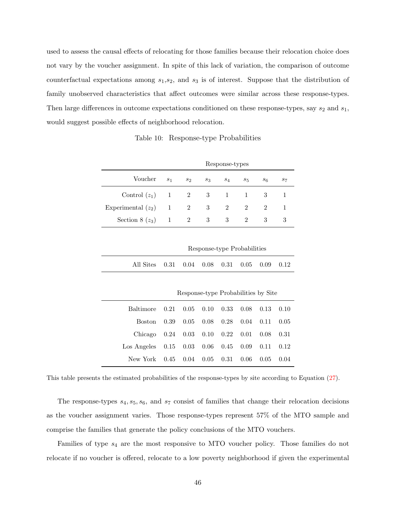used to assess the causal effects of relocating for those families because their relocation choice does not vary by the voucher assignment. In spite of this lack of variation, the comparison of outcome counterfactual expectations among  $s_1,s_2$ , and  $s_3$  is of interest. Suppose that the distribution of family unobserved characteristics that affect outcomes were similar across these response-types. Then large differences in outcome expectations conditioned on these response-types, say  $s_2$  and  $s_1$ , would suggest possible effects of neighborhood relocation.

Table 10: Response-type Probabilities

<span id="page-45-0"></span>

|                                       |  |                | Response-types |     |                           |       |
|---------------------------------------|--|----------------|----------------|-----|---------------------------|-------|
| Voucher $s_1$ $s_2$ $s_3$ $s_4$ $s_5$ |  |                |                |     | $s_6$                     | $S_7$ |
| Control $(z_1)$ 1 2 3 1 1             |  |                |                |     | $\overline{\phantom{a}3}$ |       |
| Experimental $(z_2)$ 1 2              |  |                | 3 2            | - 2 | 2                         |       |
| Section 8 $(z_3)$ 1 2                 |  | 3 <sup>3</sup> | 3 <sup>3</sup> | 2   | - 3                       | 3     |

Response-type Probabilities All Sites 0.31 0.04 0.08 0.31 0.05 0.09 0.12

|                                         |      |      |                      |      | Response-type Probabilities by Site |      |      |
|-----------------------------------------|------|------|----------------------|------|-------------------------------------|------|------|
| Baltimore 0.21                          |      |      | $0.05$ $0.10$ $0.33$ |      | 0.08                                | 0.13 | 0.10 |
| Boston.                                 | 0.39 | 0.05 | 0.08                 | 0.28 | 0.04                                | 0.11 | 0.05 |
| Chicago $0.24$ $0.03$ $0.10$ $0.22$     |      |      |                      |      | 0.01                                | 0.08 | 0.31 |
| Los Angeles $0.15$ $0.03$ $0.06$ $0.45$ |      |      |                      |      | 0.09                                | 0.11 | 0.12 |
| New York                                | 0.45 | 0.04 | 0.05                 | 0.31 | 0.06                                | 0.05 | 0.04 |

This table presents the estimated probabilities of the response-types by site according to Equation [\(27\)](#page-32-0).

The response-types  $s_4, s_5, s_6$ , and  $s_7$  consist of families that change their relocation decisions as the voucher assignment varies. Those response-types represent 57% of the MTO sample and comprise the families that generate the policy conclusions of the MTO vouchers.

Families of type  $s_4$  are the most responsive to MTO voucher policy. Those families do not relocate if no voucher is offered, relocate to a low poverty neighborhood if given the experimental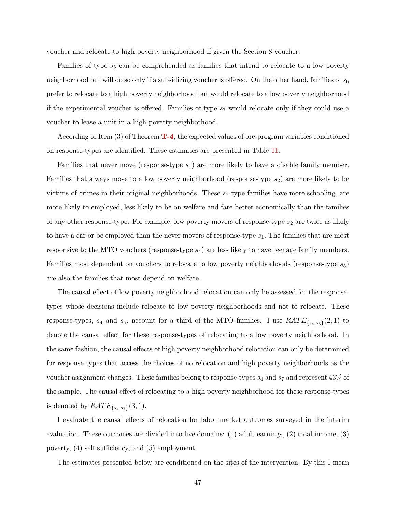voucher and relocate to high poverty neighborhood if given the Section 8 voucher.

Families of type  $s_5$  can be comprehended as families that intend to relocate to a low poverty neighborhood but will do so only if a subsidizing voucher is offered. On the other hand, families of  $s_6$ prefer to relocate to a high poverty neighborhood but would relocate to a low poverty neighborhood if the experimental voucher is offered. Families of type  $s<sub>7</sub>$  would relocate only if they could use a voucher to lease a unit in a high poverty neighborhood.

According to Item  $(3)$  of Theorem  $T-4$ , the expected values of pre-program variables conditioned on response-types are identified. These estimates are presented in Table [11.](#page-47-0)

Families that never move (response-type  $s_1$ ) are more likely to have a disable family member. Families that always move to a low poverty neighborhood (response-type  $s_2$ ) are more likely to be victims of crimes in their original neighborhoods. These  $s_2$ -type families have more schooling, are more likely to employed, less likely to be on welfare and fare better economically than the families of any other response-type. For example, low poverty movers of response-type  $s_2$  are twice as likely to have a car or be employed than the never movers of response-type  $s_1$ . The families that are most responsive to the MTO vouchers (response-type s4) are less likely to have teenage family members. Families most dependent on vouchers to relocate to low poverty neighborhoods (response-type  $s_5$ ) are also the families that most depend on welfare.

The causal effect of low poverty neighborhood relocation can only be assessed for the responsetypes whose decisions include relocate to low poverty neighborhoods and not to relocate. These response-types,  $s_4$  and  $s_5$ , account for a third of the MTO families. I use  $RATE_{\{s_4,s_5\}}(2,1)$  to denote the causal effect for these response-types of relocating to a low poverty neighborhood. In the same fashion, the causal effects of high poverty neighborhood relocation can only be determined for response-types that access the choices of no relocation and high poverty neighborhoods as the voucher assignment changes. These families belong to response-types  $s_4$  and  $s_7$  and represent 43% of the sample. The causal effect of relocating to a high poverty neighborhood for these response-types is denoted by  $RATE_{\{s_4,s_7\}}(3,1)$ .

I evaluate the causal effects of relocation for labor market outcomes surveyed in the interim evaluation. These outcomes are divided into five domains: (1) adult earnings, (2) total income, (3) poverty, (4) self-sufficiency, and (5) employment.

The estimates presented below are conditioned on the sites of the intervention. By this I mean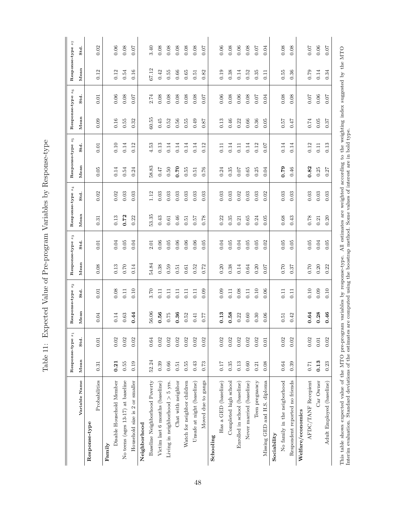Table 11: Expected Value of Pre-program Variables by Response-type Table 11: Expected Value of Pre-program Variables by Response-type

<span id="page-47-0"></span>

|                                                                                   |                  | Response-type s1 | Response-type s2 |          | Response-type s3 |          |                            | Response-type s <sub>4</sub> | Response-type s5 |            |                  | Response-type $\boldsymbol{s}_6$                      | Response-type |                |
|-----------------------------------------------------------------------------------|------------------|------------------|------------------|----------|------------------|----------|----------------------------|------------------------------|------------------|------------|------------------|-------------------------------------------------------|---------------|----------------|
|                                                                                   |                  |                  |                  |          |                  |          |                            |                              |                  |            |                  |                                                       |               | s <sub>7</sub> |
| Variable Name                                                                     | M <sub>ean</sub> | Std.             | Mean             | Std.     | M <sub>ean</sub> | Std.     | Mean                       | Std.                         | M <sub>ean</sub> | Std.       | M <sub>ean</sub> | Std.                                                  | Mean          | $_{\rm std}$   |
| Response-type                                                                     |                  |                  |                  |          |                  |          |                            |                              |                  |            |                  |                                                       |               |                |
| Probabilities                                                                     | 0.31             | 0.01             | 0.04             | 0.01     | 0.08             | 0.01     | 0.31                       | 0.02                         | 0.05             | 0.01       | 0.09             | 0.01                                                  | 0.12          | 0.02           |
| Family                                                                            |                  |                  |                  |          |                  |          |                            |                              |                  |            |                  |                                                       |               |                |
| Disable Household Member                                                          | 0.21             | $0.02\,$         | 0.14             | 0.08     | 0.13             | 0.04     | $\!0.13\!$                 | 0.02                         | 0.14             | 0.10       | 0.16             | 0.06                                                  | 0.12          | 0.06           |
| No teens (ages 13-17) at baseline                                                 | 0.55             | 0.02             | $\!0.63\!$       | 0.11     | 0.70             | $0.05\,$ | 0.72                       | 0.03                         | 0.54             | 0.14       | $0.55\,$         | 0.08                                                  | 0.54          | 0.08           |
| Household size is 2 or smaller                                                    | 0.19             | 0.02             | 0.44             | 0.10     | 0.14             | 0.04     | 0.22                       | 0.03                         | 0.24             | 0.12       | 0.32             | 0.07                                                  | 0.16          | 0.07           |
| Neighborhood                                                                      |                  |                  |                  |          |                  |          |                            |                              |                  |            |                  |                                                       |               |                |
| Baseline Neighborhood Poverty                                                     | 52.24            | 0.64             | 56.06            | $3.70\,$ | 54.84            | 2.01     | 53.35                      | 1.12                         | 58.83            | 4.53       | 60.55            | 2.74                                                  | 67.12         | 3.40           |
| Victim last 6 months (baseline)                                                   | 0.39             | 0.02             | 0.56             | 0.11     | $\rm 0.38$       | $0.06\,$ | 0.43                       | 0.03                         | $0.47$           | $\!0.13\!$ | 0.45             | 0.08                                                  | 0.42          | 0.08           |
| Living in neighborhood $> 5$ yrs.                                                 | 0.66             | 0.02             | 0.75             | 0.11     | 0.59             | 0.05     | 0.61                       | 0.03                         | 0.50             | 0.14       | 0.52             | 0.08                                                  | 0.55          | 0.08           |
| Chat with neighbor                                                                | 0.51             | $0.02\,$         | 0.36             | 0.11     | 0.51             | $0.06\,$ | 0.46                       | 0.03                         | 0.70             | 0.14       | $0.56\,$         | 0.08                                                  | 0.66          | 0.08           |
| Watch for neighbor children                                                       | 0.55             | 0.02             | $0.52\,$         | 0.11     | 0.61             | 0.06     | 0.51                       | 0.03                         | 0.55             | 0.14       | 0.55             | 0.08                                                  | 0.65          | 0.08           |
| Unsafe at night (baseline)                                                        | 0.43             | 0.02             | 0.41             | 0.11     | 0.52             | 0.06     | 0.57                       | 0.03                         | 0.51             | 0.14       | 0.49             | 0.08                                                  | 0.51          | 0.08           |
| Moved due to gangs                                                                | 0.73             | 0.02             | 0.77             | 0.09     | 0.72             | 0.05     | 0.78                       | 0.03                         | 0.76             | 0.12       | 0.87             | 0.07                                                  | 0.82          | 0.07           |
| Schooling                                                                         |                  |                  |                  |          |                  |          |                            |                              |                  |            |                  |                                                       |               |                |
| Has a GED (baseline)                                                              | 0.17             | 0.02             | 0.13             | 0.09     | 0.20             | 0.04     | 0.22                       | 0.03                         | 0.24             | 0.11       | 0.13             | 0.06                                                  | 0.19          | $0.06\,$       |
| Completed high school                                                             | 0.35             | 0.02             | 0.58             | 0.11     | 0.38             | 0.05     | 0.35                       | 0.03                         | 0.35             | 0.14       | $0.46\,$         | 0.08                                                  | $0.38\,$      | $0.08\,$       |
| Enrolled in school (baseline)                                                     | 0.13             | 0.02             | 0.22             | 0.08     | 0.14             | 0.04     | 0.21                       | 0.02                         | $0.07$           | 0.11       | 0.22             | 0.06                                                  | 0.14          | 0.06           |
| Never married (baseline)                                                          | $0.60\,$         | 0.02             | 0.60             | $0.11\,$ | $\!0.64\!$       | $0.05\,$ | 0.65                       | 0.03                         | $0.65\,$         | 0.14       | 0.66             | 0.08                                                  | 0.52          | 0.08           |
| Teen pregnancy                                                                    | 0.21             | 0.02             | 0.30             | $0.10\,$ | 0.20             | 0.05     | 0.24                       | 0.03                         | 0.25             | $\!0.12\!$ | 0.36             | 0.07                                                  | 0.35          | 0.07           |
| Missing GED and H.S. diploma                                                      | 0.08             | 0.01             | 0.06             | 0.06     | 0.07             | 0.02     | 0.05                       | 0.02                         | 0.04             | 0.07       | 0.05             | 0.04                                                  | 0.11          | 0.04           |
| Sociability                                                                       |                  |                  |                  |          |                  |          |                            |                              |                  |            |                  |                                                       |               |                |
| No family in the neigborhood                                                      | 0.64             | 0.02             | 0.51             | 0.11     | 0.70             | 0.05     | 0.68                       | 0.03                         | 0.79             | 0.14       | 0.57             | $0.08\,$                                              | 0.55          | 0.08           |
| Respondent reported no friends                                                    | 0.39             | 0.02             | 0.42             | 0.11     | 0.37             | 0.05     | 0.43                       | 0.03                         | 0.46             | 0.14       | 0.47             | 0.08                                                  | 0.36          | 0.08           |
| Welfare/economics                                                                 |                  |                  |                  |          |                  |          |                            |                              |                  |            |                  |                                                       |               |                |
| AFDC/TANF Recepient                                                               | $0.71\,$         | 0.02             | 0.64             | $0.10\,$ | 0.70             | $0.05\,$ | 0.78                       | $0.03\,$                     | 0.82             | 0.12       | $0.74\,$         | 0.07                                                  | $0.79\,$      | 0.07           |
| Car Owner                                                                         | 0.13             | 0.01             | 0.28             | 0.09     | 0.20             | 0.04     | 0.21                       | 0.03                         | 0.25             | 0.11       | 0.05             | $0.06\,$                                              | 0.14          | $0.06\,$       |
| Adult Employed (baseline)                                                         | 0.23             | 0.02             | 0.46             | 0.10     | 0.22             | 0.05     | 0.20                       | 0.03                         | 0.27             | 0.13       | 0.37             | 0.07                                                  | 0.34          | 0.07           |
| This table shows expected value of the MTO pre-program variables by response-type |                  |                  |                  |          |                  |          | All estimates are weighted |                              |                  |            |                  | according to the weighting index suggested by the MTO |               |                |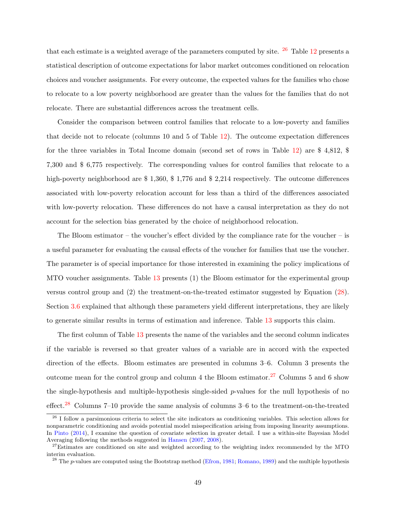that each estimate is a weighted average of the parameters computed by site.  $26$  Table [12](#page-49-0) presents a statistical description of outcome expectations for labor market outcomes conditioned on relocation choices and voucher assignments. For every outcome, the expected values for the families who chose to relocate to a low poverty neighborhood are greater than the values for the families that do not relocate. There are substantial differences across the treatment cells.

Consider the comparison between control families that relocate to a low-poverty and families that decide not to relocate (columns 10 and 5 of Table [12\)](#page-49-0). The outcome expectation differences for the three variables in Total Income domain (second set of rows in Table [12\)](#page-49-0) are \$ 4,812, \$ 7,300 and \$ 6,775 respectively. The corresponding values for control families that relocate to a high-poverty neighborhood are \$1,360, \$1,776 and \$2,214 respectively. The outcome differences associated with low-poverty relocation account for less than a third of the differences associated with low-poverty relocation. These differences do not have a causal interpretation as they do not account for the selection bias generated by the choice of neighborhood relocation.

The Bloom estimator – the voucher's effect divided by the compliance rate for the voucher – is a useful parameter for evaluating the causal effects of the voucher for families that use the voucher. The parameter is of special importance for those interested in examining the policy implications of MTO voucher assignments. Table [13](#page-51-0) presents (1) the Bloom estimator for the experimental group versus control group and (2) the treatment-on-the-treated estimator suggested by Equation [\(28\)](#page-36-0). Section [3.6](#page-36-2) explained that although these parameters yield different interpretations, they are likely to generate similar results in terms of estimation and inference. Table [13](#page-51-0) supports this claim.

The first column of Table [13](#page-51-0) presents the name of the variables and the second column indicates if the variable is reversed so that greater values of a variable are in accord with the expected direction of the effects. Bloom estimates are presented in columns 3–6. Column 3 presents the outcome mean for the control group and column 4 the Bloom estimator.<sup>[27](#page-48-1)</sup> Columns 5 and 6 show the single-hypothesis and multiple-hypothesis single-sided  $p$ -values for the null hypothesis of no effect.<sup>[28](#page-48-2)</sup> Columns 7–10 provide the same analysis of columns 3–6 to the treatment-on-the-treated

<span id="page-48-0"></span> $26$  I follow a parsimonious criteria to select the site indicators as conditioning variables. This selection allows for nonparametric conditioning and avoids potential model misspecification arising from imposing linearity assumptions. In [Pinto](#page-60-1) [\(2014\)](#page-60-1), I examine the question of covariate selection in greater detail. I use a within-site Bayesian Model Averaging following the methods suggested in [Hansen](#page-58-1) [\(2007,](#page-58-1) [2008\)](#page-58-2).

<span id="page-48-1"></span><sup>&</sup>lt;sup>27</sup>Estimates are conditioned on site and weighted according to the weighting index recommended by the MTO interim evaluation.

<span id="page-48-2"></span><sup>&</sup>lt;sup>28</sup> The p-values are computed using the Bootstrap method [\(Efron,](#page-57-1) [1981;](#page-57-1) [Romano,](#page-60-2) [1989\)](#page-60-2) and the multiple hypothesis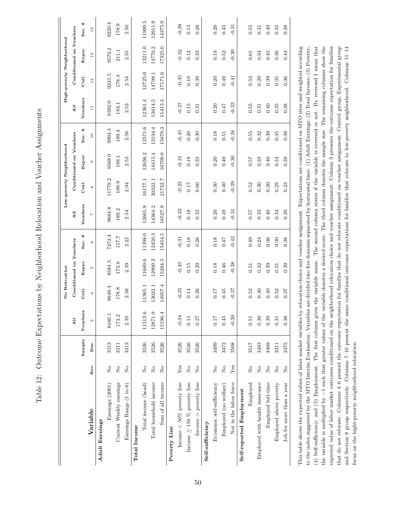| l<br>$\frac{1}{2}$<br>)<br>י<br>בי<br>l<br>ĺ<br>į<br>Ì                                                                                                                                                                                                                                                                                                                                                                                                                                                                                                                                                                                     |
|--------------------------------------------------------------------------------------------------------------------------------------------------------------------------------------------------------------------------------------------------------------------------------------------------------------------------------------------------------------------------------------------------------------------------------------------------------------------------------------------------------------------------------------------------------------------------------------------------------------------------------------------|
| $\frac{1}{2}$<br>j                                                                                                                                                                                                                                                                                                                                                                                                                                                                                                                                                                                                                         |
| $\sum$<br>$-1$<br>$\frac{1}{2}$<br>֧֧֧֧֧֧֧֧֧֧֧֧֧֧֧֧֧֧֧֛֪֧֧֚֝֟֓֝֬֝֬֝֬֝֬֝֓֝֬֝֬֝֬֝֬֟֟֓֝֬֟֬֟֓֟֬֟֬֝֬֜֝֬֟                                                                                                                                                                                                                                                                                                                                                                                                                                                                                                                                        |
| ļ<br>$\frac{1}{2}$<br>l                                                                                                                                                                                                                                                                                                                                                                                                                                                                                                                                                                                                                    |
| $\ddot{\phantom{0}}$<br>$\frac{1}{2}$<br>į<br>)<br>$-1 - 2$                                                                                                                                                                                                                                                                                                                                                                                                                                                                                                                                                                                |
| ١<br>ית היידים היה<br>i<br>I                                                                                                                                                                                                                                                                                                                                                                                                                                                                                                                                                                                                               |
| $\begin{array}{c} \n \downarrow \\ \n \downarrow \\ \n \downarrow \\ \n \downarrow \\ \n \downarrow \\ \n \downarrow \\ \n \downarrow \\ \n \downarrow \\ \n \downarrow \\ \n \downarrow \\ \n \downarrow \\ \n \downarrow \\ \n \downarrow \\ \n \downarrow \\ \n \downarrow \\ \n \downarrow \\ \n \downarrow \\ \n \downarrow \\ \n \downarrow \\ \n \downarrow \\ \n \downarrow \\ \n \downarrow \\ \n \downarrow \\ \n \downarrow \\ \n \downarrow \\ \n \downarrow \\ \n \downarrow \\ \n \downarrow \\ \n \downarrow \\ \n \downarrow \\ \n \downarrow \\ \n \downarrow \\ \n \downarrow \\ \n \downarrow \\ \n \downarrow \\ \n \$ |
| $\frac{1}{4}$<br>こくりょう<br>$\vdash$                                                                                                                                                                                                                                                                                                                                                                                                                                                                                                                                                                                                         |

<span id="page-49-0"></span>

|                                                                                                                                                                                 |                                                                        |        |          | No Relocation |                         |           |                |              | Low-poverty Neighborhood |                 |                                                                                                         |         | High-poverty Neighborhood |           |
|---------------------------------------------------------------------------------------------------------------------------------------------------------------------------------|------------------------------------------------------------------------|--------|----------|---------------|-------------------------|-----------|----------------|--------------|--------------------------|-----------------|---------------------------------------------------------------------------------------------------------|---------|---------------------------|-----------|
|                                                                                                                                                                                 |                                                                        |        | All      |               | Conditioned on Vouchers |           | $\overline{A}$ |              | Conditioned on Vouchers  |                 | $\overline{A}$ ll                                                                                       |         | Conditioned on Vouchers   |           |
|                                                                                                                                                                                 |                                                                        | Sample | Vouchers | Cntl.         | Exper.                  | œ<br>Sec. | Vouchers       | Cntl.        | Exper.                   | œ<br>Sec.       | Vouchers                                                                                                | Cntl.   | Exper.                    | œ<br>Sec. |
| Variable                                                                                                                                                                        | Rev.                                                                   | Size   | 3        | 4             | ŁQ                      | G         | $\overline{z}$ | ${}^{\circ}$ | $\circ$                  | $\overline{10}$ | $\Xi$                                                                                                   | $12\,$  | 13                        | 14        |
| Adult Earnings                                                                                                                                                                  |                                                                        |        |          |               |                         |           |                |              |                          |                 |                                                                                                         |         |                           |           |
| Earnings (2001)                                                                                                                                                                 | $\rm \stackrel{\circ}{\rm \stackrel{\circ}{\rm \scriptscriptstyle M}}$ | 3313   | 8440.1   | 8649.3        | 8584.5                  | 7472.4    | 9684.8         | 11779.2      | 9568.0                   | 9994.3          | 9392.0                                                                                                  | 9235.5  | 9579.2                    | 9220.4    |
| Current Weekly earnings                                                                                                                                                         | $\overline{R}$                                                         | 3311   | 173.2    | 178.8         | $173.0\,$               | 157.7     | 189.2          | 199.9        | 189.1                    | 189.4           | 184.1                                                                                                   | 178.4   | 211.1                     | 178.9     |
| Earnings Range (1 to 6)                                                                                                                                                         | $\tilde{z}$                                                            | 3313   | 2.35     | 2.38          | 2.39                    | 2.22      | 2.54           | 2.94         | 2.53                     | 2.56            | 2.53                                                                                                    | 2.54    | 2.55                      | 2.50      |
| Total Income                                                                                                                                                                    |                                                                        |        |          |               |                         |           |                |              |                          |                 |                                                                                                         |         |                           |           |
| Total income (head)                                                                                                                                                             | $\rm \stackrel{\circ}{\rm \stackrel{\circ}{\rm \scriptstyle X}}$       | 3526   | 11512.6  | 11365.1       | 11689.6                 | 11398.0   | 12665.9        | 16177.1      | 12636.2                  | 12571.6         | 12361.4                                                                                                 | 12725.0 | 13211.0                   | 11999.5   |
| Total household income                                                                                                                                                          | $\overline{R}$                                                         | 3526   | 12871.9  | 13022.1       | 12909.3                 | 12450.3   | 14364.2        | 20322.1      | 14415.4                  | 13194.4         | 13614.5                                                                                                 | 14798.1 | 14770.2                   | 12911.9   |
| Sum of all income                                                                                                                                                               | $\overline{R}$                                                         | 3526   | 15196.4  | 14957.4       | 15284.5                 | 15454.5   | 16527.9        | 21732.7      | 16709.0                  | 15679.3         | 15413.3                                                                                                 | 17171.6 | 17325.0                   | 14375.9   |
| Poverty Line                                                                                                                                                                    |                                                                        |        |          |               |                         |           |                |              |                          |                 |                                                                                                         |         |                           |           |
| Income $<$ 50% poverty line                                                                                                                                                     | ${\rm Yes}$                                                            | 3526   | $-0.34$  | $-0.35$       | $-0.35$                 | $-0.31$   | $-0.33$        | $-0.25$      | $-0.31$                  | $-0.45$         | $-0.37$                                                                                                 | $-0.35$ | $-0.32$                   | $-0.38$   |
| Income $\geq$ 150 % poverty line                                                                                                                                                | $\rm \stackrel{\circ}{\rm \stackrel{\circ}{\rm \scriptscriptstyle M}}$ | 3526   | 0.15     | 0.14          | 0.15                    | 0.18      | 0.18           | 0.17         | 0.18                     | 0.20            | 0.15                                                                                                    | 0.19    | 0.12                      | 0.13      |
| Income $>$ poverty line                                                                                                                                                         | $\overline{R}$                                                         | 3526   | 0.27     | 0.26          | 0.29                    | 0.26      | 0.33           | 0.60         | 0.33                     | 0.30            | 0.31                                                                                                    | 0.39    | 0.33                      | 0.28      |
| Self-sufficiency                                                                                                                                                                |                                                                        |        |          |               |                         |           |                |              |                          |                 |                                                                                                         |         |                           |           |
| Economic self-sufficiency                                                                                                                                                       | $\mathop{\mathsf{S}}\nolimits$                                         | 3499   | 0.17     | 0.17          | 0.18                    | 0.18      | 0.20           | 0.30         | 0.20                     | 0.18            | 0.20                                                                                                    | 0.20    | 0.19                      | 0.20      |
| Employed (no welfare)                                                                                                                                                           | $\mathcal{L}_{\mathsf{O}}$                                             | 3472   | 0.45     | 0.45          | 0.46                    | 75.0      | 0.49           | 0.40         | 0.49                     | 0.51            | 747                                                                                                     | 0.49    | 0.52                      | 0.45      |
| Not in the labor force                                                                                                                                                          | Yes                                                                    | 3508   | $-0.39$  | $-0.37$       | $-0.38$                 | $-0.42$   | $-0.31$        | $-0.39$      | $-0.30$                  | $-0.38$         | $-0.33$                                                                                                 | $-0.41$ | $-0.30$                   | $-0.31$   |
| Self-reported Employment                                                                                                                                                        |                                                                        |        |          |               |                         |           |                |              |                          |                 |                                                                                                         |         |                           |           |
| Employed                                                                                                                                                                        | $\mathsf{S}^{\mathsf{O}}$                                              | 3517   | 0.51     | 0.52          | 0.51                    | 0.49      | 757            | 0.52         | 757                      | 0.55            | 0.55                                                                                                    | 0.53    | 0.61                      | 0.55      |
| Employed with health insurance                                                                                                                                                  | $\overline{S}$                                                         | 3483   | 0.30     | 0.30          | 0.32                    | 0.24      | 0.33           | 0.30         | 0.33                     | 0.32            | 0.31                                                                                                    | 0.29    | 0.34                      | 0.31      |
| Employed full-time                                                                                                                                                              | $\rm \stackrel{\circ}{\rm \stackrel{\circ}{\rm \scriptscriptstyle M}}$ | 3488   | 0.39     | 0.40          | 0.39                    | 0.36      | 0.40           | 0.30         | 0.40                     | 0.39            | 0.40                                                                                                    | 0.39    | 0.45                      | $0.40$    |
| Employed above poverty                                                                                                                                                          | $\tilde{z}$                                                            | 3311   | 0.31     | 0.32          | 0.31                    | 0.30      | 0.34           | 0.29         | 0.34                     | 0.35            | 0.35                                                                                                    | 0.35    | 0.36                      | 0.35      |
| Job for more than a year                                                                                                                                                        | $\mathcal{L}_{\mathsf{O}}$                                             | 3475   | 0.38     | 0.37          | 0.39                    | 0.38      | 0.39           | 0.23         | 0.39                     | 0.38            | 0.38                                                                                                    | 0.36    | 0.44                      | 0.38      |
| This table shows the expected values of labor market variables by relocation choice and voucher assignment. Expectations are conditioned on MTO sites and weighted according    |                                                                        |        |          |               |                         |           |                |              |                          |                 |                                                                                                         |         |                           |           |
| to the index suggested by the MTO Interim Evaluation. Variables are divided into five domains separated by horizontal lines: (1) Adult Earnings; (2) Total Income; (3) Poverty; |                                                                        |        |          |               |                         |           |                |              |                          |                 |                                                                                                         |         |                           |           |
| (4) Self-sufficiency; and (5) Employment. The first column gives                                                                                                                |                                                                        |        |          |               |                         |           |                |              |                          |                 | the variable name. The second column states if the variable is reversed or not. By reversed I mean that |         |                           |           |

the variable is multiplied by -1 such that greater values of the variable denotes a desired score. The third column denotes the sample size. The remaining columns show the expected value of labor market outcomes conditioned on the neighborhood relocation choice and voucher assignment. Column 3 presents the outcome expectation for families that do not relocate. Columns 4-6 present the outcome expectation for families that do not relocate conditioned on voucher assignment: Control group, Experimental group and Section 8 group respectively. Columns 7-10 present the same conditional outcome expectations for families that relocate to low-poverty neighborhood. Columns 11-14 the variable is multiplied by −1 such that greater values of the variable denotes a desired score. The third column denotes the sample size. The remaining columns show the expected value of labor market outcomes conditioned on the neighborhood relocation choice and voucher assignment. Column 3 presents the outcome expectation for families that do not relocate. Columns 4–6 present the outcome expectation for families that do not relocate conditioned on voucher assignment: Control group, Experimental group and Section 8 group respectively. Columns 7–10 present the same conditional outcome expectations for families that relocate to low-poverty neighborhood. Columns 11–14 focus on the hight-poverty neighborhood relocation. focus on the hight-poverty neighborhood relocation.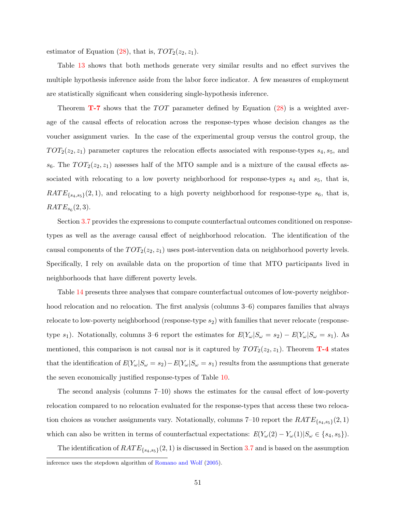estimator of Equation [\(28\)](#page-36-0), that is,  $TOT_2(z_2, z_1)$ .

Table [13](#page-51-0) shows that both methods generate very similar results and no effect survives the multiple hypothesis inference aside from the labor force indicator. A few measures of employment are statistically significant when considering single-hypothesis inference.

Theorem  $T$ -7 shows that the  $TOT$  parameter defined by Equation [\(28\)](#page-36-0) is a weighted average of the causal effects of relocation across the response-types whose decision changes as the voucher assignment varies. In the case of the experimental group versus the control group, the  $TOT<sub>2</sub>(z<sub>2</sub>, z<sub>1</sub>)$  parameter captures the relocation effects associated with response-types  $s<sub>4</sub>, s<sub>5</sub>$ , and  $s_6$ . The  $TOT_2(z_2, z_1)$  assesses half of the MTO sample and is a mixture of the causal effects associated with relocating to a low poverty neighborhood for response-types  $s_4$  and  $s_5$ , that is,  $RATE_{\{s_4,s_5\}}(2,1)$ , and relocating to a high poverty neighborhood for response-type  $s_6$ , that is,  $RATE_{s_6}(2,3)$ .

Section [3.7](#page-38-0) provides the expressions to compute counterfactual outcomes conditioned on responsetypes as well as the average causal effect of neighborhood relocation. The identification of the causal components of the  $TOT_2(z_2, z_1)$  uses post-intervention data on neighborhood poverty levels. Specifically, I rely on available data on the proportion of time that MTO participants lived in neighborhoods that have different poverty levels.

Table [14](#page-53-0) presents three analyses that compare counterfactual outcomes of low-poverty neighborhood relocation and no relocation. The first analysis (columns 3–6) compares families that always relocate to low-poverty neighborhood (response-type  $s_2$ ) with families that never relocate (responsetype s<sub>1</sub>). Notationally, columns 3–6 report the estimates for  $E(Y_\omega|S_\omega = s_2) - E(Y_\omega|S_\omega = s_1)$ . As mentioned, this comparison is not causal nor is it captured by  $TOT_2(z_2, z_1)$ . Theorem **[T-4](#page-31-0)** states that the identification of  $E(Y_{\omega}|S_{\omega}=s_2)-E(Y_{\omega}|S_{\omega}=s_1)$  results from the assumptions that generate the seven economically justified response-types of Table [10.](#page-45-0)

The second analysis (columns 7–10) shows the estimates for the causal effect of low-poverty relocation compared to no relocation evaluated for the response-types that access these two relocation choices as voucher assignments vary. Notationally, columns  $7\n-10$  report the  $RATE_{\{s_4,s_5\}}(2,1)$ which can also be written in terms of counterfactual expectations:  $E(Y_\omega(2) - Y_\omega(1)|S_\omega \in \{s_4, s_5\}).$ 

The identification of  $RATE_{\{s_4,s_5\}}(2,1)$  is discussed in Section [3.7](#page-38-0) and is based on the assumption inference uses the stepdown algorithm of [Romano and Wolf](#page-60-3) [\(2005\)](#page-60-3).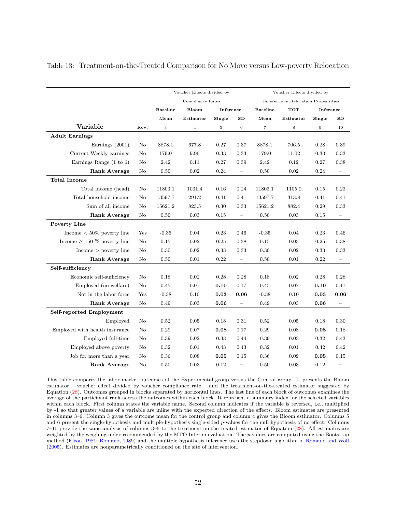|                                    |          |                 | Voucher Effects divided by |             |                          |                 | Voucher Effects divided by            |           |                          |
|------------------------------------|----------|-----------------|----------------------------|-------------|--------------------------|-----------------|---------------------------------------|-----------|--------------------------|
|                                    |          |                 | Compliance Rates           |             |                          |                 | Difference in Relocation Propensities |           |                          |
|                                    |          | <b>Baseline</b> | Bloom                      | Inference   |                          | <b>Baseline</b> | <b>TOT</b>                            | Inference |                          |
|                                    |          | Mean            | Estimator                  | Single      | <b>SD</b>                | Mean            | Estimator                             | Single    | SD                       |
| Variable                           | Rev.     | 3               | $\overline{4}$             | $\,$ 5 $\,$ | $\,$ 6 $\,$              | $\overline{7}$  | $\,$ 8 $\,$                           | $\,9$     | 10                       |
| <b>Adult Earnings</b>              |          |                 |                            |             |                          |                 |                                       |           |                          |
| Earnings (2001)                    | No       | 8878.1          | 677.8                      | 0.27        | 0.37                     | 8878.1          | 706.5                                 | 0.28      | 0.39                     |
| Current Weekly earnings            | No       | 179.0           | 9.96                       | 0.33        | 0.33                     | 179.0           | 11.02                                 | 0.33      | 0.33                     |
| Earnings Range $(1 \text{ to } 6)$ | No       | 2.42            | 0.11                       | 0.27        | 0.39                     | 2.42            | 0.12                                  | 0.27      | 0.38                     |
| <b>Rank Average</b>                | No       | 0.50            | 0.02                       | 0.24        | $\overline{\phantom{0}}$ | 0.50            | 0.02                                  | 0.24      | —                        |
| <b>Total Income</b>                |          |                 |                            |             |                          |                 |                                       |           |                          |
| Total income (head)                | No       | 11803.1         | 1031.4                     | 0.16        | 0.24                     | 11803.1         | 1105.0                                | 0.15      | 0.23                     |
| Total household income             | No       | 13597.7         | 291.2                      | 0.41        | 0.41                     | 13597.7         | 313.8                                 | 0.41      | 0.41                     |
| Sum of all income                  | No       | 15621.2         | 823.5                      | $0.30\,$    | 0.33                     | 15621.2         | 882.4                                 | 0.29      | 0.33                     |
| <b>Rank Average</b>                | $\rm No$ | 0.50            | 0.03                       | 0.15        | $\overline{\phantom{m}}$ | 0.50            | 0.03                                  | 0.15      | $\qquad \qquad -$        |
| Poverty Line                       |          |                 |                            |             |                          |                 |                                       |           |                          |
| Income $< 50\%$ poverty line       | Yes      | $-0.35$         | 0.04                       | 0.23        | 0.46                     | $-0.35$         | 0.04                                  | 0.23      | 0.46                     |
| Income $\geq$ 150 % poverty line   | No       | 0.15            | 0.02                       | 0.25        | 0.38                     | 0.15            | 0.03                                  | 0.25      | 0.38                     |
| Income > powerty line              | No       | 0.30            | 0.02                       | 0.33        | 0.33                     | 0.30            | 0.02                                  | 0.33      | 0.33                     |
| Rank Average                       | No       | 0.50            | 0.01                       | 0.22        | $\overline{\phantom{0}}$ | 0.50            | 0.01                                  | 0.22      | $\overline{\phantom{0}}$ |
| Self-sufficiency                   |          |                 |                            |             |                          |                 |                                       |           |                          |
| Economic self-sufficiency          | No       | 0.18            | 0.02                       | 0.28        | 0.28                     | 0.18            | 0.02                                  | 0.28      | 0.28                     |
| Employed (no welfare)              | $\rm No$ | 0.45            | 0.07                       | 0.10        | 0.17                     | 0.45            | 0.07                                  | 0.10      | 0.17                     |
| Not in the labor force             | Yes      | $-0.38$         | 0.10                       | 0.03        | 0.06                     | $-0.38$         | 0.10                                  | 0.03      | 0.06                     |
| <b>Rank Average</b>                | No       | 0.49            | 0.03                       | 0.06        | $\overline{\phantom{0}}$ | 0.49            | 0.03                                  | 0.06      |                          |
| Self-reported Employment           |          |                 |                            |             |                          |                 |                                       |           |                          |
| Employed                           | No       | 0.52            | 0.05                       | 0.18        | 0.31                     | 0.52            | 0.05                                  | 0.18      | 0.30                     |
| Employed with health insurance     | No       | 0.29            | 0.07                       | 0.08        | 0.17                     | 0.29            | 0.08                                  | 0.08      | 0.18                     |
| Employed full-time                 | No       | 0.39            | 0.02                       | 0.33        | 0.44                     | 0.39            | 0.03                                  | 0.32      | 0.43                     |
| Employed above poverty             | No       | 0.32            | 0.01                       | 0.43        | 0.43                     | 0.32            | 0.01                                  | 0.42      | 0.42                     |
| Job for more than a year           | No       | 0.36            | 0.08                       | 0.05        | 0.15                     | 0.36            | 0.09                                  | 0.05      | 0.15                     |
| Rank Average                       | No       | 0.50            | 0.03                       | 0.12        | $\overline{\phantom{0}}$ | 0.50            | 0.03                                  | 0.12      |                          |

<span id="page-51-0"></span>Table 13: Treatment-on-the-Treated Comparison for No Move versus Low-poverty Relocation

This table compares the labor market outcomes of the Experimental group versus the Control group. It presents the Bloom estimator – voucher effect divided by voucher compliance rate – and the treatment-on-the-treated estimator suggested by Equation [\(28\)](#page-36-0). Outcomes grouped in blocks separated by horizontal lines. The last line of each block of outcomes examines the average of the participant rank across the outcomes within each block. It represent a summary index for the selected variables within each block. First column states the variable name. Second column indicates if the variable is reversed, i.e., multiplied by -1 so that greater values of a variable are inline with the expected direction of the effects. Bloom estimates are presented in columns 3–6. Column 3 gives the outcome mean for the control group and column 4 gives the Bloom estimator. Columns 5 and 6 present the single-hypothesis and multiple-hypothesis single-sided p-values for the null hypothesis of no effect. Columns 7–10 provide the same analysis of columns 3–6 to the treatment-on-the-treated estimator of Equation [\(28\)](#page-36-0). All estimates are weighted by the weighing index recommended by the MTO Interim evaluation. The  $p$ -values are computed using the Bootstrap method [\(Efron,](#page-57-1) [1981;](#page-57-1) [Romano,](#page-60-2) [1989\)](#page-60-2) and the multiple hypothesis inference uses the stepdown algorithm of [Romano and Wolf](#page-60-3) [\(2005\)](#page-60-3). Estimates are nonparametrically conditioned on the site of intervention.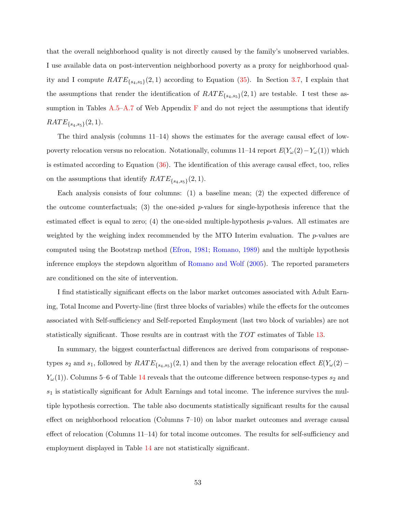that the overall neighborhood quality is not directly caused by the family's unobserved variables. I use available data on post-intervention neighborhood poverty as a proxy for neighborhood quality and I compute  $RATE_{\{s_4,s_5\}}(2,1)$  according to Equation [\(35\)](#page-42-2). In Section [3.7,](#page-38-0) I explain that the assumptions that render the identification of  $RATE_{\{s_4,s_5\}}(2,1)$  are testable. I test these assumption in Tables  $A.5-A.7$  $A.5-A.7$  of Web Appendix  $F$  and do not reject the assumptions that identify  $RATE_{\{s_4,s_5\}}(2,1).$ 

The third analysis (columns  $11-14$ ) shows the estimates for the average causal effect of lowpoverty relocation versus no relocation. Notationally, columns 11–14 report  $E(Y_\omega(2)-Y_\omega(1))$  which is estimated according to Equation  $(36)$ . The identification of this average causal effect, too, relies on the assumptions that identify  $RATE_{\{s_4,s_5\}}(2,1)$ .

Each analysis consists of four columns: (1) a baseline mean; (2) the expected difference of the outcome counterfactuals; (3) the one-sided  $p$ -values for single-hypothesis inference that the estimated effect is equal to zero; (4) the one-sided multiple-hypothesis p-values. All estimates are weighted by the weighing index recommended by the MTO Interim evaluation. The *p*-values are computed using the Bootstrap method [\(Efron,](#page-57-1) [1981;](#page-57-1) [Romano,](#page-60-2) [1989\)](#page-60-2) and the multiple hypothesis inference employs the stepdown algorithm of [Romano and Wolf](#page-60-3) [\(2005\)](#page-60-3). The reported parameters are conditioned on the site of intervention.

I find statistically significant effects on the labor market outcomes associated with Adult Earning, Total Income and Poverty-line (first three blocks of variables) while the effects for the outcomes associated with Self-sufficiency and Self-reported Employment (last two block of variables) are not statistically significant. Those results are in contrast with the  $TOT$  estimates of Table [13.](#page-51-0)

In summary, the biggest counterfactual differences are derived from comparisons of responsetypes  $s_2$  and  $s_1$ , followed by  $RATE_{\{s_4,s_5\}}(2,1)$  and then by the average relocation effect  $E(Y_\omega(2) Y_{\omega}(1)$ ). Columns 5–6 of Table [14](#page-53-0) reveals that the outcome difference between response-types  $s_2$  and  $s_1$  is statistically significant for Adult Earnings and total income. The inference survives the multiple hypothesis correction. The table also documents statistically significant results for the causal effect on neighborhood relocation (Columns 7–10) on labor market outcomes and average causal effect of relocation (Columns 11–14) for total income outcomes. The results for self-sufficiency and employment displayed in Table [14](#page-53-0) are not statistically significant.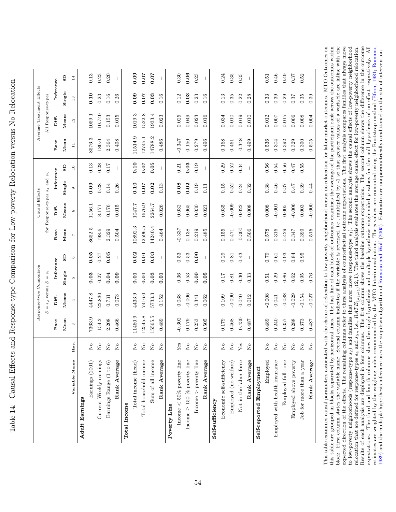| i<br>C                                                                                                                                                                                                                               |
|--------------------------------------------------------------------------------------------------------------------------------------------------------------------------------------------------------------------------------------|
|                                                                                                                                                                                                                                      |
| ;<br>;                                                                                                                                                                                                                               |
| $\frac{1}{1}$                                                                                                                                                                                                                        |
|                                                                                                                                                                                                                                      |
| ĺ<br>֧֧֚֚֝֝֬<br>֧֚֚֝<br>֧֚֝                                                                                                                                                                                                          |
| $\frac{1}{2}$<br>ĺ<br>I                                                                                                                                                                                                              |
|                                                                                                                                                                                                                                      |
| real Hotel Homongo treno Linnaparaon ton Lorr porsortre Hologation repeat Nio Hologa<br>l<br>Ì                                                                                                                                       |
|                                                                                                                                                                                                                                      |
| <b>The School Control of the School Control of the School Control of the School Control of the School Control of the School Control of the School Control of the School Control of the School Control of the School Control of t</b> |
| ļ                                                                                                                                                                                                                                    |
|                                                                                                                                                                                                                                      |
| Ŝ                                                                                                                                                                                                                                    |
|                                                                                                                                                                                                                                      |
| ĺ<br>$\frac{1}{2}$                                                                                                                                                                                                                   |

<span id="page-53-0"></span>

|                                  |                                                    |          | Response-type Comparison |           |                          |                | Causal Effects                     |           |                          |                 | Average Treatment Effects |                                           |              |
|----------------------------------|----------------------------------------------------|----------|--------------------------|-----------|--------------------------|----------------|------------------------------------|-----------|--------------------------|-----------------|---------------------------|-------------------------------------------|--------------|
|                                  |                                                    | S        | $= s_2$ versus $S = s_1$ |           |                          |                | for Response-types $s_4$ and $s_5$ |           |                          |                 | All Response-types        |                                           |              |
|                                  |                                                    | Base     | Diff.                    | Inference |                          | Base           | Diff.                              | Inference |                          | Base            | Diff.                     | Inference                                 |              |
|                                  |                                                    | Mean     | Means                    | Single    | $\mathbf{s}\mathbf{D}$   | Mean           | Means                              | Single    | GS                       | Mean            | Means                     | Single                                    | GS           |
| Variable Name                    | Rev.                                               | $\infty$ | 4                        | r.        | $\circ$                  | $\overline{1}$ |                                    | $\circ$   | $\Xi$                    | $\overline{11}$ | $^{\rm 12}$               | $\mathrel{\mathop:}^{\mathrel{\mathop:}}$ | 14           |
| Adult Earnings                   |                                                    |          |                          |           |                          |                |                                    |           |                          |                 |                           |                                           |              |
| Earnings (2001)                  | $\rm _{X}^{\circ}$                                 | 7363.9   | 4447.8                   | 0.03      | 0.05                     | 8652.5         | 1156.1                             | 0.09      | 0.13                     | 8576.3          | 1059.1                    | 0.10                                      | 0.13         |
| Current Weekly earnings          | $\stackrel{\circ}{\simeq}$                         | 154.2    | 22.830                   | 0.27      | 0.27                     | 198.6          | $8.171\,$                          | 0.28      | 0.28                     | 180.0           | 10.740                    | 0.23                                      | 0.23         |
| Earnings Range (1 to 6)          | $\stackrel{\circ}{\simeq}$                         | 2.208    | 0.731                    | 0.04      | 0.05                     | 2.329          | 0.176                              | 0.14      | 0.17                     | 2.364           | 0.153                     | 0.16                                      | 0.20         |
| Rank Average                     | $\stackrel{\circ}{\mathbf{Z}}$                     | 0.466    | 0.073                    | 0.09      | $\mathbf{I}$             | 0.504          | 0.015                              | 0.26      | $\mathbf{I}$             | 0.498           | 0.015                     | 0.26                                      | $\mathbf{I}$ |
| <b>Total Income</b>              |                                                    |          |                          |           |                          |                |                                    |           |                          |                 |                           |                                           |              |
| Total income (head)              | $\mathsf{S}^{\mathsf{O}}$                          | 11460.9  | 4433.9                   | 0.01      | 0.02                     | 10892.3        | 1047.7                             | 0.10      | 0.10                     | 11514.9         | 1019.3                    | 0.09                                      | 0.09         |
| Total household income           | $\stackrel{\circ}{\simeq}$                         | 12545.8  | 7416.0                   | 0.01      | 0.01                     | 12596.5        | 1676.9                             | 0.07      | 0.07                     | 12745.1         | 1522.8                    | 0.07                                      | 0.07         |
| Sum of all income                | $\tilde{z}$                                        | 15565.5  | 5733.3                   | 0.03      | 0.03                     | 14240.4        | 2264.7                             | 0.02      | 0.05                     | 14788.2         | 1933.4                    | 0.03                                      | 0.07         |
| Rank Average                     | $\rm _{X}^{\circ}$                                 | 0.489    | 0.152                    | 0.01      |                          | 0.464          | 0.026                              | 0.13      |                          | 0.486           | 0.023                     | 0.16                                      |              |
| Poverty Line                     |                                                    |          |                          |           |                          |                |                                    |           |                          |                 |                           |                                           |              |
| Income $<$ 50% poverty line      | ${\rm Yes}$                                        | $-0.302$ | 0.038                    | 0.36      | 0.53                     | $-0.337$       | 0.032                              | 0.08      | 0.21                     | $-0.347$        | 0.025                     | 0.12                                      | 0.30         |
| Income $\geq$ 150 % poverty line | $\rm \stackrel{\circ}{\rm X}$                      | 0.179    | $-0.006$                 | 0.53      | $\,0.53$                 | 0.138          | 0.065                              | 0.02      | 0.03                     | 0.150           | 0.049                     | 0.03                                      | 0.06         |
| Income $>$ poverty line          | $\mathop{\mathsf{S}}$                              | 0.253    | 0.341                    | 0.00      | 0.00                     | 0.219          | 0.030                              | 0.19      | 0.19                     | 0.279           | 0.023                     | 0.23                                      | 0.23         |
| Rank Average                     | $\rm \stackrel{\circ}{\rm X}$                      | 0.505    | 0.062                    | 0.05      |                          | 0.485          | 0.021                              | 0.11      | $\overline{\phantom{a}}$ | 0.496           | 0.016                     | 0.16                                      | $\mathbf{I}$ |
| Self-sufficiency                 |                                                    |          |                          |           |                          |                |                                    |           |                          |                 |                           |                                           |              |
| Economic self-sufficiency        | $\stackrel{\circ}{\simeq}$                         | 0.179    | 0.109                    | 0.17      | 0.29                     | 0.155          | 0.035                              | 0.15      | 0.29                     | 0.168           | 0.034                     | 0.13                                      | 0.24         |
| Employed (no welfare)            | $\stackrel{\circ}{\mathbf{Z}}$                     | 0.468    | $-0.090$                 | 0.81      | 0.81                     | $0.471\,$      | $-0.009$                           | 0.52      | 0.52                     | 0.461           | 0.010                     | 0.35                                      | 0.35         |
| Not in the labor force           | $Y$ es                                             | $-0.430$ | 0.040                    | 0.30      | 0.43                     | $-0.300$       | 0.022                              | 0.24      | 0.34                     | $-0.348$        | 0.019                     | 0.22                                      | 0.35         |
| Rank Average                     | $\stackrel{\circ}{\mathbf{Z}}$                     | 0.487    | 0.012                    | 0.33      | $\overline{\phantom{a}}$ | 0.506          | 0.008                              | 0.32      |                          | 0.499           | 0.010                     | 0.28                                      | $\mathbf{I}$ |
| Self-reported Employment         |                                                    |          |                          |           |                          |                |                                    |           |                          |                 |                           |                                           |              |
| Employed                         | $\rm \stackrel{\circ}{\rm \stackrel{>}{\rm \sim}}$ | 0.489    | 0.008                    | 0.51      | 0.79                     | 0.578          | $0.008\,$                          | 0.38      | 0.56                     | 0.536           | 0.012                     | 0.33                                      | 0.51         |
| Employed with health insurance   | $\rm \stackrel{\circ}{\rm X}$                      | 0.240    | 0.041                    | 0.29      | $\!0.61\!$               | 0.316          | $-0.001$                           | 0.46      | 0.54                     | 0.304           | $0.007$                   | 0.39                                      | 0.46         |
| Employed full-time               | $\stackrel{\mathtt{o}}{\mathtt{x}}$                | 0.357    | $-0.088$                 | 0.86      | 0.93                     | 0.429          | $0.005\,$                          | 0.37      | 0.56                     | 0.392           | 0.015                     | 0.29                                      | 0.49         |
| Employed above poverty           | $\rm _{X}^{\circ}$                                 | 0.288    | $-0.029$                 | 0.62      | 0.84                     | 0.347          | $-0.006$                           | 0.47      | 0.47                     | 0.329           | 0.006                     | 0.37                                      | $0.37\,$     |
| Job for more than a year         | $\stackrel{\circ}{\simeq}$                         | 0.373    | $-0.154$                 | 0.95      | 0.95                     | 0.399          | 0.003                              | 0.39      | 0.55                     | 0.390           | $0.008$                   | $0.35\,$                                  | 0.52         |
| Rank Average                     | $\rm \stackrel{\circ}{\rm \bf Z}$                  | 0.487    | $-0.027$                 | 0.76      |                          | 0.515          | $-0.000$                           | 0.44      |                          | 0.505           | 0.004                     | 0.39                                      |              |

to low-poverty neighborhoods (response-type  $s_2$ ) and families that never move (response-type  $s_1$ ). The second analysis shows the causal effects of low-poverty neighborhood relocation that are defined for response-type This table examines causal parameters associated with the choice of relocation to low-poverty neighborhood versus no relocation for labor market outcomes. MTO Outcomes on this table are grouped in blocks separated by horizontal lines. The last line of each block of outcomes examines the average of the participant rank across the outcomes within block. First column states the variable name. Second column indicates if the variable is reversed, i.e., multiplied by -1 so that greater values of a variable are inline with the expected direction of the effects. The remaining columns refer to three analysis of counterfactual outcome expectations. The first analysis compares families that always move expectations. The third and fourth columns show the single-hypothesis and multiple-hypothesis single-sided p-values for the null hypothesis of no effect respectively. All estimates are weighted by the weighing index recommended by the MTO Interim evaluation. The *p*-values are computed using the Bootstrap method (Efron, 1981; Romano, This table examines causal parameters associated with the choice of relocation to low-poverty neighborhood versus no relocation for labor market outcomes. MTO Outcomes on this table are grouped in blocks separated by horizontal lines. The last line of each block of outcomes examines the average of the participant rank across the outcomes within block. First column states the variable name. Second column indicates if the variable is reversed, i.e., multiplied by -1 so that greater values of a variable are inline with the expected direction of the effects. The remaining columns refer to three analysis of counterfactual outcome expectations. The first analysis compares families that always move to low-poverty neighborhoods (response-type s2) and families that never move (response-type s1). The second analysis shows the causal effects of low-poverty neighborhood relocation that are defined for response-types s<sub>4</sub> and s<sub>5</sub>., i.e., RATE<sub>{s4,s5</sub>}(2, 1). The third analysis evaluates the average causal effect for low-poverty neighborhood relocation. Results of each analysis are displayed in four columns. The first column shows the baseline outcome expectation. The second column shows the difference in the outcome expectations. The third and fourth columns show the single-hypothesis and multiple-hypothesis single-sided p-values for the null hypothesis of no effect respectively. All estimates are weighted by the weighing index recommended by the MTO Interim evaluation. The p-values are computed using the Bootstrap method [\(Efron,](#page-57-1) [1981;](#page-57-1) [Romano,](#page-60-2) 1989) and the multiple hypothesis inference uses the stepdown algorithm of Romano and Wolf (2005). Estimates are nonparametrically conditioned on the site of intervention. [1989\)](#page-60-2) and the multiple hypothesis inference uses the stepdown algorithm of [Romano](#page-60-3) and Wolf [\(2005\)](#page-60-3). Estimates are nonparametrically conditioned on the site of intervention.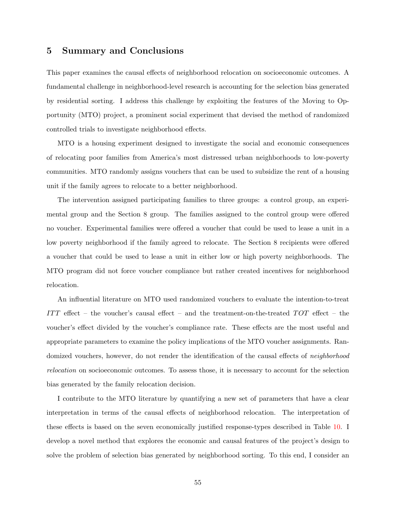# 5 Summary and Conclusions

This paper examines the causal effects of neighborhood relocation on socioeconomic outcomes. A fundamental challenge in neighborhood-level research is accounting for the selection bias generated by residential sorting. I address this challenge by exploiting the features of the Moving to Opportunity (MTO) project, a prominent social experiment that devised the method of randomized controlled trials to investigate neighborhood effects.

MTO is a housing experiment designed to investigate the social and economic consequences of relocating poor families from America's most distressed urban neighborhoods to low-poverty communities. MTO randomly assigns vouchers that can be used to subsidize the rent of a housing unit if the family agrees to relocate to a better neighborhood.

The intervention assigned participating families to three groups: a control group, an experimental group and the Section 8 group. The families assigned to the control group were offered no voucher. Experimental families were offered a voucher that could be used to lease a unit in a low poverty neighborhood if the family agreed to relocate. The Section 8 recipients were offered a voucher that could be used to lease a unit in either low or high poverty neighborhoods. The MTO program did not force voucher compliance but rather created incentives for neighborhood relocation.

An influential literature on MTO used randomized vouchers to evaluate the intention-to-treat ITT effect – the voucher's causal effect – and the treatment-on-the-treated  $TOT$  effect – the voucher's effect divided by the voucher's compliance rate. These effects are the most useful and appropriate parameters to examine the policy implications of the MTO voucher assignments. Randomized vouchers, however, do not render the identification of the causal effects of *neighborhood* relocation on socioeconomic outcomes. To assess those, it is necessary to account for the selection bias generated by the family relocation decision.

I contribute to the MTO literature by quantifying a new set of parameters that have a clear interpretation in terms of the causal effects of neighborhood relocation. The interpretation of these effects is based on the seven economically justified response-types described in Table [10.](#page-45-0) I develop a novel method that explores the economic and causal features of the project's design to solve the problem of selection bias generated by neighborhood sorting. To this end, I consider an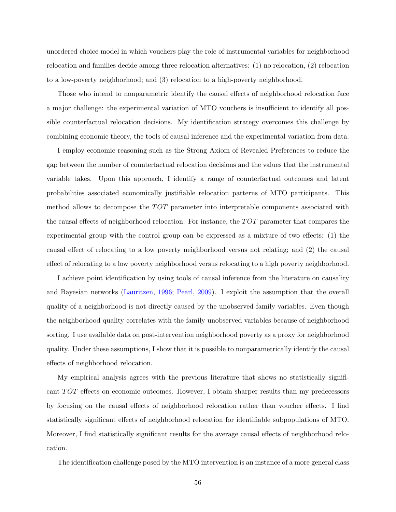unordered choice model in which vouchers play the role of instrumental variables for neighborhood relocation and families decide among three relocation alternatives: (1) no relocation, (2) relocation to a low-poverty neighborhood; and (3) relocation to a high-poverty neighborhood.

Those who intend to nonparametric identify the causal effects of neighborhood relocation face a major challenge: the experimental variation of MTO vouchers is insufficient to identify all possible counterfactual relocation decisions. My identification strategy overcomes this challenge by combining economic theory, the tools of causal inference and the experimental variation from data.

I employ economic reasoning such as the Strong Axiom of Revealed Preferences to reduce the gap between the number of counterfactual relocation decisions and the values that the instrumental variable takes. Upon this approach, I identify a range of counterfactual outcomes and latent probabilities associated economically justifiable relocation patterns of MTO participants. This method allows to decompose the  $TOT$  parameter into interpretable components associated with the causal effects of neighborhood relocation. For instance, the  $TOT$  parameter that compares the experimental group with the control group can be expressed as a mixture of two effects: (1) the causal effect of relocating to a low poverty neighborhood versus not relating; and (2) the causal effect of relocating to a low poverty neighborhood versus relocating to a high poverty neighborhood.

I achieve point identification by using tools of causal inference from the literature on causality and Bayesian networks [\(Lauritzen,](#page-59-2) [1996;](#page-59-2) [Pearl,](#page-60-4) [2009\)](#page-60-4). I exploit the assumption that the overall quality of a neighborhood is not directly caused by the unobserved family variables. Even though the neighborhood quality correlates with the family unobserved variables because of neighborhood sorting. I use available data on post-intervention neighborhood poverty as a proxy for neighborhood quality. Under these assumptions, I show that it is possible to nonparametrically identify the causal effects of neighborhood relocation.

My empirical analysis agrees with the previous literature that shows no statistically significant  $TOT$  effects on economic outcomes. However, I obtain sharper results than my predecessors by focusing on the causal effects of neighborhood relocation rather than voucher effects. I find statistically significant effects of neighborhood relocation for identifiable subpopulations of MTO. Moreover, I find statistically significant results for the average causal effects of neighborhood relocation.

The identification challenge posed by the MTO intervention is an instance of a more general class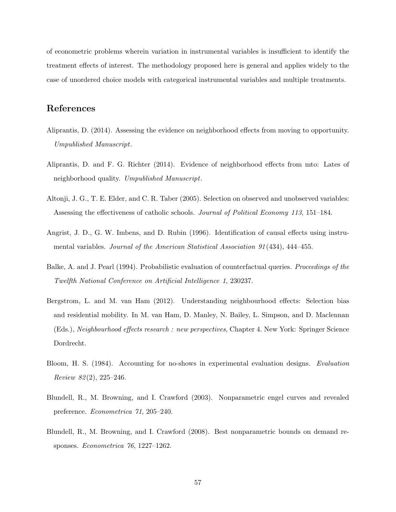of econometric problems wherein variation in instrumental variables is insufficient to identify the treatment effects of interest. The methodology proposed here is general and applies widely to the case of unordered choice models with categorical instrumental variables and multiple treatments.

# References

- Aliprantis, D. (2014). Assessing the evidence on neighborhood effects from moving to opportunity. Umpublished Manuscript.
- Aliprantis, D. and F. G. Richter (2014). Evidence of neighborhood effects from mto: Lates of neighborhood quality. Umpublished Manuscript.
- <span id="page-56-1"></span>Altonji, J. G., T. E. Elder, and C. R. Taber (2005). Selection on observed and unobserved variables: Assessing the effectiveness of catholic schools. Journal of Political Economy 113, 151–184.
- <span id="page-56-0"></span>Angrist, J. D., G. W. Imbens, and D. Rubin (1996). Identification of causal effects using instrumental variables. Journal of the American Statistical Association 91 (434), 444–455.
- Balke, A. and J. Pearl (1994). Probabilistic evaluation of counterfactual queries. Proceedings of the Twelfth National Conference on Artificial Intelligence 1, 230237.
- Bergstrom, L. and M. van Ham (2012). Understanding neighbourhood effects: Selection bias and residential mobility. In M. van Ham, D. Manley, N. Bailey, L. Simpson, and D. Maclennan (Eds.), Neighbourhood effects research : new perspectives, Chapter 4. New York: Springer Science Dordrecht.
- Bloom, H. S. (1984). Accounting for no-shows in experimental evaluation designs. Evaluation Review 82 (2), 225–246.
- Blundell, R., M. Browning, and I. Crawford (2003). Nonparametric engel curves and revealed preference. Econometrica 71, 205–240.
- Blundell, R., M. Browning, and I. Crawford (2008). Best nonparametric bounds on demand responses. Econometrica 76, 1227–1262.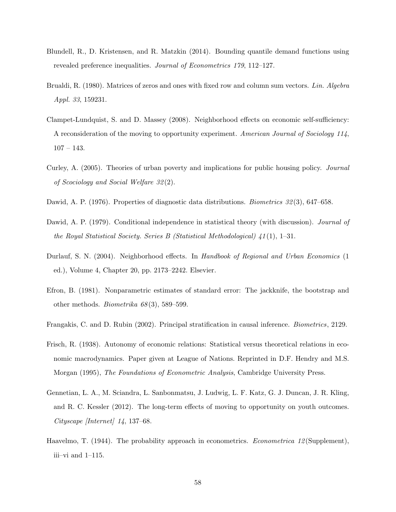- Blundell, R., D. Kristensen, and R. Matzkin (2014). Bounding quantile demand functions using revealed preference inequalities. Journal of Econometrics 179, 112–127.
- Brualdi, R. (1980). Matrices of zeros and ones with fixed row and column sum vectors. Lin. Algebra Appl. 33, 159231.
- <span id="page-57-0"></span>Clampet-Lundquist, S. and D. Massey (2008). Neighborhood effects on economic self-sufficiency: A reconsideration of the moving to opportunity experiment. American Journal of Sociology 114,  $107 - 143.$
- Curley, A. (2005). Theories of urban poverty and implications for public housing policy. Journal of Scociology and Social Welfare 32 (2).
- <span id="page-57-2"></span>Dawid, A. P. (1976). Properties of diagnostic data distributions. *Biometrics 32*(3), 647–658.
- Dawid, A. P. (1979). Conditional independence in statistical theory (with discussion). *Journal of* the Royal Statistical Society. Series B (Statistical Methodological) 41 (1), 1–31.
- Durlauf, S. N. (2004). Neighborhood effects. In Handbook of Regional and Urban Economics (1 ed.), Volume 4, Chapter 20, pp. 2173–2242. Elsevier.
- <span id="page-57-1"></span>Efron, B. (1981). Nonparametric estimates of standard error: The jackknife, the bootstrap and other methods. *Biometrika*  $68(3)$ , 589–599.
- Frangakis, C. and D. Rubin (2002). Principal stratification in causal inference. Biometrics, 2129.
- Frisch, R. (1938). Autonomy of economic relations: Statistical versus theoretical relations in economic macrodynamics. Paper given at League of Nations. Reprinted in D.F. Hendry and M.S. Morgan (1995), The Foundations of Econometric Analysis, Cambridge University Press.
- Gennetian, L. A., M. Sciandra, L. Sanbonmatsu, J. Ludwig, L. F. Katz, G. J. Duncan, J. R. Kling, and R. C. Kessler (2012). The long-term effects of moving to opportunity on youth outcomes. Cityscape [Internet] 14, 137–68.
- Haavelmo, T. (1944). The probability approach in econometrics. *Econometrica 12* (Supplement), iii–vi and 1–115.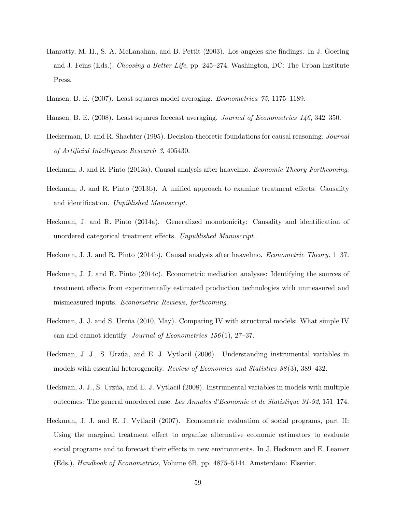- Hanratty, M. H., S. A. McLanahan, and B. Pettit (2003). Los angeles site findings. In J. Goering and J. Feins (Eds.), Choosing a Better Life, pp. 245–274. Washington, DC: The Urban Institute Press.
- <span id="page-58-1"></span>Hansen, B. E. (2007). Least squares model averaging. Econometrica 75, 1175–1189.
- <span id="page-58-2"></span>Hansen, B. E. (2008). Least squares forecast averaging. *Journal of Econometrics* 146, 342–350.
- Heckerman, D. and R. Shachter (1995). Decision-theoretic foundations for causal reasoning. Journal of Artificial Intelligence Research 3, 405430.
- Heckman, J. and R. Pinto (2013a). Causal analysis after haavelmo. Economic Theory Forthcoming.
- Heckman, J. and R. Pinto (2013b). A unified approach to examine treatment effects: Causality and identification. Unpiblished Manuscript.
- Heckman, J. and R. Pinto (2014a). Generalized monotonicity: Causality and identification of unordered categorical treatment effects. Unpublished Manuscript.
- <span id="page-58-0"></span>Heckman, J. J. and R. Pinto (2014b). Causal analysis after haavelmo. Econometric Theory, 1–37.
- Heckman, J. J. and R. Pinto (2014c). Econometric mediation analyses: Identifying the sources of treatment effects from experimentally estimated production technologies with unmeasured and mismeasured inputs. Econometric Reviews, forthcoming.
- Heckman, J. J. and S. Urzúa (2010, May). Comparing IV with structural models: What simple IV can and cannot identify. Journal of Econometrics 156 (1), 27–37.
- Heckman, J. J., S. Urzúa, and E. J. Vytlacil (2006). Understanding instrumental variables in models with essential heterogeneity. Review of Economics and Statistics 88 (3), 389–432.
- Heckman, J. J., S. Urzúa, and E. J. Vytlacil (2008). Instrumental variables in models with multiple outcomes: The general unordered case. Les Annales d'Economie et de Statistique 91-92, 151–174.
- Heckman, J. J. and E. J. Vytlacil (2007). Econometric evaluation of social programs, part II: Using the marginal treatment effect to organize alternative economic estimators to evaluate social programs and to forecast their effects in new environments. In J. Heckman and E. Leamer (Eds.), Handbook of Econometrics, Volume 6B, pp. 4875–5144. Amsterdam: Elsevier.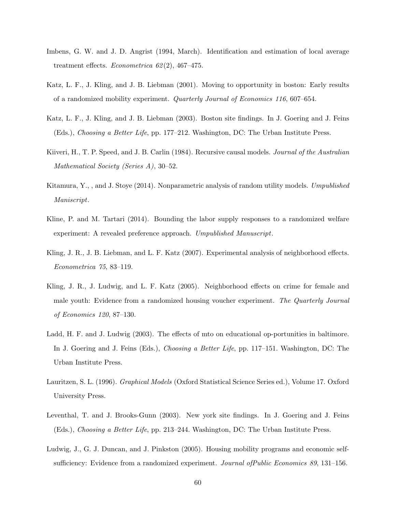- <span id="page-59-0"></span>Imbens, G. W. and J. D. Angrist (1994, March). Identification and estimation of local average treatment effects. *Econometrica*  $62(2)$ , 467–475.
- Katz, L. F., J. Kling, and J. B. Liebman (2001). Moving to opportunity in boston: Early results of a randomized mobility experiment. Quarterly Journal of Economics 116, 607–654.
- Katz, L. F., J. Kling, and J. B. Liebman (2003). Boston site findings. In J. Goering and J. Feins (Eds.), Choosing a Better Life, pp. 177–212. Washington, DC: The Urban Institute Press.
- Kiiveri, H., T. P. Speed, and J. B. Carlin (1984). Recursive causal models. Journal of the Australian Mathematical Society (Series A), 30–52.
- Kitamura, Y., , and J. Stoye (2014). Nonparametric analysis of random utility models. Umpublished Maniscript.
- Kline, P. and M. Tartari (2014). Bounding the labor supply responses to a randomized welfare experiment: A revealed preference approach. Umpublished Manuscript.
- <span id="page-59-1"></span>Kling, J. R., J. B. Liebman, and L. F. Katz (2007). Experimental analysis of neighborhood effects. Econometrica 75, 83–119.
- Kling, J. R., J. Ludwig, and L. F. Katz (2005). Neighborhood effects on crime for female and male youth: Evidence from a randomized housing voucher experiment. The Quarterly Journal of Economics 120, 87–130.
- Ladd, H. F. and J. Ludwig (2003). The effects of mto on educational op-portunities in baltimore. In J. Goering and J. Feins (Eds.), Choosing a Better Life, pp. 117–151. Washington, DC: The Urban Institute Press.
- <span id="page-59-2"></span>Lauritzen, S. L. (1996). Graphical Models (Oxford Statistical Science Series ed.), Volume 17. Oxford University Press.
- Leventhal, T. and J. Brooks-Gunn (2003). New york site findings. In J. Goering and J. Feins (Eds.), Choosing a Better Life, pp. 213–244. Washington, DC: The Urban Institute Press.
- Ludwig, J., G. J. Duncan, and J. Pinkston (2005). Housing mobility programs and economic selfsufficiency: Evidence from a randomized experiment. *Journal ofPublic Economics 89*, 131–156.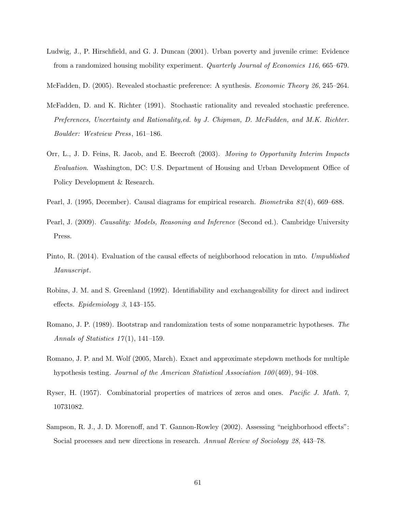- Ludwig, J., P. Hirschfield, and G. J. Duncan (2001). Urban poverty and juvenile crime: Evidence from a randomized housing mobility experiment. Quarterly Journal of Economics 116, 665–679.
- McFadden, D. (2005). Revealed stochastic preference: A synthesis. Economic Theory 26, 245–264.
- McFadden, D. and K. Richter (1991). Stochastic rationality and revealed stochastic preference. Preferences, Uncertainty and Rationality,ed. by J. Chipman, D. McFadden, and M.K. Richter. Boulder: Westview Press, 161–186.
- Orr, L., J. D. Feins, R. Jacob, and E. Beecroft (2003). Moving to Opportunity Interim Impacts Evaluation. Washington, DC: U.S. Department of Housing and Urban Development Office of Policy Development & Research.
- <span id="page-60-0"></span>Pearl, J. (1995, December). Causal diagrams for empirical research. *Biometrika 82(4)*, 669–688.
- <span id="page-60-4"></span>Pearl, J. (2009). *Causality: Models, Reasoning and Inference* (Second ed.). Cambridge University Press.
- <span id="page-60-1"></span>Pinto, R. (2014). Evaluation of the causal effects of neighborhood relocation in mto. Umpublished Manuscript.
- Robins, J. M. and S. Greenland (1992). Identifiability and exchangeability for direct and indirect effects. Epidemiology 3, 143–155.
- <span id="page-60-2"></span>Romano, J. P. (1989). Bootstrap and randomization tests of some nonparametric hypotheses. The Annals of Statistics  $17(1)$ , 141–159.
- <span id="page-60-3"></span>Romano, J. P. and M. Wolf (2005, March). Exact and approximate stepdown methods for multiple hypothesis testing. Journal of the American Statistical Association 100 (469), 94–108.
- <span id="page-60-5"></span>Ryser, H. (1957). Combinatorial properties of matrices of zeros and ones. Pacific J. Math. 7, 10731082.
- Sampson, R. J., J. D. Morenoff, and T. Gannon-Rowley (2002). Assessing "neighborhood effects": Social processes and new directions in research. Annual Review of Sociology 28, 443–78.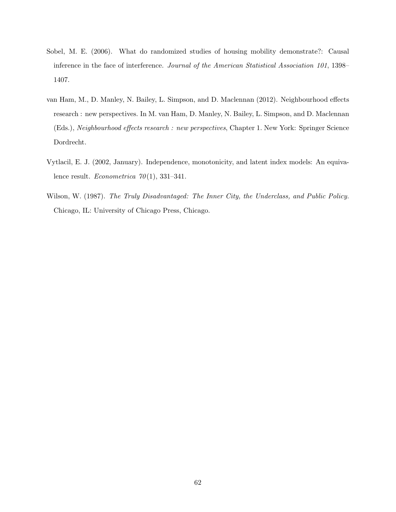- Sobel, M. E. (2006). What do randomized studies of housing mobility demonstrate?: Causal inference in the face of interference. Journal of the American Statistical Association 101, 1398– 1407.
- van Ham, M., D. Manley, N. Bailey, L. Simpson, and D. Maclennan (2012). Neighbourhood effects research : new perspectives. In M. van Ham, D. Manley, N. Bailey, L. Simpson, and D. Maclennan (Eds.), Neighbourhood effects research : new perspectives, Chapter 1. New York: Springer Science Dordrecht.
- <span id="page-61-0"></span>Vytlacil, E. J. (2002, January). Independence, monotonicity, and latent index models: An equivalence result. *Econometrica*  $70(1)$ , 331-341.
- Wilson, W. (1987). The Truly Disadvantaged: The Inner City, the Underclass, and Public Policy. Chicago, IL: University of Chicago Press, Chicago.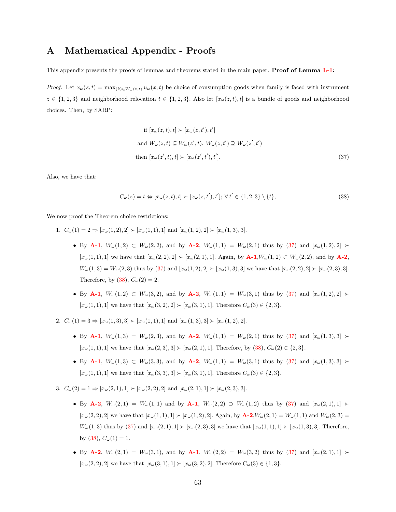# A Mathematical Appendix - Proofs

This appendix presents the proofs of lemmas and theorems stated in the main paper. **Proof of Lemma [L-1:](#page-20-2)** 

*Proof.* Let  $x_{\omega}(z,t) = \max_{(k)\in W_{\omega}(z,t)} u_{\omega}(x,t)$  be choice of consumption goods when family is faced with instrument  $z \in \{1,2,3\}$  and neighborhood relocation  $t \in \{1,2,3\}$ . Also let  $[x_{\omega}(z,t),t]$  is a bundle of goods and neighborhood choices. Then, by SARP:

<span id="page-62-1"></span><span id="page-62-0"></span>if 
$$
[x_{\omega}(z,t),t] \succ [x_{\omega}(z,t'),t']
$$
  
and  $W_{\omega}(z,t) \subseteq W_{\omega}(z',t), W_{\omega}(z,t') \supseteq W_{\omega}(z',t')$   
then  $[x_{\omega}(z',t),t] \succ [x_{\omega}(z',t'),t']$ . (37)

Also, we have that:

$$
C_{\omega}(z) = t \Leftrightarrow [x_{\omega}(z, t), t] \succ [x_{\omega}(z, t'), t'], \forall t' \in \{1, 2, 3\} \setminus \{t\},\tag{38}
$$

We now proof the Theorem choice restrictions:

- 1.  $C_{\omega}(1) = 2 \Rightarrow [x_{\omega}(1, 2), 2] \succ [x_{\omega}(1, 1), 1]$  and  $[x_{\omega}(1, 2), 2] \succ [x_{\omega}(1, 3), 3]$ .
	- By [A-1](#page-19-0),  $W_w(1,2) \subset W_w(2,2)$ , and by [A-2](#page-20-3),  $W_w(1,1) = W_w(2,1)$  thus by [\(37\)](#page-62-0) and  $[x_w(1,2),2] \succ$  $[x_{\omega}(1,1),1]$  we have that  $[x_{\omega}(2,2),2] \succ [x_{\omega}(2,1),1]$ . Again, by  $A-1,W_{\omega}(1,2) \subset W_{\omega}(2,2)$  $A-1,W_{\omega}(1,2) \subset W_{\omega}(2,2)$ , and by  $A-2$ ,  $W_w(1,3) = W_w(2,3)$  thus by [\(37\)](#page-62-0) and  $[x_w(1,2),2] \succ [x_w(1,3),3]$  we have that  $[x_w(2,2),2] \succ [x_w(2,3),3]$ . Therefore, by [\(38\)](#page-62-1),  $C_{\omega}(2) = 2$ .
	- By [A-1](#page-19-0),  $W_w(1,2) \subset W_w(3,2)$ , and by [A-2](#page-20-3),  $W_w(1,1) = W_w(3,1)$  thus by [\(37\)](#page-62-0) and  $[x_w(1,2),2] \succ$  $[x_{\omega}(1, 1), 1]$  we have that  $[x_{\omega}(3, 2), 2] \succ [x_{\omega}(3, 1), 1]$ . Therefore  $C_{\omega}(3) \in \{2, 3\}$ .
- 2.  $C_{\omega}(1) = 3 \Rightarrow [x_{\omega}(1, 3), 3] \succ [x_{\omega}(1, 1), 1]$  and  $[x_{\omega}(1, 3), 3] \succ [x_{\omega}(1, 2), 2]$ .
	- By [A-1](#page-19-0),  $W_{\omega}(1,3) = W_{\omega}(2,3)$ , and by [A-2](#page-20-3),  $W_{\omega}(1,1) = W_{\omega}(2,1)$  thus by [\(37\)](#page-62-0) and  $[x_{\omega}(1,3),3] \succ$  $[x_{\omega}(1, 1), 1]$  we have that  $[x_{\omega}(2, 3), 3] \succ [x_{\omega}(2, 1), 1]$ . Therefore, by  $(38), C_{\omega}(2) \in \{2, 3\}$  $(38), C_{\omega}(2) \in \{2, 3\}$ .
	- By [A-1](#page-19-0),  $W_{\omega}(1,3) \subset W_{\omega}(3,3)$ , and by [A-2](#page-20-3),  $W_{\omega}(1,1) = W_{\omega}(3,1)$  thus by [\(37\)](#page-62-0) and  $[x_{\omega}(1,3),3] \succ$  $[x_{\omega}(1,1),1]$  we have that  $[x_{\omega}(3,3),3] \succ [x_{\omega}(3,1),1]$ . Therefore  $C_{\omega}(3) \in \{2,3\}$ .
- 3.  $C_{\omega}(2) = 1 \Rightarrow [x_{\omega}(2, 1), 1] \succ [x_{\omega}(2, 2), 2]$  and  $[x_{\omega}(2, 1), 1] \succ [x_{\omega}(2, 3), 3]$ .
	- By [A-2](#page-20-3),  $W_{\omega}(2,1) = W_{\omega}(1,1)$  and by [A-1](#page-19-0),  $W_{\omega}(2,2) \supset W_{\omega}(1,2)$  thus by [\(37\)](#page-62-0) and  $[x_{\omega}(2,1),1] >$  $[x_{\omega}(2, 2), 2]$  we have that  $[x_{\omega}(1, 1), 1] \succ [x_{\omega}(1, 2), 2]$ . Again, by  $A - 2, W_{\omega}(2, 1) = W_{\omega}(1, 1)$  and  $W_{\omega}(2, 3) =$  $W_{\omega}(1,3)$  thus by [\(37\)](#page-62-0) and  $[x_{\omega}(2,1),1] \succ [x_{\omega}(2,3),3]$  we have that  $[x_{\omega}(1,1),1] \succ [x_{\omega}(1,3),3]$ . Therefore, by [\(38\)](#page-62-1),  $C_{\omega}(1) = 1$ .
	- By [A-2](#page-20-3),  $W_w(2,1) = W_w(3,1)$ , and by [A-1](#page-19-0),  $W_w(2,2) = W_w(3,2)$  thus by [\(37\)](#page-62-0) and  $[x_w(2,1),1] \ge$  $[x_{\omega}(2, 2), 2]$  we have that  $[x_{\omega}(3, 1), 1] \succ [x_{\omega}(3, 2), 2]$ . Therefore  $C_{\omega}(3) \in \{1, 3\}$ .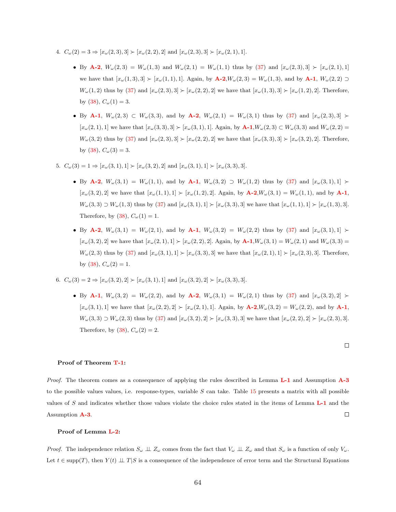- 4.  $C_{\omega}(2) = 3 \Rightarrow [x_{\omega}(2,3), 3] \succ [x_{\omega}(2,2), 2]$  and  $[x_{\omega}(2,3), 3] \succ [x_{\omega}(2,1), 1]$ .
	- By [A-2](#page-20-3),  $W_w(2,3) = W_w(1,3)$  and  $W_w(2,1) = W_w(1,1)$  thus by [\(37\)](#page-62-0) and  $[x_w(2,3),3] \succ [x_w(2,1),1]$ we have that  $[x_{\omega}(1,3),3] \succ [x_{\omega}(1,1),1]$ . Again, by  $A-2,W_{\omega}(2,3) = W_{\omega}(1,3)$  $A-2,W_{\omega}(2,3) = W_{\omega}(1,3)$ , and by  $A-1$ ,  $W_{\omega}(2,2) \supset$  $W_{\omega}(1,2)$  thus by [\(37\)](#page-62-0) and  $[x_{\omega}(2,3),3] \succ [x_{\omega}(2,2),2]$  we have that  $[x_{\omega}(1,3),3] \succ [x_{\omega}(1,2),2]$ . Therefore, by [\(38\)](#page-62-1),  $C_{\omega}(1) = 3$ .
	- By [A-1](#page-19-0),  $W_{\omega}(2,3) \subset W_{\omega}(3,3)$ , and by [A-2](#page-20-3),  $W_{\omega}(2,1) = W_{\omega}(3,1)$  thus by [\(37\)](#page-62-0) and  $[x_{\omega}(2,3),3] \succ$  $[x_{\omega}(2,1),1]$  we have that  $[x_{\omega}(3,3),3] \succ [x_{\omega}(3,1),1]$ . Again, by  $A-1,W_{\omega}(2,3) \subset W_{\omega}(3,3)$  $A-1,W_{\omega}(2,3) \subset W_{\omega}(3,3)$  and  $W_{\omega}(2,2) =$  $W_w(3, 2)$  thus by  $(37)$  and  $[x_w(2, 3), 3] \succ [x_w(2, 2), 2]$  we have that  $[x_w(3, 3), 3] \succ [x_w(3, 2), 2]$ . Therefore, by [\(38\)](#page-62-1),  $C_{\omega}(3) = 3$ .
- 5.  $C_{\omega}(3) = 1 \Rightarrow [x_{\omega}(3, 1), 1] \succ [x_{\omega}(3, 2), 2]$  and  $[x_{\omega}(3, 1), 1] \succ [x_{\omega}(3, 3), 3]$ .
	- By [A-2](#page-20-3),  $W_{\omega}(3,1) = W_{\omega}(1,1)$ , and by [A-1](#page-19-0),  $W_{\omega}(3,2) \supset W_{\omega}(1,2)$  thus by [\(37\)](#page-62-0) and  $[x_{\omega}(3,1),1] \succ$  $[x_{\omega}(3, 2), 2]$  we have that  $[x_{\omega}(1, 1), 1] > [x_{\omega}(1, 2), 2]$ . Again, by  $\mathbf{A} - 2$ ,  $W_{\omega}(3, 1) = W_{\omega}(1, 1)$ , and by  $\mathbf{A} - 1$ ,  $W_{\omega}(3,3) \supset W_{\omega}(1,3)$  thus by  $(37)$  and  $[x_{\omega}(3,1),1] \succ [x_{\omega}(3,3),3]$  we have that  $[x_{\omega}(1,1),1] \succ [x_{\omega}(1,3),3]$ . Therefore, by [\(38\)](#page-62-1),  $C_{\omega}(1) = 1$ .
	- By [A-2](#page-20-3),  $W_{\omega}(3,1) = W_{\omega}(2,1)$ , and by [A-1](#page-19-0),  $W_{\omega}(3,2) = W_{\omega}(2,2)$  thus by [\(37\)](#page-62-0) and  $[x_{\omega}(3,1),1] >$  $[x_{\omega}(3, 2), 2]$  we have that  $[x_{\omega}(2, 1), 1] \succ [x_{\omega}(2, 2), 2]$ . Again, by  $A-1, W_{\omega}(3, 1) = W_{\omega}(2, 1)$  $A-1, W_{\omega}(3, 1) = W_{\omega}(2, 1)$  and  $W_{\omega}(3, 3) =$  $W_w(2,3)$  thus by [\(37\)](#page-62-0) and  $[x_w(3,1),1] \succ [x_w(3,3),3]$  we have that  $[x_w(2,1),1] \succ [x_w(2,3),3]$ . Therefore, by  $(38)$ ,  $C_{\omega}(2) = 1$ .
- 6.  $C_{\omega}(3) = 2 \Rightarrow [x_{\omega}(3, 2), 2] \succ [x_{\omega}(3, 1), 1]$  and  $[x_{\omega}(3, 2), 2] \succ [x_{\omega}(3, 3), 3]$ .
	- By [A-1](#page-19-0),  $W_w(3,2) = W_w(2,2)$ , and by [A-2](#page-20-3),  $W_w(3,1) = W_w(2,1)$  thus by [\(37\)](#page-62-0) and  $[x_w(3,2),2] \succ$  $[x_{\omega}(3,1),1]$  we have that  $[x_{\omega}(2,2),2] \succ [x_{\omega}(2,1),1]$ . Again, by  $\mathbf{A}\text{-}2,W_{\omega}(3,2) = W_{\omega}(2,2)$ , and by  $\mathbf{A}\text{-}1$ ,  $W_w(3,3) \supset W_w(2,3)$  thus by  $(37)$  and  $[x_w(3,2),2] \succ [x_w(3,3),3]$  we have that  $[x_w(2,2),2] \succ [x_w(2,3),3]$ . Therefore, by [\(38\)](#page-62-1),  $C_{\omega}(2) = 2$ .

 $\Box$ 

### Proof of Theorem [T-1:](#page-20-0)

Proof. The theorem comes as a consequence of applying the rules described in Lemma [L-1](#page-20-2) and Assumption [A-3](#page-20-1) to the possible values values, i.e. response-types, variable  $S$  can take. Table [15](#page-64-0) presents a matrix with all possible values of S and indicates whether those values violate the choice rules stated in the items of Lemma [L-1](#page-20-2) and the Assumption [A-3](#page-20-1).  $\Box$ 

### Proof of Lemma [L-2:](#page-25-0)

*Proof.* The independence relation  $S_{\omega} \perp \!\!\! \perp Z_{\omega}$  comes from the fact that  $V_{\omega} \perp \!\!\! \perp Z_{\omega}$  and that  $S_{\omega}$  is a function of only  $V_{\omega}$ . Let  $t \in \text{supp}(T)$ , then  $Y(t) \perp \perp T | S$  is a consequence of the independence of error term and the Structural Equations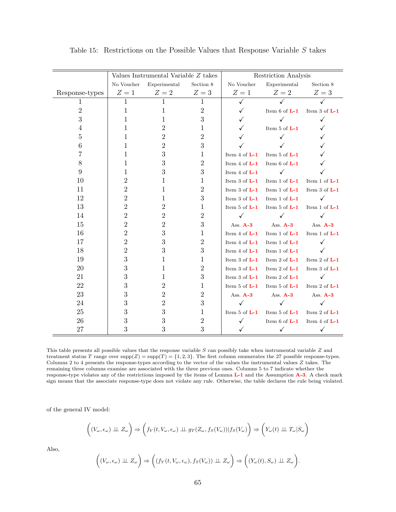|                |                | Values Instrumental Variable Z takes |                  |                   | Restriction Analysis |                   |
|----------------|----------------|--------------------------------------|------------------|-------------------|----------------------|-------------------|
|                | No Voucher     | Experimental                         | Section 8        | No Voucher        | Experimental         | Section 8         |
| Response-types | $Z=1$          | $Z=2$                                | $Z=3$            | $Z=1$             | $Z=2$                | $Z=3$             |
| 1              | $\mathbf 1$    | 1                                    | $\mathbf{1}$     | ✓                 |                      |                   |
| $\overline{2}$ | 1              | 1                                    | $\overline{2}$   |                   | Item $6$ of $L-1$    | Item $3$ of $L-1$ |
| 3              | 1              | 1                                    | 3                |                   |                      |                   |
| 4              | 1              | 2                                    | 1                |                   | Item $5$ of $L-1$    |                   |
| 5              | L              | 2                                    | 2                |                   |                      |                   |
| 6              | 1              | $\overline{2}$                       | 3                |                   |                      |                   |
| 7              | 1              | 3                                    | 1                | Item $4$ of $L-1$ | Item $5$ of $L-1$    |                   |
| 8              | 1              | 3                                    | $\overline{2}$   | Item $4$ of $L-1$ | Item $6$ of $L-1$    |                   |
| 9              | 1              | 3                                    | 3                | Item $4$ of $L-1$ | $\checkmark$         |                   |
| 10             | 2              | 1                                    | 1                | Item 3 of $L-1$   | Item 1 of $L-1$      | Item 1 of $L-1$   |
| 11             | $\overline{2}$ | 1                                    | $\overline{2}$   | Item $3$ of $L-1$ | Item 1 of $L-1$      | Item $3$ of $L-1$ |
| 12             | $\overline{2}$ | 1                                    | 3                | Item $3$ of $L-1$ | Item 1 of $L-1$      |                   |
| 13             | $\overline{2}$ | $\overline{2}$                       | 1                | Item $5$ of $L-1$ | Item $5$ of $L-1$    | Item 1 of $L-1$   |
| 14             | $\overline{2}$ | 2                                    | $\overline{2}$   |                   | ✓                    |                   |
| 15             | $\overline{2}$ | 2                                    | $\boldsymbol{3}$ | Ass. A-3          | Ass. A-3             | Ass. A-3          |
| 16             | $\overline{2}$ | 3                                    | 1                | Item 4 of $L-1$   | Item 1 of L-1        | Item 1 of $L-1$   |
| 17             | $\overline{2}$ | 3                                    | $\overline{2}$   | Item 4 of $L-1$   | Item 1 of $L-1$      |                   |
| 18             | $\overline{2}$ | 3                                    | 3                | Item 4 of $L-1$   | Item 1 of $L-1$      |                   |
| 19             | 3              | 1                                    | 1                | Item $3$ of $L-1$ | Item 2 of $L-1$      | Item 2 of $L-1$   |
| 20             | 3              | 1                                    | $\overline{2}$   | Item $3$ of $L-1$ | Item 2 of $L-1$      | Item 3 of $L-1$   |
| 21             | 3              | 1                                    | 3                | Item $3$ of $L-1$ | Item 2 of $L-1$      |                   |
| 22             | 3              | $\overline{2}$                       | 1                | Item $5$ of $L-1$ | Item $5$ of $L-1$    | Item 2 of $L-1$   |
| 23             | 3              | 2                                    | 2                | Ass. A-3          | Ass. A-3             | Ass. A-3          |
| 24             | 3              | $\overline{2}$                       | 3                |                   |                      |                   |
| 25             | 3              | 3                                    | 1                | Item $5$ of $L-1$ | Item 5 of L-1        | Item 2 of $L-1$   |
| 26             | 3              | 3                                    | $\overline{2}$   |                   | Item 6 of $L-1$      | Item 4 of $L-1$   |
| 27             | 3              | 3                                    | 3                |                   | ✓                    |                   |

<span id="page-64-0"></span>Table 15: Restrictions on the Possible Values that Response Variable  $S$  takes

This table presents all possible values that the response variable S can possibly take when instrumental variable Z and treatment status T range over  $\text{supp}(Z) = \text{supp}(T) = \{1, 2, 3\}$ . The first column enumerates the 27 possible response-types. Columns 2 to 4 presents the response-types according to the vector of the values the instrumental values  $Z$  takes. The remaining three columns examine are associated with the three previous ones. Columns 5 to 7 indicate whether the response-type violates any of the restrictions imposed by the items of Lemma [L-1](#page-20-2) and the Assumption [A-3](#page-20-1). A check mark sign means that the associate response-type does not violate any rule. Otherwise, the table declares the rule being violated.

of the general IV model:

$$
\left((V_{\omega}, \epsilon_{\omega}) \perp \!\!\! \perp Z_{\omega}\right) \Rightarrow \left(f_Y(t, V_{\omega}, \epsilon_{\omega}) \perp \!\!\! \perp g_T(Z_{\omega}, f_S(V_{\omega})) | f_S(V_{\omega})\right) \Rightarrow \left(Y_{\omega}(t) \perp \!\!\! \perp T_{\omega} | S_{\omega}\right)
$$

Also,

$$
\left((V_{\omega}, \epsilon_{\omega}) \perp \!\!\!\perp Z_{\omega}\right) \Rightarrow \left((f_Y(t, V_{\omega}, \epsilon_{\omega}), f_S(V_{\omega})) \perp \!\!\!\perp Z_{\omega}\right) \Rightarrow \left((Y_{\omega}(t), S_{\omega}) \perp \!\!\!\perp Z_{\omega}\right).
$$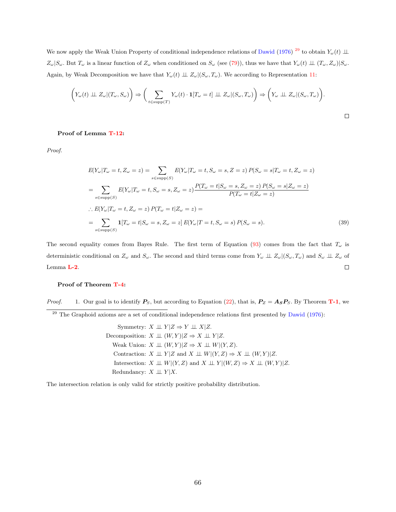We now apply the Weak Union Property of conditional independence relations of [Dawid](#page-57-2) [\(1976\)](#page-57-2)<sup>[29](#page-65-0)</sup> to obtain  $Y_\omega(t) \perp \!\!\! \perp$  $Z_{\omega}|S_{\omega}$ . But  $T_{\omega}$  is a linear function of  $Z_{\omega}$  when conditioned on  $S_{\omega}$  (see [\(79\)](#page-98-0)), thus we have that  $Y_{\omega}(t) \perp (T_{\omega}, Z_{\omega})|S_{\omega}$ . Again, by Weak Decomposition we have that  $Y_{\omega}(t) \perp Z_{\omega}|(S_{\omega}, T_{\omega})$ . We according to Representation [11:](#page-24-1)

$$
\left(Y_{\omega}(t) \perp Z_{\omega} | (T_{\omega}, S_{\omega})\right) \Rightarrow \left(\sum_{t \in \text{supp}(T)} Y_{\omega}(t) \cdot \mathbf{1}[T_{\omega} = t] \perp Z_{\omega} | (S_{\omega}, T_{\omega})\right) \Rightarrow \left(Y_{\omega} \perp Z_{\omega} | (S_{\omega}, T_{\omega})\right).
$$

 $\Box$ 

### Proof of Lemma [T-12:](#page-105-0)

Proof.

$$
E(Y_{\omega}|T_{\omega}=t, Z_{\omega}=z) = \sum_{s \in \text{supp}(S)} E(Y_{\omega}|T_{\omega}=t, S_{\omega}=s, Z=z) P(S_{\omega}=s|T_{\omega}=t, Z_{\omega}=z)
$$
  
\n
$$
= \sum_{s \in \text{supp}(S)} E(Y_{\omega}|T_{\omega}=t, S_{\omega}=s, Z_{\omega}=z) \frac{P(T_{\omega}=t|S_{\omega}=s, Z_{\omega}=z) P(S_{\omega}=s|Z_{\omega}=z)}{P(T_{\omega}=t|Z_{\omega}=z)}
$$
  
\n
$$
\therefore E(Y_{\omega}|T_{\omega}=t, Z_{\omega}=z) P(T_{\omega}=t|Z_{\omega}=z) =
$$
  
\n
$$
= \sum_{s \in \text{supp}(S)} \mathbf{1}[T_{\omega}=t|S_{\omega}=s, Z_{\omega}=z] E(Y_{\omega}|T=t, S_{\omega}=s) P(S_{\omega}=s).
$$
 (39)

The second equality comes from Bayes Rule. The first term of Equation [\(93\)](#page-110-0) comes from the fact that  $T_{\omega}$  is deterministic conditional on  $Z_{\omega}$  and  $S_{\omega}$ . The second and third terms come from  $Y_{\omega} \perp Z_{\omega} | (S_{\omega}, T_{\omega})$  and  $S_{\omega} \perp Z_{\omega}$  of Lemma [L-2](#page-25-0).  $\Box$ 

### Proof of Theorem [T-4:](#page-31-0)

*Proof.* 1. Our goal is to identify  $P_S$ , but according to Equation [\(22\)](#page-28-0), that is,  $P_Z = A_S P_S$ . By Theorem **[T-1](#page-20-0)**, we

<span id="page-65-0"></span> $^{29}$  The Graphoid axioms are a set of conditional independence relations first presented by [Dawid](#page-57-2) [\(1976\)](#page-57-2):

Symmetry:  $X \perp \!\!\!\perp Y | Z \Rightarrow Y \perp \!\!\!\perp X | Z.$ Decomposition:  $X \perp\!\!\!\perp (W, Y)|Z \Rightarrow X \perp\!\!\!\perp Y|Z.$ Weak Union:  $X \perp\!\!\!\perp (W, Y)|Z \Rightarrow X \perp\!\!\!\perp W|(Y, Z).$ Contraction:  $X \perp \!\!\!\perp Y | Z$  and  $X \perp \!\!\!\perp W | (Y, Z) \Rightarrow X \perp \!\!\!\perp (W, Y) | Z$ . Intersection:  $X \perp \!\!\!\perp W | (Y, Z)$  and  $X \perp \!\!\!\perp Y | (W, Z) \Rightarrow X \perp \!\!\!\perp (W, Y) | Z$ . Redundancy:  $X \perp \!\!\!\perp Y | X$ .

The intersection relation is only valid for strictly positive probability distribution.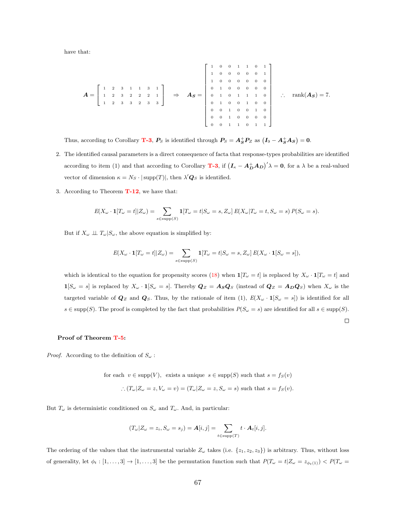have that:

$$
A = \begin{bmatrix} 1 & 2 & 3 & 1 & 1 & 3 & 1 \\ 1 & 2 & 3 & 2 & 2 & 2 & 1 \\ 1 & 2 & 3 & 3 & 2 & 3 & 3 \end{bmatrix} \Rightarrow A_{S} = \begin{bmatrix} 1 & 0 & 0 & 1 & 1 & 0 & 1 \\ 1 & 0 & 0 & 0 & 0 & 0 & 0 & 1 \\ 0 & 1 & 0 & 0 & 0 & 0 & 0 & 0 \\ 0 & 1 & 0 & 1 & 1 & 1 & 0 & 0 \\ 0 & 0 & 1 & 0 & 0 & 1 & 0 & 0 \\ 0 & 0 & 1 & 0 & 0 & 0 & 0 & 0 \\ 0 & 0 & 1 & 0 & 0 & 1 & 0 & 1 \end{bmatrix} \therefore \text{ rank}(A_{S}) = 7.
$$

Thus, according to Corollary **[T-3](#page-29-1)**,  $P_S$  is identified through  $P_S = A_S^+ P_Z$  as  $(I_9 - A_S^+ A_S) = 0$ .

- 2. The identified causal parameters is a direct consequence of facta that response-types probabilities are identified according to item (1) and that according to Corollary **[T-3](#page-29-1)**, if  $(I_\kappa - A_D^+ A_D)^{\prime} \lambda = 0$ , for a  $\lambda$  be a real-valued vector of dimension  $\kappa = N_S \cdot |\text{supp}(T)|$ , then  $\lambda' Q_S$  is identified.
- 3. According to Theorem  $T-12$ , we have that:

$$
E(X_{\omega}\cdot\mathbf{1}[T_{\omega}=t]|Z_{\omega})=\sum_{s\in \text{supp}(S)}\mathbf{1}[T_{\omega}=t|S_{\omega}=s,Z_{\omega}]\ E(X_{\omega}|T_{\omega}=t,S_{\omega}=s)\ P(S_{\omega}=s).
$$

But if  $X_\omega \perp \!\!\!\perp T_\omega | S_\omega$ , the above equation is simplified by:

$$
E(X_{\omega}\cdot\mathbf{1}[T_{\omega}=t]|Z_{\omega})=\sum_{s\in \text{supp}(S)}\mathbf{1}[T_{\omega}=t|S_{\omega}=s,Z_{\omega}]\,E(X_{\omega}\cdot\mathbf{1}[S_{\omega}=s]),
$$

which is identical to the equation for propensity scores [\(18\)](#page-27-1) when  $\mathbf{1}[T_{\omega} = t]$  is replaced by  $X_{\omega} \cdot \mathbf{1}[T_{\omega} = t]$  and  $1[S_{\omega} = s]$  is replaced by  $X_{\omega} \cdot 1[S_{\omega} = s]$ . Thereby  $Q_Z = A_S Q_S$  (instead of  $Q_Z = A_D Q_S$ ) when  $X_{\omega}$  is the targeted variable of  $Q_Z$  and  $Q_S$ . Thus, by the rationale of item (1),  $E(X_\omega \cdot \mathbf{1}[S_\omega = s])$  is identified for all  $s \in \text{supp}(S)$ . The proof is completed by the fact that probabilities  $P(S_{\omega} = s)$  are identified for all  $s \in \text{supp}(S)$ .

 $\Box$ 

#### Proof of Theorem [T-5:](#page-33-0)

*Proof.* According to the definition of  $S_{\omega}$ :

for each  $v \in \text{supp}(V)$ , exists a unique  $s \in \text{supp}(S)$  such that  $s = f_S(v)$  $\therefore (T_{\omega} | Z_{\omega} = z, V_{\omega} = v) = (T_{\omega} | Z_{\omega} = z, S_{\omega} = s)$  such that  $s = f_S(v)$ .

But  $T_{\omega}$  is deterministic conditioned on  $S_{\omega}$  and  $T_{\omega}$ . And, in particular:

$$
(T_{\omega}|Z_{\omega}=z_i,S_{\omega}=s_j)=\boldsymbol{A}[i,j]=\sum_{t\in \mathrm{supp}(T)}t\cdot \boldsymbol{A}_t[i,j].
$$

The ordering of the values that the instrumental variable  $Z_{\omega}$  takes (i.e.  $\{z_1, z_2, z_3\}$ ) is arbitrary. Thus, without loss of generality, let  $\phi_t : [1, \ldots, 3] \to [1, \ldots, 3]$  be the permutation function such that  $P(T_\omega = t | Z_\omega = z_{\phi_t(1)}) < P(T_\omega = t | Z_\omega = z_{\phi_t(1)})$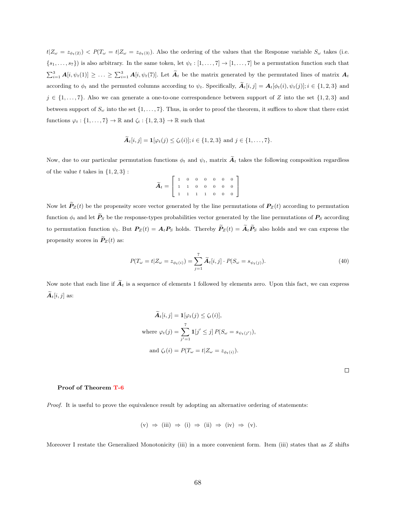$t|Z_{\omega} = z_{\phi_t(2)}) < P(T_{\omega} = t|Z_{\omega} = z_{\phi_t(3)})$ . Also the ordering of the values that the Response variable  $S_{\omega}$  takes (i.e.  ${s_1, \ldots, s_7}$ ) is also arbitrary. In the same token, let  $\psi_t : [1, \ldots, 7] \to [1, \ldots, 7]$  be a permutation function such that  $\sum_{i=1}^3 A[i,\psi_t(1)] \geq \ldots \geq \sum_{i=1}^3 A[i,\psi_t(7)]$ . Let  $\widetilde{A}_t$  be the matrix generated by the permutated lines of matrix  $A_t$ according to  $\phi_t$  and the permuted columns according to  $\psi_t$ . Specifically,  $\widetilde{A}_t[i,j] = A_t[\phi_t(i), \psi_t(j)]$ ;  $i \in \{1, 2, 3\}$  and  $j \in \{1, \ldots, 7\}$ . Also we can generate a one-to-one correspondence between support of Z into the set  $\{1, 2, 3\}$  and between support of  $S_{\omega}$  into the set  $\{1, \ldots, 7\}$ . Thus, in order to proof the theorem, it suffices to show that there exist functions  $\varphi_t : \{1, \ldots, 7\} \to \mathbb{R}$  and  $\zeta_t : \{1, 2, 3\} \to \mathbb{R}$  such that

$$
\mathbf{A}_{t}[i,j] = \mathbf{1}[\varphi_{t}(j) \leq \zeta_{t}(i)]; i \in \{1,2,3\} \text{ and } j \in \{1,\ldots,7\}.
$$

Now, due to our particular permutation functions  $\phi_t$  and  $\psi_t$ , matrix  $\tilde{A}_t$  takes the following composition regardless of the value t takes in  $\{1, 2, 3\}$ :

$$
\widetilde{A}_t = \left[ \begin{array}{cccccc} 1 & 0 & 0 & 0 & 0 & 0 & 0 \\ 1 & 1 & 0 & 0 & 0 & 0 & 0 \\ 1 & 1 & 1 & 1 & 0 & 0 & 0 \end{array} \right]
$$

Now let  $\tilde{P}_Z(t)$  be the propensity score vector generated by the line permutations of  $P_Z(t)$  according to permutation function  $\phi_t$  and let  $\widetilde{P}_S$  be the response-types probabilities vector generated by the line permutations of  $P_S$  according to permutation function  $\psi_t$ . But  $P_Z(t) = A_t P_S$  holds. Thereby  $\widetilde{P}_Z(t) = \widetilde{A}_t \widetilde{P}_S$  also holds and we can express the propensity scores in  $\mathbf{P}_z(t)$  as:

$$
P(T_{\omega} = t | Z_{\omega} = z_{\phi_t(i)}) = \sum_{j=1}^{7} \widetilde{A}_t[i, j] \cdot P(S_{\omega} = s_{\psi_t(j)}).
$$
\n(40)

Now note that each line if  $\tilde{A}_t$  is a sequence of elements 1 followed by elements zero. Upon this fact, we can express  $\widetilde{A}_t[i, j]$  as:

$$
\widetilde{A}_t[i,j] = \mathbf{1}[\varphi_t(j) \le \zeta_t(i)],
$$
\nwhere  $\varphi_t(j) = \sum_{j'=1}^7 \mathbf{1}[j' \le j] P(S_\omega = s_{\psi_t(j')}),$   
\nand  $\zeta_t(i) = P(T_\omega = t | Z_\omega = z_{\phi_t(i)}).$ 

 $\Box$ 

### Proof of Theorem [T-6](#page-34-0)

Proof. It is useful to prove the equivalence result by adopting an alternative ordering of statements:

$$
(v) \Rightarrow (iii) \Rightarrow (i) \Rightarrow (ii) \Rightarrow (iv) \Rightarrow (v).
$$

Moreover I restate the Generalized Monotonicity (iii) in a more convenient form. Item (iii) states that as  $Z$  shifts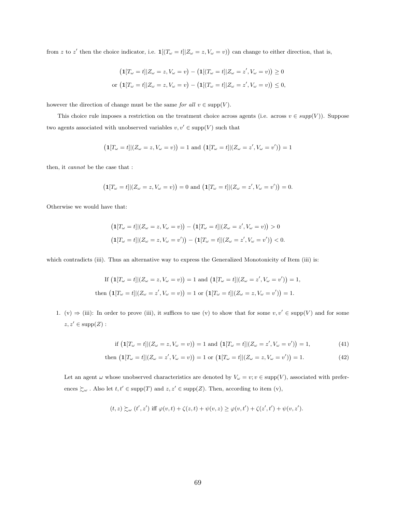from z to z' then the choice indicator, i.e.  $\mathbf{1}[(T_{\omega} = t] | Z_{\omega} = z, V_{\omega} = v)$  can change to either direction, that is,

$$
\begin{aligned} \left(\mathbf{1}[T_{\omega} = t]|Z_{\omega} = z, V_{\omega} = v\right) - \left(\mathbf{1}[(T_{\omega} = t]|Z_{\omega} = z', V_{\omega} = v)\right) \ge 0\\ \text{or } \left(\mathbf{1}[T_{\omega} = t]|Z_{\omega} = z, V_{\omega} = v\right) - \left(\mathbf{1}[(T_{\omega} = t]|Z_{\omega} = z', V_{\omega} = v)\right) \le 0, \end{aligned}
$$

however the direction of change must be the same for all  $v \in \text{supp}(V)$ .

This choice rule imposes a restriction on the treatment choice across agents (i.e. across  $v \in supp(V)$ ). Suppose two agents associated with unobserved variables  $v, v' \in \mathrm{supp}(V)$  such that

$$
(1[T_{\omega} = t]|(Z_{\omega} = z, V_{\omega} = v)) = 1 \text{ and } (1[T_{\omega} = t]|(Z_{\omega} = z', V_{\omega} = v')) = 1
$$

then, it cannot be the case that :

$$
\big(\mathbf{1}[T_{\omega}=t]|(Z_{\omega}=z,V_{\omega}=v)\big)=0\,\,\text{and}\,\,\big(\mathbf{1}[T_{\omega}=t]|(Z_{\omega}=z',V_{\omega}=v')\big)=0.
$$

Otherwise we would have that:

$$
\begin{aligned} \left(\mathbf{1}[T_{\omega}=t]|(Z_{\omega}=z,V_{\omega}=v)\right)-\left(\mathbf{1}[T_{\omega}=t]|(Z_{\omega}=z',V_{\omega}=v)\right)>0\\ \left(\mathbf{1}[T_{\omega}=t]|(Z_{\omega}=z,V_{\omega}=v')\right)-\left(\mathbf{1}[T_{\omega}=t]|(Z_{\omega}=z',V_{\omega}=v')\right)<0.\end{aligned}
$$

which contradicts (iii). Thus an alternative way to express the Generalized Monotonicity of Item (iii) is:

If 
$$
(\mathbf{1}[T_{\omega} = t]|(Z_{\omega} = z, V_{\omega} = v)) = 1
$$
 and  $(\mathbf{1}[T_{\omega} = t]|(Z_{\omega} = z', V_{\omega} = v')) = 1$ ,  
then  $(\mathbf{1}[T_{\omega} = t]|(Z_{\omega} = z', V_{\omega} = v)) = 1$  or  $(\mathbf{1}[T_{\omega} = t]|(Z_{\omega} = z, V_{\omega} = v')) = 1$ .

1. (v)  $\Rightarrow$  (iii): In order to prove (iii), it suffices to use (v) to show that for some  $v, v' \in \text{supp}(V)$  and for some  $z, z' \in \text{supp}(Z)$ :

<span id="page-68-1"></span><span id="page-68-0"></span>if 
$$
(1[T_{\omega} = t]|(Z_{\omega} = z, V_{\omega} = v)) = 1
$$
 and  $(1[T_{\omega} = t]|(Z_{\omega} = z', V_{\omega} = v')) = 1,$  (41)

then 
$$
(\mathbf{1}[T_{\omega} = t]|(Z_{\omega} = z', V_{\omega} = v)) = 1
$$
 or  $(\mathbf{1}[T_{\omega} = t]|(Z_{\omega} = z, V_{\omega} = v')) = 1.$  (42)

Let an agent  $\omega$  whose unobserved characteristics are denoted by  $V_{\omega} = v; v \in \text{supp}(V)$ , associated with preferences  $\succsim_\omega$  . Also let  $t,t'\in \mathrm{supp}(T)$  and  $z,z'\in \mathrm{supp}(Z).$  Then, according to item (v),

$$
(t,z) \succsim\limits_{\omega} (t',z') \text{ iff } \varphi(v,t)+\zeta(z,t)+\psi(v,z) \geq \varphi(v,t')+\zeta(z',t')+\psi(v,z').
$$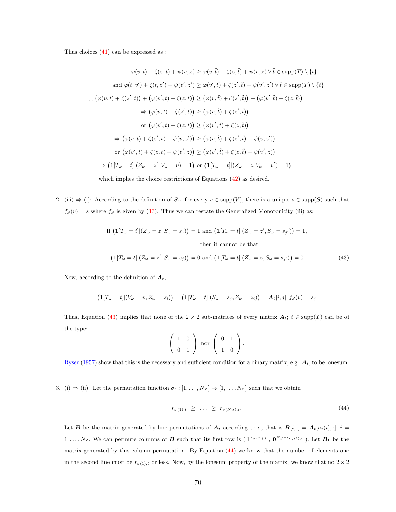Thus choices [\(41\)](#page-68-0) can be expressed as :

$$
\varphi(v,t) + \zeta(z,t) + \psi(v,z) \ge \varphi(v,\tilde{t}) + \zeta(z,\tilde{t}) + \psi(v,z) \,\forall \,\tilde{t} \in \text{supp}(T) \setminus \{t\}
$$
  
and 
$$
\varphi(t,v') + \zeta(t,z') + \psi(v',z') \ge \varphi(v',\tilde{t}) + \zeta(z',\tilde{t}) + \psi(v',z') \,\forall \,\tilde{t} \in \text{supp}(T) \setminus \{t\}
$$
  
.: 
$$
(\varphi(v,t) + \zeta(z',t)) + (\varphi(v',t) + \zeta(z,t)) \ge (\varphi(v,\tilde{t}) + \zeta(z',\tilde{t})) + (\varphi(v',\tilde{t}) + \zeta(z,\tilde{t}))
$$
  

$$
\Rightarrow (\varphi(v,t) + \zeta(z',t)) \ge (\varphi(v,\tilde{t}) + \zeta(z',\tilde{t}))
$$
  
or 
$$
(\varphi(v',t) + \zeta(z,t)) \ge (\varphi(v',\tilde{t}) + \zeta(z,\tilde{t}))
$$
  

$$
\Rightarrow (\varphi(v,t) + \zeta(z',t) + \psi(v,z')) \ge (\varphi(v,\tilde{t}) + \zeta(z',\tilde{t}) + \psi(v,z'))
$$
  
or 
$$
(\varphi(v',t) + \zeta(z,t) + \psi(v',z)) \ge (\varphi(v',\tilde{t}) + \zeta(z,\tilde{t}) + \psi(v',z))
$$
  

$$
\Rightarrow (1[T_{\omega} = t] | (Z_{\omega} = z', V_{\omega} = v) = 1) \text{ or } (1[T_{\omega} = t] | (Z_{\omega} = z, V_{\omega} = v') = 1)
$$

which implies the choice restrictions of Equations  $(42)$  as desired.

2. (iii)  $\Rightarrow$  (i): According to the definition of  $S_{\omega}$ , for every  $v \in \text{supp}(V)$ , there is a unique  $s \in \text{supp}(S)$  such that  $f_S(v) = s$  where  $f_S$  is given by [\(13\)](#page-24-0). Thus we can restate the Generalized Monotonicity (iii) as:

If 
$$
(\mathbf{1}[T_{\omega} = t]|(Z_{\omega} = z, S_{\omega} = s_j)) = 1
$$
 and  $(\mathbf{1}[T_{\omega} = t]|(Z_{\omega} = z', S_{\omega} = s_{j'})) = 1$ ,  
then it cannot be that

$$
\left(\mathbf{1}[T_{\omega}=t]|(Z_{\omega}=z',S_{\omega}=s_j)\right)=0 \text{ and } \left(\mathbf{1}[T_{\omega}=t]|(Z_{\omega}=z,S_{\omega}=s_{j'})\right)=0. \tag{43}
$$

Now, according to the definition of  $A_t$ ,

$$
(1[T_{\omega} = t]](V_{\omega} = v, Z_{\omega} = z_i)) = (1[T_{\omega} = t]](S_{\omega} = s_j, Z_{\omega} = z_i)) = A_t[i, j]; f_S(v) = s_j
$$

Thus, Equation [\(43\)](#page-69-0) implies that none of the 2 × 2 sub-matrices of every matrix  $A_t$ ;  $t \in \text{supp}(T)$  can be of the type:

<span id="page-69-0"></span>
$$
\left(\begin{array}{cc} 1 & 0 \\ 0 & 1 \end{array}\right) \text{ nor } \left(\begin{array}{cc} 0 & 1 \\ 1 & 0 \end{array}\right).
$$

[Ryser](#page-60-5) [\(1957\)](#page-60-5) show that this is the necessary and sufficient condition for a binary matrix, e.g.  $A_t$ , to be lonesum.

3. (i)  $\Rightarrow$  (ii): Let the permutation function  $\sigma_t : [1, \ldots, N_Z] \rightarrow [1, \ldots, N_Z]$  such that we obtain

<span id="page-69-1"></span>
$$
r_{\sigma(1),t} \geq \ldots \geq r_{\sigma(N_Z),t}.\tag{44}
$$

Let **B** be the matrix generated by line permutations of  $A_t$  according to  $\sigma$ , that is  $B[i, \cdot] = A_t[\sigma_t(i), \cdot]$ ;  $i =$  $1,\ldots,N_Z$ . We can permute columns of **B** such that its first row is  $({\bf 1}^{r_{\sigma_t(1),t}}, {\bf 0}^{N_S-r_{\sigma_t(1),t}})$ . Let  $B_1$  be the matrix generated by this column permutation. By Equation [\(44\)](#page-69-1) we know that the number of elements one in the second line must be  $r_{\sigma(1),t}$  or less. Now, by the lonesum property of the matrix, we know that no  $2 \times 2$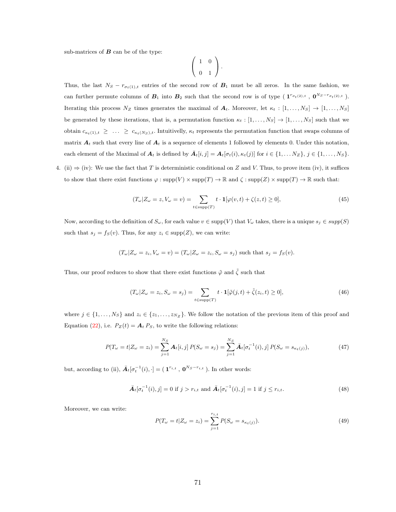sub-matrices of  $B$  can be of the type:

<span id="page-70-3"></span>
$$
\left(\begin{array}{cc} 1 & 0 \\ 0 & 1 \end{array}\right).
$$

Thus, the last  $N_S - r_{\sigma_t(1),t}$  entries of the second row of  $B_1$  must be all zeros. In the same fashion, we can further permute columns of  $B_1$  into  $B_2$  such that the second row is of type  $(T^{\tau_{\sigma_t(2),t}}, 0^{N_S-\tau_{\sigma_t(2),t}})$ . Iterating this process  $N_Z$  times generates the maximal of  $A_t$ . Moreover, let  $\kappa_t : [1, \ldots, N_S] \rightarrow [1, \ldots, N_S]$ be generated by these iterations, that is, a permutation function  $\kappa_t : [1, \ldots, N_S] \to [1, \ldots, N_S]$  such that we obtain  $c_{\kappa_t(1),t} \geq \ldots \geq c_{\kappa_t(N_S),t}$ . Intuitivelly,  $\kappa_t$  represents the permutation function that swaps columns of matrix  $A_t$  such that every line of  $A_t$  is a sequence of elements 1 followed by elements 0. Under this notation, each element of the Maximal of  $A_t$  is defined by  $\bar{A}_t[i, j] = A_t[\sigma_t(i), \kappa_t(j)]$  for  $i \in \{1, \ldots N_Z\}, j \in \{1, \ldots, N_S\}.$ 

4. (ii)  $\Rightarrow$  (iv): We use the fact that T is deterministic conditional on Z and V. Thus, to prove item (iv), it suffices to show that there exist functions  $\varphi : supp(V) \times supp(T) \to \mathbb{R}$  and  $\zeta : supp(Z) \times supp(T) \to \mathbb{R}$  such that:

$$
(T_{\omega}|Z_{\omega}=z,V_{\omega}=v)=\sum_{t\in\text{supp}(T)}t\cdot\mathbf{1}[\varphi(v,t)+\zeta(z,t)\geq 0],\tag{45}
$$

Now, according to the definition of  $S_{\omega}$ , for each value  $v \in \text{supp}(V)$  that  $V_{\omega}$  takes, there is a unique  $s_j \in \text{supp}(S)$ such that  $s_j = f_S(v)$ . Thus, for any  $z_i \in \text{supp}(Z)$ , we can write:

$$
(T_{\omega}|Z_{\omega}=z_i,V_{\omega}=v)=(T_{\omega}|Z_{\omega}=z_i,S_{\omega}=s_j)
$$
 such that  $s_j = f_S(v)$ .

Thus, our proof reduces to show that there exist functions  $\tilde{\varphi}$  and  $\tilde{\zeta}$  such that

<span id="page-70-2"></span>
$$
(T_{\omega}|Z_{\omega}=z_i, S_{\omega}=s_j) = \sum_{t \in \text{supp}(T)} t \cdot \mathbf{1}[\tilde{\varphi}(j,t) + \tilde{\zeta}(z_i,t) \ge 0],\tag{46}
$$

where  $j \in \{1, \ldots, N_S\}$  and  $z_i \in \{z_1, \ldots, z_{N_Z}\}.$  We follow the notation of the previous item of this proof and Equation [\(22\)](#page-28-0), i.e.  $P_Z(t) = A_t P_S$ , to write the following relations:

$$
P(T_{\omega} = t | Z_{\omega} = z_i) = \sum_{j=1}^{N_S} \mathbf{A}_t[i, j] P(S_{\omega} = s_j) = \sum_{j=1}^{N_S} \bar{\mathbf{A}}_t[\sigma_t^{-1}(i), j] P(S_{\omega} = s_{\kappa_t(j)}),
$$
(47)

but, according to (ii),  $\bar{A}_t[\sigma_t^{-1}(i),\cdot] = (1^{r_{i,t}} , 0^{N_S-r_{i,t}})$ . In other words:

<span id="page-70-1"></span>
$$
\bar{A}_t[\sigma_t^{-1}(i), j] = 0 \text{ if } j > r_{i,t} \text{ and } \bar{A}_t[\sigma_t^{-1}(i), j] = 1 \text{ if } j \le r_{i,t}. \tag{48}
$$

Moreover, we can write:

<span id="page-70-0"></span>
$$
P(T_{\omega} = t | Z_{\omega} = z_i) = \sum_{j=1}^{r_{i,t}} P(S_{\omega} = s_{\kappa_t(j)}).
$$
\n(49)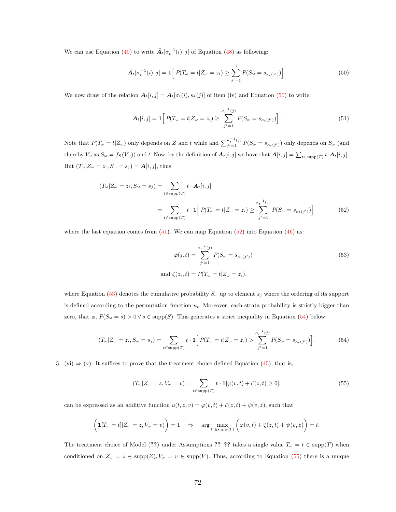We can use Equation [\(49\)](#page-70-0) to write  $\bar{A}_t[\sigma_t^{-1}(i), j]$  of Equation [\(48\)](#page-70-1) as following:

<span id="page-71-0"></span>
$$
\bar{A}_t[\sigma_t^{-1}(i), j] = \mathbf{1}\Big[P(T_\omega = t | Z_\omega = z_i) \ge \sum_{j'=1}^j P(S_\omega = s_{\kappa_t(j')})\Big].\tag{50}
$$

We now draw of the relation  $\bar{A}_t[i, j] = A_t[\sigma_t(i), \kappa_t(j)]$  of item (iv) and Equation [\(50\)](#page-71-0) to write:

<span id="page-71-1"></span>
$$
\mathbf{A}_{t}[i,j] = \mathbf{1} \Big[ P(T_{\omega} = t | Z_{\omega} = z_i) \geq \sum_{j'=1}^{\kappa_t^{-1}(j)} P(S_{\omega} = s_{\kappa_t(j')}) \Big]. \tag{51}
$$

Note that  $P(T_\omega = t | Z_\omega)$  only depends on Z and t while and  $\sum_{i'=1}^{k-1} (i)$  $\int_{j'=1}^{\kappa_t(j')} P(S_\omega = s_{\kappa_t(j')})$  only depends on  $S_\omega$  (and thereby  $V_{\omega}$  as  $S_{\omega} = f_S(V_{\omega})$  and t. Now, by the definition of  $A_t[i, j]$  we have that  $A[i, j] = \sum_{t \in \text{supp}(T)} t \cdot A_t[i, j]$ . But  $(T_{\omega}|Z_{\omega}=z_i, S_{\omega}=s_j)=\boldsymbol{A}[i,j],$  thus:

$$
(T_{\omega}|Z_{\omega}=z_i, S_{\omega}=s_j) = \sum_{t \in \text{supp}(T)} t \cdot \mathbf{A}_t[i, j]
$$
  
= 
$$
\sum_{t \in \text{supp}(T)} t \cdot \mathbf{1} \Big[ P(T_{\omega}=t|Z_{\omega}=z_i) \geq \sum_{j'=1}^{\kappa_t^{-1}(j)} P(S_{\omega}=s_{\kappa_t(j')}) \Big]
$$
(52)

where the last equation comes from  $(51)$ . We can map Equation  $(52)$  into Equation  $(46)$  as:

<span id="page-71-4"></span><span id="page-71-3"></span><span id="page-71-2"></span>
$$
\tilde{\varphi}(j,t) = \sum_{j'=1}^{\kappa_t^{-1}(j)} P(S_{\omega} = s_{\kappa_t(j')})
$$
\n
$$
\text{and } \tilde{\zeta}(z_i,t) = P(T_{\omega} = t | Z_{\omega} = z_i),
$$
\n
$$
(53)
$$

where Equation [\(53\)](#page-71-3) denotes the cumulative probability  $S_{\omega}$  up to element  $s_i$  where the ordering of its support is defined according to the permutation function  $\kappa_t$ . Moreover, each strata probability is strictly bigger than zero, that is,  $P(S_{\omega} = s) > 0 \,\forall s \in \text{supp}(S)$ . This generates a strict inequality in Equation [\(54\)](#page-71-4) below:

$$
(T_{\omega}|Z_{\omega}=z_i, S_{\omega}=s_j) = \sum_{t \in \text{supp}(T)} t \cdot \mathbf{1} \Big[ P(T_{\omega}=t|Z_{\omega}=z_i) > \sum_{j'=1}^{\kappa_t^{-1}(j)} P(S_{\omega}=s_{\kappa_t(j')}) \Big]. \tag{54}
$$

5. (vi)  $\Rightarrow$  (v): It suffices to prove that the treatment choice defined Equation [\(45\)](#page-70-3), that is,

<span id="page-71-5"></span>
$$
(T_{\omega}|Z_{\omega}=z,V_{\omega}=v)=\sum_{t\in\text{supp}(T)}t\cdot\mathbf{1}[\varphi(v,t)+\zeta(z,t)\geq 0],\tag{55}
$$

can be expressed as an additive function  $u(t, z, v) = \varphi(v, t) + \zeta(z, t) + \psi(v, z)$ , such that

$$
\left(\mathbf{1}[T_{\omega}=t]|Z_{\omega}=z,V_{\omega}=v)\right)=1 \quad \Rightarrow \quad \arg\max_{t' \in \text{supp}(T)}\left(\varphi(v,t)+\zeta(z,t)+\psi(v,z)\right)=t.
$$

The treatment choice of Model (??) under Assumptions ??–?? takes a single value  $T_{\omega} = t \in \text{supp}(T)$  when conditioned on  $Z_{\omega} = z \in \text{supp}(Z), V_{\omega} = v \in \text{supp}(V)$ . Thus, according to Equation [\(55\)](#page-71-5) there is a unique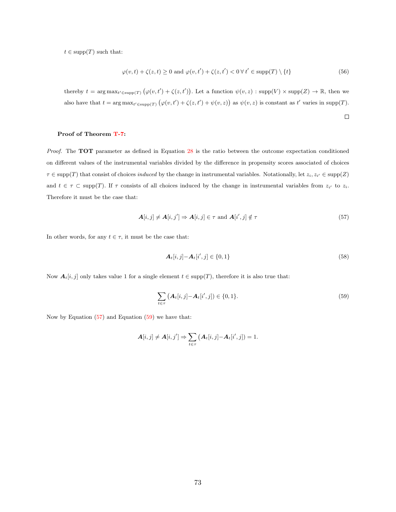$t \in \text{supp}(T)$  such that:

$$
\varphi(v,t) + \zeta(z,t) \ge 0 \text{ and } \varphi(v,t') + \zeta(z,t') < 0 \,\forall\, t' \in \text{supp}(T) \setminus \{t\}
$$
\n
$$
(56)
$$

thereby  $t = \arg \max_{t' \in \text{supp}(T)} (\varphi(v, t') + \zeta(z, t'))$ . Let a function  $\psi(v, z)$ :  $\text{supp}(V) \times \text{supp}(Z) \to \mathbb{R}$ , then we also have that  $t = \arg \max_{t' \in \text{supp}(T)} (\varphi(v, t') + \zeta(z, t') + \psi(v, z))$  as  $\psi(v, z)$  is constant as t' varies in supp(T).

#### Proof of Theorem [T-7:](#page-37-0)

Proof. The TOT parameter as defined in Equation [28](#page-36-0) is the ratio between the outcome expectation conditioned on different values of the instrumental variables divided by the difference in propensity scores associated of choices  $\tau \in \text{supp}(T)$  that consist of choices *induced* by the change in instrumental variables. Notationally, let  $z_i, z_{i'} \in \text{supp}(Z)$ and  $t \in \tau \subset \text{supp}(T)$ . If  $\tau$  consists of all choices induced by the change in instrumental variables from  $z_{i'}$  to  $z_{i}$ . Therefore it must be the case that:

$$
\mathbf{A}[i,j] \neq \mathbf{A}[i,j'] \Rightarrow \mathbf{A}[i,j] \in \tau \text{ and } \mathbf{A}[i',j] \notin \tau
$$
\n
$$
(57)
$$

In other words, for any  $t \in \tau$ , it must be the case that:

$$
\mathbf{A}_{t}[i,j] - \mathbf{A}_{t}[i',j] \in \{0,1\} \tag{58}
$$

<span id="page-72-1"></span><span id="page-72-0"></span> $\Box$ 

Now  $A_t[i, j]$  only takes value 1 for a single element  $t \in \text{supp}(T)$ , therefore it is also true that:

$$
\sum_{t \in \tau} \left( \mathbf{A}_t[i,j] - \mathbf{A}_t[i',j] \right) \in \{0,1\}.
$$
\n(59)

Now by Equation  $(57)$  and Equation  $(59)$  we have that:

$$
\mathbf{A}[i,j] \neq \mathbf{A}[i,j'] \Rightarrow \sum_{t \in \tau} (\mathbf{A}_t[i,j] - \mathbf{A}_t[i',j]) = 1.
$$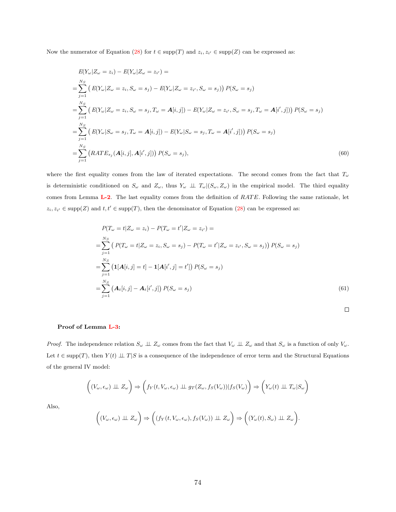Now the numerator of Equation [\(28\)](#page-36-0) for  $t \in \text{supp}(T)$  and  $z_i, z_{i'} \in \text{supp}(Z)$  can be expressed as:

$$
E(Y_{\omega}|Z_{\omega} = z_i) - E(Y_{\omega}|Z_{\omega} = z_{i'}) =
$$
\n
$$
= \sum_{j=1}^{N_S} \left( E(Y_{\omega}|Z_{\omega} = z_i, S_{\omega} = s_j) - E(Y_{\omega}|Z_{\omega} = z_{i'}, S_{\omega} = s_j) \right) P(S_{\omega} = s_j)
$$
\n
$$
= \sum_{j=1}^{N_S} \left( E(Y_{\omega}|Z_{\omega} = z_i, S_{\omega} = s_j, T_{\omega} = \mathbf{A}[i,j]) - E(Y_{\omega}|Z_{\omega} = z_{i'}, S_{\omega} = s_j, T_{\omega} = \mathbf{A}[i',j]) \right) P(S_{\omega} = s_j)
$$
\n
$$
= \sum_{j=1}^{N_S} \left( E(Y_{\omega}|S_{\omega} = s_j, T_{\omega} = \mathbf{A}[i,j]) - E(Y_{\omega}|S_{\omega} = s_j, T_{\omega} = \mathbf{A}[i',j]) \right) P(S_{\omega} = s_j)
$$
\n
$$
= \sum_{j=1}^{N_S} \left( RATE_{s_j}(A[i,j], A[i',j]) \right) P(S_{\omega} = s_j), \tag{60}
$$

where the first equality comes from the law of iterated expectations. The second comes from the fact that  $T_{\omega}$ is deterministic conditioned on  $S_{\omega}$  and  $Z_{\omega}$ , thus  $Y_{\omega} \perp \perp T_{\omega}|(S_{\omega}, Z_{\omega})$  in the empirical model. The third equality comes from Lemma [L-2](#page-25-0). The last equality comes from the definition of RATE. Following the same rationale, let  $z_i, z_{i'} \in \text{supp}(Z)$  and  $t, t' \in \text{supp}(T)$ , then the denominator of Equation [\(28\)](#page-36-0) can be expressed as:

$$
P(T_{\omega} = t | Z_{\omega} = z_i) - P(T_{\omega} = t' | Z_{\omega} = z_{i'}) =
$$
\n
$$
= \sum_{j=1}^{N_S} (P(T_{\omega} = t | Z_{\omega} = z_i, S_{\omega} = s_j) - P(T_{\omega} = t' | Z_{\omega} = z_{i'}, S_{\omega} = s_j)) P(S_{\omega} = s_j)
$$
\n
$$
= \sum_{j=1}^{N_S} (1[A[i,j] = t] - 1[A[i',j] = t']) P(S_{\omega} = s_j)
$$
\n
$$
= \sum_{j=1}^{N_S} (A_t[i,j] - A_t[i',j]) P(S_{\omega} = s_j)
$$
\n(61)

#### Proof of Lemma [L-3:](#page-42-0)

*Proof.* The independence relation  $S_{\omega} \perp \!\!\! \perp Z_{\omega}$  comes from the fact that  $V_{\omega} \perp \!\!\! \perp Z_{\omega}$  and that  $S_{\omega}$  is a function of only  $V_{\omega}$ . Let  $t \in \text{supp}(T)$ , then  $Y(t) \perp \perp T | S$  is a consequence of the independence of error term and the Structural Equations of the general IV model:

$$
\left((V_{\omega}, \epsilon_{\omega}) \perp \!\!\!\perp Z_{\omega}\right) \Rightarrow \left(f_Y(t, V_{\omega}, \epsilon_{\omega}) \perp \!\!\!\perp g_T(Z_{\omega}, f_S(V_{\omega})) | f_S(V_{\omega})\right) \Rightarrow \left(Y_{\omega}(t) \perp \!\!\!\perp T_{\omega} | S_{\omega}\right)
$$

Also,

$$
\left((V_{\omega}, \epsilon_{\omega}) \perp \!\!\!\perp Z_{\omega}\right) \Rightarrow \left((f_Y(t, V_{\omega}, \epsilon_{\omega}), f_S(V_{\omega})) \perp \!\!\!\perp Z_{\omega}\right) \Rightarrow \left((Y_{\omega}(t), S_{\omega}) \perp \!\!\!\perp Z_{\omega}\right).
$$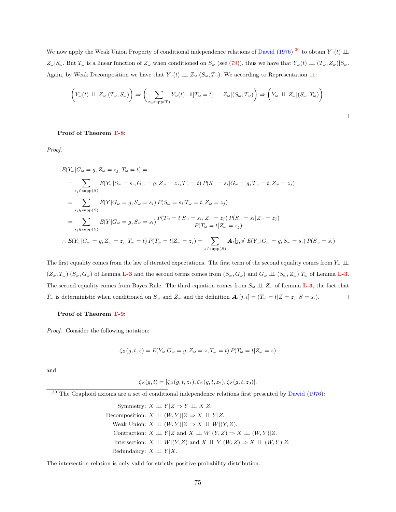We now apply the Weak Union Property of conditional independence relations of [Dawid](#page-57-0) [\(1976\)](#page-57-0)<sup>[30](#page-74-0)</sup> to obtain  $Y_\omega(t) \perp \!\!\! \perp$  $Z_{\omega}|S_{\omega}$ . But  $T_{\omega}$  is a linear function of  $Z_{\omega}$  when conditioned on  $S_{\omega}$  (see [\(79\)](#page-98-0)), thus we have that  $Y_{\omega}(t) \perp (T_{\omega}, Z_{\omega})|S_{\omega}$ . Again, by Weak Decomposition we have that  $Y_{\omega}(t) \perp Z_{\omega}|(S_{\omega}, T_{\omega})$ . We according to Representation [11:](#page-24-0)

$$
\left(Y_{\omega}(t) \perp Z_{\omega}|(T_{\omega},S_{\omega})\right) \Rightarrow \left(\sum_{t \in \text{supp}(T)} Y_{\omega}(t) \cdot \mathbf{1}[T_{\omega} = t] \perp Z_{\omega}|(S_{\omega},T_{\omega})\right) \Rightarrow \left(Y_{\omega} \perp Z_{\omega}|(S_{\omega},T_{\omega})\right).
$$

 $\Box$ 

Proof of Theorem [T-8:](#page-42-1)

Proof.

$$
E(Y_{\omega}|G_{\omega} = g, Z_{\omega} = z_j, T_{\omega} = t) =
$$
\n
$$
= \sum_{s_i \in \text{supp}(S)} E(Y_{\omega}|S_{\omega} = s_i, G_{\omega} = g, Z_{\omega} = z_j, T_{\omega} = t) P(S_{\omega} = s_i | G_{\omega} = g, T_{\omega} = t, Z_{\omega} = z_j)
$$
\n
$$
= \sum_{s_i \in \text{supp}(S)} E(Y|G_{\omega} = g, S_{\omega} = s_i) P(S_{\omega} = s_i | T_{\omega} = t, Z_{\omega} = z_j)
$$
\n
$$
= \sum_{s_i \in \text{supp}(S)} E(Y|G_{\omega} = g, S_{\omega} = s_i) \frac{P(T_{\omega} = t | S_{\omega} = s_i, Z_{\omega} = z_j) P(S_{\omega} = s_i | Z_{\omega} = z_j)}{P(T_{\omega} = t | Z_{\omega} = z_j)}
$$
\n
$$
\therefore E(Y_{\omega}|G_{\omega} = g, Z_{\omega} = z_j, T_{\omega} = t) P(T_{\omega} = t | Z_{\omega} = z_j) = \sum_{s \in \text{supp}(S)} A_t[j, s] E(Y_{\omega}|G_{\omega} = g, S_{\omega} = s_i) P(S_{\omega} = s_i)
$$

The first equality comes from the law of iterated expectations. The first term of the second equality comes from  $Y_\omega \perp \!\!\! \perp$  $(Z_\omega, T_\omega)|(S_\omega, G_\omega)$  of Lemma **[L-3](#page-42-0)** and the second terms comes from  $(S_\omega, G_\omega)$  and  $G_\omega \perp \perp (S_\omega, Z_\omega)|T_\omega$  of Lemma **L-3.** The second equality comes from Bayes Rule. The third equation comes from  $S_{\omega} \perp \!\!\!\perp Z_{\omega}$  of Lemma [L-3](#page-42-0), the fact that  $T_{\omega}$  is deterministic when conditioned on  $S_{\omega}$  and  $Z_{\omega}$  and the definition  $\mathbf{A}_t[j, i] = (T_{\omega} = t | Z = z_j, S = s_i).$  $\Box$ 

#### Proof of Theorem [T-9:](#page-43-0)

Proof. Consider the following notation:

$$
\zeta_Z(g,t,z) = E(Y_\omega | G_\omega = g, Z_\omega = z, T_\omega = t) P(T_\omega = t | Z_\omega = z)
$$

and

$$
\zeta_Z(g,t) = [\zeta_Z(g,t,z_1), \zeta_Z(g,t,z_2), \zeta_Z(g,t,z_3)].
$$

<span id="page-74-0"></span> $30$  The Graphoid axioms are a set of conditional independence relations first presented by [Dawid](#page-57-0) [\(1976\)](#page-57-0):

Symmetry:  $X \perp \!\!\! \perp Y | Z \Rightarrow Y \perp \!\!\! \perp X | Z.$ Decomposition:  $X \perp\!\!\!\perp (W, Y)|Z \Rightarrow X \perp\!\!\!\perp Y|Z.$ Weak Union:  $X \perp \!\!\! \perp (W, Y)|Z \Rightarrow X \perp \!\!\! \perp W|(Y, Z).$ Contraction:  $X \perp \!\!\!\perp Y | Z$  and  $X \perp \!\!\!\perp W | (Y, Z) \Rightarrow X \perp \!\!\!\perp (W, Y) | Z$ . Intersection:  $X \perp \!\!\!\perp W | (Y, Z)$  and  $X \perp \!\!\!\perp Y | (W, Z) \Rightarrow X \perp \!\!\!\perp (W, Y) | Z$ . Redundancy:  $X \perp \!\!\!\perp Y | X$ .

The intersection relation is only valid for strictly positive probability distribution.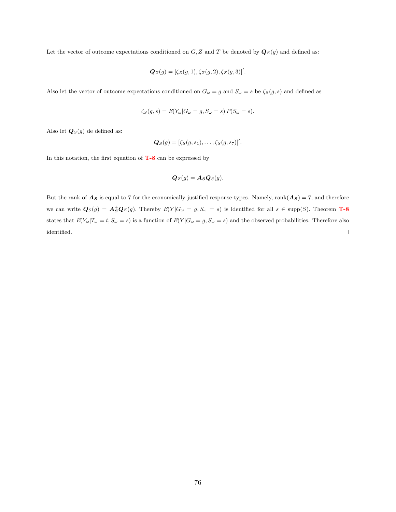Let the vector of outcome expectations conditioned on  $G, Z$  and  $T$  be denoted by  $\mathbf{Q}_Z(g)$  and defined as:

$$
\mathbf{Q}_Z(g) = [\zeta_Z(g, 1), \zeta_Z(g, 2), \zeta_Z(g, 3)]'.
$$

Also let the vector of outcome expectations conditioned on  $G_{\omega} = g$  and  $S_{\omega} = s$  be  $\zeta_{S}(g, s)$  and defined as

$$
\zeta_S(g, s) = E(Y_\omega | G_\omega = g, S_\omega = s) P(S_\omega = s).
$$

Also let  $\mathbf{Q}_S(g)$  de defined as:

$$
\mathbf{Q}_S(g)=[\zeta_S(g,s_1),\ldots,\zeta_S(g,s_7)]'.
$$

In this notation, the first equation of  $T-8$  can be expressed by

$$
\mathbf{Q}_Z(g) = \mathbf{A}_S \mathbf{Q}_S(g).
$$

But the rank of  $A_S$  is equal to 7 for the economically justified response-types. Namely, rank $(A_S) = 7$ , and therefore we can write  $\mathbf{Q}_S(g) = \mathbf{A}_S^+ \mathbf{Q}_Z(g)$ . Thereby  $E(Y|G_\omega = g, S_\omega = s)$  is identified for all  $s \in \text{supp}(S)$ . Theorem **[T-8](#page-42-1)** states that  $E(Y_{\omega}|T_{\omega} = t, S_{\omega} = s)$  is a function of  $E(Y|G_{\omega} = g, S_{\omega} = s)$  and the observed probabilities. Therefore also identified.  $\Box$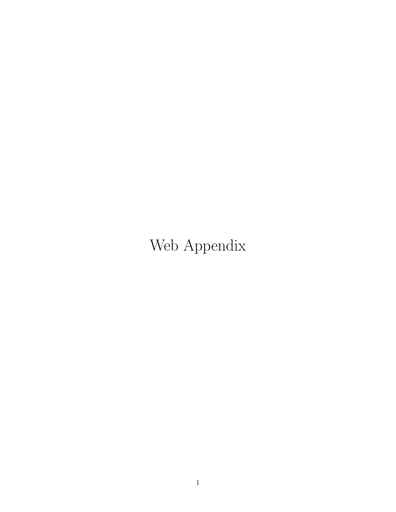# Web Appendix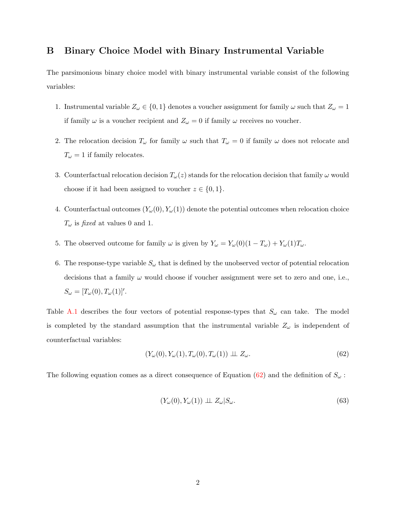## B Binary Choice Model with Binary Instrumental Variable

The parsimonious binary choice model with binary instrumental variable consist of the following variables:

- 1. Instrumental variable  $Z_{\omega} \in \{0, 1\}$  denotes a voucher assignment for family  $\omega$  such that  $Z_{\omega} = 1$ if family  $\omega$  is a voucher recipient and  $Z_{\omega} = 0$  if family  $\omega$  receives no voucher.
- 2. The relocation decision  $T_{\omega}$  for family  $\omega$  such that  $T_{\omega} = 0$  if family  $\omega$  does not relocate and  $T_\omega=1$  if family relocates.
- 3. Counterfactual relocation decision  $T_{\omega}(z)$  stands for the relocation decision that family  $\omega$  would choose if it had been assigned to voucher  $z \in \{0, 1\}.$
- 4. Counterfactual outcomes  $(Y_\omega(0), Y_\omega(1))$  denote the potential outcomes when relocation choice  $T_{\omega}$  is fixed at values 0 and 1.
- 5. The observed outcome for family  $\omega$  is given by  $Y_{\omega} = Y_{\omega}(0)(1 T_{\omega}) + Y_{\omega}(1)T_{\omega}$ .
- 6. The response-type variable  $S_{\omega}$  that is defined by the unobserved vector of potential relocation decisions that a family  $\omega$  would choose if voucher assignment were set to zero and one, i.e.,  $S_{\omega} = [T_{\omega}(0), T_{\omega}(1)]'.$

Table [A.1](#page-78-0) describes the four vectors of potential response-types that  $S_{\omega}$  can take. The model is completed by the standard assumption that the instrumental variable  $Z_{\omega}$  is independent of counterfactual variables:

<span id="page-77-0"></span>
$$
(Y_{\omega}(0), Y_{\omega}(1), T_{\omega}(0), T_{\omega}(1)) \perp Z_{\omega}.
$$
\n
$$
(62)
$$

The following equation comes as a direct consequence of Equation [\(62\)](#page-77-0) and the definition of  $S_{\omega}$ :

<span id="page-77-1"></span>
$$
(Y_{\omega}(0), Y_{\omega}(1)) \perp Z_{\omega}|S_{\omega}.
$$
\n
$$
(63)
$$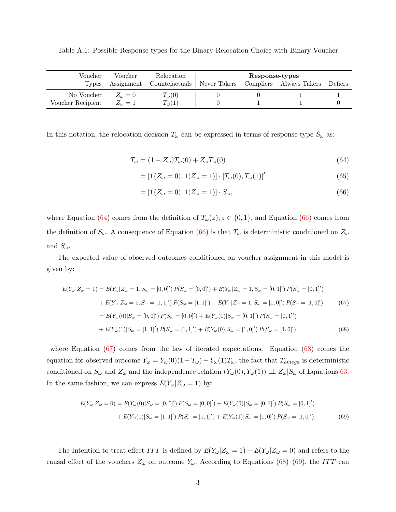<span id="page-78-0"></span>Table A.1: Possible Response-types for the Binary Relocation Choice with Binary Voucher

| Voucher           | Voucher          | Relocation                     | Response-types |                         |         |
|-------------------|------------------|--------------------------------|----------------|-------------------------|---------|
| Types             | Assignment       | Counterfactuals   Never Takers |                | Compliers Always Takers | Defiers |
| No Voucher        | $Z_{\omega} = 0$ | $T_{\omega}(0)$                |                |                         |         |
| Voucher Recipient | $Z_{\omega} = 1$ | $T_{\omega}(1)$                |                |                         |         |

In this notation, the relocation decision  $T_{\omega}$  can be expressed in terms of response-type  $S_{\omega}$  as:

$$
T_{\omega} = (1 - Z_{\omega})T_{\omega}(0) + Z_{\omega}T_{\omega}(0)
$$
\n(64)

<span id="page-78-1"></span>
$$
= [\mathbf{1}(Z_{\omega} = 0), \mathbf{1}(Z_{\omega} = 1)] \cdot [T_{\omega}(0), T_{\omega}(1)]'
$$
\n(65)

<span id="page-78-4"></span><span id="page-78-3"></span><span id="page-78-2"></span>
$$
= [\mathbf{1}(Z_{\omega} = 0), \mathbf{1}(Z_{\omega} = 1)] \cdot S_{\omega}, \tag{66}
$$

where Equation [\(64\)](#page-78-1) comes from the definition of  $T_{\omega}(z)$ ;  $z \in \{0,1\}$ , and Equation [\(66\)](#page-78-2) comes from the definition of  $S_{\omega}$ . A consequence of Equation [\(66\)](#page-78-2) is that  $T_{\omega}$  is deterministic conditioned on  $Z_{\omega}$ and  $S_{\omega}$ .

The expected value of observed outcomes conditioned on voucher assignment in this model is given by:

$$
E(Y_{\omega}|Z_{\omega} = 1) = E(Y_{\omega}|Z_{\omega} = 1, S_{\omega} = [0, 0]') P(S_{\omega} = [0, 0]') + E(Y_{\omega}|Z_{\omega} = 1, S_{\omega} = [0, 1]') P(S_{\omega} = [0, 1]')
$$
  
+ 
$$
E(Y_{\omega}|Z_{\omega} = 1, S_{\omega} = [1, 1]') P(S_{\omega} = [1, 1]') + E(Y_{\omega}|Z_{\omega} = 1, S_{\omega} = [1, 0]') P(S_{\omega} = [1, 0]')
$$
  
= 
$$
E(Y_{\omega}(0)|S_{\omega} = [0, 0]') P(S_{\omega} = [0, 0]') + E(Y_{\omega}(1)|S_{\omega} = [0, 1]') P(S_{\omega} = [0, 1]')
$$
  
+ 
$$
E(Y_{\omega}(1)|S_{\omega} = [1, 1]') P(S_{\omega} = [1, 1]') + E(Y_{\omega}(0)|S_{\omega} = [1, 0]') P(S_{\omega} = [1, 0]'),
$$
  
(68)

where Equation [\(67\)](#page-78-3) comes from the law of iterated expectations. Equation [\(68\)](#page-78-4) comes the equation for observed outcome  $Y_{\omega} = Y_{\omega}(0)(1 - T_{\omega}) + Y_{\omega}(1)T_{\omega}$ , the fact that  $T_{omega}$  is deterministic conditioned on  $S_{\omega}$  and  $Z_{\omega}$  and the independence relation  $(Y_{\omega}(0), Y_{\omega}(1)) \perp Z_{\omega}|S_{\omega}$  of Equations [63.](#page-77-1) In the same fashion, we can express  $E(Y_\omega | Z_\omega = 1)$  by:

<span id="page-78-5"></span>
$$
E(Y_{\omega}|Z_{\omega} = 0) = E(Y_{\omega}(0)|S_{\omega} = [0,0]') P(S_{\omega} = [0,0]') + E(Y_{\omega}(0)|S_{\omega} = [0,1]') P(S_{\omega} = [0,1]')
$$
  
+ 
$$
E(Y_{\omega}(1)|S_{\omega} = [1,1]') P(S_{\omega} = [1,1]') + E(Y_{\omega}(1)|S_{\omega} = [1,0]') P(S_{\omega} = [1,0]').
$$
 (69)

The Intention-to-treat effect ITT is defined by  $E(Y_\omega | Z_\omega = 1) - E(Y_\omega | Z_\omega = 0)$  and refers to the causal effect of the vouchers  $Z_{\omega}$  on outcome  $Y_{\omega}$ . According to Equations [\(68\)](#page-78-4)–[\(69\)](#page-78-5), the ITT can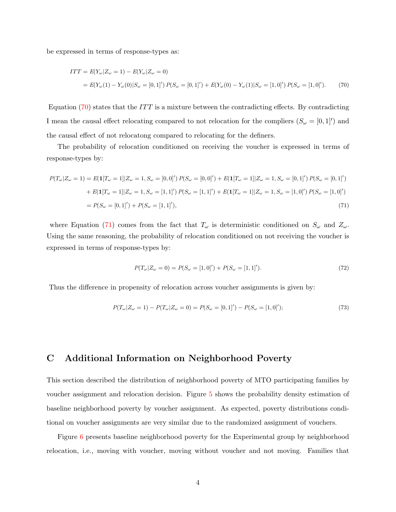be expressed in terms of response-types as:

<span id="page-79-0"></span>
$$
ITT = E(Y_{\omega} | Z_{\omega} = 1) - E(Y_{\omega} | Z_{\omega} = 0)
$$
  
=  $E(Y_{\omega}(1) - Y_{\omega}(0) | S_{\omega} = [0, 1]') P(S_{\omega} = [0, 1]') + E(Y_{\omega}(0) - Y_{\omega}(1) | S_{\omega} = [1, 0]') P(S_{\omega} = [1, 0]').$  (70)

Equation  $(70)$  states that the ITT is a mixture between the contradicting effects. By contradicting I mean the causal effect relocating compared to not relocation for the compliers  $(S_\omega = [0,1]^{\prime})$  and the causal effect of not relocatong compared to relocating for the definers.

The probability of relocation conditioned on receiving the voucher is expressed in terms of response-types by:

$$
P(T_{\omega}|Z_{\omega} = 1) = E(\mathbf{1}[T_{\omega} = 1]|Z_{\omega} = 1, S_{\omega} = [0, 0]') P(S_{\omega} = [0, 0]') + E(\mathbf{1}[T_{\omega} = 1]|Z_{\omega} = 1, S_{\omega} = [0, 1]') P(S_{\omega} = [0, 1]')
$$
  
+ 
$$
E(\mathbf{1}[T_{\omega} = 1]|Z_{\omega} = 1, S_{\omega} = [1, 1]') P(S_{\omega} = [1, 1]') + E(\mathbf{1}[T_{\omega} = 1]|Z_{\omega} = 1, S_{\omega} = [1, 0]') P(S_{\omega} = [1, 0]')
$$
  
= 
$$
P(S_{\omega} = [0, 1]') + P(S_{\omega} = [1, 1]'), \tag{71}
$$

where Equation [\(71\)](#page-79-1) comes from the fact that  $T_{\omega}$  is deterministic conditioned on  $S_{\omega}$  and  $Z_{\omega}$ . Using the same reasoning, the probability of relocation conditioned on not receiving the voucher is expressed in terms of response-types by:

<span id="page-79-1"></span>
$$
P(T_{\omega}|Z_{\omega}=0) = P(S_{\omega} = [1,0]') + P(S_{\omega} = [1,1]').
$$
\n(72)

Thus the difference in propensity of relocation across voucher assignments is given by:

$$
P(T_{\omega}|Z_{\omega}=1) - P(T_{\omega}|Z_{\omega}=0) = P(S_{\omega}=[0,1]') - P(S_{\omega}=[1,0]');\tag{73}
$$

## C Additional Information on Neighborhood Poverty

This section described the distribution of neighborhood poverty of MTO participating families by voucher assignment and relocation decision. Figure [5](#page-80-0) shows the probability density estimation of baseline neighborhood poverty by voucher assignment. As expected, poverty distributions conditional on voucher assignments are very similar due to the randomized assignment of vouchers.

Figure [6](#page-81-0) presents baseline neighborhood poverty for the Experimental group by neighborhood relocation, i.e., moving with voucher, moving without voucher and not moving. Families that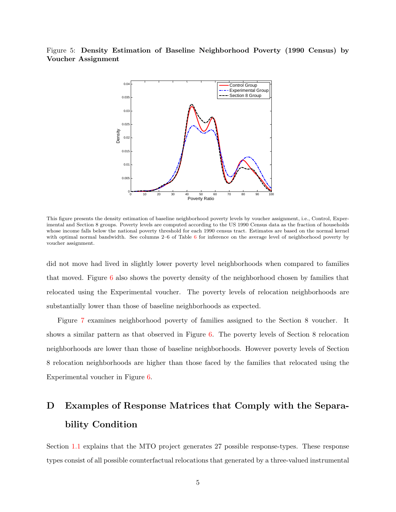<span id="page-80-0"></span>Figure 5: Density Estimation of Baseline Neighborhood Poverty (1990 Census) by Voucher Assignment



This figure presents the density estimation of baseline neighborhood poverty levels by voucher assignment, i.e., Control, Experimental and Section 8 groups. Poverty levels are computed according to the US 1990 Census data as the fraction of households whose income falls below the national poverty threshold for each 1990 census tract. Estimates are based on the normal kernel with optimal normal bandwidth. See columns 2–[6](#page-15-0) of Table 6 for inference on the average level of neighborhood poverty by voucher assignment.

did not move had lived in slightly lower poverty level neighborhoods when compared to families that moved. Figure [6](#page-81-0) also shows the poverty density of the neighborhood chosen by families that relocated using the Experimental voucher. The poverty levels of relocation neighborhoods are substantially lower than those of baseline neighborhoods as expected.

Figure [7](#page-81-1) examines neighborhood poverty of families assigned to the Section 8 voucher. It shows a similar pattern as that observed in Figure [6.](#page-81-0) The poverty levels of Section 8 relocation neighborhoods are lower than those of baseline neighborhoods. However poverty levels of Section 8 relocation neighborhoods are higher than those faced by the families that relocated using the Experimental voucher in Figure [6.](#page-81-0)

## D Examples of Response Matrices that Comply with the Separability Condition

Section [1.1](#page-7-0) explains that the MTO project generates 27 possible response-types. These response types consist of all possible counterfactual relocations that generated by a three-valued instrumental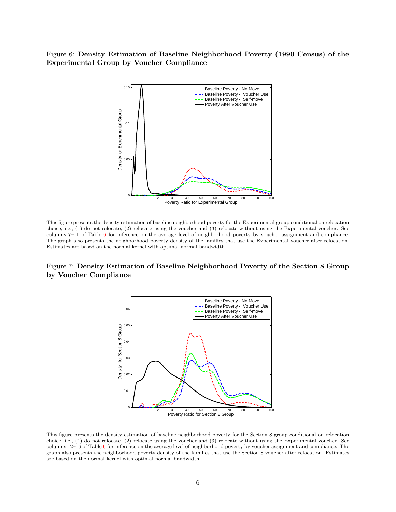<span id="page-81-0"></span>Figure 6: Density Estimation of Baseline Neighborhood Poverty (1990 Census) of the Experimental Group by Voucher Compliance



This figure presents the density estimation of baseline neighborhood poverty for the Experimental group conditional on relocation choice, i.e., (1) do not relocate, (2) relocate using the voucher and (3) relocate without using the Experimental voucher. See columns 7–11 of Table [6](#page-15-0) for inference on the average level of neighborhood poverty by voucher assignment and compliance. The graph also presents the neighborhood poverty density of the families that use the Experimental voucher after relocation. Estimates are based on the normal kernel with optimal normal bandwidth.

## <span id="page-81-1"></span>Figure 7: Density Estimation of Baseline Neighborhood Poverty of the Section 8 Group by Voucher Compliance



This figure presents the density estimation of baseline neighborhood poverty for the Section 8 group conditional on relocation choice, i.e., (1) do not relocate, (2) relocate using the voucher and (3) relocate without using the Experimental voucher. See columns 12–16 of Table [6](#page-15-0) for inference on the average level of neighborhood poverty by voucher assignment and compliance. The graph also presents the neighborhood poverty density of the families that use the Section 8 voucher after relocation. Estimates are based on the normal kernel with optimal normal bandwidth.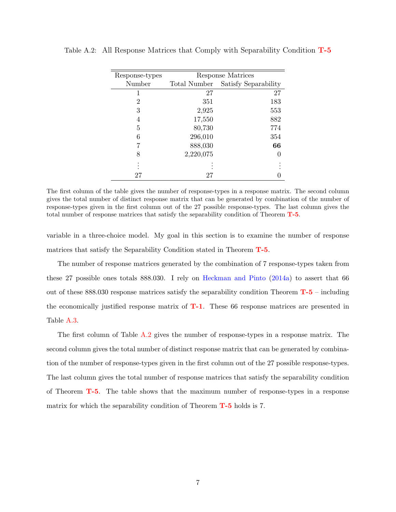| Response-types |              | Response Matrices    |
|----------------|--------------|----------------------|
| Number         | Total Number | Satisfy Separability |
|                | 27           | 27                   |
| 2              | 351          | 183                  |
| 3              | 2,925        | 553                  |
| 4              | 17,550       | 882                  |
| 5              | 80,730       | 774                  |
| 6              | 296,010      | 354                  |
|                | 888,030      | 66                   |
| 8              | 2,220,075    |                      |
|                |              |                      |
|                | 27           |                      |

<span id="page-82-0"></span>Table A.2: All Response Matrices that Comply with Separability Condition [T-5](#page-33-0)

The first column of the table gives the number of response-types in a response matrix. The second column gives the total number of distinct response matrix that can be generated by combination of the number of response-types given in the first column out of the 27 possible response-types. The last column gives the total number of response matrices that satisfy the separability condition of Theorem [T-5](#page-33-0).

variable in a three-choice model. My goal in this section is to examine the number of response matrices that satisfy the Separability Condition stated in Theorem [T-5](#page-33-0).

The number of response matrices generated by the combination of 7 response-types taken from these 27 possible ones totals 888.030. I rely on [Heckman and Pinto](#page-58-0) [\(2014a\)](#page-58-0) to assert that 66 out of these  $888.030$  response matrices satisfy the separability condition Theorem  $T-5$  – including the economically justified response matrix of  $T-1$ . These 66 response matrices are presented in Table [A.3.](#page-83-0)

The first column of Table [A.2](#page-82-0) gives the number of response-types in a response matrix. The second column gives the total number of distinct response matrix that can be generated by combination of the number of response-types given in the first column out of the 27 possible response-types. The last column gives the total number of response matrices that satisfy the separability condition of Theorem [T-5](#page-33-0). The table shows that the maximum number of response-types in a response matrix for which the separability condition of Theorem  $T-5$  holds is 7.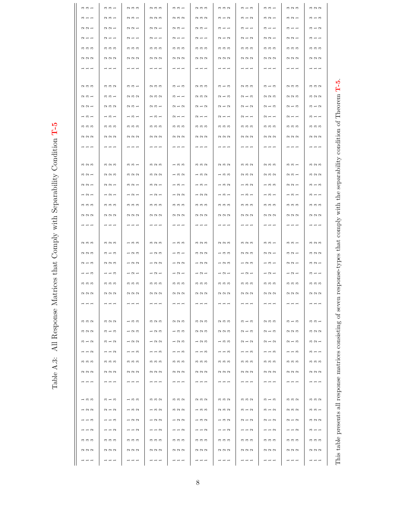<span id="page-83-0"></span>

| $\infty$ $\infty$ $\rightarrow$                                                                                                                                                                                                                                                                                                                                                                                                                                                                                                                                                                                            | $m \, m \, -$                                                                                                                                                                                                                                                                                                                                                                                                                                                                                                                                                                                                              | $\alpha$ $\alpha$ $\alpha$                                                                                                                                                                                                                                                                                                                                                                                                                                                                                                                                                                                                 | $\alpha$ $\omega$                                                      | $m \, m \, -$                                                                         | $\alpha$ $\alpha$ $\alpha$                                             | $m \n  m \n  N$                                                        | $m - m$                                               | $m \, m \, -$                                                                                                                                                                                                                                                                                                                                                                                                                                                   | $m \, \alpha \, m$                                                     | $\omega \sim \omega$                                                   |
|----------------------------------------------------------------------------------------------------------------------------------------------------------------------------------------------------------------------------------------------------------------------------------------------------------------------------------------------------------------------------------------------------------------------------------------------------------------------------------------------------------------------------------------------------------------------------------------------------------------------------|----------------------------------------------------------------------------------------------------------------------------------------------------------------------------------------------------------------------------------------------------------------------------------------------------------------------------------------------------------------------------------------------------------------------------------------------------------------------------------------------------------------------------------------------------------------------------------------------------------------------------|----------------------------------------------------------------------------------------------------------------------------------------------------------------------------------------------------------------------------------------------------------------------------------------------------------------------------------------------------------------------------------------------------------------------------------------------------------------------------------------------------------------------------------------------------------------------------------------------------------------------------|------------------------------------------------------------------------|---------------------------------------------------------------------------------------|------------------------------------------------------------------------|------------------------------------------------------------------------|-------------------------------------------------------|-----------------------------------------------------------------------------------------------------------------------------------------------------------------------------------------------------------------------------------------------------------------------------------------------------------------------------------------------------------------------------------------------------------------------------------------------------------------|------------------------------------------------------------------------|------------------------------------------------------------------------|
| $m -$                                                                                                                                                                                                                                                                                                                                                                                                                                                                                                                                                                                                                      | $\alpha$ $\alpha$ $-$                                                                                                                                                                                                                                                                                                                                                                                                                                                                                                                                                                                                      | $\alpha$ $\alpha$ $-$                                                                                                                                                                                                                                                                                                                                                                                                                                                                                                                                                                                                      | $\alpha$ $\alpha$ $\alpha$                                             | $\Omega$ $\Omega$ $\Omega$                                                            | $\alpha$ $\alpha$ $\alpha$                                             | $m - N$                                                                | $m - N$                                               | $m \alpha -$                                                                                                                                                                                                                                                                                                                                                                                                                                                    | $\Omega$ $\Omega$ $\rightarrow$                                        | $m - m$                                                                |
| $\Omega$ $\Omega$ $\rightarrow$                                                                                                                                                                                                                                                                                                                                                                                                                                                                                                                                                                                            | $\begin{array}{c} \n \alpha \alpha + \\ \n \alpha \alpha + \\ \n \alpha \alpha + \\ \n \alpha \alpha + \\ \n \alpha \alpha + \\ \n \alpha \alpha + \\ \n \alpha \alpha + \\ \n \alpha \alpha + \\ \n \alpha \alpha + \\ \n \alpha \alpha + \\ \n \alpha \alpha + \\ \n \alpha \alpha + \\ \n \alpha \alpha + \\ \n \alpha \alpha + \\ \n \alpha \alpha + \\ \n \alpha \alpha + \\ \n \alpha \alpha + \\ \n \alpha \alpha + \\ \n \alpha \alpha + \\ \n \alpha \alpha + \\ \n \alpha \alpha + \\ \n \alpha \alpha + \\ \n \alpha \alpha + \\ \n \alpha \alpha + \\ \n \alpha \alpha + \\ \n \alpha \alpha + \\ \n \alpha \$ | $\begin{array}{c} \n \alpha \alpha + \\ \n \alpha \alpha + \\ \n \alpha \alpha + \\ \n \alpha \alpha + \\ \n \alpha \alpha + \\ \n \alpha \alpha + \\ \n \alpha \alpha + \\ \n \alpha \alpha + \\ \n \alpha \alpha + \\ \n \alpha \alpha + \\ \n \alpha \alpha + \\ \n \alpha \alpha + \\ \n \alpha \alpha + \\ \n \alpha \alpha + \\ \n \alpha \alpha + \\ \n \alpha \alpha + \\ \n \alpha \alpha + \\ \n \alpha \alpha + \\ \n \alpha \alpha + \\ \n \alpha \alpha + \\ \n \alpha \alpha + \\ \n \alpha \alpha + \\ \n \alpha \alpha + \\ \n \alpha \alpha + \\ \n \alpha \alpha + \\ \n \alpha \alpha + \\ \n \alpha \$ | $\alpha$ $\alpha$ $\rightarrow$                                        | $\alpha$ $\alpha$ $-$                                                                 | $\alpha$ $\alpha$ $-$                                                  | $m - 1$                                                                | $m - 1$                                               | $m + +$                                                                                                                                                                                                                                                                                                                                                                                                                                                         | $m -$                                                                  | $m - N$                                                                |
| $\alpha - 1$                                                                                                                                                                                                                                                                                                                                                                                                                                                                                                                                                                                                               | $\alpha$ $ -$                                                                                                                                                                                                                                                                                                                                                                                                                                                                                                                                                                                                              | $\alpha - 1$                                                                                                                                                                                                                                                                                                                                                                                                                                                                                                                                                                                                               | $\alpha - 1$                                                           | $\begin{array}{c} \n \mathbf{a} & \mathbf{b} \n \end{array}$                          | $\alpha - 1$                                                           | $\alpha - \alpha$                                                      | $\alpha - \alpha$                                     | $\begin{array}{c} \mathcal{O} & \mathcal{O} & \mathcal{O} & \mathcal{O} & \mathcal{O} & \mathcal{O} & \mathcal{O} & \mathcal{O} & \mathcal{O} & \mathcal{O} & \mathcal{O} & \mathcal{O} & \mathcal{O} & \mathcal{O} & \mathcal{O} & \mathcal{O} & \mathcal{O} & \mathcal{O} & \mathcal{O} & \mathcal{O} & \mathcal{O} & \mathcal{O} & \mathcal{O} & \mathcal{O} & \mathcal{O} & \mathcal{O} & \mathcal{O} & \mathcal{O} & \mathcal{O} & \mathcal{O} & \mathcal$ | $QQ -$                                                                 | $m + 1$                                                                |
| ကကက                                                                                                                                                                                                                                                                                                                                                                                                                                                                                                                                                                                                                        | က က က                                                                                                                                                                                                                                                                                                                                                                                                                                                                                                                                                                                                                      | ကကက                                                                                                                                                                                                                                                                                                                                                                                                                                                                                                                                                                                                                        | က က က                                                                  | ကကက                                                                                   | ကကက                                                                    | ကကက                                                                    | က က က                                                 | က က က                                                                                                                                                                                                                                                                                                                                                                                                                                                           | ကကက                                                                    | က က က                                                                  |
| QQQ                                                                                                                                                                                                                                                                                                                                                                                                                                                                                                                                                                                                                        | QQQ                                                                                                                                                                                                                                                                                                                                                                                                                                                                                                                                                                                                                        | QQQ                                                                                                                                                                                                                                                                                                                                                                                                                                                                                                                                                                                                                        | QQQ                                                                    | $\begin{array}{c} \mathcal{O} & \mathcal{O} & \mathcal{O} \end{array}$                | QQQ                                                                    | $\begin{array}{c} \mathcal{O} & \mathcal{O} & \mathcal{O} \end{array}$ | QQQ                                                   | QQQ                                                                                                                                                                                                                                                                                                                                                                                                                                                             | QQQ                                                                    | $\begin{array}{c} \mathcal{O} & \mathcal{O} & \mathcal{O} \end{array}$ |
| $- - -$                                                                                                                                                                                                                                                                                                                                                                                                                                                                                                                                                                                                                    | $- - -$                                                                                                                                                                                                                                                                                                                                                                                                                                                                                                                                                                                                                    | $- - -$                                                                                                                                                                                                                                                                                                                                                                                                                                                                                                                                                                                                                    | $- - -$                                                                | $\blacksquare$ $\blacksquare$ $\blacksquare$                                          | $- - -$                                                                | - - -                                                                  | $- - -$                                               | $- - -$                                                                                                                                                                                                                                                                                                                                                                                                                                                         | $- - -$                                                                | $- - -$                                                                |
|                                                                                                                                                                                                                                                                                                                                                                                                                                                                                                                                                                                                                            |                                                                                                                                                                                                                                                                                                                                                                                                                                                                                                                                                                                                                            |                                                                                                                                                                                                                                                                                                                                                                                                                                                                                                                                                                                                                            |                                                                        |                                                                                       |                                                                        |                                                                        |                                                       |                                                                                                                                                                                                                                                                                                                                                                                                                                                                 |                                                                        |                                                                        |
| $\alpha$ $\alpha$ $\alpha$                                                                                                                                                                                                                                                                                                                                                                                                                                                                                                                                                                                                 | $m \, m \, m$                                                                                                                                                                                                                                                                                                                                                                                                                                                                                                                                                                                                              | $m \, m \, -$                                                                                                                                                                                                                                                                                                                                                                                                                                                                                                                                                                                                              | $\alpha$ $\alpha$ $\alpha$                                             | $m - m$                                                                               | $\alpha$ $\alpha$ $\alpha$                                             | $m - m$                                                                | $\alpha$ $\alpha$ $\alpha$                            | $m - m$                                                                                                                                                                                                                                                                                                                                                                                                                                                         | $\alpha$ $\alpha$ $\alpha$                                             | $m \n  m \n  N$                                                        |
| $\alpha$ $\alpha$ $-$                                                                                                                                                                                                                                                                                                                                                                                                                                                                                                                                                                                                      | $\omega \omega -$                                                                                                                                                                                                                                                                                                                                                                                                                                                                                                                                                                                                          | 0.000                                                                                                                                                                                                                                                                                                                                                                                                                                                                                                                                                                                                                      | $\alpha$ $\alpha$ $\alpha$                                             | $m + 1$                                                                               | $\alpha$ $\alpha$ $\alpha$                                             | $\alpha - \omega$                                                      | $\alpha - \alpha$                                     | 0000                                                                                                                                                                                                                                                                                                                                                                                                                                                            | 0000                                                                   | 320                                                                    |
| $\begin{array}{c} \n \alpha \alpha + \\ \n \alpha \alpha + \\ \n \alpha \alpha + \\ \n \alpha \alpha + \\ \n \alpha \alpha + \\ \n \alpha \alpha + \\ \n \alpha \alpha + \\ \n \alpha \alpha + \\ \n \alpha \alpha + \\ \n \alpha \alpha + \\ \n \alpha \alpha + \\ \n \alpha \alpha + \\ \n \alpha \alpha + \\ \n \alpha \alpha + \\ \n \alpha \alpha + \\ \n \alpha \alpha + \\ \n \alpha \alpha + \\ \n \alpha \alpha + \\ \n \alpha \alpha + \\ \n \alpha \alpha + \\ \n \alpha \alpha + \\ \n \alpha \alpha + \\ \n \alpha \alpha + \\ \n \alpha \alpha + \\ \n \alpha \alpha + \\ \n \alpha \alpha + \\ \n \alpha \$ | $\alpha$ $\alpha$ $\alpha$                                                                                                                                                                                                                                                                                                                                                                                                                                                                                                                                                                                                 | $\alpha$ $\alpha$ $-$                                                                                                                                                                                                                                                                                                                                                                                                                                                                                                                                                                                                      | $\alpha$ $\alpha$ $-$                                                  | $\alpha - \alpha$                                                                     | $\alpha$ $\alpha$                                                      | $\alpha$ $\alpha$                                                      | $\alpha - \alpha$                                     | $\alpha - \alpha$                                                                                                                                                                                                                                                                                                                                                                                                                                               | $\alpha - \infty$                                                      | $m - N$                                                                |
| $- 0 -$                                                                                                                                                                                                                                                                                                                                                                                                                                                                                                                                                                                                                    | $- 0 -$                                                                                                                                                                                                                                                                                                                                                                                                                                                                                                                                                                                                                    | $- 0 -$                                                                                                                                                                                                                                                                                                                                                                                                                                                                                                                                                                                                                    | $- 0 -$                                                                | $\alpha$ $ -$                                                                         | $\alpha$ $ -$                                                          | $\alpha$ $ -$                                                          | $\sim$ $ -$                                           | $\sim$ $ -$                                                                                                                                                                                                                                                                                                                                                                                                                                                     | $\alpha$ $ -$                                                          | $m -$                                                                  |
| ကကက                                                                                                                                                                                                                                                                                                                                                                                                                                                                                                                                                                                                                        | က က က                                                                                                                                                                                                                                                                                                                                                                                                                                                                                                                                                                                                                      | က က က                                                                                                                                                                                                                                                                                                                                                                                                                                                                                                                                                                                                                      | ကကက                                                                    | ကကက                                                                                   | ကကက                                                                    | ကကက                                                                    | ကကက                                                   | က က က                                                                                                                                                                                                                                                                                                                                                                                                                                                           | က က က                                                                  | ကကက                                                                    |
| $\begin{array}{c} \mathcal{O} & \mathcal{O} & \mathcal{O} \end{array}$                                                                                                                                                                                                                                                                                                                                                                                                                                                                                                                                                     | $\begin{array}{c} \mathcal{O} & \mathcal{O} & \mathcal{O} \end{array}$                                                                                                                                                                                                                                                                                                                                                                                                                                                                                                                                                     | $\begin{array}{c} \mathcal{O} & \mathcal{O} & \mathcal{O} \end{array}$                                                                                                                                                                                                                                                                                                                                                                                                                                                                                                                                                     | QQQ                                                                    | $\begin{array}{c} \mathcal{O} & \mathcal{O} \\ \mathcal{O} & \mathcal{O} \end{array}$ | $\begin{array}{c} \n 0 \\ 0 \\ 0\n \end{array}$                        | N N                                                                    | QQQ                                                   | QQQ                                                                                                                                                                                                                                                                                                                                                                                                                                                             | QQQ                                                                    | $\begin{array}{c} \mathcal{O} & \mathcal{O} & \mathcal{O} \end{array}$ |
| $- - -$                                                                                                                                                                                                                                                                                                                                                                                                                                                                                                                                                                                                                    | $- - -$                                                                                                                                                                                                                                                                                                                                                                                                                                                                                                                                                                                                                    | - - -                                                                                                                                                                                                                                                                                                                                                                                                                                                                                                                                                                                                                      | $- - -$                                                                | $- - -$                                                                               | $- - -$                                                                | $- - -$                                                                | $- - -$                                               | $- - -$                                                                                                                                                                                                                                                                                                                                                                                                                                                         | - - -                                                                  | $- - -$                                                                |
| $m \, \alpha \, m$                                                                                                                                                                                                                                                                                                                                                                                                                                                                                                                                                                                                         | $m \, \alpha \, m$                                                                                                                                                                                                                                                                                                                                                                                                                                                                                                                                                                                                         | $m \, m \, -$                                                                                                                                                                                                                                                                                                                                                                                                                                                                                                                                                                                                              | က လ က                                                                  | $   -$                                                                                | $m \, m \, m$                                                          | $\alpha$ $\alpha$ $\alpha$                                             | $m \, \, m \, \, \alpha$                              | $\alpha$ $\alpha$ $\alpha$                                                                                                                                                                                                                                                                                                                                                                                                                                      | $m \, m \, -$                                                          | $m \, \alpha \, m$                                                     |
| $m \alpha -$                                                                                                                                                                                                                                                                                                                                                                                                                                                                                                                                                                                                               | $\alpha$ $\alpha$ $\alpha$                                                                                                                                                                                                                                                                                                                                                                                                                                                                                                                                                                                                 | $m \alpha \alpha$                                                                                                                                                                                                                                                                                                                                                                                                                                                                                                                                                                                                          | $m \alpha \alpha$                                                      | $- 0.01$                                                                              | $- 00$                                                                 | $  -$                                                                  | $\alpha$ $\alpha$ $\alpha$                            | $\alpha$ $\alpha$ $\alpha$                                                                                                                                                                                                                                                                                                                                                                                                                                      | $\alpha$ $\alpha$ $-$                                                  | $m \alpha$                                                             |
| $\alpha$ $\alpha$ $\rightarrow$                                                                                                                                                                                                                                                                                                                                                                                                                                                                                                                                                                                            | $\Omega$ $\Omega$ $\rightarrow$                                                                                                                                                                                                                                                                                                                                                                                                                                                                                                                                                                                            | $m \approx -$                                                                                                                                                                                                                                                                                                                                                                                                                                                                                                                                                                                                              | $\frac{3}{2}$ $\frac{1}{2}$                                            | $ \infty$ $-$                                                                         | $ -$                                                                   | $ \circ$ $\circ$                                                       | $-32$                                                 | $ \infty$ $\infty$                                                                                                                                                                                                                                                                                                                                                                                                                                              | $\sim \sim -$                                                          | $m \rightarrow m$                                                      |
| $-2$                                                                                                                                                                                                                                                                                                                                                                                                                                                                                                                                                                                                                       | $-2 -$                                                                                                                                                                                                                                                                                                                                                                                                                                                                                                                                                                                                                     | $-2$                                                                                                                                                                                                                                                                                                                                                                                                                                                                                                                                                                                                                       | $-2$                                                                   | $-22$                                                                                 | $-22$                                                                  | $ \circ$ $-$                                                           | $ \circ$ $-$                                          | $- 0 -$                                                                                                                                                                                                                                                                                                                                                                                                                                                         | $- 0 -$                                                                | $m - 1$                                                                |
| ကကက                                                                                                                                                                                                                                                                                                                                                                                                                                                                                                                                                                                                                        | ကကက                                                                                                                                                                                                                                                                                                                                                                                                                                                                                                                                                                                                                        | ကကက                                                                                                                                                                                                                                                                                                                                                                                                                                                                                                                                                                                                                        | ကကက                                                                    | ကကက                                                                                   | ကကက                                                                    | ကကက                                                                    | ကကက                                                   | က က က                                                                                                                                                                                                                                                                                                                                                                                                                                                           | ကကက                                                                    | ကကက                                                                    |
| $\begin{array}{c} \mathcal{O} & \mathcal{O} \\ \mathcal{O} & \mathcal{O} \end{array}$                                                                                                                                                                                                                                                                                                                                                                                                                                                                                                                                      | $\begin{array}{c} \mathcal{O} & \mathcal{O} \\ \mathcal{O} & \mathcal{O} \end{array}$                                                                                                                                                                                                                                                                                                                                                                                                                                                                                                                                      | $\begin{array}{c} \mathcal{O} & \mathcal{O} \\ \mathcal{O} & \mathcal{O} \end{array}$                                                                                                                                                                                                                                                                                                                                                                                                                                                                                                                                      | $\begin{array}{c} \mathcal{O} & \mathcal{O} & \mathcal{O} \end{array}$ | $\begin{array}{c} 2 & 3 & 3 \\ 3 & 3 & 3 \end{array}$                                 | $\begin{array}{c} \mathcal{O} & \mathcal{O} & \mathcal{O} \end{array}$ | $\begin{array}{c} \mathcal{O} & \mathcal{O} & \mathcal{O} \end{array}$ | $\begin{array}{c} 2 & 3 & 3 \end{array}$              | $\begin{array}{c} \mathcal{O} & \mathcal{O} & \mathcal{O} \end{array}$                                                                                                                                                                                                                                                                                                                                                                                          | $\begin{array}{c} \mathcal{O} & \mathcal{O} & \mathcal{O} \end{array}$ | $\begin{array}{c} \mathcal{O} & \mathcal{O} & \mathcal{O} \end{array}$ |
| $- - -$                                                                                                                                                                                                                                                                                                                                                                                                                                                                                                                                                                                                                    | $- - -$                                                                                                                                                                                                                                                                                                                                                                                                                                                                                                                                                                                                                    | $- - -$                                                                                                                                                                                                                                                                                                                                                                                                                                                                                                                                                                                                                    | $- - -$                                                                | $- - -$                                                                               | $- - -$                                                                | $- - -$                                                                | $- - -$                                               | $- - -$                                                                                                                                                                                                                                                                                                                                                                                                                                                         | $- - -$                                                                | $- - -$                                                                |
|                                                                                                                                                                                                                                                                                                                                                                                                                                                                                                                                                                                                                            |                                                                                                                                                                                                                                                                                                                                                                                                                                                                                                                                                                                                                            |                                                                                                                                                                                                                                                                                                                                                                                                                                                                                                                                                                                                                            |                                                                        |                                                                                       |                                                                        |                                                                        |                                                       |                                                                                                                                                                                                                                                                                                                                                                                                                                                                 |                                                                        |                                                                        |
| $\alpha$ $\alpha$ $\alpha$                                                                                                                                                                                                                                                                                                                                                                                                                                                                                                                                                                                                 | ကလက                                                                                                                                                                                                                                                                                                                                                                                                                                                                                                                                                                                                                        | $  -$                                                                                                                                                                                                                                                                                                                                                                                                                                                                                                                                                                                                                      | m ci m                                                                 | $   -$                                                                                | ကလက                                                                    | $\alpha$ $\alpha$ $\alpha$                                             | ကလက                                                   | $m \, m \, -$                                                                                                                                                                                                                                                                                                                                                                                                                                                   | $m \, m \, -$                                                          | ကလက                                                                    |
| $\sim \sim \infty$                                                                                                                                                                                                                                                                                                                                                                                                                                                                                                                                                                                                         | $m - m$                                                                                                                                                                                                                                                                                                                                                                                                                                                                                                                                                                                                                    | $- \alpha$                                                                                                                                                                                                                                                                                                                                                                                                                                                                                                                                                                                                                 | $- \alpha$                                                             | $ \infty$ $-$                                                                         | $m \alpha \alpha$                                                      | $ \infty$ $\infty$                                                     | $\sim \sim \sim$                                      | $QQ -$                                                                                                                                                                                                                                                                                                                                                                                                                                                          | $m \alpha -$                                                           | $\omega$ $\sim$ $\omega$                                               |
| $2 - 5$                                                                                                                                                                                                                                                                                                                                                                                                                                                                                                                                                                                                                    | $\alpha$ $\alpha$ $\alpha$                                                                                                                                                                                                                                                                                                                                                                                                                                                                                                                                                                                                 | $\overline{z}$ $\alpha$                                                                                                                                                                                                                                                                                                                                                                                                                                                                                                                                                                                                    | $\overline{z}$ $\alpha$                                                | $-22$                                                                                 | $-22$                                                                  | $- \alpha$                                                             | $- \alpha \, \circ$                                   | $- 0 -$                                                                                                                                                                                                                                                                                                                                                                                                                                                         | $\begin{array}{c} \n 2 & 3 & 4 \\ 3 & 3 & 4\n \end{array}$             | $m \alpha -$                                                           |
| $- - 0$                                                                                                                                                                                                                                                                                                                                                                                                                                                                                                                                                                                                                    | $- - \infty$                                                                                                                                                                                                                                                                                                                                                                                                                                                                                                                                                                                                               | $-2 -$                                                                                                                                                                                                                                                                                                                                                                                                                                                                                                                                                                                                                     | $-2 -$                                                                 | $-2 -$                                                                                | $-2 -$                                                                 | $-2 -$                                                                 | $-2 -$                                                | $-2 -$                                                                                                                                                                                                                                                                                                                                                                                                                                                          | $-2 -$                                                                 | $m - 1$                                                                |
| ကကက                                                                                                                                                                                                                                                                                                                                                                                                                                                                                                                                                                                                                        | ကကက                                                                                                                                                                                                                                                                                                                                                                                                                                                                                                                                                                                                                        | ကကက                                                                                                                                                                                                                                                                                                                                                                                                                                                                                                                                                                                                                        | ကကက                                                                    | ကကက                                                                                   | ကကက                                                                    | ကကက                                                                    | ကကက                                                   | ကကက                                                                                                                                                                                                                                                                                                                                                                                                                                                             | ကကက                                                                    | ကကက                                                                    |
| $\begin{array}{c} \mathcal{O} & \mathcal{O} \\ \mathcal{O} & \mathcal{O} \end{array}$                                                                                                                                                                                                                                                                                                                                                                                                                                                                                                                                      | 222                                                                                                                                                                                                                                                                                                                                                                                                                                                                                                                                                                                                                        | $\begin{array}{c} 2 & 3 & 3 \\ 3 & 3 & 3 \end{array}$                                                                                                                                                                                                                                                                                                                                                                                                                                                                                                                                                                      | $\begin{array}{c} 2 & 3 & 3 \\ 3 & 3 & 3 \end{array}$                  | 0000                                                                                  | $\begin{array}{c} 2 & 3 & 3 \\ 3 & 3 & 3 \end{array}$                  | $\begin{array}{c} \mathcal{O} & \mathcal{O} & \mathcal{O} \end{array}$ | $\begin{array}{c} 2 & 3 & 3 \\ 3 & 3 & 3 \end{array}$ | $\begin{array}{c} 2 & 3 & 3 \\ 3 & 3 & 3 \end{array}$                                                                                                                                                                                                                                                                                                                                                                                                           | $\begin{array}{c} 2 & 3 & 3 \\ 3 & 3 & 3 \end{array}$                  | $\begin{array}{c} \mathcal{O} & \mathcal{O} & \mathcal{O} \end{array}$ |
| $- - -$                                                                                                                                                                                                                                                                                                                                                                                                                                                                                                                                                                                                                    | $- - - -$                                                                                                                                                                                                                                                                                                                                                                                                                                                                                                                                                                                                                  | $- - - -$                                                                                                                                                                                                                                                                                                                                                                                                                                                                                                                                                                                                                  | $- - - -$                                                              | $- - - -$                                                                             | $- - - -$                                                              | $- - - -$                                                              | $- - -$                                               | $- - - -$                                                                                                                                                                                                                                                                                                                                                                                                                                                       | $- - -$                                                                | $- - - -$                                                              |
|                                                                                                                                                                                                                                                                                                                                                                                                                                                                                                                                                                                                                            |                                                                                                                                                                                                                                                                                                                                                                                                                                                                                                                                                                                                                            |                                                                                                                                                                                                                                                                                                                                                                                                                                                                                                                                                                                                                            |                                                                        |                                                                                       |                                                                        |                                                                        |                                                       |                                                                                                                                                                                                                                                                                                                                                                                                                                                                 |                                                                        |                                                                        |
| m, m, n                                                                                                                                                                                                                                                                                                                                                                                                                                                                                                                                                                                                                    | 30N                                                                                                                                                                                                                                                                                                                                                                                                                                                                                                                                                                                                                        | $- 0.0$                                                                                                                                                                                                                                                                                                                                                                                                                                                                                                                                                                                                                    | ຕ ດ ຕ                                                                  | $\alpha$ $\alpha$                                                                     | ന വ ന                                                                  | $\alpha$ $\omega$                                                      | $\omega - \omega$                                     | $\alpha$ $\alpha$ $\alpha$                                                                                                                                                                                                                                                                                                                                                                                                                                      | $m - m$                                                                | $\omega \omega -$                                                      |
| $\frac{3}{2}$                                                                                                                                                                                                                                                                                                                                                                                                                                                                                                                                                                                                              | $m - m$                                                                                                                                                                                                                                                                                                                                                                                                                                                                                                                                                                                                                    | $- \alpha$                                                                                                                                                                                                                                                                                                                                                                                                                                                                                                                                                                                                                 | $- \alpha$                                                             | $   -$                                                                                | $N$ $N$ $m$                                                            | $\alpha$ $\alpha$                                                      | $\alpha - \alpha$                                     | $\sim$ $ \sim$                                                                                                                                                                                                                                                                                                                                                                                                                                                  | $\alpha$ $\alpha$ $\alpha$                                             | 322                                                                    |
| $\omega - \omega$                                                                                                                                                                                                                                                                                                                                                                                                                                                                                                                                                                                                          | $\omega - \omega$                                                                                                                                                                                                                                                                                                                                                                                                                                                                                                                                                                                                          | $-20$                                                                                                                                                                                                                                                                                                                                                                                                                                                                                                                                                                                                                      | $-20$                                                                  | $- \alpha$                                                                            | $- \alpha \omega$                                                      | $ \infty$ $\infty$                                                     | $\alpha - \alpha$                                     | $\alpha = \alpha$                                                                                                                                                                                                                                                                                                                                                                                                                                               | $\alpha - \alpha$                                                      | $\frac{1}{2}$ $\frac{1}{2}$                                            |
| $-1$ $\sim$ $\sim$                                                                                                                                                                                                                                                                                                                                                                                                                                                                                                                                                                                                         | $- - 2$                                                                                                                                                                                                                                                                                                                                                                                                                                                                                                                                                                                                                    | $- - 0$                                                                                                                                                                                                                                                                                                                                                                                                                                                                                                                                                                                                                    | $- - 2$                                                                | $- - 0$                                                                               | $- - 0$                                                                | $- - 0$                                                                | $- - \infty$                                          | $- - 0$                                                                                                                                                                                                                                                                                                                                                                                                                                                         | $-10$                                                                  | $m + 1$                                                                |
| က က က                                                                                                                                                                                                                                                                                                                                                                                                                                                                                                                                                                                                                      | ကကက                                                                                                                                                                                                                                                                                                                                                                                                                                                                                                                                                                                                                        | ကကက                                                                                                                                                                                                                                                                                                                                                                                                                                                                                                                                                                                                                        | က က က                                                                  | က က က                                                                                 | ကကက                                                                    | ကကက                                                                    | က က က                                                 | က က က                                                                                                                                                                                                                                                                                                                                                                                                                                                           | ကကက                                                                    | က က က                                                                  |
| 0000                                                                                                                                                                                                                                                                                                                                                                                                                                                                                                                                                                                                                       | $\begin{array}{c} 2 & 3 & 3 \\ 3 & 3 & 3 \end{array}$                                                                                                                                                                                                                                                                                                                                                                                                                                                                                                                                                                      | QQQ                                                                                                                                                                                                                                                                                                                                                                                                                                                                                                                                                                                                                        | $\begin{array}{c} 2 & 3 & 3 \\ 3 & 3 & 3 \end{array}$                  | QQQ                                                                                   | $\begin{array}{c} 2 & 3 & 3 \\ 3 & 3 & 3 \end{array}$                  | $\begin{array}{c} 2 & 3 & 3 \\ 3 & 3 & 3 \end{array}$                  | QQQ                                                   | $\begin{array}{c} 2 & 3 & 3 \\ 3 & 3 & 3 \end{array}$                                                                                                                                                                                                                                                                                                                                                                                                           | $\begin{array}{c} 2 & 3 & 3 \\ 3 & 3 & 3 \end{array}$                  | $\begin{array}{c} 2 & 3 & 3 \\ 3 & 3 & 3 \end{array}$                  |
| $- - -$                                                                                                                                                                                                                                                                                                                                                                                                                                                                                                                                                                                                                    | $- - - -$                                                                                                                                                                                                                                                                                                                                                                                                                                                                                                                                                                                                                  | $- - - -$                                                                                                                                                                                                                                                                                                                                                                                                                                                                                                                                                                                                                  | $- - - -$                                                              | $\rightarrow$ $\rightarrow$ $\rightarrow$                                             | $- - - -$                                                              | $- - - -$                                                              | $- - -$                                               | $\rightarrow$ $\rightarrow$ $\rightarrow$                                                                                                                                                                                                                                                                                                                                                                                                                       | $- - - -$                                                              | $\rightarrow$ $\rightarrow$ $\rightarrow$                              |
| $- 0.0$                                                                                                                                                                                                                                                                                                                                                                                                                                                                                                                                                                                                                    | $\omega - \omega$                                                                                                                                                                                                                                                                                                                                                                                                                                                                                                                                                                                                          | $   -$                                                                                                                                                                                                                                                                                                                                                                                                                                                                                                                                                                                                                     | 3300                                                                   | $\omega$ $\omega$ $\omega$                                                            | $\alpha$ $\alpha$ $\alpha$                                             | က္ကလ                                                                   | 3300                                                  | $m - m$                                                                                                                                                                                                                                                                                                                                                                                                                                                         | $m, m, \alpha$                                                         | $m \, \omega \, \omega$                                                |
| $-20$                                                                                                                                                                                                                                                                                                                                                                                                                                                                                                                                                                                                                      | $\alpha - \alpha$                                                                                                                                                                                                                                                                                                                                                                                                                                                                                                                                                                                                          | $- 0.01$                                                                                                                                                                                                                                                                                                                                                                                                                                                                                                                                                                                                                   | $- 0$ $\alpha$                                                         | $m \alpha$                                                                            | $   -$                                                                 | $\alpha$ $\alpha$ $\alpha$                                             | $m - N$                                               | $m - N$                                                                                                                                                                                                                                                                                                                                                                                                                                                         | $\alpha$ $\alpha$ $\alpha$                                             | $\omega \omega$ $-$                                                    |
| $- - 0$                                                                                                                                                                                                                                                                                                                                                                                                                                                                                                                                                                                                                    | $- - 0$                                                                                                                                                                                                                                                                                                                                                                                                                                                                                                                                                                                                                    | $-20$                                                                                                                                                                                                                                                                                                                                                                                                                                                                                                                                                                                                                      | $-20$                                                                  | $-22$                                                                                 | $- 0.01$                                                               | $- 0.0$                                                                | $\sim$ $ \sim$                                        | $\sim$ $ \sim$                                                                                                                                                                                                                                                                                                                                                                                                                                                  | $2 - 2$                                                                | 322                                                                    |
| $-1$ $\sim$ $\sim$                                                                                                                                                                                                                                                                                                                                                                                                                                                                                                                                                                                                         | $- - 2$                                                                                                                                                                                                                                                                                                                                                                                                                                                                                                                                                                                                                    | $- - 2$                                                                                                                                                                                                                                                                                                                                                                                                                                                                                                                                                                                                                    | $- - 2$                                                                | $-1$ $\sim$ $\sim$                                                                    | $- - 2$                                                                | $- - 0$                                                                | $- - 2$                                               | $- - 0$                                                                                                                                                                                                                                                                                                                                                                                                                                                         | $- - 2$                                                                | $\omega$ $ -$                                                          |
| က က က                                                                                                                                                                                                                                                                                                                                                                                                                                                                                                                                                                                                                      | ကကက                                                                                                                                                                                                                                                                                                                                                                                                                                                                                                                                                                                                                        | ကကက                                                                                                                                                                                                                                                                                                                                                                                                                                                                                                                                                                                                                        | ကကက                                                                    | ကကက                                                                                   | ကကက                                                                    | ကကက                                                                    | ကကက                                                   | ကကက                                                                                                                                                                                                                                                                                                                                                                                                                                                             | ကကက                                                                    | ကကက                                                                    |
| $\Omega$ $\Omega$                                                                                                                                                                                                                                                                                                                                                                                                                                                                                                                                                                                                          | $\begin{array}{c} 2 & 0 \\ 0 & 0 \end{array}$                                                                                                                                                                                                                                                                                                                                                                                                                                                                                                                                                                              | $\begin{array}{c} 2 & 3 & 3 \\ 3 & 3 & 3 \end{array}$                                                                                                                                                                                                                                                                                                                                                                                                                                                                                                                                                                      | $\begin{array}{c} 2 & 3 & 3 \\ 3 & 3 & 3 \end{array}$                  | $\begin{array}{c} 2 & 3 & 3 \\ 3 & 3 & 3 \end{array}$                                 | $\begin{array}{c} 2 & 3 & 3 \\ 3 & 3 & 3 \end{array}$                  | $\begin{array}{c} 2 & 3 & 3 \\ 3 & 3 & 3 \end{array}$                  | QQQ                                                   | $\begin{array}{c} 2 & 0 \\ 0 & 0 \end{array}$                                                                                                                                                                                                                                                                                                                                                                                                                   | $\begin{array}{c} 2 & 3 & 3 \\ 3 & 3 & 3 \end{array}$                  | $\begin{array}{c} 2 & 0 \\ 0 & 0 \end{array}$                          |
| $- - -$                                                                                                                                                                                                                                                                                                                                                                                                                                                                                                                                                                                                                    | $- - - -$                                                                                                                                                                                                                                                                                                                                                                                                                                                                                                                                                                                                                  | $- - - -$                                                                                                                                                                                                                                                                                                                                                                                                                                                                                                                                                                                                                  | $- - -$                                                                | $- - - -$                                                                             | $- - - -$                                                              | $- - - -$                                                              | $- - - -$                                             | $- - - -$                                                                                                                                                                                                                                                                                                                                                                                                                                                       | $- - -$                                                                | $- - -$                                                                |
|                                                                                                                                                                                                                                                                                                                                                                                                                                                                                                                                                                                                                            |                                                                                                                                                                                                                                                                                                                                                                                                                                                                                                                                                                                                                            |                                                                                                                                                                                                                                                                                                                                                                                                                                                                                                                                                                                                                            |                                                                        |                                                                                       |                                                                        |                                                                        |                                                       |                                                                                                                                                                                                                                                                                                                                                                                                                                                                 |                                                                        |                                                                        |

This table presents all response matrices consisting of seven response-types that comply with the separability condition of Theorem [T-5](#page-33-0).

This table presents all response matrices consisting of seven response-types that comply with the separability condition of Theorem T-5.

Table A.3: All Response Matrices that Comply with Separability Condition T-5 Table A.3: All Response Matrices that Comply with Separability Condition [T-5](#page-33-0)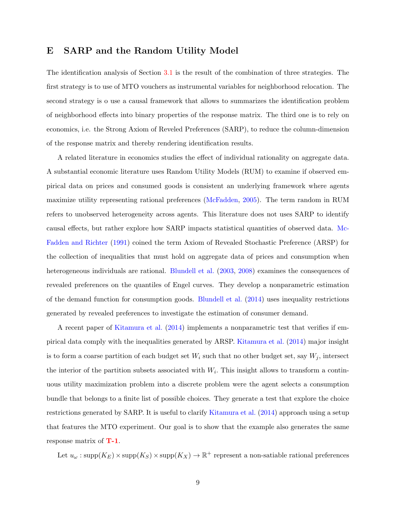## E SARP and the Random Utility Model

The identification analysis of Section [3.1](#page-18-0) is the result of the combination of three strategies. The first strategy is to use of MTO vouchers as instrumental variables for neighborhood relocation. The second strategy is o use a causal framework that allows to summarizes the identification problem of neighborhood effects into binary properties of the response matrix. The third one is to rely on economics, i.e. the Strong Axiom of Reveled Preferences (SARP), to reduce the column-dimension of the response matrix and thereby rendering identification results.

A related literature in economics studies the effect of individual rationality on aggregate data. A substantial economic literature uses Random Utility Models (RUM) to examine if observed empirical data on prices and consumed goods is consistent an underlying framework where agents maximize utility representing rational preferences [\(McFadden,](#page-60-0) [2005\)](#page-60-0). The term random in RUM refers to unobserved heterogeneity across agents. This literature does not uses SARP to identify causal effects, but rather explore how SARP impacts statistical quantities of observed data. [Mc-](#page-60-1)[Fadden and Richter](#page-60-1) [\(1991\)](#page-60-1) coined the term Axiom of Revealed Stochastic Preference (ARSP) for the collection of inequalities that must hold on aggregate data of prices and consumption when heterogeneous individuals are rational. [Blundell et al.](#page-56-0) [\(2003,](#page-56-0) [2008\)](#page-56-1) examines the consequences of revealed preferences on the quantiles of Engel curves. They develop a nonparametric estimation of the demand function for consumption goods. [Blundell et al.](#page-57-1) [\(2014\)](#page-57-1) uses inequality restrictions generated by revealed preferences to investigate the estimation of consumer demand.

A recent paper of [Kitamura et al.](#page-59-0) [\(2014\)](#page-59-0) implements a nonparametric test that verifies if empirical data comply with the inequalities generated by ARSP. [Kitamura et al.](#page-59-0) [\(2014\)](#page-59-0) major insight is to form a coarse partition of each budget set  $W_i$  such that no other budget set, say  $W_j$ , intersect the interior of the partition subsets associated with  $W_i$ . This insight allows to transform a continuous utility maximization problem into a discrete problem were the agent selects a consumption bundle that belongs to a finite list of possible choices. They generate a test that explore the choice restrictions generated by SARP. It is useful to clarify [Kitamura et al.](#page-59-0) [\(2014\)](#page-59-0) approach using a setup that features the MTO experiment. Our goal is to show that the example also generates the same response matrix of [T-1](#page-20-0).

Let  $u_\omega$ : supp $(K_E) \times \text{supp}(K_S) \times \text{supp}(K_X) \to \mathbb{R}^+$  represent a non-satiable rational preferences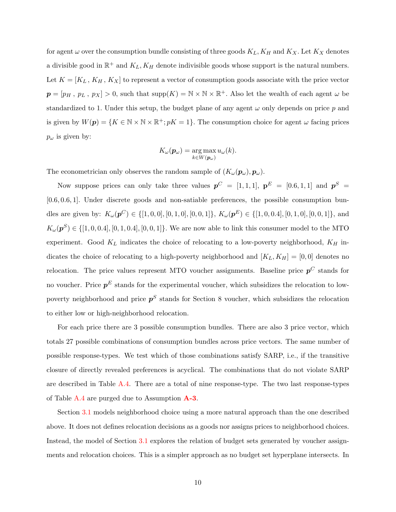for agent  $\omega$  over the consumption bundle consisting of three goods  $K_L$ ,  $K_H$  and  $K_X$ . Let  $K_X$  denotes a divisible good in  $\mathbb{R}^+$  and  $K_L, K_H$  denote indivisible goods whose support is the natural numbers. Let  $K = [K_L, K_H, K_X]$  to represent a vector of consumption goods associate with the price vector  $p = [p_H, p_L, p_X] > 0$ , such that  $\text{supp}(K) = \mathbb{N} \times \mathbb{N} \times \mathbb{R}^+$ . Also let the wealth of each agent  $\omega$  be standardized to 1. Under this setup, the budget plane of any agent  $\omega$  only depends on price p and is given by  $W(\mathbf{p}) = \{K \in \mathbb{N} \times \mathbb{N} \times \mathbb{R}^+; pK = 1\}$ . The consumption choice for agent  $\omega$  facing prices  $p_{\omega}$  is given by:

$$
K_{\omega}(\boldsymbol{p}_{\omega}) = \underset{k \in W(\boldsymbol{p}_{\omega})}{\arg \max} u_{\omega}(k).
$$

The econometrician only observes the random sample of  $(K_{\omega}(\mathbf{p}_{\omega}), \mathbf{p}_{\omega})$ .

Now suppose prices can only take three values  $p^C = [1, 1, 1]$ ,  $p^E = [0.6, 1, 1]$  and  $p^S =$ [0.6, 0.6, 1]. Under discrete goods and non-satiable preferences, the possible consumption bundles are given by:  $K_{\omega}(\boldsymbol{p}^C) \in \{[1,0,0], [0,1,0], [0,0,1]\}, K_{\omega}(\boldsymbol{p}^E) \in \{[1,0,0.4], [0,1,0], [0,0,1]\},$  and  $K_{\omega}(\boldsymbol{p}^S) \in \{[1, 0, 0.4], [0, 1, 0.4], [0, 0, 1]\}.$  We are now able to link this consumer model to the MTO experiment. Good  $K_L$  indicates the choice of relocating to a low-poverty neighborhood,  $K_H$  indicates the choice of relocating to a high-poverty neighborhood and  $[K_L, K_H] = [0, 0]$  denotes no relocation. The price values represent MTO voucher assignments. Baseline price  $p^C$  stands for no voucher. Price  $p<sup>E</sup>$  stands for the experimental voucher, which subsidizes the relocation to lowpoverty neighborhood and price  $p<sup>S</sup>$  stands for Section 8 voucher, which subsidizes the relocation to either low or high-neighborhood relocation.

For each price there are 3 possible consumption bundles. There are also 3 price vector, which totals 27 possible combinations of consumption bundles across price vectors. The same number of possible response-types. We test which of those combinations satisfy SARP, i.e., if the transitive closure of directly revealed preferences is acyclical. The combinations that do not violate SARP are described in Table [A.4.](#page-86-0) There are a total of nine response-type. The two last response-types of Table [A.4](#page-86-0) are purged due to Assumption  $\mathbf{A}\text{-}3$ .

Section [3.1](#page-18-0) models neighborhood choice using a more natural approach than the one described above. It does not defines relocation decisions as a goods nor assigns prices to neighborhood choices. Instead, the model of Section [3.1](#page-18-0) explores the relation of budget sets generated by voucher assignments and relocation choices. This is a simpler approach as no budget set hyperplane intersects. In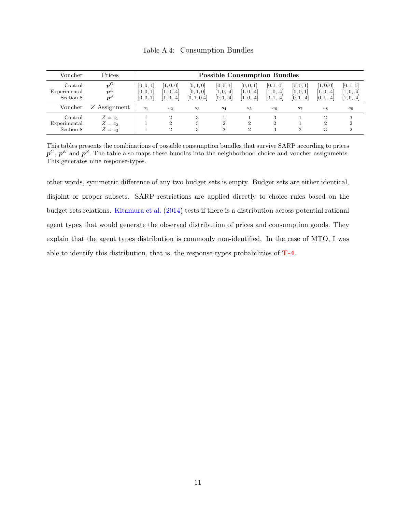<span id="page-86-0"></span>

| Voucher                              | Prices                              |                                     |                                                         |                                       | <b>Possible Consumption Bundles</b>   |                                               |                                       |                                      |                                       |                                      |
|--------------------------------------|-------------------------------------|-------------------------------------|---------------------------------------------------------|---------------------------------------|---------------------------------------|-----------------------------------------------|---------------------------------------|--------------------------------------|---------------------------------------|--------------------------------------|
| Control<br>Experimental<br>Section 8 | $p^{\cup}$<br>$\bm{p}^E$<br>$p^{S}$ | [0, 0, 1]<br>[0, 0, 1]<br>[0, 0, 1] | [1, 0, 0]<br>[1, 0, .4]<br>[1, 0, .4]                   | [0, 1, 0]<br>[0, 1, 0]<br>[0, 1, 0.4] | [0, 0, 1]<br>[1, 0, .4]<br>[0, 1, .4] | [0, 0, 1]<br>[1, 0, .4]<br>[1, 0, .4]         | [0, 1, 0]<br>[1, 0, .4]<br>[0, 1, .4] | [0, 0, 1]<br>[0, 0, 1]<br>[0, 1, .4] | [1, 0, 0]<br>[1, 0, .4]<br>[0, 1, .4] | [0, 1, 0]<br>[1, 0, .4]<br> 1, 0, .4 |
| Voucher                              | Z Assignment                        | s <sub>1</sub>                      | $s_2$                                                   | $s_3$                                 | $s_4$                                 | $s_{5}$                                       | s <sub>6</sub>                        | s <sub>7</sub>                       | $s_{8}$                               | $s_9$                                |
| Control<br>Experimental<br>Section 8 | $Z=z_1$<br>$Z=z_2$<br>$Z=z_3$       |                                     | $\mathcal{D}_{\mathcal{L}}$<br>$\overline{2}$<br>റ<br>∠ | 3                                     | 2<br>3                                | $\mathcal{D}_{\mathcal{L}}$<br>$\overline{2}$ | $\mathcal{D}_{\mathcal{L}}$<br>3      | 3                                    | $\mathcal{D}$<br>$\mathfrak{D}$<br>3  | 3<br>റ<br>2                          |

Table A.4: Consumption Bundles

This tables presents the combinations of possible consumption bundles that survive SARP according to prices  $p^C, p^E$  and  $p^S$ . The table also maps these bundles into the neighborhood choice and voucher assignments. This generates nine response-types.

other words, symmetric difference of any two budget sets is empty. Budget sets are either identical, disjoint or proper subsets. SARP restrictions are applied directly to choice rules based on the budget sets relations. [Kitamura et al.](#page-59-0) [\(2014\)](#page-59-0) tests if there is a distribution across potential rational agent types that would generate the observed distribution of prices and consumption goods. They explain that the agent types distribution is commonly non-identified. In the case of MTO, I was able to identify this distribution, that is, the response-types probabilities of [T-4](#page-31-0).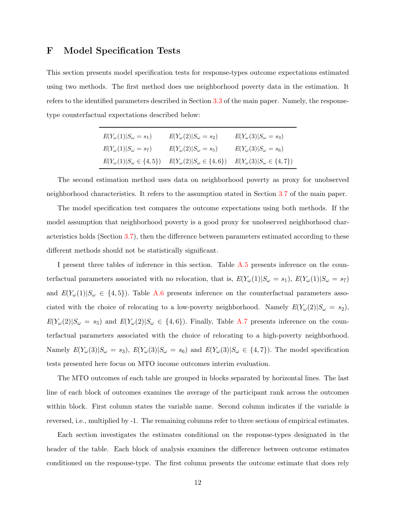## F Model Specification Tests

This section presents model specification tests for response-types outcome expectations estimated using two methods. The first method does use neighborhood poverty data in the estimation. It refers to the identified parameters described in Section [3.3](#page-30-0) of the main paper. Namely, the responsetype counterfactual expectations described below:

| $E(Y_{\omega}(1) S_{\omega}=s_1)$       | $E(Y_\omega(2) S_\omega=s_2)$           | $E(Y_{\omega}(3) S_{\omega}=s_3)$       |
|-----------------------------------------|-----------------------------------------|-----------------------------------------|
| $E(Y_{\omega}(1) S_{\omega}=s_7)$       | $E(Y_\omega(2) S_\omega=s_5)$           | $E(Y_{\omega}(3) S_{\omega}=s_6)$       |
| $E(Y_{\omega}(1) S_{\omega}\in\{4,5\})$ | $E(Y_{\omega}(2) S_{\omega}\in\{4,6\})$ | $E(Y_{\omega}(3) S_{\omega}\in\{4,7\})$ |

The second estimation method uses data on neighborhood poverty as proxy for unobserved neighborhood characteristics. It refers to the assumption stated in Section [3.7](#page-38-0) of the main paper.

The model specification test compares the outcome expectations using both methods. If the model assumption that neighborhood poverty is a good proxy for unobserved neighborhood characteristics holds (Section [3.7\)](#page-38-0), then the difference between parameters estimated according to these different methods should not be statistically significant.

I present three tables of inference in this section. Table [A.5](#page-89-0) presents inference on the counterfactual parameters associated with no relocation, that is,  $E(Y_\omega(1)|S_\omega = s_1)$ ,  $E(Y_\omega(1)|S_\omega = s_7)$ and  $E(Y_\omega(1)|S_\omega \in \{4,5\})$ . Table [A.6](#page-90-0) presents inference on the counterfactual parameters associated with the choice of relocating to a low-poverty neighborhood. Namely  $E(Y_\omega(2)|S_\omega = s_2)$ ,  $E(Y_\omega(2)|S_\omega = s_5)$  and  $E(Y_\omega(2)|S_\omega \in \{4, 6\})$ . Finally, Table [A.7](#page-91-0) presents inference on the counterfactual parameters associated with the choice of relocating to a high-poverty neighborhood. Namely  $E(Y_\omega(3)|S_\omega = s_3)$ ,  $E(Y_\omega(3)|S_\omega = s_6)$  and  $E(Y_\omega(3)|S_\omega \in \{4, 7\})$ . The model specification tests presented here focus on MTO income outcomes interim evaluation.

The MTO outcomes of each table are grouped in blocks separated by horizontal lines. The last line of each block of outcomes examines the average of the participant rank across the outcomes within block. First column states the variable name. Second column indicates if the variable is reversed, i.e., multiplied by -1. The remaining columns refer to three sections of empirical estimates.

Each section investigates the estimates conditional on the response-types designated in the header of the table. Each block of analysis examines the difference between outcome estimates conditioned on the response-type. The first column presents the outcome estimate that does rely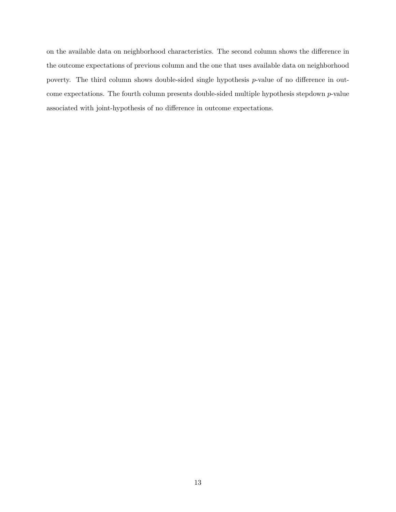on the available data on neighborhood characteristics. The second column shows the difference in the outcome expectations of previous column and the one that uses available data on neighborhood poverty. The third column shows double-sided single hypothesis p-value of no difference in outcome expectations. The fourth column presents double-sided multiple hypothesis stepdown p-value associated with joint-hypothesis of no difference in outcome expectations.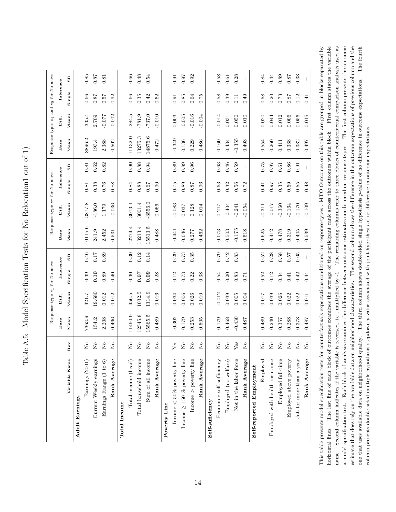Table A.5: Model Specification Tests for No Relocation1 out of 1) Table A.5: Model Specification Tests for No Relocation1 out of 1)

<span id="page-89-0"></span>

|                                     |                                                                  |                  | Response-type s1 for No move |           |                          |                  |           | Response-type s7 for No move |                          |                  | Response-types $s_4$ and $s_5$ for No move |           |              |
|-------------------------------------|------------------------------------------------------------------|------------------|------------------------------|-----------|--------------------------|------------------|-----------|------------------------------|--------------------------|------------------|--------------------------------------------|-----------|--------------|
|                                     |                                                                  | Base             | Diff.                        | Inference |                          | Base             | Diff.     | Inference                    |                          | Base             | Diff.                                      | Inference |              |
| Variable Name                       | Rev.                                                             | M <sub>ean</sub> | Means                        | Single    | $\rm_{SD}$               | M <sub>ean</sub> | $M ens$   | Single                       | $\mathbf{G}\mathbf{S}$   | M <sub>ean</sub> | Means                                      | Single    | GS           |
| Adult Earnings                      |                                                                  |                  |                              |           |                          |                  |           |                              |                          |                  |                                            |           |              |
| Earnings (2001)                     | $\stackrel{\circ}{\simeq}$                                       | 7363.9           | 421.7                        | 0.39      | $0.46\,$                 | 10115.6          | 3877.8    | 0.81                         | 0.81                     | 8896.2           | $-335.4$                                   | 0.66      | 0.85         |
| Current Weekly earnings             | $\stackrel{\circ}{\mathbf{Z}}$                                   | 154.2            | 19.680                       | 0.10      | 0.17                     | 241.9            | $-186.0$  | $\!0.38\!$                   | 0.62                     | 193.4            | 2.709                                      | 0.87      | $0.87\,$     |
| Earnings Range (1 to 6)             | $\rm \stackrel{\circ}{\rm \stackrel{\circ}{\rm \scriptstyle X}}$ | 2.208            | 0.012                        | 0.89      | 0.89                     | 2.452            | 1.179     | 0.76                         | 0.82                     | 2.388            | $-0.077$                                   | 0.57      | 0.81         |
| Rank Average                        | $\overline{S}$                                                   | 0.466            | 0.012                        | 0.40      | $\overline{\phantom{a}}$ | 0.531            | $-0.036$  | 0.88                         | $\overline{\phantom{a}}$ | 0.502            | $-0.002$                                   | 0.92      | $\mathbb{I}$ |
| <b>Total Income</b>                 |                                                                  |                  |                              |           |                          |                  |           |                              |                          |                  |                                            |           |              |
| Total income (head)                 | $\mathop{\mathsf{S}}\nolimits$                                   | 11460.9          | 456.5                        | $\,0.30$  | 0.30                     | 12274.4          | 3073.1    | 0.84                         | 0.90                     | 1132.0           | $-284.5$                                   | 0.66      | $\rm 0.66$   |
| Total household income              | $\mathop{\mathsf{S}}\nolimits$                                   | 12545.8          | 1032.5                       | 0.07      | 0.12                     | 13213.4          | 3001.4    | $0.88\,$                     | 0.88                     | 13275.3          | $-781.9$                                   | 0.35      | 0.48         |
| Sum of all income                   | $\overline{S}$                                                   | 15565.5          | 1114.9                       | 0.09      | 0.14                     | 15513.5          | $-3556.0$ | 0.67                         | 0.94                     | 14875.6          | $-737.0$                                   | 0.42      | 0.54         |
| Rank Average                        | $\stackrel{\circ}{\mathbf{Z}}$                                   | 0.489            | 0.016                        | 0.28      | $\mathbf{I}$             | 0.488            | 0.066     | 0.90                         | $\mathbf{I}$             | 0.472            | $-0.010$                                   | 0.62      | $\mathbf{I}$ |
| Poverty Line                        |                                                                  |                  |                              |           |                          |                  |           |                              |                          |                  |                                            |           |              |
| Income $<50\%$ poverty line         | ${\rm Yes}$                                                      | $-0.302$         | 0.034                        | 0.12      | 0.29                     | $-0.441$         | $-0.083$  | 0.75                         | 0.89                     | $-0.349$         | $0.003$                                    | 0.91      | 0.91         |
| Income $\geq$ 150 $\%$ poverty line | $\rm _{N}^{\circ}$                                               | $0.179\,$        | $0.006\,$                    | 0.73      | 0.73                     | 0.046            | 0.037     | 0.89                         | 0.89                     | 0.136            | $-0.005$                                   | 0.85      | 0.97         |
| Income $>$ poverty line             | $\overline{R}$                                                   | 0.253            | 0.026                        | 0.22      | 0.35                     | 0.277            | 0.128     | 0.87                         | 0.96                     | 0.229            | $-0.016$                                   | 0.64      | 0.92         |
| Rank Average                        | $\stackrel{\circ}{\phantom{}_{\sim}}$                            | 0.505            | 0.010                        | 0.38      | $\mathbf{I}$             | 0.462            | 0.014     | 0.96                         | $\mathbf{I}$             | 0.486            | $-0.004$                                   | 0.75      | $\mathbf{I}$ |
| Self-suficiency                     |                                                                  |                  |                              |           |                          |                  |           |                              |                          |                  |                                            |           |              |
| Economic self-sufficiency           | $\stackrel{\circ}{\mathbf{Z}}$                                   | $0.179\,$        | $-0.012$                     | $0.54\,$  | 0.79                     | $0.073\,$        | 0.217     | 0.63                         | $\!0.63\!$               | $0.160\,$        | $-0.014$                                   | 0.58      | $0.58\,$     |
| Employed (no welfare)               | $\mathsf{S}^{\mathsf{O}}$                                        | 0.468            | 0.039                        | 0.20      | 0.42                     | $\!0.503$        | $-0.404$  | 0.32                         | 0.46                     | 0.434            | 0.031                                      | 0.39      | $\!0.61\!$   |
| Not in the labor force              | ${\rm Yes}$                                                      | $-0.430$         | $0.005\,$                    | 0.83      | 0.83                     | $-0.175$         | $-0.241$  | 0.56                         | 0.59                     | $-0.355$         | 0.050                                      | 0.11      | 0.28         |
| Rank Average                        | $\stackrel{\circ}{\phantom{}_{\sim}}$                            | 0.487            | 0.004                        | 0.71      | $\mathbf{I}$             | 0.518            | $-0.054$  | 0.72                         | $\mathbf{I}$             | 0.493            | 0.010                                      | 0.49      | $\mathbf{I}$ |
| Self-reported Employment            |                                                                  |                  |                              |           |                          |                  |           |                              |                          |                  |                                            |           |              |
| Employed                            | $\stackrel{\circ}{\simeq}$                                       | 0.489            | $710.0$                      | 0.52      | 0.52                     | 0.625            | $-0.311$  | 0.41                         | 0.75                     | 0.554            | 0.020                                      | 0.58      | 0.84         |
| Employed with health insurance      | $\stackrel{\circ}{\simeq}$                                       | 0.240            | 0.039                        | 0.12      | 0.28                     | 0.412            | $-0.017$  | 0.97                         | 0.97                     | 0.260            | 0.044                                      | 0.20      | 0.44         |
| Employed full-time                  | $\rm _{Z}^{\circ}$                                               | 0.357            | 0.026                        | 0.34      | 0.58                     | 0.478            | $-0.360$  | 0.35                         | 0.61                     | $\!0.411$        | 0.012                                      | 0.73      | $\rm 0.89$   |
| Employed above poverty              | $\stackrel{\circ}{\mathbf{Z}}$                                   | 0.288            | 0.022                        | 0.41      | 0.57                     | 0.319            | $-0.164$  | 0.59                         | 0.86                     | 0.338            | 0.006                                      | 0.87      | $0.87\,$     |
| Job for more than a year            | $\mathsf{S}^{\mathsf{O}}$                                        | 0.373            | 0.022                        | 0.42      | $0.65\,$                 | 0.405            | $-0.170$  | 0.55                         | 0.91                     | 0.332            | 0.056                                      | 0.12      | 0.33         |
| Rank Average                        | $\rm _{N}^{\circ}$                                               | 0.487            | 0.011                        | 0.44      | $\overline{\phantom{a}}$ | 0.539            | $-0.109$  | 0.48                         | $\overline{\phantom{a}}$ | 0.497            | 0.015                                      | 0.41      | $\mathbf{I}$ |

horizontal lines. The last line of each block of outcomes examines the average of the participant rank across the outcomes within block. First column states the variable a model specification test. Each block of analysis examines the difference between outcome estimates conditioned on response-types. The first column presents the outcome estimate that does rely on the available data on neighborhood characteristics. The second column shows the difference in the outcome expectations of previous column and the  $_{\rm rated}$  by name. Second column indicates if the variable is reversed, i.e., multiplied by -1. The remaining columns refer to three blocks of counterfactual comparison analysis used as one that uses available data on neighborhood quality. The third column shows double-sided single hypothesis p-value of no difference in outcome expectations. The fourth This table presents model specification tests for counterfactuals expectations conditioned on response-types . MTO Outcomes on this table are grouped in blocks separated by horizontal lines. The last line of each block of outcomes examines the average of the participant rank across the outcomes within block. First column states the variable name. Second column indicates if the variable is reversed, i.e., multiplied by -1. The remaining columns refer to three blocks of counterfactual comparison analysis used as a model specification test. Each block of analysis examines the difference between outcome estimates conditioned on response-types. The first column presents the outcome estimate that does rely on the available data on neighborhood characteristics. The second column shows the difference in the outcome expectations of previous column and the one that uses available data on neighborhood quality. The third column shows double-sided single hypothesis p-value of no difference in outcome expectations. The fourth column presents double-sided multiple hypothesis stepdown p-value associated with joint-hypothesis of no difference in outcome expectations. column presents double-sided multiple hypothesis stepdown p-value associated with joint-hypothesis of no difference in outcome expectations. This table pro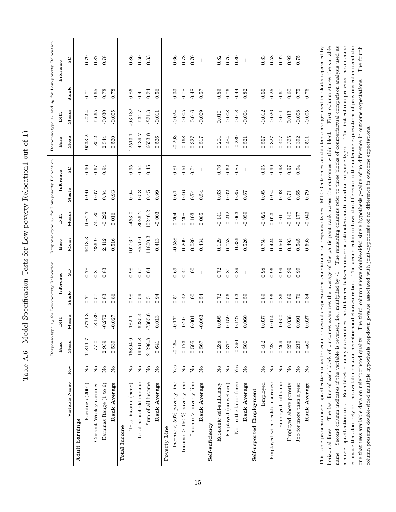Table A.6: Model Specification Tests for Low-poverty Relocation1 out of 1) Table A.6: Model Specification Tests for Low-poverty Relocation1 out of 1)

<span id="page-90-0"></span>

|                                                                                                                                                                                                                                             |                                       | $Respose-type$ |                 |            | $\ensuremath{s_{2}}$ for Low-poverty Relocation |          | Response-type s5 for Low-poverty Relocation |          |                          |                                                                                |           |          | Response-type $s_4$ and $s_6$ for Low-poverty Relocation |
|---------------------------------------------------------------------------------------------------------------------------------------------------------------------------------------------------------------------------------------------|---------------------------------------|----------------|-----------------|------------|-------------------------------------------------|----------|---------------------------------------------|----------|--------------------------|--------------------------------------------------------------------------------|-----------|----------|----------------------------------------------------------|
|                                                                                                                                                                                                                                             |                                       | Base           | Diff.           |            | Inference                                       | Base     | Diff.                                       |          | Inference                | Base                                                                           | Diff.     |          | Inference                                                |
| Variable Name                                                                                                                                                                                                                               | Rev.                                  | Mean           | Means           | Single     | GS                                              | Mean     | Means                                       | Single   | $\mathbf{S}$             | M <sub>ean</sub>                                                               | Means     | Single   | GS                                                       |
| Adult Earnings                                                                                                                                                                                                                              |                                       |                |                 |            |                                                 |          |                                             |          |                          |                                                                                |           |          |                                                          |
| Earnings (2001)                                                                                                                                                                                                                             | $\stackrel{\circ}{\simeq}$            | 11811.7        | $-2771.3$       | $0.71\,$   | 0.78                                            | 9013.3   | 1087.7                                      | 0.90     | 0.90                     | 9533.2                                                                         | $-202.4$  | 0.71     | 0.79                                                     |
| Current Weekly earnings                                                                                                                                                                                                                     | $\mathop{\mathsf{S}}\nolimits$        | 177.0          | $-78.139$       | 0.57       | 0.81                                            | 236.9    | 74.185                                      | 0.67     | $0.67\,$                 | 185.2                                                                          | $-5.665$  | 0.65     | 0.87                                                     |
| Earnings Range (1 to 6)                                                                                                                                                                                                                     | $\mathop{\mathsf{S}}\nolimits$        | 2.939          | $-0.272$        | 0.83       | 0.83                                            | 2.412    | $-0.292$                                    | 0.84     | 0.94                     | 2.544                                                                          | $-0.030$  | $0.78\,$ | 0.78                                                     |
| Rank Average                                                                                                                                                                                                                                | $_{\rm N_o}$                          | 0.539          | $-0.027$        | 0.86       | $\mathbf{I}$                                    | 0.516    | 0.016                                       | 0.93     | $\mathbf{I}$             | 0.520                                                                          | $-0.005$  | 0.78     | $\overline{\phantom{a}}$                                 |
| Total Income                                                                                                                                                                                                                                |                                       |                |                 |            |                                                 |          |                                             |          |                          |                                                                                |           |          |                                                          |
| Total income (head)                                                                                                                                                                                                                         | $\stackrel{\mathtt{o}}{\mathtt{x}}$   | 15894.9        | 82.1            | 0.98       | 0.98                                            | 10216.1  | $-453.0$                                    | 0.94     | 0.95                     | 12513.1                                                                        | $-93.182$ | 0.86     | 0.86                                                     |
| Total household income                                                                                                                                                                                                                      | $\mathcal{S}^{\circ}$                 | 19961.8        | $-6235.4$       | 0.59       | 0.67                                            | 8551.0   | 8036.2                                      | 0.53     | 0.54                     | 14439.7                                                                        | $-534.7$  | 0.41     | 0.50                                                     |
| Sum of all income                                                                                                                                                                                                                           | $\stackrel{\circ}{\phantom{}_{\sim}}$ | 21298.8        | $-7365.6$       | 0.51       | 0.64                                            | 11800.3  | 10246.2                                     | 0.45     | 0.45                     | 16653.8                                                                        | $-821.3$  | 0.24     | 0.33                                                     |
| Rank Average                                                                                                                                                                                                                                | $\tilde{z}$                           | 0.641          | 013<br>$\circ$  | 0.94       | $\begin{array}{c} \hline \end{array}$           | 0.413    | $-0.003$                                    | 0.99     | $\mathbf{I}$             | 0.526                                                                          | $-0.011$  | 0.56     | $\mathbf{I}$                                             |
| Poverty Line                                                                                                                                                                                                                                |                                       |                |                 |            |                                                 |          |                                             |          |                          |                                                                                |           |          |                                                          |
| Income $<$ 50% poverty line                                                                                                                                                                                                                 | Yes                                   | $-0.264$       | $-0.171$        | 0.51       | 0.69                                            | $-0.588$ | 0.204                                       | 0.61     | 0.81                     | $-0.293$                                                                       | $-0.024$  | 0.33     | 0.66                                                     |
| Income $\geq$ 150 % poverty line                                                                                                                                                                                                            | $\stackrel{\circ}{\phantom{}_{\sim}}$ | 0.173          | $-0.201$        | 0.42       | 0.47                                            | 0.209    | 0.208                                       | 0.46     | 0.51                     | 0.168                                                                          | $-0.005$  | 0.78     | 0.78                                                     |
| Income $>$ poverty line                                                                                                                                                                                                                     | $\mathop{\mathsf{S}}\nolimits$        | 0.595          | .001<br>$\circ$ | 1.00       | 1.00                                            | 0.080    | 0.103                                       | $0.74\,$ | 0.74                     | 0.327                                                                          | $-0.016$  | 0.48     | 0.70                                                     |
| Rank Average                                                                                                                                                                                                                                | $\stackrel{\circ}{\phantom{}_{\sim}}$ | 0.567          | $-0.063$        | 0.54       | $\overline{\phantom{a}}$                        | 0.434    | 0.085                                       | 0.54     | $\overline{\phantom{a}}$ | 0.517                                                                          | $-0.009$  | 0.57     | $\overline{\phantom{a}}$                                 |
| Self-suficiency                                                                                                                                                                                                                             |                                       |                |                 |            |                                                 |          |                                             |          |                          |                                                                                |           |          |                                                          |
| Economic self-sufficiency                                                                                                                                                                                                                   | $\mathop{\mathsf{S}}\nolimits$        | 0.288          | 095             | $0.72\,$   | 0.72                                            | 0.129    | $-0.141$                                    | 0.63     | 0.76                     | 0.204                                                                          | 0.010     | 0.59     | 0.82                                                     |
| Employed (no welfare)                                                                                                                                                                                                                       | $\rm _{N}^{\circ}$                    | 0.377          | 0.159           | 0.56       | 0.81                                            | 0.758    | $-0.212$                                    | 0.62     | $\!0.62\!$               | 0.484                                                                          | $-0.008$  | 0.76     | 0.76                                                     |
| Not in the labor force                                                                                                                                                                                                                      | Yes                                   | $-0.390$       | 0.127           | 0.63       | 0.89                                            | $-0.336$ | $-0.063$                                    | 0.85     | 0.85                     | $-0.289$                                                                       | $-0.018$  | 0.44     | 0.80                                                     |
| Rank Average                                                                                                                                                                                                                                | $\stackrel{\circ}{\phantom{}_{\sim}}$ | 0.500          | .060<br>$\circ$ | 0.59       | $\mathbf{I}$                                    | 0.526    | $-0.059$                                    | 0.67     | $\mathbf{I}$             | 0.521                                                                          | $-0.004$  | 0.82     |                                                          |
| Self-reported Employment                                                                                                                                                                                                                    |                                       |                |                 |            |                                                 |          |                                             |          |                          |                                                                                |           |          |                                                          |
| Employed                                                                                                                                                                                                                                    | $\stackrel{\circ}{\mathbf{Z}}$        | 0.482          | .037<br>$\circ$ | 0.89       | 0.98                                            | 0.758    | $-0.025$                                    | 0.95     | 0.95                     | 0.567                                                                          | $-0.012$  | $0.66\,$ | 0.83                                                     |
| Employed with health insurance                                                                                                                                                                                                              | $\stackrel{\circ}{\phantom{}_{\sim}}$ | 0.281          | .014            | 0.96       | 0.96                                            | 0.424    | 0.023                                       | 0.94     | 0.99                     | 0.327                                                                          | $-0.026$  | 0.25     | 0.58                                                     |
| Employed full-time                                                                                                                                                                                                                          | $\stackrel{\circ}{\phantom{}_{\sim}}$ | 0.269          | $-0.050$        | 0.86       | 0.99                                            | 0.564    | $-0.011$                                    | 0.98     | 0.98                     | $0.407$                                                                        | $-0.011$  | 0.67     | 0.92                                                     |
| Employed above poverty                                                                                                                                                                                                                      | $\stackrel{\circ}{\simeq}$            | 0.259          | .038<br>$\circ$ | $\rm 0.89$ | 0.99                                            | 0.493    | $-0.140$                                    | 0.71     | 0.97                     | 0.325                                                                          | $\!0.013$ | 0.60     | 0.92                                                     |
| Job for more than a year                                                                                                                                                                                                                    | $\rm \stackrel{o}{\simeq}$            | 0.219          | 0.091           | $0.76\,$   | 0.99                                            | 0.545    | $-0.177$                                    | $0.65\,$ | 0.94                     | 0.392                                                                          | $-0.008$  | 0.75     | 0.75                                                     |
| Rank Average                                                                                                                                                                                                                                | $\rm \stackrel{o}{\simeq}$            | 0.460          | .027            | 0.84       | $\mathbf{I}$                                    | 0.593    | $-0.043$                                    | 0.79     | -1                       | 0.511                                                                          | $-0.005$  | 0.76     | T                                                        |
| This table presents model specification tests for counterfactuals expectations conditional on response-types. MTO Outcomes on this table are grouped in blocks separated by<br>The last line of each block of outcomes<br>horizontal lines. |                                       |                |                 |            |                                                 |          |                                             |          |                          | examines the average of the participant rank across the outcomes within block. |           |          | First column states the variable                         |

a model specification test. Each block of analysis examines the difference between outcome estimates conditioned on response-types. The first column presents the outcome estimate that does rely on the available data on neighborhood characteristics. The second column shows the difference in the outcome expectations of previous column and the one that uses available data on neighborhood quality. The third column shows double-sided single hypothesis p-value of no difference in outcome expectations. The fourth name. Second column indicates if the variable is reversed, i.e., multiplied by -1. The remaining columns refer to three blocks of counterfactual comparison analysis used as name. Second column indicates if the variable is reversed, i.e., multiplied by -1. The remaining columns refer to three blocks of counterfactual comparison analysis used as a model specification test. Each block of analysis examines the difference between outcome estimates conditioned on response-types. The first column presents the outcome estimate that does rely on the available data on neighborhood characteristics. The second column shows the difference in the outcome expectations of previous column and the one that uses available data on neighborhood quality. The third column shows double-sided single hypothesis p-value of no difference in outcome expectations. The fourth column presents double-sided multiple hypothesis stepdown p-value associated with joint-hypothesis of no difference in outcome expectations. column presents double-sided multiple hypothesis stepdown p-value associated with joint-hypothesis of no difference in outcome expectations.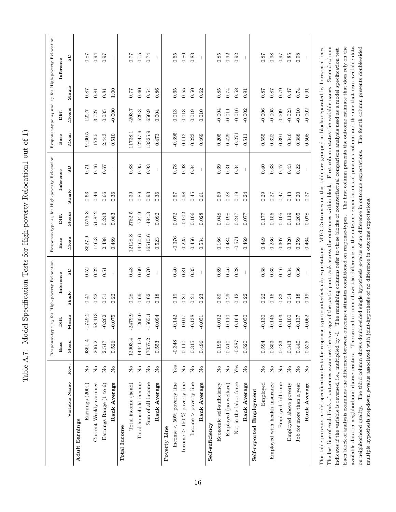Table A.7: Model Specification Tests for High-poverty Relocation1 out of 1) Table A.7: Model Specification Tests for High-poverty Relocation1 out of 1)

<span id="page-91-0"></span>

|                                                                                                                                                                               |                                                                        |          |                       |        | Response-type s3 for High-poverty Relocation |          |          |            | Response-type s6 for High-poverty Relocation                                                                          |          |          |          | Response-type $s_4$ and $s_7$ for High-poverty Relocation |
|-------------------------------------------------------------------------------------------------------------------------------------------------------------------------------|------------------------------------------------------------------------|----------|-----------------------|--------|----------------------------------------------|----------|----------|------------|-----------------------------------------------------------------------------------------------------------------------|----------|----------|----------|-----------------------------------------------------------|
|                                                                                                                                                                               |                                                                        | Base     | Diff.                 |        | Inference                                    | Base     | Diff.    |            | Inference                                                                                                             | Base     | Diff.    |          | Inference                                                 |
| Variable Name                                                                                                                                                                 | Rev.                                                                   | Mean     | Means                 | Single | $\mathbf{S} \mathbf{D}$                      | Mean     | Means    | Single     | GS                                                                                                                    | Mean     | Means    | Single   | GS                                                        |
| Adult Earnings                                                                                                                                                                |                                                                        |          |                       |        |                                              |          |          |            |                                                                                                                       |          |          |          |                                                           |
| Earnings (2001)                                                                                                                                                               | $\rm \stackrel{o}{\simeq}$                                             | 9361.4   | $-1749.2$             | 0.47   | 0.52                                         | 8527.9   | 1575.3   | $\!0.63\!$ | 0.71                                                                                                                  | 9160.5   | 122.7    | 0.87     | 187                                                       |
| Current Weekly earnings                                                                                                                                                       | $\overline{a}$                                                         | 206.2    | $-58.413$             | 0.22   | 0.22                                         | 146.3    | 51.842   | 0.46       | 0.46                                                                                                                  | 173.5    | 3.727    | 0.81     | 0.94                                                      |
| Earnings Range (1 to 6)                                                                                                                                                       | $\stackrel{\circ}{\mathbf{Z}}$                                         | 2.517    | $-0.262$              | 0.51   | 0.51                                         | 2.488    | 0.243    | 0.66       | 0.67                                                                                                                  | 2.443    | 0.035    | 0.81     | 0.97                                                      |
| Rank Average                                                                                                                                                                  | $\overline{S}$                                                         | 0.526    | $-0.075$              | 0.22   | $\overline{1}$                               | 0.489    | 0.083    | 0.36       | $\mathbf{I}$                                                                                                          | 0.510    | $-0.000$ | 1.00     | $\mathbf{I}$                                              |
| <b>Total Income</b>                                                                                                                                                           |                                                                        |          |                       |        |                                              |          |          |            |                                                                                                                       |          |          |          |                                                           |
| Total income (head)                                                                                                                                                           | $\rm \stackrel{\circ}{\rm \bf Z}$                                      | 12903.4  | $-2479.9$             | 0.28   | 0.43                                         | 12128.8  | 2782.5   | 0.39       | 0.88                                                                                                                  | 11738.1  | $-203.7$ | $0.77\,$ | 0.77                                                      |
| Total household income                                                                                                                                                        | $\mathop{\mathsf{S}}\nolimits$                                         | 14441.0  | $-1260.0$             | 0.69   | 0.69                                         | 14460.6  | $-724.9$ | 0.89       | 0.95                                                                                                                  | 12247.9  | 529.3    | 0.60     | $0.75\,$                                                  |
| Sum of all income                                                                                                                                                             | $\stackrel{\circ}{\mathbf{Z}}$                                         | 17057.2  | $-1565.1$             | 0.62   | 0.70                                         | 16510.6  | $-494.3$ | 0.93       | 0.93                                                                                                                  | 13325.9  | 650.9    | 0.54     | 0.74                                                      |
| Rank Average                                                                                                                                                                  | $\rm _{No}$                                                            | 0.553    | $-0.094$              | 0.18   | $\overline{\phantom{a}}$                     | 0.523    | 0.092    | 0.36       | $\overline{\phantom{a}}$                                                                                              | 0.473    | 0.004    | 0.86     | $\overline{\phantom{a}}$                                  |
| Poverty Line                                                                                                                                                                  |                                                                        |          |                       |        |                                              |          |          |            |                                                                                                                       |          |          |          |                                                           |
| Income $<$ 50% poverty line                                                                                                                                                   | ${\rm Yes}$                                                            | $-0.348$ | 142<br>$\overline{Q}$ | 0.19   | 0.40                                         | $-0.376$ | 0.072    | 0.57       | 0.78                                                                                                                  | $-0.395$ | 0.013    | $0.65\,$ | 0.65                                                      |
| Income $\geq$ 150 % poverty line                                                                                                                                              | $\stackrel{\circ}{\phantom{}_{\sim}}$                                  | 0.110    | $-0.017$              | 0.81   | 0.81                                         | 0.225    | $-0.002$ | 0.98       | 0.98                                                                                                                  | 0.112    | 0.013    | 0.55     | $0.80\,$                                                  |
| Income $>$ poverty line                                                                                                                                                       | $\stackrel{\circ}{\simeq}$                                             | 0.315    | $-0.138$              | 0.21   | 0.35                                         | 0.456    | 0.106    | 0.45       | 0.84                                                                                                                  | 0.223    | 0.019    | 0.50     | 0.83                                                      |
| Rank Average                                                                                                                                                                  | $\mathcal{S}^{\circ}$                                                  | 0.496    | $-0.051$              | 0.23   | $\overline{\phantom{a}}$                     | 0.534    | 0.028    | 0.61       | $\overline{\phantom{a}}$                                                                                              | 0.469    | 0.010    | 0.62     | $\mathbf{I}$                                              |
| Self-suficiency                                                                                                                                                               |                                                                        |          |                       |        |                                              |          |          |            |                                                                                                                       |          |          |          |                                                           |
| Economic self-sufficiency                                                                                                                                                     | $\rm \stackrel{\circ}{\rm \stackrel{\circ}{\rm \scriptscriptstyle M}}$ | 0.196    | $-0.012$              | 0.89   | 0.89                                         | 0.186    | 0.048    | 0.69       | 0.69                                                                                                                  | 0.205    | $-0.004$ | 0.85     | $0.85\,$                                                  |
| Employed (no welfare)                                                                                                                                                         | $\mathsf{S}^{\mathsf{O}}$                                              | 0.510    | $-0.110$              | 0.29   | 0.46                                         | 0.484    | 0.198    | 0.28       | 0.31                                                                                                                  | 0.429    | $-0.011$ | 0.74     | 0.92                                                      |
| Not in the labor force                                                                                                                                                        | Yes                                                                    | $-0.287$ | 164<br>$\ddot{\rho}$  | 0.12   | 0.28                                         | $-0.571$ | 0.247    | 0.19       | 0.34                                                                                                                  | $-0.271$ | $-0.016$ | 0.58     | 0.92                                                      |
| Rank Average                                                                                                                                                                  | $\overline{S}$                                                         | 0.520    | $-0.050$              | 0.22   |                                              | 0.469    | 0.077    | 0.24       |                                                                                                                       | 0.511    | $-0.002$ | 0.91     |                                                           |
| Self-reported Employment                                                                                                                                                      |                                                                        |          |                       |        |                                              |          |          |            |                                                                                                                       |          |          |          |                                                           |
| Employed                                                                                                                                                                      | $\mathcal{S}^{\circ}$                                                  | 0.594    | 130<br>Ģ              | 0.22   | 0.38                                         | 0.449    | 0.177    | 0.29       | 0.40                                                                                                                  | 0.555    | $-0.006$ | 0.87     | 0.87                                                      |
| Employed with health insurance                                                                                                                                                | $\stackrel{\circ}{\phantom{}_{\sim}}$                                  | 0.353    | $-0.145$              | 0.15   | 0.35                                         | 0.236    | 0.155    | 0.27       | $\,0.33$                                                                                                              | 0.322    | $-0.005$ | 0.87     | 0.98                                                      |
| Employed full-time                                                                                                                                                            | $\rm \stackrel{\circ}{\rm \stackrel{\circ}{\rm \scriptscriptstyle M}}$ | 0.433    | $-0.103$              | 0.33   | 0.46                                         | 0.307    | 0.105    | 0.47       | 7.0                                                                                                                   | 0.391    | 0.009    | 0.79     | 0.97                                                      |
| Employed above poverty                                                                                                                                                        | $\rm \stackrel{\circ}{\rm \stackrel{\circ}{\rm \scriptscriptstyle M}}$ | 0.343    | 100<br>$\overline{Q}$ | 0.34   | 0.34                                         | 0.320    | 0.119    | 0.43       | 0.43                                                                                                                  | 0.346    | $-0.023$ | 0.47     | $0.85\,$                                                  |
| Job for more than a year                                                                                                                                                      | $\rm _{No}$                                                            | 0.440    | 137<br>$\overline{Q}$ | 0.18   | 0.36                                         | 0.259    | 0.205    | 0.20       | 0.22                                                                                                                  | 0.388    | $-0.010$ | 0.74     | 0.98                                                      |
| Rank Average                                                                                                                                                                  | $\overline{S}$                                                         | 0.525    | $-0.062$              | 0.19   | $\overline{\phantom{a}}$                     | 0.464    | 0.078    | 0.27       | $\mathbb I$                                                                                                           | 0.508    | $-0.002$ | 0.91     | $\mathbf{I}$                                              |
| This table presents model specification tests for response-type counterfactuals expectations. MTO Outcomes on this table are grouped in blocks separated by horizontal lines. |                                                                        |          |                       |        |                                              |          |          |            |                                                                                                                       |          |          |          |                                                           |
| The last line of each block of outcomes examines the average of the participant rank across the outcomes within block. First column states the variable name.                 |                                                                        |          |                       |        |                                              |          |          |            |                                                                                                                       |          |          |          | Second column                                             |
| indicates if the variable is reversed, i.e., multiplied by -1.                                                                                                                |                                                                        |          |                       |        |                                              |          |          |            | The remaining columns refer to three blocks of counterfactual comparison analysis used as a model specification test. |          |          |          |                                                           |
| Each block of analysis examines the difference between outcome estimates conditioned on response-types.                                                                       |                                                                        |          |                       |        |                                              |          |          |            | The first column presents the outcome estimate that does rely on the                                                  |          |          |          |                                                           |

available data on neighborhood characteristics. The second column shows the difference in the outcome expectations of previous column and the one that uses available data on neighborhood quality. The third column shows double-sided single hypothesis p-value of no difference in outcome expectations. The fourth column presents double-sided

available data on neighborhood characteristics. The second column shows the difference in the outcome expectations of previous column and the one that uses available data on neighborhood quality. The third column shows double-sided single hypothesis p-value of no difference in outcome expectations. The fourth column presents double-sided

multiple hypothesis stepdown p-value associated with joint-hypothesis of no difference in outcome expectations.

multiple hypothesis stepdown p-value associated with joint-hypothesis of no difference in outcome expectations.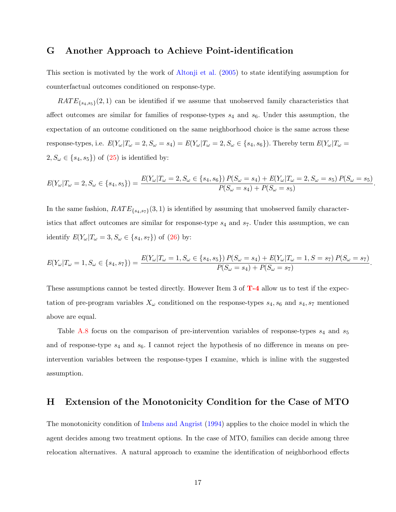## G Another Approach to Achieve Point-identification

This section is motivated by the work of [Altonji et al.](#page-56-2) [\(2005\)](#page-56-2) to state identifying assumption for counterfactual outcomes conditioned on response-type.

 $RATE_{\{s_4,s_5\}}(2,1)$  can be identified if we assume that unobserved family characteristics that affect outcomes are similar for families of response-types  $s_4$  and  $s_6$ . Under this assumption, the expectation of an outcome conditioned on the same neighborhood choice is the same across these response-types, i.e.  $E(Y_{\omega}|T_{\omega}=2, S_{\omega}=s_4)=E(Y_{\omega}|T_{\omega}=2, S_{\omega}\in\{s_4, s_6\})$ . Thereby term  $E(Y_{\omega}|T_{\omega}=s_4)=E(Y_{\omega}|T_{\omega}=s_4)=E(Y_{\omega}|T_{\omega}=s_5)=E(Y_{\omega}|T_{\omega}=s_6)=E(Y_{\omega}|T_{\omega}=s_7)=E(Y_{\omega}|T_{\omega}=s_7)=E(Y_{\omega}|T_{\omega}=s_7)=E(Y_{\omega}|T_{\omega}=s_7)=E(Y_{\omega}|T_{\omega$  $2, S_{\omega} \in \{s_4, s_5\}$  of  $(25)$  is identified by:

$$
E(Y_{\omega}|T_{\omega}=2, S_{\omega}\in\{s_4, s_5\}) = \frac{E(Y_{\omega}|T_{\omega}=2, S_{\omega}\in\{s_4, s_6\}) P(S_{\omega}=s_4) + E(Y_{\omega}|T_{\omega}=2, S_{\omega}=s_5) P(S_{\omega}=s_5)}{P(S_{\omega}=s_4) + P(S_{\omega}=s_5)}.
$$

In the same fashion,  $RATE_{\{s_4,s_7\}}(3,1)$  is identified by assuming that unobserved family characteristics that affect outcomes are similar for response-type  $s_4$  and  $s_7$ . Under this assumption, we can identify  $E(Y_\omega | T_\omega = 3, S_\omega \in \{s_4, s_7\})$  of [\(26\)](#page-31-2) by:

$$
E(Y_{\omega}|T_{\omega}=1, S_{\omega}\in\{s_4, s_7\}) = \frac{E(Y_{\omega}|T_{\omega}=1, S_{\omega}\in\{s_4, s_5\}) P(S_{\omega}=s_4) + E(Y_{\omega}|T_{\omega}=1, S=s_7) P(S_{\omega}=s_7)}{P(S_{\omega}=s_4) + P(S_{\omega}=s_7)}.
$$

These assumptions cannot be tested directly. However Item 3 of  $T-4$  allow us to test if the expectation of pre-program variables  $X_{\omega}$  conditioned on the response-types  $s_4, s_6$  and  $s_4, s_7$  mentioned above are equal.

Table [A.8](#page-93-0) focus on the comparison of pre-intervention variables of response-types  $s_4$  and  $s_5$ and of response-type  $s_4$  and  $s_6$ . I cannot reject the hypothesis of no difference in means on preintervention variables between the response-types I examine, which is inline with the suggested assumption.

## H Extension of the Monotonicity Condition for the Case of MTO

The monotonicity condition of [Imbens and Angrist](#page-59-1) [\(1994\)](#page-59-1) applies to the choice model in which the agent decides among two treatment options. In the case of MTO, families can decide among three relocation alternatives. A natural approach to examine the identification of neighborhood effects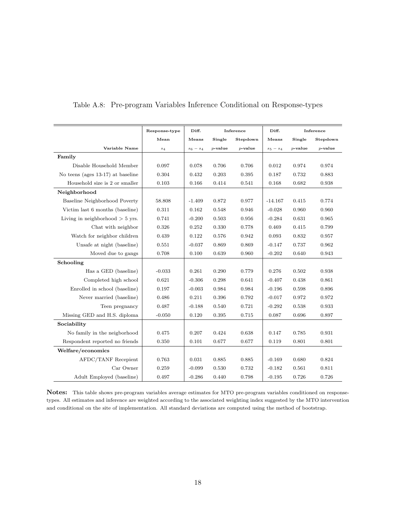|                                   | Response-type | Diff.       |            | Inference  | Diff.       |            | Inference  |
|-----------------------------------|---------------|-------------|------------|------------|-------------|------------|------------|
|                                   | Mean          | Means       | Single     | Stepdown   | Means       | Single     | Stepdown   |
| Variable Name                     | $s_4$         | $s_6 - s_4$ | $p$ -value | $p$ -value | $s_5 - s_4$ | $p$ -value | $p$ -value |
| Family                            |               |             |            |            |             |            |            |
| Disable Household Member          | 0.097         | 0.078       | 0.706      | 0.706      | 0.012       | 0.974      | 0.974      |
| No teens (ages 13-17) at baseline | 0.304         | 0.432       | 0.203      | 0.395      | 0.187       | 0.732      | 0.883      |
| Household size is 2 or smaller    | 0.103         | 0.166       | 0.414      | 0.541      | 0.168       | 0.682      | 0.938      |
| Neighborhood                      |               |             |            |            |             |            |            |
| Baseline Neighborhood Poverty     | 58.808        | $-1.409$    | 0.872      | 0.977      | $-14.167$   | 0.415      | 0.774      |
| Victim last 6 months (baseline)   | 0.311         | 0.162       | 0.548      | 0.946      | $-0.028$    | 0.960      | 0.960      |
| Living in neighborhood $> 5$ yrs. | 0.741         | $-0.200$    | 0.503      | 0.956      | $-0.284$    | 0.631      | 0.965      |
| Chat with neighbor                | 0.326         | 0.252       | 0.330      | 0.778      | 0.469       | 0.415      | 0.799      |
| Watch for neighbor children       | 0.439         | 0.122       | 0.576      | 0.942      | 0.093       | 0.832      | 0.957      |
| Unsafe at night (baseline)        | 0.551         | $-0.037$    | 0.869      | 0.869      | $-0.147$    | 0.737      | 0.962      |
| Moved due to gangs                | 0.708         | 0.100       | 0.639      | 0.960      | $-0.202$    | 0.640      | 0.943      |
| Schooling                         |               |             |            |            |             |            |            |
| Has a GED (baseline)              | $-0.033$      | 0.261       | 0.290      | 0.779      | 0.276       | 0.502      | 0.938      |
| Completed high school             | 0.621         | $-0.306$    | 0.298      | 0.641      | $-0.407$    | 0.438      | 0.861      |
| Enrolled in school (baseline)     | 0.197         | $-0.003$    | 0.984      | 0.984      | $-0.196$    | 0.598      | 0.896      |
| Never married (baseline)          | 0.486         | 0.211       | 0.396      | 0.792      | $-0.017$    | 0.972      | 0.972      |
| Teen pregnancy                    | 0.487         | $-0.188$    | 0.540      | 0.721      | $-0.292$    | 0.538      | 0.933      |
| Missing GED and H.S. diploma      | $-0.050$      | 0.120       | 0.395      | 0.715      | 0.087       | 0.696      | 0.897      |
| Sociability                       |               |             |            |            |             |            |            |
| No family in the neigborhood      | 0.475         | 0.207       | 0.424      | 0.638      | 0.147       | 0.785      | 0.931      |
| Respondent reported no friends    | 0.350         | 0.101       | 0.677      | 0.677      | 0.119       | 0.801      | 0.801      |
| Welfare/economics                 |               |             |            |            |             |            |            |
| AFDC/TANF Recepient               | 0.763         | 0.031       | 0.885      | 0.885      | $-0.169$    | 0.680      | 0.824      |
| Car Owner                         | 0.259         | $-0.099$    | 0.530      | 0.732      | $-0.182$    | 0.561      | 0.811      |
| Adult Employed (baseline)         | 0.497         | $-0.286$    | 0.440      | 0.798      | $-0.195$    | 0.726      | 0.726      |

<span id="page-93-0"></span>Table A.8: Pre-program Variables Inference Conditional on Response-types

Notes: This table shows pre-program variables average estimates for MTO pre-program variables conditioned on responsetypes. All estimates and inference are weighted according to the associated weighting index suggested by the MTO intervention and conditional on the site of implementation. All standard deviations are computed using the method of bootstrap.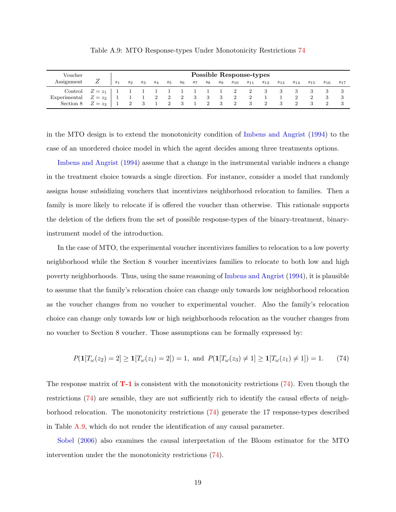<span id="page-94-1"></span>

| Voucher                 |               |       |                                             |       |       |                |       |             |         |       |          | <b>Possible Response-types</b> |          |          |          |          |          |     |
|-------------------------|---------------|-------|---------------------------------------------|-------|-------|----------------|-------|-------------|---------|-------|----------|--------------------------------|----------|----------|----------|----------|----------|-----|
| Assignment              | Ζ             | $s_1$ | $s_2$                                       | $s_3$ | $s_4$ | $s_5$          | $s_6$ | $s_7$       | $s_{8}$ | $s_9$ | $s_{10}$ | $s_{11}$                       | $s_{12}$ | $s_{13}$ | $s_{14}$ | $s_{15}$ | $s_{16}$ | S17 |
| Control                 | $Z = z_1$   1 |       |                                             |       |       |                |       | 1 1 1 1 1 2 |         |       |          | $\overline{\phantom{a}}^2$     | - 3      |          |          |          |          |     |
| Experimental            | $Z=z_2$       |       |                                             |       |       | $\overline{2}$ |       | 2 3 3 3 2   |         |       |          |                                |          |          |          |          |          |     |
| Section 8 $Z = z_3$   1 |               |       | $\begin{array}{cccc} 2 & 3 & 1 \end{array}$ |       |       | $\sim$ 2       |       | 3 1 2 3 2   |         |       |          | $\overline{\phantom{a}3}$      |          |          |          |          |          |     |

Table A.9: MTO Response-types Under Monotonicity Restrictions [74](#page-94-0)

in the MTO design is to extend the monotonicity condition of [Imbens and Angrist](#page-59-1) [\(1994\)](#page-59-1) to the case of an unordered choice model in which the agent decides among three treatments options.

[Imbens and Angrist](#page-59-1) [\(1994\)](#page-59-1) assume that a change in the instrumental variable induces a change in the treatment choice towards a single direction. For instance, consider a model that randomly assigns house subsidizing vouchers that incentivizes neighborhood relocation to families. Then a family is more likely to relocate if is offered the voucher than otherwise. This rationale supports the deletion of the defiers from the set of possible response-types of the binary-treatment, binaryinstrument model of the introduction.

In the case of MTO, the experimental voucher incentivizes families to relocation to a low poverty neighborhood while the Section 8 voucher incentivizes families to relocate to both low and high poverty neighborhoods. Thus, using the same reasoning of [Imbens and Angrist](#page-59-1) [\(1994\)](#page-59-1), it is plausible to assume that the family's relocation choice can change only towards low neighborhood relocation as the voucher changes from no voucher to experimental voucher. Also the family's relocation choice can change only towards low or high neighborhoods relocation as the voucher changes from no voucher to Section 8 voucher. Those assumptions can be formally expressed by:

<span id="page-94-0"></span>
$$
P(\mathbf{1}[T_{\omega}(z_2) = 2] \ge \mathbf{1}[T_{\omega}(z_1) = 2]) = 1
$$
, and  $P(\mathbf{1}[T_{\omega}(z_3) \ne 1] \ge \mathbf{1}[T_{\omega}(z_1) \ne 1]) = 1$ . (74)

The response matrix of  $T-1$  is consistent with the monotonicity restrictions [\(74\)](#page-94-0). Even though the restrictions [\(74\)](#page-94-0) are sensible, they are not sufficiently rich to identify the causal effects of neighborhood relocation. The monotonicity restrictions [\(74\)](#page-94-0) generate the 17 response-types described in Table [A.9,](#page-94-1) which do not render the identification of any causal parameter.

[Sobel](#page-61-0) [\(2006\)](#page-61-0) also examines the causal interpretation of the Bloom estimator for the MTO intervention under the the monotonicity restrictions [\(74\)](#page-94-0).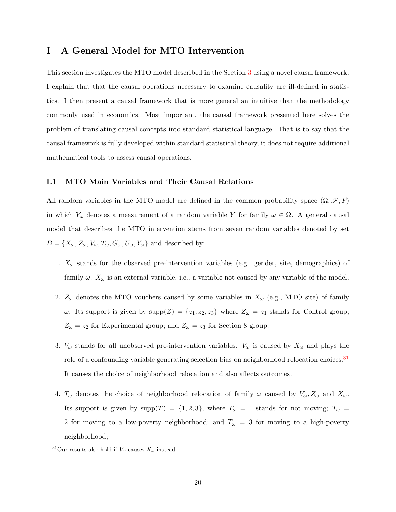## I A General Model for MTO Intervention

This section investigates the MTO model described in the Section [3](#page-18-1) using a novel causal framework. I explain that that the causal operations necessary to examine causality are ill-defined in statistics. I then present a causal framework that is more general an intuitive than the methodology commonly used in economics. Most important, the causal framework presented here solves the problem of translating causal concepts into standard statistical language. That is to say that the causal framework is fully developed within standard statistical theory, it does not require additional mathematical tools to assess causal operations.

#### I.1 MTO Main Variables and Their Causal Relations

All random variables in the MTO model are defined in the common probability space  $(\Omega, \mathscr{F}, P)$ in which  $Y_{\omega}$  denotes a measurement of a random variable Y for family  $\omega \in \Omega$ . A general causal model that describes the MTO intervention stems from seven random variables denoted by set  $B = \{X_{\omega}, Z_{\omega}, V_{\omega}, T_{\omega}, G_{\omega}, V_{\omega}, Y_{\omega}\}\$ and described by:

- 1.  $X_{\omega}$  stands for the observed pre-intervention variables (e.g. gender, site, demographics) of family  $\omega$ .  $X_{\omega}$  is an external variable, i.e., a variable not caused by any variable of the model.
- 2.  $Z_{\omega}$  denotes the MTO vouchers caused by some variables in  $X_{\omega}$  (e.g., MTO site) of family ω. Its support is given by  $supp(Z) = \{z_1, z_2, z_3\}$  where  $Z<sub>ω</sub> = z_1$  stands for Control group;  $Z_{\omega} = z_2$  for Experimental group; and  $Z_{\omega} = z_3$  for Section 8 group.
- 3.  $V_{\omega}$  stands for all unobserved pre-intervention variables.  $V_{\omega}$  is caused by  $X_{\omega}$  and plays the role of a confounding variable generating selection bias on neighborhood relocation choices.<sup>[31](#page-95-0)</sup> It causes the choice of neighborhood relocation and also affects outcomes.
- 4.  $T_{\omega}$  denotes the choice of neighborhood relocation of family  $\omega$  caused by  $V_{\omega}, Z_{\omega}$  and  $X_{\omega}$ . Its support is given by supp $(T) = \{1, 2, 3\}$ , where  $T_{\omega} = 1$  stands for not moving;  $T_{\omega} =$ 2 for moving to a low-poverty neighborhood; and  $T_{\omega} = 3$  for moving to a high-poverty neighborhood;

<span id="page-95-0"></span><sup>&</sup>lt;sup>31</sup>Our results also hold if  $V_\omega$  causes  $X_\omega$  instead.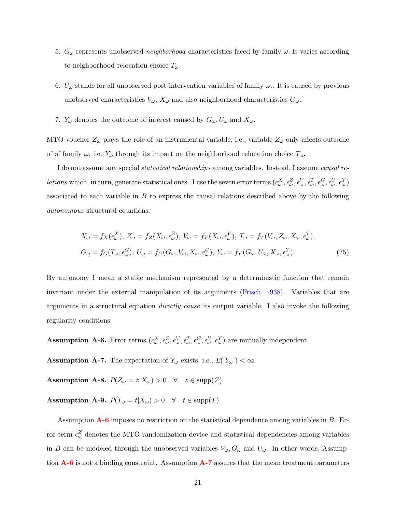- 5.  $G_{\omega}$  represents unobserved *neighborhood* characteristics faced by family  $\omega$ . It varies according to neighborhood relocation choice  $T_{\omega}$ .
- 6.  $U_{\omega}$  stands for all unobserved post-intervention variables of family  $\omega$ . It is caused by previous unobserved characteristics  $V_{\omega}$ ,  $X_{\omega}$  and also neighborhood characteristics  $G_{\omega}$ .
- 7.  $Y_{\omega}$  denotes the outcome of interest caused by  $G_{\omega}, U_{\omega}$  and  $X_{\omega}$ .

MTO voucher  $Z_{\omega}$  plays the role of an instrumental variable, i.e., variable  $Z_{\omega}$  only affects outcome of of family  $\omega$ , i.e.  $Y_{\omega}$  through its impact on the neighborhood relocation choice  $T_{\omega}$ .

I do not assume any special statistical relationships among variables. Instead, I assume causal re*lations* which, in turn, generate statistical ones. I use the seven error terms  $(\epsilon_\omega^X, \epsilon_\omega^Z, \epsilon_\omega^V, \epsilon_\omega^T, \epsilon_\omega^Q, \epsilon_\omega^V, \epsilon_\omega^Y, \epsilon_\omega^Y)$ associated to each variable in  $B$  to express the causal relations described above by the following autonomous structural equations:

<span id="page-96-4"></span>
$$
X_{\omega} = f_X(\epsilon_{\omega}^X), \ Z_{\omega} = f_Z(X_{\omega}, \epsilon_{\omega}^Z), \ V_{\omega} = f_V(X_{\omega}, \epsilon_{\omega}^V), \ T_{\omega} = f_T(V_{\omega}, Z_{\omega}, X_{\omega}, \epsilon_{\omega}^T),
$$
  

$$
G_{\omega} = f_G(T_{\omega}, \epsilon_{\omega}^G), \ U_{\omega} = f_U(G_{\omega}, V_{\omega}, X_{\omega}, \epsilon_{\omega}^U), \ Y_{\omega} = f_Y(G_{\omega}, U_{\omega}, X_{\omega}, \epsilon_{\omega}^Y).
$$
(75)

By autonomy I mean a stable mechanism represented by a deterministic function that remain invariant under the external manipulation of its arguments [\(Frisch,](#page-57-2) [1938\)](#page-57-2). Variables that are arguments in a structural equation directly cause its output variable. I also invoke the following regularity conditions:

<span id="page-96-0"></span>**Assumption A-6.** Error terms  $(\epsilon^X_\omega, \epsilon^Z_\omega, \epsilon^V_\omega, \epsilon^T_\omega, \epsilon^C_\omega, \epsilon^U_\omega, \epsilon^V_\omega)$  are mutually independent.

<span id="page-96-1"></span>**Assumption A-7.** The expectation of  $Y_\omega$  exists, i.e.,  $E(|Y_\omega|) < \infty$ .

<span id="page-96-2"></span>Assumption A-8.  $P(Z_{\omega}=z|X_{\omega})>0 \quad \forall \quad z \in \text{supp}(Z)$ .

<span id="page-96-3"></span>Assumption A-9.  $P(T_{\omega} = t | X_{\omega}) > 0 \quad \forall \quad t \in \text{supp}(T)$ .

Assumption  $\mathbf{A}\text{-}\mathbf{6}$  imposes no restriction on the statistical dependence among variables in  $B$ . Error term  $\epsilon_{\omega}^{Z}$  denotes the MTO randomization device and statistical dependencies among variables in B can be modeled through the unobserved variables  $V_\omega$ ,  $G_\omega$  and  $U_\omega$ . In other words, Assumption  $\mathbf{A}\text{-}\mathbf{G}$  is not a binding constraint. Assumption  $\mathbf{A}\text{-}\mathbf{7}$  assures that the mean treatment parameters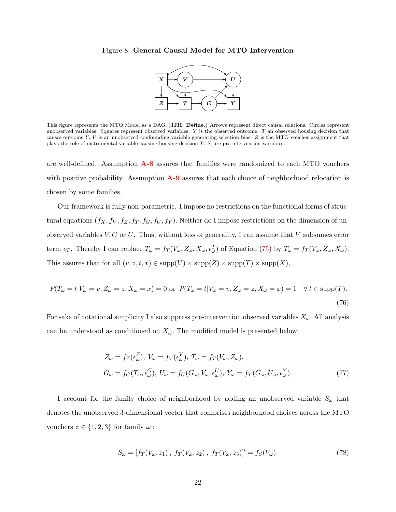#### Figure 8: General Causal Model for MTO Intervention



This light represents the MTO Model as a DTO. [JOTI: Definer] Throws represent direct causal relations. Once srepresent unobserved variables. Squares represent observed variables. Y is the observed outcome. T an observed h This figure represents the MTO Model as a DAG. [JJH: Define.] Arrows represent direct causal relations. Circles represent causes outcome Y. V is an unobserved confounding variable generating selection bias. Z is the MTO voucher assignment that plays the role of instrumental variable causing housing decision T. X are pre-intervention variables.

are well-defined. Assumption  $\mathbf{A}\text{-}8$  assures that families were randomized to each MTO vouchers with positive probability. Assumption  $\mathbf{A}\text{-}9$  assures that each choice of neighborhood relocation is chosen by some families.

Our framework is fully non-parametric. I impose no restrictions on the functional forms of structural equations  $(f_X, f_V, f_Z, f_T, f_G, f_U, f_Y)$ . Neither do I impose restrictions on the dimension of unobserved variables  $V, G$  or  $U$ . Thus, without loss of generality, I can assume that  $V$  subsumes error term  $\epsilon_T$ . Thereby I can replace  $T_{\omega} = f_T(V_{\omega}, Z_{\omega}, X_{\omega}, \epsilon_{\omega}^T)$  of Equation [\(75\)](#page-96-4) by  $T_{\omega} = f_T(V_{\omega}, Z_{\omega}, X_{\omega})$ . This assures that for all  $(v, z, t, x) \in \text{supp}(V) \times \text{supp}(Z) \times \text{supp}(T) \times \text{supp}(X)$ ,

$$
P(T_{\omega} = t | V_{\omega} = v, Z_{\omega} = z, X_{\omega} = x) = 0 \text{ or } P(T_{\omega} = t | V_{\omega} = v, Z_{\omega} = z, X_{\omega} = x) = 1 \quad \forall t \in \text{supp}(T).
$$
\n(76)

For sake of notational simplicity I also suppress pre-intervention observed variables  $X_{\omega}$ . All analysis can be understood as conditioned on  $X_{\omega}$ . The modified model is presented below:

<span id="page-97-0"></span>
$$
Z_{\omega} = f_Z(\epsilon_{\omega}^Z), V_{\omega} = f_V(\epsilon_{\omega}^V), T_{\omega} = f_T(V_{\omega}, Z_{\omega}),
$$
  
\n
$$
G_{\omega} = f_G(T_{\omega}, \epsilon_{\omega}^G), U_{\omega} = f_U(G_{\omega}, V_{\omega}, \epsilon_{\omega}^V), Y_{\omega} = f_Y(G_{\omega}, U_{\omega}, \epsilon_{\omega}^Y).
$$
\n(77)

I account for the family choice of neighborhood by adding an unobserved variable  $S_{\omega}$  that denotes the unobserved 3-dimensional vector that comprises neighborhood choices across the MTO vouchers  $z \in \{1, 2, 3\}$  for family  $\omega$ :

<span id="page-97-1"></span>
$$
S_{\omega} = [f_T(V_{\omega}, z_1), f_T(V_{\omega}, z_2), f_T(V_{\omega}, z_3)]' = f_S(V_{\omega}).
$$
\n(78)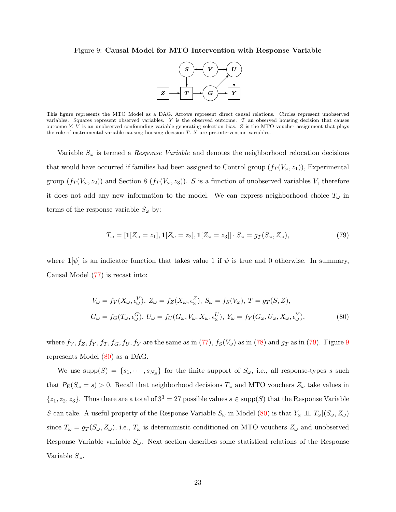#### <span id="page-98-1"></span>Figure 9: Causal Model for MTO Intervention with Response Variable



This include represents the HTO Model as a BHC. HTOW represent ances causal relations. Choose represent anosocional variables. Squares represent observed variables. Y is the observed outcome. T an observed housing decision This figure represents the MTO Model as a DAG. Arrows represent direct causal relations. Circles represent unobserved outcome Y.  $V$  is an unobserved confounding variable generating selection bias.  $Z$  is the MTO voucher assignment that plays the role of instrumental variable causing housing decision  $T$ .  $X$  are pre-intervention variables.

Variable  $S_{\omega}$  is termed a *Response Variable* and denotes the neighborhood relocation decisions that would have occurred if families had been assigned to Control group  $(f_T(V_\omega, z_1))$ , Experimental group  $(f_T(V_\omega, z_2))$  and Section 8  $(f_T(V_\omega, z_3))$ . S is a function of unobserved variables V, therefore it does not add any new information to the model. We can express neighborhood choice  $T_{\omega}$  in terms of the response variable  $S_{\omega}$  by:

<span id="page-98-2"></span><span id="page-98-0"></span>
$$
T_{\omega} = [\mathbf{1}[Z_{\omega} = z_1], \mathbf{1}[Z_{\omega} = z_2], \mathbf{1}[Z_{\omega} = z_3]] \cdot S_{\omega} = g_T(S_{\omega}, Z_{\omega}), \tag{79}
$$

where  $\mathbf{1}[\psi]$  is an indicator function that takes value 1 if  $\psi$  is true and 0 otherwise. In summary, Causal Model [\(77\)](#page-97-0) is recast into:

$$
V_{\omega} = f_V(X_{\omega}, \epsilon_{\omega}^V), Z_{\omega} = f_Z(X_{\omega}, \epsilon_{\omega}^Z), S_{\omega} = f_S(V_{\omega}), T = g_T(S, Z),
$$
  
\n
$$
G_{\omega} = f_G(T_{\omega}, \epsilon_{\omega}^G), U_{\omega} = f_U(G_{\omega}, V_{\omega}, X_{\omega}, \epsilon_{\omega}^U), Y_{\omega} = f_Y(G_{\omega}, U_{\omega}, X_{\omega}, \epsilon_{\omega}^Y),
$$
\n(80)

where  $f_V, f_Z, f_Y, f_T, f_G, f_U, f_Y$  are the same as in [\(77\)](#page-97-0),  $f_S(V_\omega)$  as in [\(78\)](#page-97-1) and  $g_T$  as in [\(79\)](#page-98-0). Figure [9](#page-98-1) represents Model [\(80\)](#page-98-2) as a DAG.

We use  $\text{supp}(S) = \{s_1, \dots, s_{N_S}\}\$  for the finite support of  $S_{\omega}$ , i.e., all response-types s such that  $P_{\rm E}(S_{\omega}=s) > 0$ . Recall that neighborhood decisions  $T_{\omega}$  and MTO vouchers  $Z_{\omega}$  take values in  $\{z_1, z_2, z_3\}.$  Thus there are a total of  $3^3 = 27$  possible values  $s \in \text{supp}(S)$  that the Response Variable S can take. A useful property of the Response Variable  $S_{\omega}$  in Model [\(80\)](#page-98-2) is that  $Y_{\omega} \perp \perp T_{\omega}|(S_{\omega}, Z_{\omega})$ since  $T_{\omega} = g_T(S_{\omega}, Z_{\omega})$ , i.e.,  $T_{\omega}$  is deterministic conditioned on MTO vouchers  $Z_{\omega}$  and unobserved Response Variable variable  $S_{\omega}$ . Next section describes some statistical relations of the Response Variable  $S_{\omega}$ .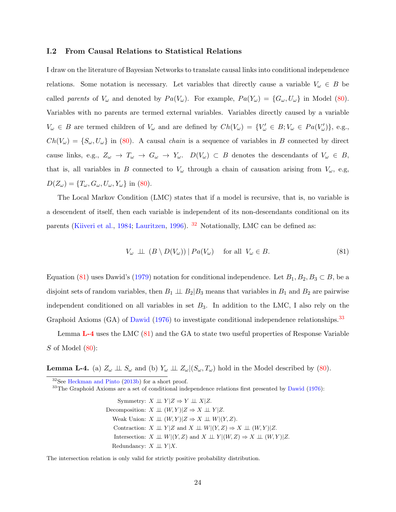#### I.2 From Causal Relations to Statistical Relations

I draw on the literature of Bayesian Networks to translate causal links into conditional independence relations. Some notation is necessary. Let variables that directly cause a variable  $V_{\omega} \in B$  be called parents of  $V_\omega$  and denoted by  $Pa(V_\omega)$ . For example,  $Pa(Y_\omega) = \{G_\omega, U_\omega\}$  in Model [\(80\)](#page-98-2). Variables with no parents are termed external variables. Variables directly caused by a variable  $V_{\omega} \in B$  are termed children of  $V_{\omega}$  and are defined by  $Ch(V_{\omega}) = \{V_{\omega}' \in B: V_{\omega} \in Pa(V_{\omega}')\}$ , e.g.,  $Ch(V_\omega) = \{S_\omega, U_\omega\}$  in [\(80\)](#page-98-2). A causal *chain* is a sequence of variables in B connected by direct cause links, e.g.,  $Z_{\omega} \to T_{\omega} \to G_{\omega} \to Y_{\omega}$ .  $D(V_{\omega}) \subset B$  denotes the descendants of  $V_{\omega} \in B$ , that is, all variables in B connected to  $V_\omega$  through a chain of causation arising from  $V_\omega$ , e.g,  $D(Z_{\omega}) = \{T_{\omega}, G_{\omega}, U_{\omega}, Y_{\omega}\}\$ in [\(80\)](#page-98-2).

The Local Markov Condition (LMC) states that if a model is recursive, that is, no variable is a descendent of itself, then each variable is independent of its non-descendants conditional on its parents [\(Kiiveri et al.,](#page-59-2) [1984;](#page-59-2) [Lauritzen,](#page-59-3) [1996\)](#page-59-3). [32](#page-99-0) Notationally, LMC can be defined as:

<span id="page-99-1"></span>
$$
V_{\omega} \perp \perp (B \setminus D(V_{\omega})) | Pa(V_{\omega}) \quad \text{for all } V_{\omega} \in B. \tag{81}
$$

Equation [\(81\)](#page-99-1) uses Dawid's [\(1979\)](#page-57-3) notation for conditional independence. Let  $B_1, B_2, B_3 \subset B$ , be a disjoint sets of random variables, then  $B_1 \perp B_2 | B_3$  means that variables in  $B_1$  and  $B_2$  are pairwise independent conditioned on all variables in set  $B_3$ . In addition to the LMC, I also rely on the Graphoid Axioms (GA) of [Dawid](#page-57-0) [\(1976\)](#page-57-0) to investigate conditional independence relationships.<sup>[33](#page-99-2)</sup>

Lemma [L-4](#page-99-3) uses the LMC [\(81\)](#page-99-1) and the GA to state two useful properties of Response Variable  $S$  of Model  $(80)$ :

<span id="page-99-3"></span>**Lemma L-4.** (a)  $Z_{\omega} \perp \!\!\! \perp S_{\omega}$  and (b)  $Y_{\omega} \perp \!\!\! \perp Z_{\omega} | (S_{\omega}, T_{\omega})$  hold in the Model described by [\(80\)](#page-98-2).

<span id="page-99-0"></span> $32$ See [Heckman and Pinto](#page-58-1)  $(2013b)$  for a short proof.

<span id="page-99-2"></span> $33$ The Graphoid Axioms are a set of conditional independence relations first presented by [Dawid](#page-57-0) [\(1976\)](#page-57-0):

Symmetry:  $X \perp \!\!\! \perp Y | Z \Rightarrow Y \perp \!\!\! \perp X | Z.$ Decomposition:  $X \perp\!\!\!\perp (W, Y)|Z \Rightarrow X \perp\!\!\!\perp Y|Z.$ Weak Union:  $X \perp\!\!\!\perp (W,Y)|Z \Rightarrow X \perp\!\!\!\perp W|(Y,Z).$ Contraction:  $X \perp \!\!\!\perp Y | Z$  and  $X \perp \!\!\!\perp W | (Y, Z) \Rightarrow X \perp \!\!\!\perp (W, Y) | Z$ . Intersection:  $X \perp \!\!\!\perp W|(Y, Z)$  and  $X \perp \!\!\!\perp Y|(W, Z) \Rightarrow X \perp \!\!\!\perp (W, Y)|Z$ . Redundancy:  $X \perp \!\!\!\perp Y | X$ .

The intersection relation is only valid for strictly positive probability distribution.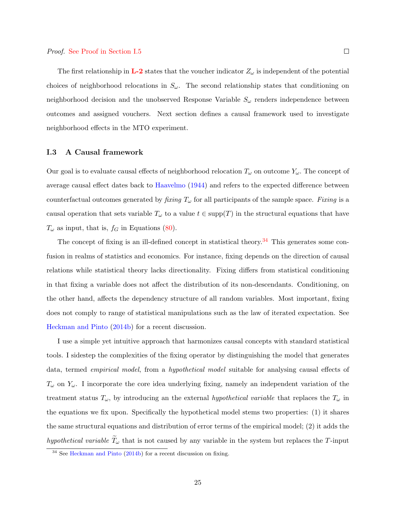#### Proof. [See Proof in Section](#page-108-0) [I.5](#page-108-1)

The first relationship in  $L-2$  states that the voucher indicator  $Z_{\omega}$  is independent of the potential choices of neighborhood relocations in  $S_{\omega}$ . The second relationship states that conditioning on neighborhood decision and the unobserved Response Variable  $S_{\omega}$  renders independence between outcomes and assigned vouchers. Next section defines a causal framework used to investigate neighborhood effects in the MTO experiment.

#### I.3 A Causal framework

Our goal is to evaluate causal effects of neighborhood relocation  $T_{\omega}$  on outcome  $Y_{\omega}$ . The concept of average causal effect dates back to [Haavelmo](#page-57-4) [\(1944\)](#page-57-4) and refers to the expected difference between counterfactual outcomes generated by *fixing*  $T_{\omega}$  for all participants of the sample space. Fixing is a causal operation that sets variable  $T_{\omega}$  to a value  $t \in \text{supp}(T)$  in the structural equations that have  $T_{\omega}$  as input, that is,  $f_G$  in Equations [\(80\)](#page-98-2).

The concept of fixing is an ill-defined concept in statistical theory.<sup>[34](#page-100-0)</sup> This generates some confusion in realms of statistics and economics. For instance, fixing depends on the direction of causal relations while statistical theory lacks directionality. Fixing differs from statistical conditioning in that fixing a variable does not affect the distribution of its non-descendants. Conditioning, on the other hand, affects the dependency structure of all random variables. Most important, fixing does not comply to range of statistical manipulations such as the law of iterated expectation. See [Heckman and Pinto](#page-58-2) [\(2014b\)](#page-58-2) for a recent discussion.

I use a simple yet intuitive approach that harmonizes causal concepts with standard statistical tools. I sidestep the complexities of the fixing operator by distinguishing the model that generates data, termed empirical model, from a hypothetical model suitable for analysing causal effects of  $T_{\omega}$  on  $Y_{\omega}$ . I incorporate the core idea underlying fixing, namely an independent variation of the treatment status  $T_{\omega}$ , by introducing an the external hypothetical variable that replaces the  $T_{\omega}$  in the equations we fix upon. Specifically the hypothetical model stems two properties: (1) it shares the same structural equations and distribution of error terms of the empirical model; (2) it adds the hypothetical variable  $\widetilde{T}_{\omega}$  that is not caused by any variable in the system but replaces the T-input

<span id="page-100-0"></span><sup>34</sup> See [Heckman and Pinto](#page-58-2) [\(2014b\)](#page-58-2) for a recent discussion on fixing.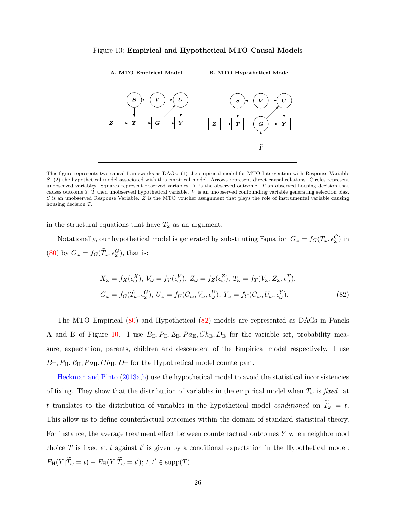<span id="page-101-1"></span>

Figure 10: Empirical and Hypothetical MTO Causal Models

This figure represents two causal frameworks as DAGs: (1) the empirical model for MTO Intervention with Response Variable S; (2) the hypothetical model associated with this empirical model. Arrows represent direct causal relations. Circles represent unobserved variables. Squares represent observed variables.  $Y$  is the observed outcome.  $T$  an observed housing decision that causes outcome Y.  $\tilde{T}$  then unobserved hypothetical variable. V is an unobserved confounding variable generating selection bias.  $S$  is an unobserved Response Variable.  $Z$  is the MTO voucher assignment that plays the role of instrumental variable causing housing decision T.

in the structural equations that have  $T_{\omega}$  as an argument.

Notationally, our hypothetical model is generated by substituting Equation  $G_{\omega} = f_G(T_{\omega}, \epsilon_{\omega}^G)$  in [\(80\)](#page-98-2) by  $G_{\omega} = f_G(\widetilde{T}_{\omega}, \epsilon_{\omega}^G)$ , that is:

<span id="page-101-0"></span>
$$
X_{\omega} = f_X(\epsilon_{\omega}^X), V_{\omega} = f_V(\epsilon_{\omega}^V), Z_{\omega} = f_Z(\epsilon_{\omega}^Z), T_{\omega} = f_T(V_{\omega}, Z_{\omega}, \epsilon_{\omega}^T),
$$
  
\n
$$
G_{\omega} = f_G(\widetilde{T}_{\omega}, \epsilon_{\omega}^G), U_{\omega} = f_U(G_{\omega}, V_{\omega}, \epsilon_{\omega}^V), Y_{\omega} = f_Y(G_{\omega}, U_{\omega}, \epsilon_{\omega}^Y).
$$
\n(82)

The MTO Empirical [\(80\)](#page-98-2) and Hypothetical [\(82\)](#page-101-0) models are represented as DAGs in Panels A and B of Figure [10.](#page-101-1) I use  $B_{\rm E}$ ,  $P_{\rm E}$ ,  $E_{\rm E}$ ,  $Pa_{\rm E}$ ,  $Ch_{\rm E}$ ,  $D_{\rm E}$  for the variable set, probability measure, expectation, parents, children and descendent of the Empirical model respectively. I use  $B_{\rm H}, P_{\rm H}, E_{\rm H}, Pa_{\rm H}, Ch_{\rm H}, D_{\rm H}$  for the Hypothetical model counterpart.

[Heckman and Pinto](#page-58-3) [\(2013a,](#page-58-3)[b\)](#page-58-1) use the hypothetical model to avoid the statistical inconsistencies of fixing. They show that the distribution of variables in the empirical model when  $T_{\omega}$  is fixed at t translates to the distribution of variables in the hypothetical model *conditioned* on  $\tilde{T}_{\omega} = t$ . This allow us to define counterfactual outcomes within the domain of standard statistical theory. For instance, the average treatment effect between counterfactual outcomes Y when neighborhood choice T is fixed at t against  $t'$  is given by a conditional expectation in the Hypothetical model:  $E_{\rm H}(Y|\widetilde{T}_{\omega}=t) - E_{\rm H}(Y|\widetilde{T}_{\omega}=t');\ t,t' \in \rm{supp}(T).$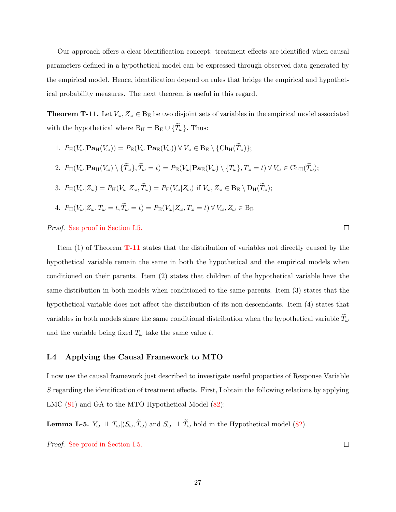Our approach offers a clear identification concept: treatment effects are identified when causal parameters defined in a hypothetical model can be expressed through observed data generated by the empirical model. Hence, identification depend on rules that bridge the empirical and hypothetical probability measures. The next theorem is useful in this regard.

<span id="page-102-0"></span>**Theorem T-11.** Let  $V_{\omega}, Z_{\omega} \in B_{E}$  be two disjoint sets of variables in the empirical model associated with the hypothetical where  $B_H = B_E \cup {\{\widetilde{T}_\omega\}}$ . Thus:

1. 
$$
P_H(V_\omega | \mathbf{Pa}_H(V_\omega)) = P_E(V_\omega | \mathbf{Pa}_E(V_\omega)) \ \forall \ V_\omega \in B_E \setminus {\text{Ch}_H(T_\omega)};
$$

2. 
$$
P_H(V_\omega | \mathbf{Pa}_H(V_\omega) \setminus \{ \widetilde{T}_\omega \}, \widetilde{T}_\omega = t) = P_E(V_\omega | \mathbf{Pa}_E(V_\omega) \setminus \{ T_\omega \}, T_\omega = t) \ \forall \ V_\omega \in \mathrm{Ch}_H(\widetilde{T}_\omega);
$$

3. 
$$
P_H(V_\omega|Z_\omega) = P_H(V_\omega|Z_\omega, \widetilde{T}_\omega) = P_E(V_\omega|Z_\omega)
$$
 if  $V_\omega, Z_\omega \in B_E \setminus D_H(\widetilde{T}_\omega);$ 

4.  $P_H(V_\omega | Z_\omega, T_\omega = t, \widetilde{T}_\omega = t) = P_E(V_\omega | Z_\omega, T_\omega = t) \ \forall \ V_\omega, Z_\omega \in B_E$ 

Proof. [See proof in Section](#page-108-2) [I.5.](#page-108-1)

Item (1) of Theorem [T-11](#page-102-0) states that the distribution of variables not directly caused by the hypothetical variable remain the same in both the hypothetical and the empirical models when conditioned on their parents. Item (2) states that children of the hypothetical variable have the same distribution in both models when conditioned to the same parents. Item (3) states that the hypothetical variable does not affect the distribution of its non-descendants. Item (4) states that variables in both models share the same conditional distribution when the hypothetical variable  $\tilde{T}_{\omega}$ and the variable being fixed  $T_{\omega}$  take the same value t.

## I.4 Applying the Causal Framework to MTO

I now use the causal framework just described to investigate useful properties of Response Variable S regarding the identification of treatment effects. First, I obtain the following relations by applying LMC [\(81\)](#page-99-1) and GA to the MTO Hypothetical Model [\(82\)](#page-101-0):

<span id="page-102-1"></span>**Lemma L-5.**  $Y_{\omega} \perp \!\!\! \perp T_{\omega}|(S_{\omega}, \widetilde{T}_{\omega})$  and  $S_{\omega} \perp \!\!\! \perp \widetilde{T}_{\omega}$  hold in the Hypothetical model [\(82\)](#page-101-0).

Proof. [See proof in Section](#page-109-0) [I.5.](#page-108-1)

 $\Box$ 

 $\Box$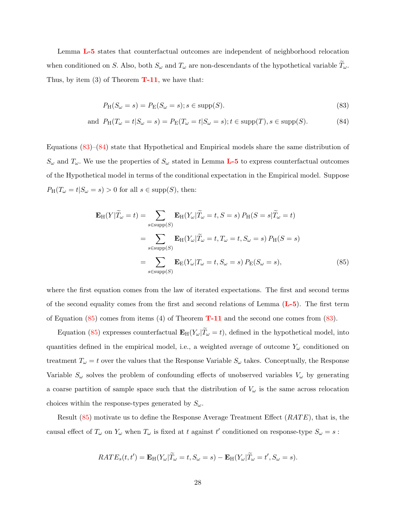Lemma [L-5](#page-102-1) states that counterfactual outcomes are independent of neighborhood relocation when conditioned on S. Also, both  $S_{\omega}$  and  $T_{\omega}$  are non-descendants of the hypothetical variable  $T_{\omega}$ . Thus, by item  $(3)$  of Theorem **[T-11](#page-102-0)**, we have that:

<span id="page-103-1"></span><span id="page-103-0"></span>
$$
P_{\mathcal{H}}(S_{\omega} = s) = P_{\mathcal{E}}(S_{\omega} = s); s \in \text{supp}(S).
$$
\n(83)

and 
$$
P_H(T_\omega = t | S_\omega = s) = P_E(T_\omega = t | S_\omega = s); t \in \text{supp}(T), s \in \text{supp}(S).
$$
 (84)

Equations [\(83\)](#page-103-0)–[\(84\)](#page-103-1) state that Hypothetical and Empirical models share the same distribution of  $S_{\omega}$  and  $T_{\omega}$ . We use the properties of  $S_{\omega}$  stated in Lemma **[L-5](#page-102-1)** to express counterfactual outcomes of the Hypothetical model in terms of the conditional expectation in the Empirical model. Suppose  $P_H(T_\omega = t | S_\omega = s) > 0$  for all  $s \in \text{supp}(S)$ , then:

<span id="page-103-2"></span>
$$
\mathbf{E}_{\mathrm{H}}(Y|\widetilde{T}_{\omega}=t) = \sum_{s \in \mathrm{supp}(S)} \mathbf{E}_{\mathrm{H}}(Y_{\omega}|\widetilde{T}_{\omega}=t, S=s) P_{\mathrm{H}}(S=s|\widetilde{T}_{\omega}=t)
$$

$$
= \sum_{s \in \mathrm{supp}(S)} \mathbf{E}_{\mathrm{H}}(Y_{\omega}|\widetilde{T}_{\omega}=t, T_{\omega}=t, S_{\omega}=s) P_{\mathrm{H}}(S=s)
$$

$$
= \sum_{s \in \mathrm{supp}(S)} \mathbf{E}_{\mathrm{E}}(Y_{\omega}|\widetilde{T}_{\omega}=t, S_{\omega}=s) P_{\mathrm{E}}(S_{\omega}=s), \tag{85}
$$

where the first equation comes from the law of iterated expectations. The first and second terms of the second equality comes from the first and second relations of Lemma  $(L-5)$  $(L-5)$  $(L-5)$ . The first term of Equation  $(85)$  comes from items  $(4)$  of Theorem **[T-11](#page-102-0)** and the second one comes from  $(83)$ .

Equation [\(85\)](#page-103-2) expresses counterfactual  $\mathbf{E}_{\text{H}}(Y_{\omega}|\tilde{T}_{\omega}=t)$ , defined in the hypothetical model, into quantities defined in the empirical model, i.e., a weighted average of outcome  $Y_\omega$  conditioned on treatment  $T_{\omega} = t$  over the values that the Response Variable  $S_{\omega}$  takes. Conceptually, the Response Variable  $S_{\omega}$  solves the problem of confounding effects of unobserved variables  $V_{\omega}$  by generating a coarse partition of sample space such that the distribution of  $V_{\omega}$  is the same across relocation choices within the response-types generated by  $S_{\omega}$ .

Result  $(85)$  motivate us to define the Response Average Treatment Effect  $(RATE)$ , that is, the causal effect of  $T_{\omega}$  on  $Y_{\omega}$  when  $T_{\omega}$  is fixed at t against t' conditioned on response-type  $S_{\omega} = s$ :

$$
RATE_s(t, t') = \mathbf{E}_{\mathrm{H}}(Y_{\omega}|\widetilde{T}_{\omega} = t, S_{\omega} = s) - \mathbf{E}_{\mathrm{H}}(Y_{\omega}|\widetilde{T}_{\omega} = t', S_{\omega} = s).
$$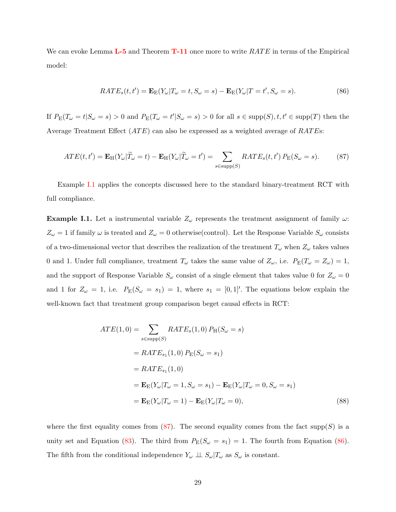We can evoke Lemma  $L-5$  and Theorem  $T-11$  once more to write  $RATE$  in terms of the Empirical model:

<span id="page-104-2"></span>
$$
RATE_s(t, t') = \mathbf{E}_{\mathcal{E}}(Y_{\omega}|T_{\omega} = t, S_{\omega} = s) - \mathbf{E}_{\mathcal{E}}(Y_{\omega}|T = t', S_{\omega} = s).
$$
\n(86)

If  $P_{\mathcal{E}}(T_{\omega} = t | S_{\omega} = s) > 0$  and  $P_{\mathcal{E}}(T_{\omega} = t' | S_{\omega} = s) > 0$  for all  $s \in \text{supp}(S), t, t' \in \text{supp}(T)$  then the Average Treatment Effect  $(ATE)$  can also be expressed as a weighted average of  $RATEs$ :

<span id="page-104-1"></span>
$$
ATE(t, t') = \mathbf{E}_{\mathrm{H}}(Y_{\omega}|\widetilde{T}_{\omega} = t) - \mathbf{E}_{\mathrm{H}}(Y_{\omega}|\widetilde{T}_{\omega} = t') = \sum_{s \in \mathrm{supp}(S)} RATE_s(t, t') P_{\mathrm{E}}(S_{\omega} = s).
$$
 (87)

Example [I.1](#page-104-0) applies the concepts discussed here to the standard binary-treatment RCT with full compliance.

<span id="page-104-0"></span>**Example I.1.** Let a instrumental variable  $Z_{\omega}$  represents the treatment assignment of family  $\omega$ :  $Z_{\omega} = 1$  if family  $\omega$  is treated and  $Z_{\omega} = 0$  otherwise(control). Let the Response Variable  $S_{\omega}$  consists of a two-dimensional vector that describes the realization of the treatment  $T_{\omega}$  when  $Z_{\omega}$  takes values 0 and 1. Under full compliance, treatment  $T_{\omega}$  takes the same value of  $Z_{\omega}$ , i.e.  $P_{\rm E}(T_{\omega} = Z_{\omega}) = 1$ , and the support of Response Variable  $S_{\omega}$  consist of a single element that takes value 0 for  $Z_{\omega} = 0$ and 1 for  $Z_{\omega} = 1$ , i.e.  $P_{\rm E}(S_{\omega} = s_1) = 1$ , where  $s_1 = [0,1]$ . The equations below explain the well-known fact that treatment group comparison beget causal effects in RCT:

$$
ATE(1,0) = \sum_{s \in \text{supp}(S)} RATE_s(1,0) P_H(S_{\omega} = s)
$$
  
=  $RATE_{s_1}(1,0) P_E(S_{\omega} = s_1)$   
=  $RATE_{s_1}(1,0)$   
=  $\mathbf{E}_E(Y_{\omega}|T_{\omega} = 1, S_{\omega} = s_1) - \mathbf{E}_E(Y_{\omega}|T_{\omega} = 0, S_{\omega} = s_1)$   
=  $\mathbf{E}_E(Y_{\omega}|T_{\omega} = 1) - \mathbf{E}_E(Y_{\omega}|T_{\omega} = 0),$  (88)

where the first equality comes from  $(87)$ . The second equality comes from the fact supp $(S)$  is a unity set and Equation [\(83\)](#page-103-0). The third from  $P_E(S_\omega = s_1) = 1$ . The fourth from Equation [\(86\)](#page-104-2). The fifth from the conditional independence  $Y_{\omega} \perp \!\!\! \perp S_{\omega} | T_{\omega}$  as  $S_{\omega}$  is constant.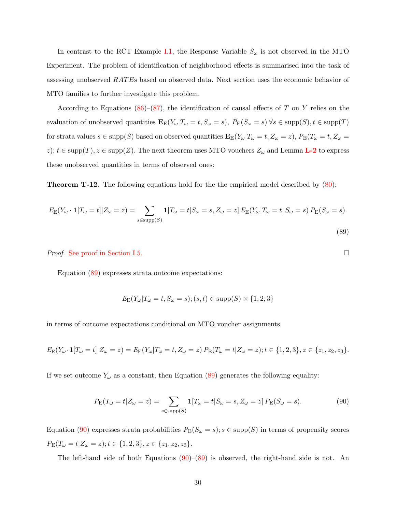In contrast to the RCT Example [I.1,](#page-104-0) the Response Variable  $S_{\omega}$  is not observed in the MTO Experiment. The problem of identification of neighborhood effects is summarised into the task of assessing unobserved RAT Es based on observed data. Next section uses the economic behavior of MTO families to further investigate this problem.

According to Equations [\(86\)](#page-104-2)–[\(87\)](#page-104-1), the identification of causal effects of T on Y relies on the evaluation of unobserved quantities  $\mathbf{E}_{\mathcal{E}}(Y_{\omega}|T_{\omega} = t, S_{\omega} = s)$ ,  $P_{\mathcal{E}}(S_{\omega} = s)$   $\forall s \in \text{supp}(S), t \in \text{supp}(T)$ for strata values  $s \in \text{supp}(S)$  based on observed quantities  $\mathbf{E}_{\text{E}}(Y_{\omega}|T_{\omega} = t, Z_{\omega} = z)$ ,  $P_{\text{E}}(T_{\omega} = t, Z_{\omega} = z)$ z);  $t \in \text{supp}(T)$ ,  $z \in \text{supp}(Z)$ . The next theorem uses MTO vouchers  $Z_{\omega}$  and Lemma **[L-2](#page-25-0)** to express these unobserved quantities in terms of observed ones:

<span id="page-105-2"></span>Theorem T-12. The following equations hold for the the empirical model described by [\(80\)](#page-98-2):

$$
E_{\mathcal{E}}(Y_{\omega} \cdot \mathbf{1}[T_{\omega} = t]|Z_{\omega} = z) = \sum_{s \in \text{supp}(S)} \mathbf{1}[T_{\omega} = t|S_{\omega} = s, Z_{\omega} = z] E_{\mathcal{E}}(Y_{\omega}|T_{\omega} = t, S_{\omega} = s) P_{\mathcal{E}}(S_{\omega} = s).
$$
\n(89)

<span id="page-105-1"></span><span id="page-105-0"></span> $\Box$ 

Proof. [See proof in Section](#page-65-0) [I.5.](#page-108-1)

Equation [\(89\)](#page-105-0) expresses strata outcome expectations:

$$
E_{\mathcal{E}}(Y_{\omega}|T_{\omega}=t,S_{\omega}=s); (s,t) \in \text{supp}(S) \times \{1,2,3\}
$$

in terms of outcome expectations conditional on MTO voucher assignments

$$
E_{\mathcal{E}}(Y_{\omega}\cdot\mathbf{1}[T_{\omega}=t]|Z_{\omega}=z)=E_{\mathcal{E}}(Y_{\omega}|T_{\omega}=t,Z_{\omega}=z)\,P_{\mathcal{E}}(T_{\omega}=t|Z_{\omega}=z);t\in\{1,2,3\},z\in\{z_1,z_2,z_3\}.
$$

If we set outcome  $Y_\omega$  as a constant, then Equation [\(89\)](#page-105-0) generates the following equality:

$$
P_{\mathcal{E}}(T_{\omega} = t | Z_{\omega} = z) = \sum_{s \in \text{supp}(S)} \mathbf{1}[T_{\omega} = t | S_{\omega} = s, Z_{\omega} = z] P_{\mathcal{E}}(S_{\omega} = s).
$$
(90)

Equation [\(90\)](#page-105-1) expresses strata probabilities  $P_E(S_\omega = s); s \in \text{supp}(S)$  in terms of propensity scores  $P_{\rm E}(T_{\omega}=t|Z_{\omega}=z); t \in \{1,2,3\}, z \in \{z_1,z_2,z_3\}.$ 

The left-hand side of both Equations  $(90)$ – $(89)$  is observed, the right-hand side is not. An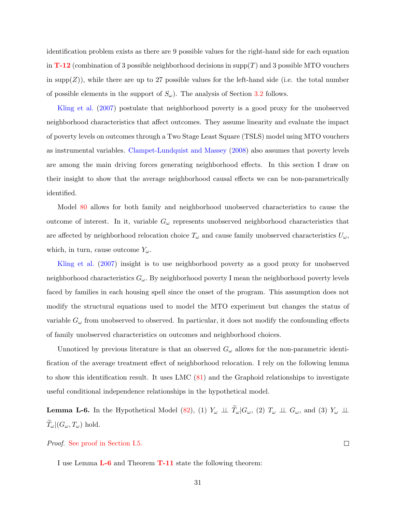identification problem exists as there are 9 possible values for the right-hand side for each equation in **[T-12](#page-105-2)** (combination of 3 possible neighborhood decisions in supp $(T)$  and 3 possible MTO vouchers in supp $(Z)$ , while there are up to 27 possible values for the left-hand side (i.e. the total number of possible elements in the support of  $S_{\omega}$ ). The analysis of Section [3.2](#page-21-0) follows.

[Kling et al.](#page-59-4) [\(2007\)](#page-59-4) postulate that neighborhood poverty is a good proxy for the unobserved neighborhood characteristics that affect outcomes. They assume linearity and evaluate the impact of poverty levels on outcomes through a Two Stage Least Square (TSLS) model using MTO vouchers as instrumental variables. [Clampet-Lundquist and Massey](#page-57-5) [\(2008\)](#page-57-5) also assumes that poverty levels are among the main driving forces generating neighborhood effects. In this section I draw on their insight to show that the average neighborhood causal effects we can be non-parametrically identified.

Model [80](#page-98-2) allows for both family and neighborhood unobserved characteristics to cause the outcome of interest. In it, variable  $G_{\omega}$  represents unobserved neighborhood characteristics that are affected by neighborhood relocation choice  $T_{\omega}$  and cause family unobserved characteristics  $U_{\omega}$ , which, in turn, cause outcome  $Y_{\omega}$ .

[Kling et al.](#page-59-4) [\(2007\)](#page-59-4) insight is to use neighborhood poverty as a good proxy for unobserved neighborhood characteristics  $G_{\omega}$ . By neighborhood poverty I mean the neighborhood poverty levels faced by families in each housing spell since the onset of the program. This assumption does not modify the structural equations used to model the MTO experiment but changes the status of variable  $G_{\omega}$  from unobserved to observed. In particular, it does not modify the confounding effects of family unobserved characteristics on outcomes and neighborhood choices.

Unnoticed by previous literature is that an observed  $G_{\omega}$  allows for the non-parametric identification of the average treatment effect of neighborhood relocation. I rely on the following lemma to show this identification result. It uses LMC [\(81\)](#page-99-1) and the Graphoid relationships to investigate useful conditional independence relationships in the hypothetical model.

<span id="page-106-0"></span>**Lemma L-6.** In the Hypothetical Model [\(82\)](#page-101-0), (1)  $Y_{\omega} \perp \tilde{T}_{\omega} | G_{\omega}$ , (2)  $T_{\omega} \perp G_{\omega}$ , and (3)  $Y_{\omega} \perp \perp G_{\omega}$  $\widetilde{T}_{\omega}|(G_{\omega},T_{\omega})$  hold.

Proof. [See proof in Section](#page-110-0) [I.5.](#page-108-1)

I use Lemma [L-6](#page-106-0) and Theorem [T-11](#page-102-0) state the following theorem:

 $\Box$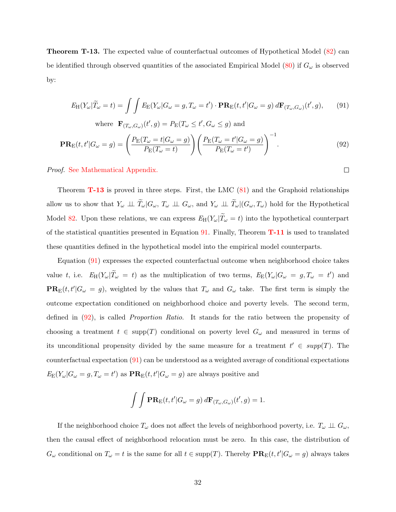<span id="page-107-0"></span>Theorem T-13. The expected value of counterfactual outcomes of Hypothetical Model [\(82\)](#page-101-0) can be identified through observed quantities of the associated Empirical Model  $(80)$  if  $G_{\omega}$  is observed by:

$$
E_{\mathrm{H}}(Y_{\omega}|\widetilde{T}_{\omega}=t)=\int\int E_{\mathrm{E}}(Y_{\omega}|G_{\omega}=g,T_{\omega}=t')\cdot\mathbf{PR}_{\mathrm{E}}(t,t'|G_{\omega}=g)\,d\mathbf{F}_{(T_{\omega},G_{\omega})}(t',g),\qquad(91)
$$

where 
$$
\mathbf{F}_{(T_{\omega},G_{\omega})}(t',g) = P_{\mathcal{E}}(T_{\omega} \le t', G_{\omega} \le g)
$$
 and  
\n
$$
\mathbf{PR}_{\mathcal{E}}(t,t'|G_{\omega}=g) = \left(\frac{P_{\mathcal{E}}(T_{\omega}=t|G_{\omega}=g)}{P_{\mathcal{E}}(T_{\omega}=t)}\right) \left(\frac{P_{\mathcal{E}}(T_{\omega}=t'|G_{\omega}=g)}{P_{\mathcal{E}}(T_{\omega}=t')}\right)^{-1}.
$$
\n(92)

<span id="page-107-2"></span><span id="page-107-1"></span> $\Box$ 

Proof. [See Mathematical Appendix.](#page-110-1)

Theorem  $T-13$  is proved in three steps. First, the LMC  $(81)$  and the Graphoid relationships allow us to show that  $Y_{\omega} \perp \tilde{T}_{\omega}|G_{\omega}, T_{\omega} \perp \perp G_{\omega}$ , and  $Y_{\omega} \perp \tilde{T}_{\omega}|(G_{\omega}, T_{\omega})$  hold for the Hypothetical Model [82.](#page-101-0) Upon these relations, we can express  $E_H(Y_\omega|\tilde{T}_\omega = t)$  into the hypothetical counterpart of the statistical quantities presented in Equation [91.](#page-107-1) Finally, Theorem  $T-11$  is used to translated these quantities defined in the hypothetical model into the empirical model counterparts.

Equation [\(91\)](#page-107-1) expresses the expected counterfactual outcome when neighborhood choice takes value t, i.e.  $E_H(Y_\omega|\tilde{T}_\omega = t)$  as the multiplication of two terms,  $E_E(Y_\omega|G_\omega = g, T_\omega = t')$  and  $PR_E(t, t'|G_\omega = g)$ , weighted by the values that  $T_\omega$  and  $G_\omega$  take. The first term is simply the outcome expectation conditioned on neighborhood choice and poverty levels. The second term, defined in [\(92\)](#page-107-2), is called Proportion Ratio. It stands for the ratio between the propensity of choosing a treatment  $t \in \text{supp}(T)$  conditional on poverty level  $G_{\omega}$  and measured in terms of its unconditional propensity divided by the same measure for a treatment  $t' \in supp(T)$ . The counterfactual expectation [\(91\)](#page-107-1) can be understood as a weighted average of conditional expectations  $E_{\rm E}(Y_{\omega}|G_{\omega}=g,T_{\omega}=t')$  as  $\mathbf{PR}_{\rm E}(t,t'|G_{\omega}=g)$  are always positive and

$$
\int \int \mathbf{PR}_{\mathbf{E}}(t, t'|G_{\omega} = g) d\mathbf{F}_{(T_{\omega}, G_{\omega})}(t', g) = 1.
$$

If the neighborhood choice  $T_{\omega}$  does not affect the levels of neighborhood poverty, i.e.  $T_{\omega} \perp \!\!\! \perp G_{\omega}$ , then the causal effect of neighborhood relocation must be zero. In this case, the distribution of  $G_{\omega}$  conditional on  $T_{\omega} = t$  is the same for all  $t \in \text{supp}(T)$ . Thereby  $\mathbf{PR}_{\mathcal{E}}(t, t'|G_{\omega} = g)$  always takes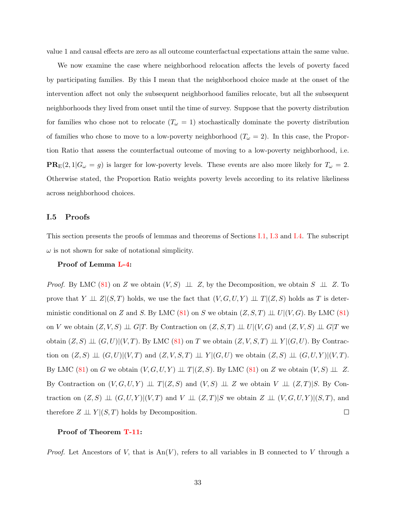value 1 and causal effects are zero as all outcome counterfactual expectations attain the same value.

We now examine the case where neighborhood relocation affects the levels of poverty faced by participating families. By this I mean that the neighborhood choice made at the onset of the intervention affect not only the subsequent neighborhood families relocate, but all the subsequent neighborhoods they lived from onset until the time of survey. Suppose that the poverty distribution for families who chose not to relocate  $(T_\omega = 1)$  stochastically dominate the poverty distribution of families who chose to move to a low-poverty neighborhood  $(T_\omega = 2)$ . In this case, the Proportion Ratio that assess the counterfactual outcome of moving to a low-poverty neighborhood, i.e.  $PR_E(2, 1|G_\omega = g)$  is larger for low-poverty levels. These events are also more likely for  $T_\omega = 2$ . Otherwise stated, the Proportion Ratio weights poverty levels according to its relative likeliness across neighborhood choices.

## I.5 Proofs

This section presents the proofs of lemmas and theorems of Sections [I.1,](#page-95-0) [I.3](#page-100-0) and [I.4.](#page-102-0) The subscript  $\omega$  is not shown for sake of notational simplicity.

#### Proof of Lemma [L-4:](#page-99-0)

*Proof.* By LMC [\(81\)](#page-99-1) on Z we obtain  $(V, S) \perp \perp Z$ , by the Decomposition, we obtain  $S \perp \perp Z$ . To prove that  $Y \perp \!\!\!\perp Z|(S,T)$  holds, we use the fact that  $(V, G, U, Y) \perp \!\!\!\perp T|(Z, S)$  holds as T is deter-ministic conditional on Z and S. By LMC [\(81\)](#page-99-1) on S we obtain  $(Z, S, T) \perp U | (V, G)$ . By LMC (81) on V we obtain  $(Z, V, S) \perp \!\!\! \perp G|T$ . By Contraction on  $(Z, S, T) \perp \!\!\! \perp U|(V, G)$  and  $(Z, V, S) \perp \!\!\! \perp G|T$  we obtain  $(Z, S) \perp\!\!\!\perp (G, U)| (V, T)$ . By LMC  $(81)$  on T we obtain  $(Z, V, S, T) \perp\!\!\!\perp Y | (G, U)$ . By Contraction on  $(Z, S) \perp (G, U)| (V, T)$  and  $(Z, V, S, T) \perp (Y | (G, U)$  we obtain  $(Z, S) \perp (G, U, Y) | (V, T)$ . By LMC [\(81\)](#page-99-1) on G we obtain  $(V, G, U, Y) \perp \!\!\! \perp T | (Z, S)$ . By LMC (81) on Z we obtain  $(V, S) \perp \!\!\! \perp Z$ . By Contraction on  $(V, G, U, Y) \perp \perp T | (Z, S)$  and  $(V, S) \perp \perp Z$  we obtain  $V \perp \perp (Z, T) | S$ . By Contraction on  $(Z, S) \perp\!\!\!\perp (G, U, Y) | (V, T)$  and  $V \perp\!\!\!\perp (Z, T) | S$  we obtain  $Z \perp\!\!\!\perp (V, G, U, Y) | (S, T)$ , and therefore  $Z \perp\!\!\!\perp Y | (S, T)$  holds by Decomposition.  $\Box$ 

### Proof of Theorem [T-11:](#page-102-1)

*Proof.* Let Ancestors of V, that is  $An(V)$ , refers to all variables in B connected to V through a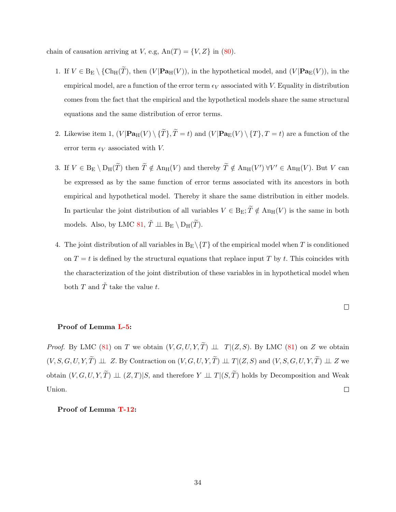chain of causation arriving at V, e.g,  $An(T) = \{V, Z\}$  in [\(80\)](#page-98-0).

- 1. If  $V \in B_{\mathcal{E}} \setminus \{Ch_H(\widetilde{T}), \text{ then } (V | \mathbf{Pa}_H(V)), \text{ in the hypothetical model, and } (V | \mathbf{Pa}_{\mathcal{E}}(V)), \text{ in the }$ empirical model, are a function of the error term  $\epsilon_V$  associated with V. Equality in distribution comes from the fact that the empirical and the hypothetical models share the same structural equations and the same distribution of error terms.
- 2. Likewise item 1,  $(V|\mathbf{Pa}_{H}(V) \setminus {\{\widetilde{T}\}}$ ,  $\widetilde{T} = t$ ) and  $(V|\mathbf{Pa}_{E}(V) \setminus {T}$ ,  $T = t$ ) are a function of the error term  $\epsilon_V$  associated with V.
- 3. If  $V \in B_{E} \setminus D_{H}(\widetilde{T})$  then  $\widetilde{T} \notin An_{H}(V)$  and thereby  $\widetilde{T} \notin An_{H}(V')$   $\forall V' \in An_{H}(V)$ . But V can be expressed as by the same function of error terms associated with its ancestors in both empirical and hypothetical model. Thereby it share the same distribution in either models. In particular the joint distribution of all variables  $V \in B_E$ ;  $\widetilde{T} \notin An_H(V)$  is the same in both models. Also, by LMC [81,](#page-99-1)  $\tilde{T} \perp \!\!\!\perp B_{\text{E}} \setminus D_{\text{H}}(\tilde{T})$ .
- 4. The joint distribution of all variables in  $B_E \setminus \{T\}$  of the empirical model when T is conditioned on  $T = t$  is defined by the structural equations that replace input T by t. This coincides with the characterization of the joint distribution of these variables in in hypothetical model when both T and  $\tilde{T}$  take the value t.

$$
\qquad \qquad \Box
$$

#### Proof of Lemma [L-5:](#page-102-2)

*Proof.* By LMC [\(81\)](#page-99-1) on T we obtain  $(V, G, U, Y, \tilde{T}) \perp \perp T|(Z, S)$ . By LMC (81) on Z we obtain  $(V, S, G, U, Y, \widetilde{T}) \perp \!\!\! \perp Z$ . By Contraction on  $(V, G, U, Y, \widetilde{T}) \perp \!\!\! \perp T | (Z, S)$  and  $(V, S, G, U, Y, \widetilde{T}) \perp \!\!\! \perp Z$  we obtain  $(V, G, U, Y, \tilde{T}) \perp \!\!\! \perp (Z,T)|S$ , and therefore  $Y \perp \!\!\! \perp T | (S, \tilde{T})$  holds by Decomposition and Weak Union.  $\Box$ 

# Proof of Lemma [T-12:](#page-105-0)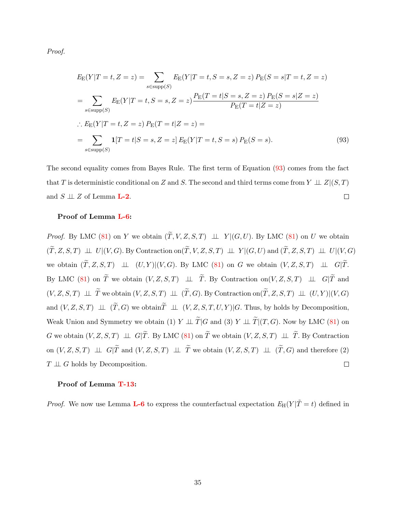Proof.

<span id="page-110-0"></span>
$$
E_{\rm E}(Y|T=t, Z=z) = \sum_{s \in \text{supp}(S)} E_{\rm E}(Y|T=t, S=s, Z=z) P_{\rm E}(S=s|T=t, Z=z)
$$
  
= 
$$
\sum_{s \in \text{supp}(S)} E_{\rm E}(Y|T=t, S=s, Z=z) \frac{P_{\rm E}(T=t|S=s, Z=z) P_{\rm E}(S=s|Z=z)}{P_{\rm E}(T=t|Z=z)}
$$
  

$$
\therefore E_{\rm E}(Y|T=t, Z=z) P_{\rm E}(T=t|Z=z) =
$$
  
= 
$$
\sum_{s \in \text{supp}(S)} \mathbf{1}[T=t|S=s, Z=z] E_{\rm E}(Y|T=t, S=s) P_{\rm E}(S=s).
$$
 (93)

The second equality comes from Bayes Rule. The first term of Equation [\(93\)](#page-110-0) comes from the fact that T is deterministic conditional on Z and S. The second and third terms come from  $Y \perp \perp Z | (S, T)$ and  $S \perp \!\!\! \perp Z$  of Lemma **[L-2](#page-25-0)**.  $\Box$ 

## Proof of Lemma [L-6:](#page-106-0)

*Proof.* By LMC [\(81\)](#page-99-1) on Y we obtain  $(\widetilde{T}, V, Z, S, T) \perp V | (G, U)$ . By LMC (81) on U we obtain  $(\widetilde{T}, Z, S, T) \perp\!\!\!\perp U|(V, G)$ . By Contraction on $(\widetilde{T}, V, Z, S, T) \perp\!\!\!\perp Y|(G, U)$  and  $(\widetilde{T}, Z, S, T) \perp\!\!\!\perp U|(V, G)$ we obtain  $(\widetilde{T}, Z, S, T) \perp \perp (U, Y) | (V, G)$ . By LMC [\(81\)](#page-99-1) on G we obtain  $(V, Z, S, T) \perp \perp G | \widetilde{T}$ . By LMC [\(81\)](#page-99-1) on  $\widetilde{T}$  we obtain  $(V, Z, S, T)$   $\perp \perp \widetilde{T}$ . By Contraction on $(V, Z, S, T)$   $\perp \perp G|\widetilde{T}$  and  $(V, Z, S, T) \perp \tilde{T}$  we obtain  $(V, Z, S, T) \perp \perp (\tilde{T}, G)$ . By Contraction on $(\tilde{T}, Z, S, T) \perp \perp (U, Y) | (V, G)$ and  $(V, Z, S, T) \perp\!\!\!\perp (\widetilde{T}, G)$  we obtain  $\widetilde{T} \perp\!\!\!\perp (V, Z, S, T, U, Y) | G$ . Thus, by holds by Decomposition, Weak Union and Symmetry we obtain (1)  $Y \perp \perp \widetilde{T} |G$  and (3)  $Y \perp \perp \widetilde{T} |(T, G)$ . Now by LMC [\(81\)](#page-99-1) on G we obtain  $(V, Z, S, T) \perp \perp G | \widetilde{T}$ . By LMC [\(81\)](#page-99-1) on  $\widetilde{T}$  we obtain  $(V, Z, S, T) \perp \perp \widetilde{T}$ . By Contraction on  $(V, Z, S, T) \perp \perp G | \widetilde{T}$  and  $(V, Z, S, T) \perp \perp \widetilde{T}$  we obtain  $(V, Z, S, T) \perp \perp (\widetilde{T}, G)$  and therefore (2)  $T \perp \!\!\! \perp G$  holds by Decomposition.  $\Box$ 

## Proof of Lemma [T-13:](#page-107-0)

*Proof.* We now use Lemma **[L-6](#page-106-0)** to express the counterfactual expectation  $E_H(Y|\tilde{T}=t)$  defined in